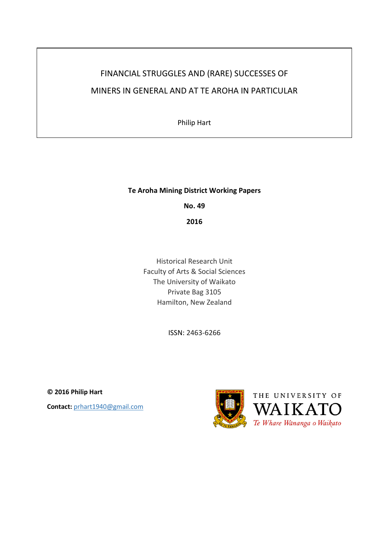# FINANCIAL STRUGGLES AND (RARE) SUCCESSES OF MINERS IN GENERAL AND AT TE AROHA IN PARTICULAR

Philip Hart

# **Te Aroha Mining District Working Papers**

**No. 49**

**2016**

Historical Research Unit Faculty of Arts & Social Sciences The University of Waikato Private Bag 3105 Hamilton, New Zealand

ISSN: 2463-6266

**© 2016 Philip Hart Contact:** prhart1940@gmail.com

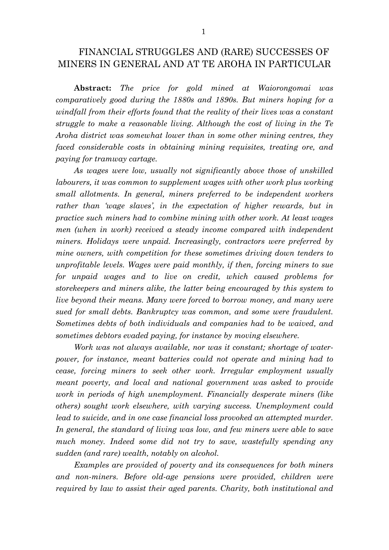# FINANCIAL STRUGGLES AND (RARE) SUCCESSES OF MINERS IN GENERAL AND AT TE AROHA IN PARTICULAR

**Abstract:** *The price for gold mined at Waiorongomai was comparatively good during the 1880s and 1890s. But miners hoping for a windfall from their efforts found that the reality of their lives was a constant struggle to make a reasonable living. Although the cost of living in the Te Aroha district was somewhat lower than in some other mining centres, they faced considerable costs in obtaining mining requisites, treating ore, and paying for tramway cartage.*

*As wages were low, usually not significantly above those of unskilled labourers, it was common to supplement wages with other work plus working small allotments. In general, miners preferred to be independent workers rather than 'wage slaves', in the expectation of higher rewards, but in practice such miners had to combine mining with other work. At least wages men (when in work) received a steady income compared with independent miners. Holidays were unpaid. Increasingly, contractors were preferred by mine owners, with competition for these sometimes driving down tenders to unprofitable levels. Wages were paid monthly, if then, forcing miners to sue for unpaid wages and to live on credit, which caused problems for storekeepers and miners alike, the latter being encouraged by this system to live beyond their means. Many were forced to borrow money, and many were sued for small debts. Bankruptcy was common, and some were fraudulent. Sometimes debts of both individuals and companies had to be waived, and sometimes debtors evaded paying, for instance by moving elsewhere.*

*Work was not always available, nor was it constant; shortage of waterpower, for instance, meant batteries could not operate and mining had to cease, forcing miners to seek other work. Irregular employment usually meant poverty, and local and national government was asked to provide work in periods of high unemployment. Financially desperate miners (like others) sought work elsewhere, with varying success. Unemployment could*  lead to suicide, and in one case financial loss provoked an attempted murder. In general, the standard of living was low, and few miners were able to save *much money. Indeed some did not try to save, wastefully spending any sudden (and rare) wealth, notably on alcohol.* 

*Examples are provided of poverty and its consequences for both miners and non-miners. Before old-age pensions were provided, children were required by law to assist their aged parents. Charity, both institutional and*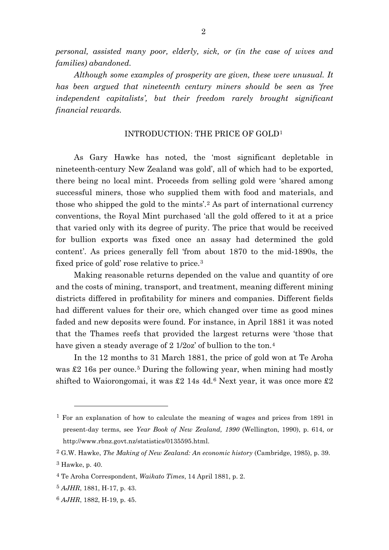*personal, assisted many poor, elderly, sick, or (in the case of wives and families) abandoned.*

*Although some examples of prosperity are given, these were unusual. It has been argued that nineteenth century miners should be seen as 'free independent capitalists', but their freedom rarely brought significant financial rewards.*

# INTRODUCTION: THE PRICE OF GOLD[1](#page-2-0)

As Gary Hawke has noted, the 'most significant depletable in nineteenth-century New Zealand was gold', all of which had to be exported, there being no local mint. Proceeds from selling gold were 'shared among successful miners, those who supplied them with food and materials, and those who shipped the gold to the mints'.[2](#page-2-1) As part of international currency conventions, the Royal Mint purchased 'all the gold offered to it at a price that varied only with its degree of purity. The price that would be received for bullion exports was fixed once an assay had determined the gold content'. As prices generally fell 'from about 1870 to the mid-1890s, the fixed price of gold' rose relative to price.[3](#page-2-2)

Making reasonable returns depended on the value and quantity of ore and the costs of mining, transport, and treatment, meaning different mining districts differed in profitability for miners and companies. Different fields had different values for their ore, which changed over time as good mines faded and new deposits were found. For instance, in April 1881 it was noted that the Thames reefs that provided the largest returns were 'those that have given a steady average of 2 1/2oz' of bullion to the ton.<sup>[4](#page-2-3)</sup>

In the 12 months to 31 March 1881, the price of gold won at Te Aroha was  $\pounds2$  16s per ounce.<sup>[5](#page-2-4)</sup> During the following year, when mining had mostly shifted to Waiorongomai, it was £2 14s 4d.<sup>[6](#page-2-5)</sup> Next year, it was once more £2

<span id="page-2-0"></span><sup>1</sup> For an explanation of how to calculate the meaning of wages and prices from 1891 in present-day terms, see *Year Book of New Zealand, 1990* (Wellington, 1990), p. 614, or http://www.rbnz.govt.nz/statistics/0135595.html.

<span id="page-2-2"></span><span id="page-2-1"></span><sup>2</sup> G.W. Hawke, *The Making of New Zealand: An economic history* (Cambridge, 1985), p. 39. 3 Hawke, p. 40.

<span id="page-2-3"></span><sup>4</sup> Te Aroha Correspondent, *Waikato Times*, 14 April 1881, p. 2.

<span id="page-2-4"></span><sup>5</sup> *AJHR*, 1881, H-17, p. 43.

<span id="page-2-5"></span><sup>6</sup> *AJHR*, 1882, H-19, p. 45.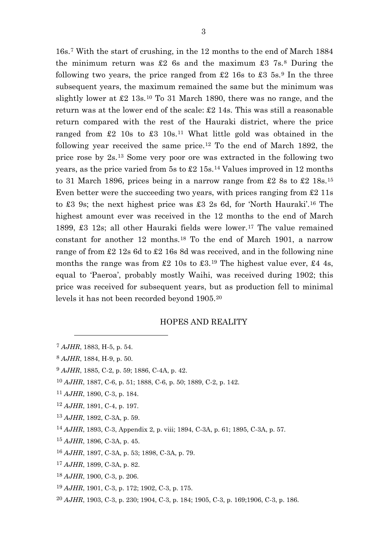16s.[7](#page-3-0) With the start of crushing, in the 12 months to the end of March 1884 the minimum return was £2 6s and the maximum  $\text{\textsterling}3$  7s.<sup>[8](#page-3-1)</sup> During the following two years, the price ranged from  $\pounds 2$  16s to  $\pounds 3$  5s.<sup>[9](#page-3-2)</sup> In the three subsequent years, the maximum remained the same but the minimum was slightly lower at £2 13s.[10](#page-3-3) To 31 March 1890, there was no range, and the return was at the lower end of the scale: £2 14s. This was still a reasonable return compared with the rest of the Hauraki district, where the price ranged from  $\pounds2$  10s to  $\pounds3$  10s.<sup>[11](#page-3-4)</sup> What little gold was obtained in the following year received the same price.<sup>[12](#page-3-5)</sup> To the end of March 1892, the price rose by 2s.[13](#page-3-6) Some very poor ore was extracted in the following two years, as the price varied from 5s to £2 15s.[14](#page-3-7) Values improved in 12 months to 31 March 1896, prices being in a narrow range from £2 8s to £2  $18s$ .<sup>[15](#page-3-8)</sup> Even better were the succeeding two years, with prices ranging from £2 11s to £3 9s; the next highest price was £3 2s 6d, for 'North Hauraki'.[16](#page-3-9) The highest amount ever was received in the 12 months to the end of March 1899, £3 12s; all other Hauraki fields were lower.[17](#page-3-10) The value remained constant for another 12 months.[18](#page-3-11) To the end of March 1901, a narrow range of from £2 12s 6d to £2 16s 8d was received, and in the following nine months the range was from  $\pounds 2$  10s to  $\pounds 3$ .<sup>[19](#page-3-12)</sup> The highest value ever,  $\pounds 4$  4s, equal to 'Paeroa', probably mostly Waihi, was received during 1902; this price was received for subsequent years, but as production fell to minimal levels it has not been recorded beyond 1905.[20](#page-3-13)

## HOPES AND REALITY

- <span id="page-3-2"></span><sup>9</sup> *AJHR*, 1885, C-2, p. 59; 1886, C-4A, p. 42.
- <span id="page-3-3"></span><sup>10</sup> *AJHR*, 1887, C-6, p. 51; 1888, C-6, p. 50; 1889, C-2, p. 142.
- <span id="page-3-4"></span><sup>11</sup> *AJHR*, 1890, C-3, p. 184.
- <span id="page-3-5"></span><sup>12</sup> *AJHR*, 1891, C-4, p. 197.
- <span id="page-3-6"></span><sup>13</sup> *AJHR*, 1892, C-3A, p. 59.
- <span id="page-3-7"></span><sup>14</sup> *AJHR*, 1893, C-3, Appendix 2, p. viii; 1894, C-3A, p. 61; 1895, C-3A, p. 57.
- <span id="page-3-8"></span><sup>15</sup> *AJHR*, 1896, C-3A, p. 45.
- <span id="page-3-9"></span><sup>16</sup> *AJHR*, 1897, C-3A, p. 53; 1898, C-3A, p. 79.
- <span id="page-3-10"></span><sup>17</sup> *AJHR*, 1899, C-3A, p. 82.
- <span id="page-3-11"></span><sup>18</sup> *AJHR*, 1900, C-3, p. 206.
- <span id="page-3-12"></span><sup>19</sup> *AJHR*, 1901, C-3, p. 172; 1902, C-3, p. 175.
- <span id="page-3-13"></span><sup>20</sup> *AJHR*, 1903, C-3, p. 230; 1904, C-3, p. 184; 1905, C-3, p. 169;1906, C-3, p. 186.

<span id="page-3-0"></span><sup>7</sup> *AJHR*, 1883, H-5, p. 54.

<span id="page-3-1"></span><sup>8</sup> *AJHR*, 1884, H-9, p. 50.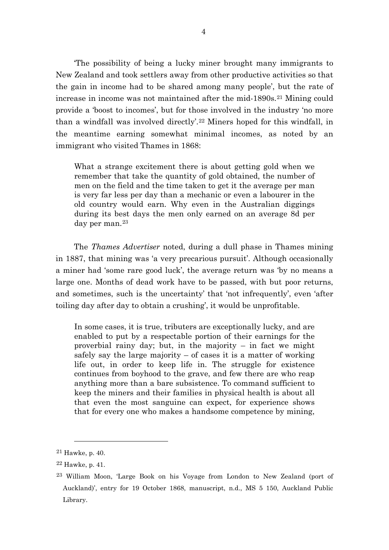'The possibility of being a lucky miner brought many immigrants to New Zealand and took settlers away from other productive activities so that the gain in income had to be shared among many people', but the rate of increase in income was not maintained after the mid-1890s.<sup>[21](#page-4-0)</sup> Mining could provide a 'boost to incomes', but for those involved in the industry 'no more than a windfall was involved directly'.[22](#page-4-1) Miners hoped for this windfall, in the meantime earning somewhat minimal incomes, as noted by an immigrant who visited Thames in 1868:

What a strange excitement there is about getting gold when we remember that take the quantity of gold obtained, the number of men on the field and the time taken to get it the average per man is very far less per day than a mechanic or even a labourer in the old country would earn. Why even in the Australian diggings during its best days the men only earned on an average 8d per day per man.[23](#page-4-2)

The *Thames Advertiser* noted, during a dull phase in Thames mining in 1887, that mining was 'a very precarious pursuit'. Although occasionally a miner had 'some rare good luck', the average return was 'by no means a large one. Months of dead work have to be passed, with but poor returns, and sometimes, such is the uncertainty' that 'not infrequently', even 'after toiling day after day to obtain a crushing', it would be unprofitable.

In some cases, it is true, tributers are exceptionally lucky, and are enabled to put by a respectable portion of their earnings for the proverbial rainy day; but, in the majority  $-$  in fact we might safely say the large majority  $-$  of cases it is a matter of working life out, in order to keep life in. The struggle for existence continues from boyhood to the grave, and few there are who reap anything more than a bare subsistence. To command sufficient to keep the miners and their families in physical health is about all that even the most sanguine can expect, for experience shows that for every one who makes a handsome competence by mining,

<span id="page-4-0"></span> $21$  Hawke, p. 40.

<span id="page-4-1"></span> $22$  Hawke, p. 41.

<span id="page-4-2"></span><sup>23</sup> William Moon, 'Large Book on his Voyage from London to New Zealand (port of Auckland)', entry for 19 October 1868, manuscript, n.d., MS 5 150, Auckland Public Library.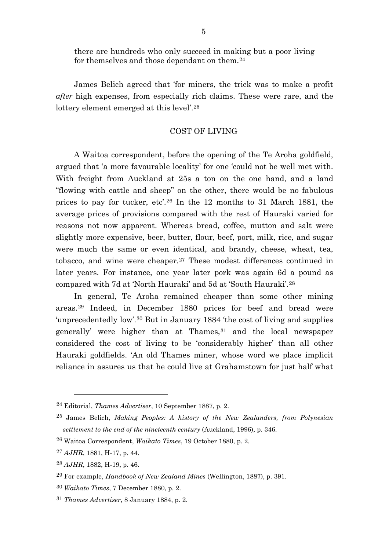there are hundreds who only succeed in making but a poor living for themselves and those dependant on them.[24](#page-5-0)

James Belich agreed that 'for miners, the trick was to make a profit *after* high expenses, from especially rich claims. These were rare, and the lottery element emerged at this level'.[25](#page-5-1)

#### COST OF LIVING

A Waitoa correspondent, before the opening of the Te Aroha goldfield, argued that 'a more favourable locality' for one 'could not be well met with. With freight from Auckland at 25s a ton on the one hand, and a land "flowing with cattle and sheep" on the other, there would be no fabulous prices to pay for tucker, etc'.[26](#page-5-2) In the 12 months to 31 March 1881, the average prices of provisions compared with the rest of Hauraki varied for reasons not now apparent. Whereas bread, coffee, mutton and salt were slightly more expensive, beer, butter, flour, beef, port, milk, rice, and sugar were much the same or even identical, and brandy, cheese, wheat, tea, tobacco, and wine were cheaper.[27](#page-5-3) These modest differences continued in later years. For instance, one year later pork was again 6d a pound as compared with 7d at 'North Hauraki' and 5d at 'South Hauraki'.[28](#page-5-4)

In general, Te Aroha remained cheaper than some other mining areas.[29](#page-5-5) Indeed, in December 1880 prices for beef and bread were 'unprecedentedly low'.[30](#page-5-6) But in January 1884 'the cost of living and supplies generally' were higher than at Thames,<sup>[31](#page-5-7)</sup> and the local newspaper considered the cost of living to be 'considerably higher' than all other Hauraki goldfields. 'An old Thames miner, whose word we place implicit reliance in assures us that he could live at Grahamstown for just half what

<span id="page-5-0"></span><sup>24</sup> Editorial, *Thames Advertiser*, 10 September 1887, p. 2.

<span id="page-5-1"></span><sup>25</sup> James Belich, *Making Peoples: A history of the New Zealanders, from Polynesian settlement to the end of the nineteenth century* (Auckland, 1996), p. 346.

<span id="page-5-2"></span><sup>26</sup> Waitoa Correspondent, *Waikato Times*, 19 October 1880, p. 2.

<span id="page-5-3"></span><sup>27</sup> *AJHR*, 1881, H-17, p. 44.

<span id="page-5-4"></span><sup>28</sup> *AJHR*, 1882, H-19, p. 46.

<span id="page-5-5"></span><sup>29</sup> For example, *Handbook of New Zealand Mines* (Wellington, 1887), p. 391.

<span id="page-5-6"></span><sup>30</sup> *Waikato Times*, 7 December 1880, p. 2.

<span id="page-5-7"></span><sup>31</sup> *Thames Advertiser*, 8 January 1884, p. 2.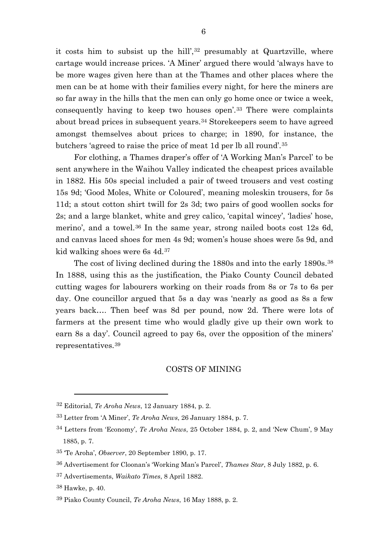it costs him to subsist up the hill',<sup>[32](#page-6-0)</sup> presumably at Quartzville, where cartage would increase prices. 'A Miner' argued there would 'always have to be more wages given here than at the Thames and other places where the men can be at home with their families every night, for here the miners are so far away in the hills that the men can only go home once or twice a week, consequently having to keep two houses open'.[33](#page-6-1) There were complaints about bread prices in subsequent years.[34](#page-6-2) Storekeepers seem to have agreed amongst themselves about prices to charge; in 1890, for instance, the butchers 'agreed to raise the price of meat 1d per lb all round'.[35](#page-6-3)

For clothing, a Thames draper's offer of 'A Working Man's Parcel' to be sent anywhere in the Waihou Valley indicated the cheapest prices available in 1882. His 50s special included a pair of tweed trousers and vest costing 15s 9d; 'Good Moles, White or Coloured', meaning moleskin trousers, for 5s 11d; a stout cotton shirt twill for 2s 3d; two pairs of good woollen socks for 2s; and a large blanket, white and grey calico, 'capital wincey', 'ladies' hose, merino', and a towel.[36](#page-6-4) In the same year, strong nailed boots cost 12s 6d, and canvas laced shoes for men 4s 9d; women's house shoes were 5s 9d, and kid walking shoes were 6s 4d.[37](#page-6-5)

The cost of living declined during the 1880s and into the early 1890s.<sup>[38](#page-6-6)</sup> In 1888, using this as the justification, the Piako County Council debated cutting wages for labourers working on their roads from 8s or 7s to 6s per day. One councillor argued that 5s a day was 'nearly as good as 8s a few years back…. Then beef was 8d per pound, now 2d. There were lots of farmers at the present time who would gladly give up their own work to earn 8s a day'. Council agreed to pay 6s, over the opposition of the miners' representatives.[39](#page-6-7)

#### COSTS OF MINING

<span id="page-6-0"></span><sup>32</sup> Editorial, *Te Aroha News*, 12 January 1884, p. 2.

<span id="page-6-1"></span><sup>33</sup> Letter from 'A Miner', *Te Aroha News*, 26 January 1884, p. 7.

<span id="page-6-2"></span><sup>34</sup> Letters from 'Economy', *Te Aroha News*, 25 October 1884, p. 2, and 'New Chum', 9 May 1885, p. 7.

<span id="page-6-3"></span><sup>35</sup> 'Te Aroha', *Observer*, 20 September 1890, p. 17.

<span id="page-6-4"></span><sup>36</sup> Advertisement for Cloonan's 'Working Man's Parcel', *Thames Star*, 8 July 1882, p. 6.

<span id="page-6-5"></span><sup>37</sup> Advertisements, *Waikato Times*, 8 April 1882.

<span id="page-6-6"></span><sup>38</sup> Hawke, p. 40.

<span id="page-6-7"></span><sup>39</sup> Piako County Council, *Te Aroha News*, 16 May 1888, p. 2.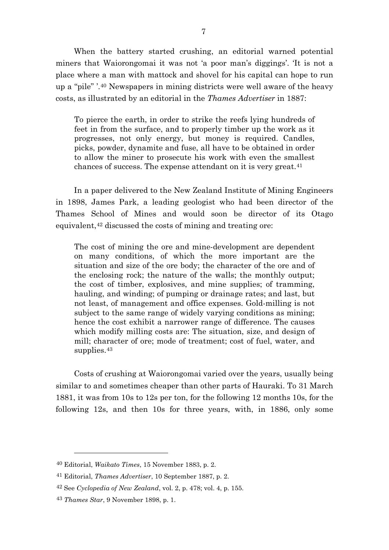When the battery started crushing, an editorial warned potential miners that Waiorongomai it was not 'a poor man's diggings'. 'It is not a place where a man with mattock and shovel for his capital can hope to run up a "pile" '.[40](#page-7-0) Newspapers in mining districts were well aware of the heavy costs, as illustrated by an editorial in the *Thames Advertiser* in 1887:

To pierce the earth, in order to strike the reefs lying hundreds of feet in from the surface, and to properly timber up the work as it progresses, not only energy, but money is required. Candles, picks, powder, dynamite and fuse, all have to be obtained in order to allow the miner to prosecute his work with even the smallest chances of success. The expense attendant on it is very great.[41](#page-7-1)

In a paper delivered to the New Zealand Institute of Mining Engineers in 1898, James Park, a leading geologist who had been director of the Thames School of Mines and would soon be director of its Otago equivalent,<sup>[42](#page-7-2)</sup> discussed the costs of mining and treating ore:

The cost of mining the ore and mine-development are dependent on many conditions, of which the more important are the situation and size of the ore body; the character of the ore and of the enclosing rock; the nature of the walls; the monthly output; the cost of timber, explosives, and mine supplies; of tramming, hauling, and winding; of pumping or drainage rates; and last, but not least, of management and office expenses. Gold-milling is not subject to the same range of widely varying conditions as mining; hence the cost exhibit a narrower range of difference. The causes which modify milling costs are: The situation, size, and design of mill; character of ore; mode of treatment; cost of fuel, water, and supplies.<sup>[43](#page-7-3)</sup>

Costs of crushing at Waiorongomai varied over the years, usually being similar to and sometimes cheaper than other parts of Hauraki. To 31 March 1881, it was from 10s to 12s per ton, for the following 12 months 10s, for the following 12s, and then 10s for three years, with, in 1886, only some

<span id="page-7-0"></span><sup>40</sup> Editorial, *Waikato Times*, 15 November 1883, p. 2.

<span id="page-7-1"></span><sup>41</sup> Editorial, *Thames Advertiser*, 10 September 1887, p. 2.

<span id="page-7-2"></span><sup>42</sup> See *Cyclopedia of New Zealand*, vol. 2, p. 478; vol. 4, p. 155.

<span id="page-7-3"></span><sup>43</sup> *Thames Star*, 9 November 1898, p. 1.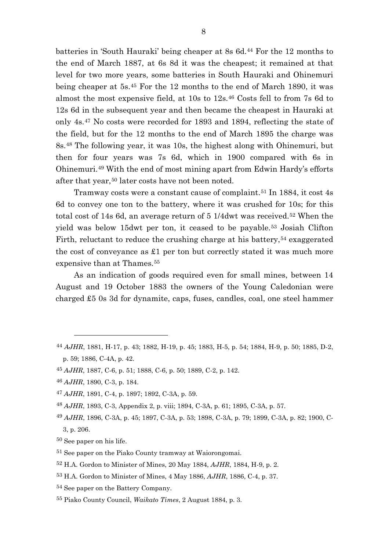batteries in 'South Hauraki' being cheaper at 8s 6d.[44](#page-8-0) For the 12 months to the end of March 1887, at 6s 8d it was the cheapest; it remained at that level for two more years, some batteries in South Hauraki and Ohinemuri being cheaper at 5s.[45](#page-8-1) For the 12 months to the end of March 1890, it was almost the most expensive field, at 10s to 12s.[46](#page-8-2) Costs fell to from 7s 6d to 12s 6d in the subsequent year and then became the cheapest in Hauraki at only 4s.[47](#page-8-3) No costs were recorded for 1893 and 1894, reflecting the state of the field, but for the 12 months to the end of March 1895 the charge was 8s.[48](#page-8-4) The following year, it was 10s, the highest along with Ohinemuri, but then for four years was 7s 6d, which in 1900 compared with 6s in Ohinemuri.[49](#page-8-5) With the end of most mining apart from Edwin Hardy's efforts after that year,<sup>[50](#page-8-6)</sup> later costs have not been noted.

Tramway costs were a constant cause of complaint.[51](#page-8-7) In 1884, it cost 4s 6d to convey one ton to the battery, where it was crushed for 10s; for this total cost of 14s 6d, an average return of 5 1/4dwt was received.[52](#page-8-8) When the yield was below 15dwt per ton, it ceased to be payable.[53](#page-8-9) Josiah Clifton Firth, reluctant to reduce the crushing charge at his battery,<sup>[54](#page-8-10)</sup> exaggerated the cost of conveyance as  $\pounds 1$  per ton but correctly stated it was much more expensive than at Thames.<sup>[55](#page-8-11)</sup>

As an indication of goods required even for small mines, between 14 August and 19 October 1883 the owners of the Young Caledonian were charged £5 0s 3d for dynamite, caps, fuses, candles, coal, one steel hammer

- <span id="page-8-0"></span><sup>44</sup> *AJHR*, 1881, H-17, p. 43; 1882, H-19, p. 45; 1883, H-5, p. 54; 1884, H-9, p. 50; 1885, D-2, p. 59; 1886, C-4A, p. 42.
- <span id="page-8-1"></span><sup>45</sup> *AJHR*, 1887, C-6, p. 51; 1888, C-6, p. 50; 1889, C-2, p. 142.
- <span id="page-8-2"></span><sup>46</sup> *AJHR*, 1890, C-3, p. 184.

- <span id="page-8-3"></span><sup>47</sup> *AJHR*, 1891, C-4, p. 1897; 1892, C-3A, p. 59.
- <span id="page-8-4"></span><sup>48</sup> *AJHR*, 1893, C-3, Appendix 2, p. viii; 1894, C-3A, p. 61; 1895, C-3A, p. 57.
- <span id="page-8-5"></span><sup>49</sup> *AJHR*, 1896, C-3A, p. 45; 1897, C-3A, p. 53; 1898, C-3A, p. 79; 1899, C-3A, p. 82; 1900, C-3, p. 206.
- <span id="page-8-6"></span>50 See paper on his life.
- <span id="page-8-7"></span>51 See paper on the Piako County tramway at Waiorongomai.
- <span id="page-8-8"></span><sup>52</sup> H.A. Gordon to Minister of Mines, 20 May 1884, *AJHR*, 1884, H-9, p. 2.
- <span id="page-8-9"></span><sup>53</sup> H.A. Gordon to Minister of Mines, 4 May 1886, *AJHR*, 1886, C-4, p. 37.
- <span id="page-8-10"></span>54 See paper on the Battery Company.
- <span id="page-8-11"></span><sup>55</sup> Piako County Council, *Waikato Times*, 2 August 1884, p. 3.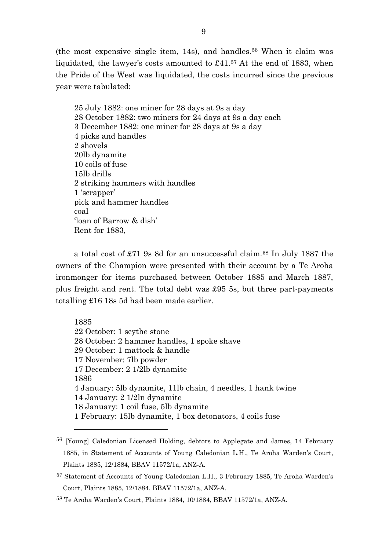(the most expensive single item,  $14s$ ), and handles.<sup>[56](#page-9-0)</sup> When it claim was liquidated, the lawyer's costs amounted to £41.[57](#page-9-1) At the end of 1883, when the Pride of the West was liquidated, the costs incurred since the previous year were tabulated:

25 July 1882: one miner for 28 days at 9s a day 28 October 1882: two miners for 24 days at 9s a day each 3 December 1882: one miner for 28 days at 9s a day 4 picks and handles 2 shovels 20lb dynamite 10 coils of fuse 15lb drills 2 striking hammers with handles 1 'scrapper' pick and hammer handles coal 'loan of Barrow & dish' Rent for 1883,

a total cost of £71 9s 8d for an unsuccessful claim.[58](#page-9-2) In July 1887 the owners of the Champion were presented with their account by a Te Aroha ironmonger for items purchased between October 1885 and March 1887, plus freight and rent. The total debt was £95 5s, but three part-payments totalling £16 18s 5d had been made earlier.

1885 22 October: 1 scythe stone 28 October: 2 hammer handles, 1 spoke shave 29 October: 1 mattock & handle 17 November: 7lb powder 17 December: 2 1/2lb dynamite 1886 4 January: 5lb dynamite, 11lb chain, 4 needles, 1 hank twine 14 January: 2 1/2ln dynamite 18 January: 1 coil fuse, 5lb dynamite 1 February: 15lb dynamite, 1 box detonators, 4 coils fuse

<span id="page-9-0"></span><sup>&</sup>lt;sup>56</sup> [Young] Caledonian Licensed Holding, debtors to Applegate and James, 14 February 1885, in Statement of Accounts of Young Caledonian L.H., Te Aroha Warden's Court, Plaints 1885, 12/1884, BBAV 11572/1a, ANZ-A.

<span id="page-9-1"></span><sup>57</sup> Statement of Accounts of Young Caledonian L.H., 3 February 1885, Te Aroha Warden's Court, Plaints 1885, 12/1884, BBAV 11572/1a, ANZ-A.

<span id="page-9-2"></span><sup>58</sup> Te Aroha Warden's Court, Plaints 1884, 10/1884, BBAV 11572/1a, ANZ-A.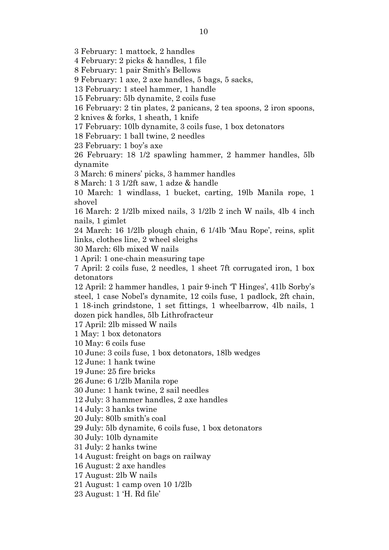3 February: 1 mattock, 2 handles

4 February: 2 picks & handles, 1 file

8 February: 1 pair Smith's Bellows

9 February: 1 axe, 2 axe handles, 5 bags, 5 sacks,

13 February: 1 steel hammer, 1 handle

15 February: 5lb dynamite, 2 coils fuse

16 February: 2 tin plates, 2 panicans, 2 tea spoons, 2 iron spoons,

2 knives & forks, 1 sheath, 1 knife

17 February: 10lb dynamite, 3 coils fuse, 1 box detonators

18 February: 1 ball twine, 2 needles

23 February: 1 boy's axe

26 February: 18 1/2 spawling hammer, 2 hammer handles, 5lb dynamite

3 March: 6 miners' picks, 3 hammer handles

8 March: 1 3 1/2ft saw, 1 adze & handle

10 March: 1 windlass, 1 bucket, carting, 19lb Manila rope, 1 shovel

16 March: 2 1/2lb mixed nails, 3 1/2lb 2 inch W nails, 4lb 4 inch nails, 1 gimlet

24 March: 16 1/2lb plough chain, 6 1/4lb 'Mau Rope', reins, split links, clothes line, 2 wheel sleighs

30 March: 6lb mixed W nails

1 April: 1 one-chain measuring tape

7 April: 2 coils fuse, 2 needles, 1 sheet 7ft corrugated iron, 1 box detonators

12 April: 2 hammer handles, 1 pair 9-inch 'T Hinges', 41lb Sorby's steel, 1 case Nobel's dynamite, 12 coils fuse, 1 padlock, 2ft chain, 1 18-inch grindstone, 1 set fittings, 1 wheelbarrow, 4lb nails, 1 dozen pick handles, 5lb Lithrofracteur

17 April: 2lb missed W nails

1 May: 1 box detonators

10 May: 6 coils fuse

10 June: 3 coils fuse, 1 box detonators, 18lb wedges

12 June: 1 hank twine

19 June: 25 fire bricks

26 June: 6 1/2lb Manila rope

30 June: 1 hank twine, 2 sail needles

12 July: 3 hammer handles, 2 axe handles

14 July: 3 hanks twine

20 July: 80lb smith's coal

29 July: 5lb dynamite, 6 coils fuse, 1 box detonators

30 July: 10lb dynamite

31 July: 2 hanks twine

14 August: freight on bags on railway

16 August: 2 axe handles

17 August: 2lb W nails

21 August: 1 camp oven 10 1/2lb

23 August: 1 'H. Rd file'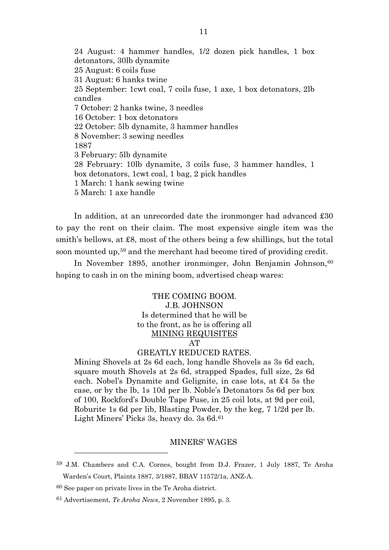24 August: 4 hammer handles, 1/2 dozen pick handles, 1 box detonators, 30lb dynamite 25 August: 6 coils fuse 31 August: 6 hanks twine 25 September: 1cwt coal, 7 coils fuse, 1 axe, 1 box detonators, 2lb candles 7 October: 2 hanks twine, 3 needles 16 October: 1 box detonators 22 October: 5lb dynamite, 3 hammer handles 8 November: 3 sewing needles 1887 3 February: 5lb dynamite 28 February: 10lb dynamite, 3 coils fuse, 3 hammer handles, 1 box detonators, 1cwt coal, 1 bag, 2 pick handles 1 March: 1 hank sewing twine 5 March: 1 axe handle

In addition, at an unrecorded date the ironmonger had advanced £30 to pay the rent on their claim. The most expensive single item was the smith's bellows, at  $\pounds 8$ , most of the others being a few shillings, but the total soon mounted up,<sup>[59](#page-11-0)</sup> and the merchant had become tired of providing credit.

In November 1895, another ironmonger, John Benjamin Johnson, [60](#page-11-1) hoping to cash in on the mining boom, advertised cheap wares:

> THE COMING BOOM. J.B. JOHNSON Is determined that he will be to the front, as he is offering all MINING REQUISITES

AT

# GREATLY REDUCED RATES.

Mining Shovels at 2s 6d each, long handle Shovels as 3s 6d each, square mouth Shovels at 2s 6d, strapped Spades, full size, 2s 6d each. Nobel's Dynamite and Gelignite, in case lots, at £4 5s the case, or by the lb, 1s 10d per lb. Noble's Detonators 5s 6d per box of 100, Rockford's Double Tape Fuse, in 25 coil lots, at 9d per coil, Roburite 1s 6d per lib, Blasting Powder, by the keg, 7 1/2d per lb. Light Miners' Picks 3s, heavy do. 3s 6d.<sup>[61](#page-11-2)</sup>

#### MINERS' WAGES

<span id="page-11-0"></span><sup>59</sup> J.M. Chambers and C.A. Cornes, bought from D.J. Frazer, 1 July 1887, Te Aroha Warden's Court, Plaints 1887, 3/1887, BBAV 11572/1a, ANZ-A.

<span id="page-11-1"></span><sup>60</sup> See paper on private lives in the Te Aroha district.

<span id="page-11-2"></span><sup>61</sup> Advertisement, *Te Aroha News*, 2 November 1895, p. 3.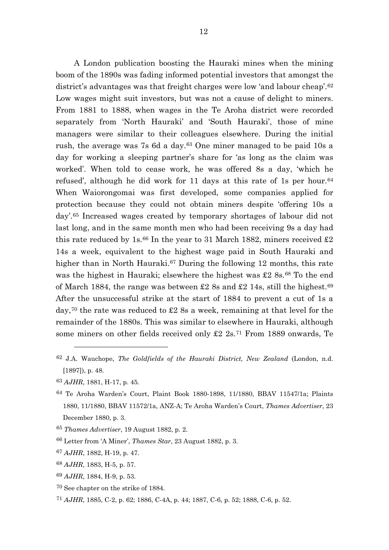A London publication boosting the Hauraki mines when the mining boom of the 1890s was fading informed potential investors that amongst the district's advantages was that freight charges were low 'and labour cheap'.<sup>[62](#page-12-0)</sup> Low wages might suit investors, but was not a cause of delight to miners. From 1881 to 1888, when wages in the Te Aroha district were recorded separately from 'North Hauraki' and 'South Hauraki', those of mine managers were similar to their colleagues elsewhere. During the initial rush, the average was 7s 6d a day.[63](#page-12-1) One miner managed to be paid 10s a day for working a sleeping partner's share for 'as long as the claim was worked'. When told to cease work, he was offered 8s a day, 'which he refused', although he did work for 11 days at this rate of 1s per hour.[64](#page-12-2) When Waiorongomai was first developed, some companies applied for protection because they could not obtain miners despite 'offering 10s a day'.[65](#page-12-3) Increased wages created by temporary shortages of labour did not last long, and in the same month men who had been receiving 9s a day had this rate reduced by 1s.<sup>[66](#page-12-4)</sup> In the year to 31 March 1882, miners received  $\pounds 2$ 14s a week, equivalent to the highest wage paid in South Hauraki and higher than in North Hauraki.<sup>[67](#page-12-5)</sup> During the following 12 months, this rate was the highest in Hauraki; elsewhere the highest was £2 8s.<sup>[68](#page-12-6)</sup> To the end of March 1884, the range was between  $\pounds 2$  8s and  $\pounds 2$  14s, still the highest.<sup>[69](#page-12-7)</sup> After the unsuccessful strike at the start of 1884 to prevent a cut of 1s a day,<sup>[70](#page-12-8)</sup> the rate was reduced to  $\pounds 2$  8s a week, remaining at that level for the remainder of the 1880s. This was similar to elsewhere in Hauraki, although some miners on other fields received only £2 2s.[71](#page-12-9) From 1889 onwards, Te

- <span id="page-12-5"></span><sup>67</sup> *AJHR*, 1882, H-19, p. 47.
- <span id="page-12-6"></span><sup>68</sup> *AJHR*, 1883, H-5, p. 57.
- <span id="page-12-7"></span><sup>69</sup> *AJHR*, 1884, H-9, p. 53.
- <span id="page-12-9"></span><span id="page-12-8"></span>70 See chapter on the strike of 1884.
- <sup>71</sup> *AJHR*, 1885, C-2, p. 62; 1886, C-4A, p. 44; 1887, C-6, p. 52; 1888, C-6, p. 52.

<span id="page-12-0"></span><sup>62</sup> J.A. Wauchope, *The Goldfields of the Hauraki District, New Zealand* (London, n.d. [1897]), p. 48.

<span id="page-12-1"></span><sup>63</sup> *AJHR*, 1881, H-17, p. 45.

<span id="page-12-2"></span><sup>64</sup> Te Aroha Warden's Court, Plaint Book 1880-1898, 11/1880, BBAV 11547/1a; Plaints 1880, 11/1880, BBAV 11572/1a, ANZ-A; Te Aroha Warden's Court, *Thames Advertiser*, 23 December 1880, p. 3.

<span id="page-12-3"></span><sup>65</sup> *Thames Advertiser*, 19 August 1882, p. 2.

<span id="page-12-4"></span><sup>66</sup> Letter from 'A Miner', *Thames Star*, 23 August 1882, p. 3.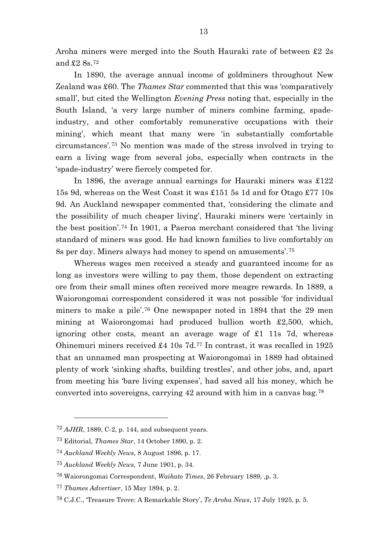Aroha miners were merged into the South Hauraki rate of between £2 2s and £2 8s.[72](#page-13-0)

In 1890, the average annual income of goldminers throughout New Zealand was £60. The *Thames Star* commented that this was 'comparatively small', but cited the Wellington *Evening Press* noting that, especially in the South Island, 'a very large number of miners combine farming, spadeindustry, and other comfortably remunerative occupations with their mining', which meant that many were 'in substantially comfortable circumstances'.[73](#page-13-1) No mention was made of the stress involved in trying to earn a living wage from several jobs, especially when contracts in the 'spade-industry' were fiercely competed for.

In 1896, the average annual earnings for Hauraki miners was £122 15s 9d, whereas on the West Coast it was £151 5s 1d and for Otago £77 10s 9d. An Auckland newspaper commented that, 'considering the climate and the possibility of much cheaper living', Hauraki miners were 'certainly in the best position'.[74](#page-13-2) In 1901, a Paeroa merchant considered that 'the living standard of miners was good. He had known families to live comfortably on 8s per day. Miners always had money to spend on amusements'.[75](#page-13-3)

Whereas wages men received a steady and guaranteed income for as long as investors were willing to pay them, those dependent on extracting ore from their small mines often received more meagre rewards. In 1889, a Waiorongomai correspondent considered it was not possible 'for individual miners to make a pile'.[76](#page-13-4) One newspaper noted in 1894 that the 29 men mining at Waiorongomai had produced bullion worth £2,500, which, ignoring other costs, meant an average wage of £1 11s 7d, whereas Ohinemuri miners received £4 10s 7d.[77](#page-13-5) In contrast, it was recalled in 1925 that an unnamed man prospecting at Waiorongomai in 1889 had obtained plenty of work 'sinking shafts, building trestles', and other jobs, and, apart from meeting his 'bare living expenses', had saved all his money, which he converted into sovereigns, carrying 42 around with him in a canvas bag.[78](#page-13-6)

<span id="page-13-0"></span><sup>72</sup> *AJHR*, 1889, C-2, p. 144, and subsequent years.

<span id="page-13-1"></span><sup>73</sup> Editorial, *Thames Star*, 14 October 1890, p. 2.

<span id="page-13-3"></span><span id="page-13-2"></span><sup>74</sup> *Auckland Weekly News*, 8 August 1896, p. 17.

<sup>75</sup> *Auckland Weekly News*, 7 June 1901, p. 34.

<span id="page-13-4"></span><sup>76</sup> Waiorongomai Correspondent, *Waikato Times*, 26 February 1889, ,p. 3.

<span id="page-13-5"></span><sup>77</sup> *Thames Advertiser*, 15 May 1894, p. 2.

<span id="page-13-6"></span><sup>78</sup> C.J.C., 'Treasure Trove: A Remarkable Story', *Te Aroha News*, 17 July 1925, p. 5.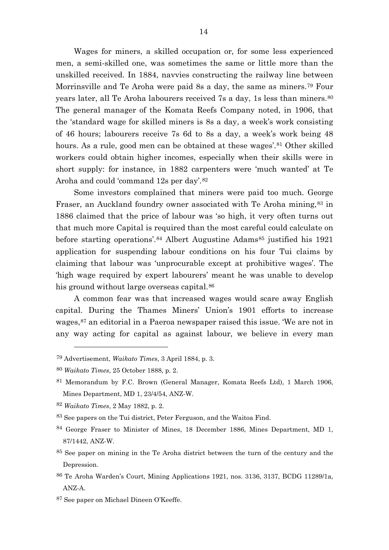Wages for miners, a skilled occupation or, for some less experienced men, a semi-skilled one, was sometimes the same or little more than the unskilled received. In 1884, navvies constructing the railway line between Morrinsville and Te Aroha were paid 8s a day, the same as miners.[79](#page-14-0) Four years later, all Te Aroha labourers received 7s a day, 1s less than miners.<sup>[80](#page-14-1)</sup> The general manager of the Komata Reefs Company noted, in 1906, that the 'standard wage for skilled miners is 8s a day, a week's work consisting of 46 hours; labourers receive 7s 6d to 8s a day, a week's work being 48 hours. As a rule, good men can be obtained at these wages'.<sup>[81](#page-14-2)</sup> Other skilled workers could obtain higher incomes, especially when their skills were in short supply: for instance, in 1882 carpenters were 'much wanted' at Te Aroha and could 'command 12s per day'.<sup>[82](#page-14-3)</sup>

Some investors complained that miners were paid too much. George Fraser, an Auckland foundry owner associated with Te Aroha mining,  $83$  in 1886 claimed that the price of labour was 'so high, it very often turns out that much more Capital is required than the most careful could calculate on before starting operations'.<sup>[84](#page-14-5)</sup> Albert Augustine Adams<sup>[85](#page-14-6)</sup> justified his 1921 application for suspending labour conditions on his four Tui claims by claiming that labour was 'unprocurable except at prohibitive wages'. The 'high wage required by expert labourers' meant he was unable to develop his ground without large overseas capital.<sup>[86](#page-14-7)</sup>

A common fear was that increased wages would scare away English capital. During the Thames Miners' Union's 1901 efforts to increase wages,[87](#page-14-8) an editorial in a Paeroa newspaper raised this issue. 'We are not in any way acting for capital as against labour, we believe in every man

 $\overline{a}$ 

<span id="page-14-3"></span><sup>82</sup> *Waikato Times*, 2 May 1882, p. 2.

<span id="page-14-4"></span>83 See papers on the Tui district, Peter Ferguson, and the Waitoa Find.

<span id="page-14-5"></span>84 George Fraser to Minister of Mines, 18 December 1886, Mines Department, MD 1, 87/1442, ANZ-W.

<span id="page-14-6"></span><sup>85</sup> See paper on mining in the Te Aroha district between the turn of the century and the Depression.

- <span id="page-14-7"></span>86 Te Aroha Warden's Court, Mining Applications 1921, nos. 3136, 3137, BCDG 11289/1a, ANZ-A.
- <span id="page-14-8"></span>87 See paper on Michael Dineen O'Keeffe.

<span id="page-14-0"></span><sup>79</sup> Advertisement, *Waikato Times*, 3 April 1884, p. 3.

<span id="page-14-1"></span><sup>80</sup> *Waikato Times*, 25 October 1888, p. 2.

<span id="page-14-2"></span><sup>81</sup> Memorandum by F.C. Brown (General Manager, Komata Reefs Ltd), 1 March 1906, Mines Department, MD 1, 23/4/54, ANZ-W.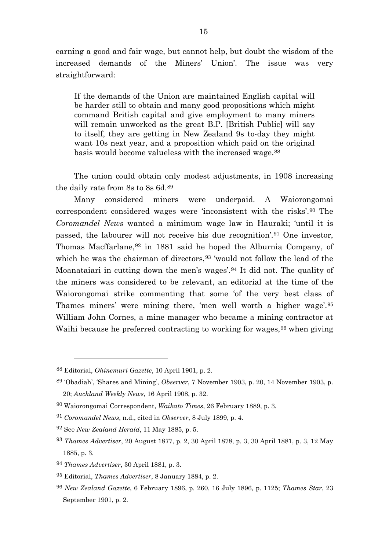earning a good and fair wage, but cannot help, but doubt the wisdom of the increased demands of the Miners' Union'. The issue was very straightforward:

If the demands of the Union are maintained English capital will be harder still to obtain and many good propositions which might command British capital and give employment to many miners will remain unworked as the great B.P. [British Public] will say to itself, they are getting in New Zealand 9s to-day they might want 10s next year, and a proposition which paid on the original basis would become valueless with the increased wage.[88](#page-15-0)

The union could obtain only modest adjustments, in 1908 increasing the daily rate from 8s to 8s 6d.[89](#page-15-1)

Many considered miners were underpaid. A Waiorongomai correspondent considered wages were 'inconsistent with the risks'.[90](#page-15-2) The *Coromandel News* wanted a minimum wage law in Hauraki; 'until it is passed, the labourer will not receive his due recognition'.[91](#page-15-3) One investor, Thomas Macffarlane,<sup>[92](#page-15-4)</sup> in 1881 said he hoped the Alburnia Company, of which he was the chairman of directors,<sup>[93](#page-15-5)</sup> 'would not follow the lead of the Moanataiari in cutting down the men's wages'.[94](#page-15-6) It did not. The quality of the miners was considered to be relevant, an editorial at the time of the Waiorongomai strike commenting that some 'of the very best class of Thames miners' were mining there, 'men well worth a higher wage'.[95](#page-15-7) William John Cornes, a mine manager who became a mining contractor at Waihi because he preferred contracting to working for wages, <sup>[96](#page-15-8)</sup> when giving

<span id="page-15-0"></span><sup>88</sup> Editorial, *Ohinemuri Gazette*, 10 April 1901, p. 2.

<span id="page-15-1"></span><sup>89</sup> 'Obadiah', 'Shares and Mining', *Observer*, 7 November 1903, p. 20, 14 November 1903, p. 20; *Auckland Weekly News*, 16 April 1908, p. 32.

<span id="page-15-2"></span><sup>90</sup> Waiorongomai Correspondent, *Waikato Times*, 26 February 1889, p. 3.

<span id="page-15-3"></span><sup>91</sup> *Coromandel News*, n.d., cited in *Observer*, 8 July 1899, p. 4.

<span id="page-15-4"></span><sup>92</sup> See *New Zealand Herald*, 11 May 1885, p. 5.

<span id="page-15-5"></span><sup>93</sup> *Thames Advertiser*, 20 August 1877, p. 2, 30 April 1878, p. 3, 30 April 1881, p. 3, 12 May 1885, p. 3.

<span id="page-15-6"></span><sup>94</sup> *Thames Advertiser*, 30 April 1881, p. 3.

<span id="page-15-7"></span><sup>95</sup> Editorial, *Thames Advertiser*, 8 January 1884, p. 2.

<span id="page-15-8"></span><sup>96</sup> *New Zealand Gazette*, 6 February 1896, p. 260, 16 July 1896, p. 1125; *Thames Star*, 23 September 1901, p. 2.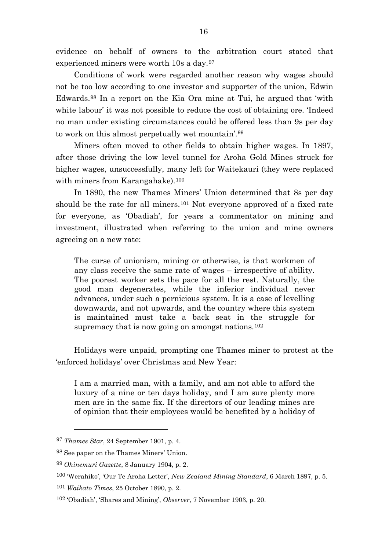evidence on behalf of owners to the arbitration court stated that experienced miners were worth 10s a day.[97](#page-16-0)

Conditions of work were regarded another reason why wages should not be too low according to one investor and supporter of the union, Edwin Edwards.[98](#page-16-1) In a report on the Kia Ora mine at Tui, he argued that 'with white labour' it was not possible to reduce the cost of obtaining ore. 'Indeed no man under existing circumstances could be offered less than 9s per day to work on this almost perpetually wet mountain'.[99](#page-16-2)

Miners often moved to other fields to obtain higher wages. In 1897, after those driving the low level tunnel for Aroha Gold Mines struck for higher wages, unsuccessfully, many left for Waitekauri (they were replaced with miners from Karangahake).<sup>[100](#page-16-3)</sup>

In 1890, the new Thames Miners' Union determined that 8s per day should be the rate for all miners.<sup>[101](#page-16-4)</sup> Not everyone approved of a fixed rate for everyone, as 'Obadiah', for years a commentator on mining and investment, illustrated when referring to the union and mine owners agreeing on a new rate:

The curse of unionism, mining or otherwise, is that workmen of any class receive the same rate of wages – irrespective of ability. The poorest worker sets the pace for all the rest. Naturally, the good man degenerates, while the inferior individual never advances, under such a pernicious system. It is a case of levelling downwards, and not upwards, and the country where this system is maintained must take a back seat in the struggle for supremacy that is now going on amongst nations.<sup>[102](#page-16-5)</sup>

Holidays were unpaid, prompting one Thames miner to protest at the 'enforced holidays' over Christmas and New Year:

I am a married man, with a family, and am not able to afford the luxury of a nine or ten days holiday, and I am sure plenty more men are in the same fix. If the directors of our leading mines are of opinion that their employees would be benefited by a holiday of

<span id="page-16-0"></span><sup>97</sup> *Thames Star*, 24 September 1901, p. 4.

<span id="page-16-1"></span><sup>98</sup> See paper on the Thames Miners' Union.

<span id="page-16-3"></span><span id="page-16-2"></span><sup>99</sup> *Ohinemuri Gazette*, 8 January 1904, p. 2.

<sup>100</sup> 'Werahiko', 'Our Te Aroha Letter', *New Zealand Mining Standard*, 6 March 1897, p. 5.

<span id="page-16-4"></span><sup>101</sup> *Waikato Times*, 25 October 1890, p. 2.

<span id="page-16-5"></span><sup>102</sup> 'Obadiah', 'Shares and Mining', *Observer*, 7 November 1903, p. 20.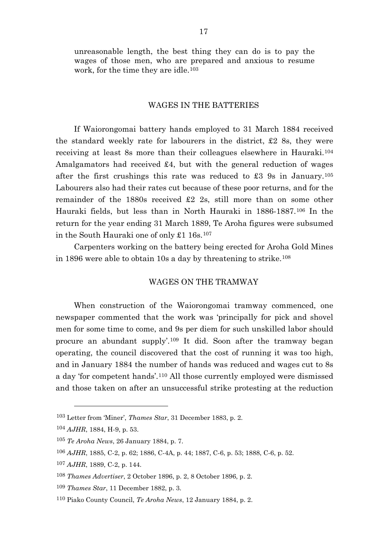unreasonable length, the best thing they can do is to pay the wages of those men, who are prepared and anxious to resume work, for the time they are idle.<sup>[103](#page-17-0)</sup>

#### WAGES IN THE BATTERIES

If Waiorongomai battery hands employed to 31 March 1884 received the standard weekly rate for labourers in the district,  $\pounds 2$  8s, they were receiving at least 8s more than their colleagues elsewhere in Hauraki.[104](#page-17-1) Amalgamators had received £4, but with the general reduction of wages after the first crushings this rate was reduced to £3 9s in January.<sup>[105](#page-17-2)</sup> Labourers also had their rates cut because of these poor returns, and for the remainder of the 1880s received £2 2s, still more than on some other Hauraki fields, but less than in North Hauraki in 1886-1887.[106](#page-17-3) In the return for the year ending 31 March 1889, Te Aroha figures were subsumed in the South Hauraki one of only £1 16s.[107](#page-17-4)

Carpenters working on the battery being erected for Aroha Gold Mines in 1896 were able to obtain 10s a day by threatening to strike.[108](#page-17-5)

# WAGES ON THE TRAMWAY

When construction of the Waiorongomai tramway commenced, one newspaper commented that the work was 'principally for pick and shovel men for some time to come, and 9s per diem for such unskilled labor should procure an abundant supply'.[109](#page-17-6) It did. Soon after the tramway began operating, the council discovered that the cost of running it was too high, and in January 1884 the number of hands was reduced and wages cut to 8s a day 'for competent hands'.[110](#page-17-7) All those currently employed were dismissed and those taken on after an unsuccessful strike protesting at the reduction

<span id="page-17-0"></span><sup>103</sup> Letter from 'Miner', *Thames Star*, 31 December 1883, p. 2.

<span id="page-17-1"></span><sup>104</sup> *AJHR*, 1884, H-9, p. 53.

<span id="page-17-2"></span><sup>105</sup> *Te Aroha News*, 26 January 1884, p. 7.

<span id="page-17-3"></span><sup>106</sup> *AJHR*, 1885, C-2, p. 62; 1886, C-4A, p. 44; 1887, C-6, p. 53; 1888, C-6, p. 52.

<span id="page-17-4"></span><sup>107</sup> *AJHR*, 1889, C-2, p. 144.

<span id="page-17-5"></span><sup>108</sup> *Thames Advertiser*, 2 October 1896, p. 2, 8 October 1896, p. 2.

<span id="page-17-6"></span><sup>109</sup> *Thames Star*, 11 December 1882, p. 3.

<span id="page-17-7"></span><sup>110</sup> Piako County Council, *Te Aroha News*, 12 January 1884, p. 2.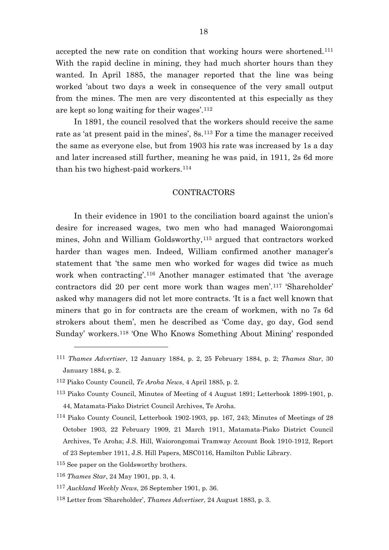accepted the new rate on condition that working hours were shortened.[111](#page-18-0) With the rapid decline in mining, they had much shorter hours than they wanted. In April 1885, the manager reported that the line was being worked 'about two days a week in consequence of the very small output from the mines. The men are very discontented at this especially as they are kept so long waiting for their wages'.[112](#page-18-1)

In 1891, the council resolved that the workers should receive the same rate as 'at present paid in the mines', 8s.[113](#page-18-2) For a time the manager received the same as everyone else, but from 1903 his rate was increased by 1s a day and later increased still further, meaning he was paid, in 1911, 2s 6d more than his two highest-paid workers.[114](#page-18-3)

#### CONTRACTORS

In their evidence in 1901 to the conciliation board against the union's desire for increased wages, two men who had managed Waiorongomai mines, John and William Goldsworthy,[115](#page-18-4) argued that contractors worked harder than wages men. Indeed, William confirmed another manager's statement that 'the same men who worked for wages did twice as much work when contracting'.[116](#page-18-5) Another manager estimated that 'the average contractors did 20 per cent more work than wages men'.[117](#page-18-6) 'Shareholder' asked why managers did not let more contracts. 'It is a fact well known that miners that go in for contracts are the cream of workmen, with no 7s 6d strokers about them', men he described as 'Come day, go day, God send Sunday' workers.[118](#page-18-7) 'One Who Knows Something About Mining' responded

<span id="page-18-0"></span><sup>111</sup> *Thames Advertiser*, 12 January 1884, p. 2, 25 February 1884, p. 2; *Thames Star*, 30 January 1884, p. 2.

<span id="page-18-1"></span><sup>112</sup> Piako County Council, *Te Aroha News*, 4 April 1885, p. 2.

<span id="page-18-2"></span><sup>113</sup> Piako County Council, Minutes of Meeting of 4 August 1891; Letterbook 1899-1901, p. 44, Matamata-Piako District Council Archives, Te Aroha.

<span id="page-18-3"></span><sup>114</sup> Piako County Council, Letterbook 1902-1903, pp. 167, 243; Minutes of Meetings of 28 October 1903, 22 February 1909, 21 March 1911, Matamata-Piako District Council Archives, Te Aroha; J.S. Hill, Waiorongomai Tramway Account Book 1910-1912, Report of 23 September 1911, J.S. Hill Papers, MSC0116, Hamilton Public Library.

<span id="page-18-4"></span><sup>115</sup> See paper on the Goldsworthy brothers.

<span id="page-18-5"></span><sup>116</sup> *Thames Star*, 24 May 1901, pp. 3, 4.

<span id="page-18-6"></span><sup>117</sup> *Auckland Weekly News*, 26 September 1901, p. 36.

<span id="page-18-7"></span><sup>118</sup> Letter from 'Shareholder', *Thames Advertiser*, 24 August 1883, p. 3.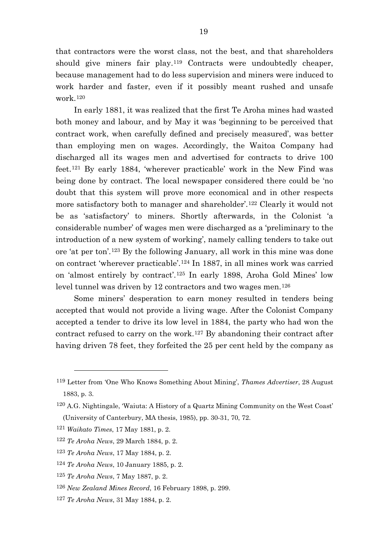that contractors were the worst class, not the best, and that shareholders should give miners fair play.<sup>[119](#page-19-0)</sup> Contracts were undoubtedly cheaper, because management had to do less supervision and miners were induced to work harder and faster, even if it possibly meant rushed and unsafe work.[120](#page-19-1)

In early 1881, it was realized that the first Te Aroha mines had wasted both money and labour, and by May it was 'beginning to be perceived that contract work, when carefully defined and precisely measured', was better than employing men on wages. Accordingly, the Waitoa Company had discharged all its wages men and advertised for contracts to drive 100 feet.[121](#page-19-2) By early 1884, 'wherever practicable' work in the New Find was being done by contract. The local newspaper considered there could be 'no doubt that this system will prove more economical and in other respects more satisfactory both to manager and shareholder'.[122](#page-19-3) Clearly it would not be as 'satisfactory' to miners. Shortly afterwards, in the Colonist 'a considerable number' of wages men were discharged as a 'preliminary to the introduction of a new system of working', namely calling tenders to take out ore 'at per ton'.[123](#page-19-4) By the following January, all work in this mine was done on contract 'wherever practicable'.[124](#page-19-5) In 1887, in all mines work was carried on 'almost entirely by contract'.[125](#page-19-6) In early 1898, Aroha Gold Mines' low level tunnel was driven by 12 contractors and two wages men.[126](#page-19-7)

Some miners' desperation to earn money resulted in tenders being accepted that would not provide a living wage. After the Colonist Company accepted a tender to drive its low level in 1884, the party who had won the contract refused to carry on the work.[127](#page-19-8) By abandoning their contract after having driven 78 feet, they forfeited the 25 per cent held by the company as

 $\overline{a}$ 

<span id="page-19-8"></span><sup>127</sup> *Te Aroha News*, 31 May 1884, p. 2.

<span id="page-19-0"></span><sup>119</sup> Letter from 'One Who Knows Something About Mining', *Thames Advertiser*, 28 August 1883, p. 3.

<span id="page-19-1"></span><sup>120</sup> A.G. Nightingale, 'Waiuta: A History of a Quartz Mining Community on the West Coast' (University of Canterbury, MA thesis, 1985), pp. 30-31, 70, 72.

<span id="page-19-2"></span><sup>121</sup> *Waikato Times*, 17 May 1881, p. 2.

<span id="page-19-3"></span><sup>122</sup> *Te Aroha News*, 29 March 1884, p. 2.

<span id="page-19-4"></span><sup>123</sup> *Te Aroha News*, 17 May 1884, p. 2.

<span id="page-19-5"></span><sup>124</sup> *Te Aroha News*, 10 January 1885, p. 2.

<span id="page-19-6"></span><sup>125</sup> *Te Aroha News*, 7 May 1887, p. 2.

<span id="page-19-7"></span><sup>126</sup> *New Zealand Mines Record*, 16 February 1898, p. 299.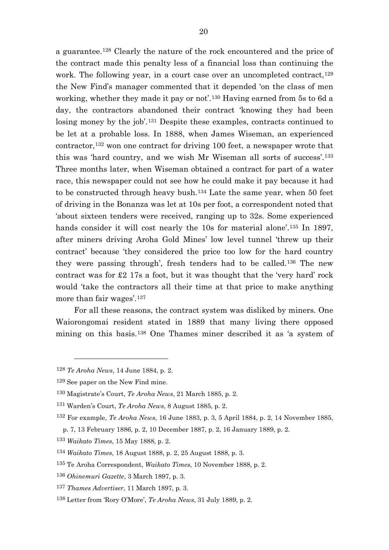a guarantee.[128](#page-20-0) Clearly the nature of the rock encountered and the price of the contract made this penalty less of a financial loss than continuing the work. The following year, in a court case over an uncompleted contract,  $129$ the New Find's manager commented that it depended 'on the class of men working, whether they made it pay or not'.[130](#page-20-2) Having earned from 5s to 6d a day, the contractors abandoned their contract 'knowing they had been losing money by the job'.[131](#page-20-3) Despite these examples, contracts continued to be let at a probable loss. In 1888, when James Wiseman, an experienced contractor,[132](#page-20-4) won one contract for driving 100 feet, a newspaper wrote that this was 'hard country, and we wish Mr Wiseman all sorts of success'.[133](#page-20-5) Three months later, when Wiseman obtained a contract for part of a water race, this newspaper could not see how he could make it pay because it had to be constructed through heavy bush.[134](#page-20-6) Late the same year, when 50 feet of driving in the Bonanza was let at 10s per foot, a correspondent noted that 'about sixteen tenders were received, ranging up to 32s. Some experienced hands consider it will cost nearly the 10s for material alone'.<sup>[135](#page-20-7)</sup> In 1897, after miners driving Aroha Gold Mines' low level tunnel 'threw up their contract' because 'they considered the price too low for the hard country they were passing through', fresh tenders had to be called.[136](#page-20-8) The new contract was for £2 17s a foot, but it was thought that the 'very hard' rock would 'take the contractors all their time at that price to make anything more than fair wages'.[137](#page-20-9)

For all these reasons, the contract system was disliked by miners. One Waiorongomai resident stated in 1889 that many living there opposed mining on this basis.[138](#page-20-10) One Thames miner described it as 'a system of

<span id="page-20-0"></span><sup>128</sup> *Te Aroha News*, 14 June 1884, p. 2.

<span id="page-20-1"></span><sup>129</sup> See paper on the New Find mine.

<span id="page-20-2"></span><sup>130</sup> Magistrate's Court, *Te Aroha News*, 21 March 1885, p. 2.

<span id="page-20-3"></span><sup>131</sup> Warden's Court, *Te Aroha News*, 8 August 1885, p. 2.

<span id="page-20-4"></span><sup>132</sup> For example, *Te Aroha News*, 16 June 1883, p. 3, 5 April 1884, p. 2, 14 November 1885,

p. 7, 13 February 1886, p. 2, 10 December 1887, p. 2, 16 January 1889, p. 2.

<span id="page-20-5"></span><sup>133</sup> *Waikato Times*, 15 May 1888, p. 2.

<span id="page-20-6"></span><sup>134</sup> *Waikato Times*, 18 August 1888, p. 2, 25 August 1888, p. 3.

<span id="page-20-7"></span><sup>135</sup> Te Aroha Correspondent, *Waikato Times*, 10 November 1888, p. 2.

<span id="page-20-8"></span><sup>136</sup> *Ohinemuri Gazette*, 3 March 1897, p. 3.

<span id="page-20-9"></span><sup>137</sup> *Thames Advertiser*, 11 March 1897, p. 3.

<span id="page-20-10"></span><sup>138</sup> Letter from 'Rory O'More', *Te Aroha News*, 31 July 1889, p. 2.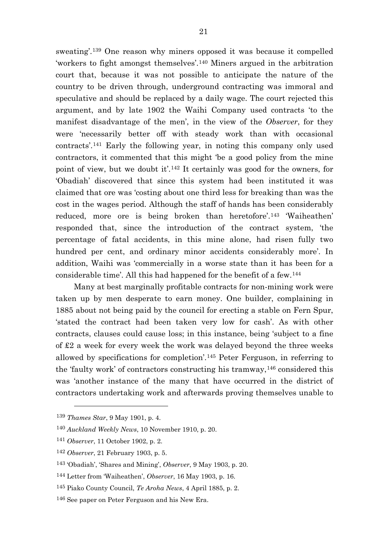sweating'.[139](#page-21-0) One reason why miners opposed it was because it compelled 'workers to fight amongst themselves'.[140](#page-21-1) Miners argued in the arbitration court that, because it was not possible to anticipate the nature of the country to be driven through, underground contracting was immoral and speculative and should be replaced by a daily wage. The court rejected this argument, and by late 1902 the Waihi Company used contracts 'to the manifest disadvantage of the men', in the view of the *Observer*, for they were 'necessarily better off with steady work than with occasional contracts'.[141](#page-21-2) Early the following year, in noting this company only used contractors, it commented that this might 'be a good policy from the mine point of view, but we doubt it'.[142](#page-21-3) It certainly was good for the owners, for 'Obadiah' discovered that since this system had been instituted it was claimed that ore was 'costing about one third less for breaking than was the cost in the wages period. Although the staff of hands has been considerably reduced, more ore is being broken than heretofore'.[143](#page-21-4) 'Waiheathen' responded that, since the introduction of the contract system, 'the percentage of fatal accidents, in this mine alone, had risen fully two hundred per cent, and ordinary minor accidents considerably more'. In addition, Waihi was 'commercially in a worse state than it has been for a considerable time'. All this had happened for the benefit of a few.[144](#page-21-5)

Many at best marginally profitable contracts for non-mining work were taken up by men desperate to earn money. One builder, complaining in 1885 about not being paid by the council for erecting a stable on Fern Spur, 'stated the contract had been taken very low for cash'. As with other contracts, clauses could cause loss; in this instance, being 'subject to a fine of £2 a week for every week the work was delayed beyond the three weeks allowed by specifications for completion'.[145](#page-21-6) Peter Ferguson, in referring to the 'faulty work' of contractors constructing his tramway,[146](#page-21-7) considered this was 'another instance of the many that have occurred in the district of contractors undertaking work and afterwards proving themselves unable to

<span id="page-21-0"></span><sup>139</sup> *Thames Star*, 9 May 1901, p. 4.

<span id="page-21-1"></span><sup>140</sup> *Auckland Weekly News*, 10 November 1910, p. 20.

<span id="page-21-2"></span><sup>141</sup> *Observer*, 11 October 1902, p. 2.

<span id="page-21-3"></span><sup>142</sup> *Observer*, 21 February 1903, p. 5.

<span id="page-21-4"></span><sup>143</sup> 'Obadiah', 'Shares and Mining', *Observer*, 9 May 1903, p. 20.

<span id="page-21-5"></span><sup>144</sup> Letter from 'Waiheathen', *Observer*, 16 May 1903, p. 16.

<span id="page-21-6"></span><sup>145</sup> Piako County Council, *Te Aroha News*, 4 April 1885, p. 2.

<span id="page-21-7"></span><sup>146</sup> See paper on Peter Ferguson and his New Era.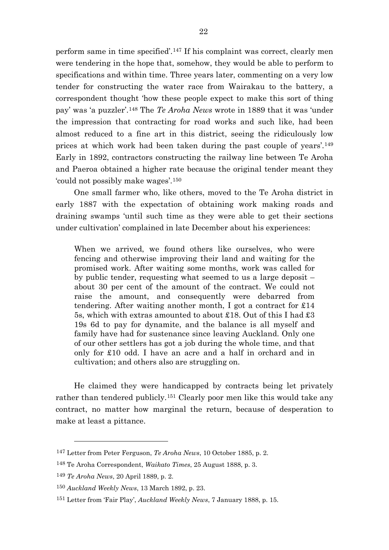perform same in time specified'.[147](#page-22-0) If his complaint was correct, clearly men were tendering in the hope that, somehow, they would be able to perform to specifications and within time. Three years later, commenting on a very low tender for constructing the water race from Wairakau to the battery, a correspondent thought 'how these people expect to make this sort of thing pay' was 'a puzzler'.[148](#page-22-1) The *Te Aroha News* wrote in 1889 that it was 'under the impression that contracting for road works and such like, had been almost reduced to a fine art in this district, seeing the ridiculously low prices at which work had been taken during the past couple of years'.[149](#page-22-2) Early in 1892, contractors constructing the railway line between Te Aroha and Paeroa obtained a higher rate because the original tender meant they 'could not possibly make wages'.[150](#page-22-3)

One small farmer who, like others, moved to the Te Aroha district in early 1887 with the expectation of obtaining work making roads and draining swamps 'until such time as they were able to get their sections under cultivation' complained in late December about his experiences:

When we arrived, we found others like ourselves, who were fencing and otherwise improving their land and waiting for the promised work. After waiting some months, work was called for by public tender, requesting what seemed to us a large deposit – about 30 per cent of the amount of the contract. We could not raise the amount, and consequently were debarred from tendering. After waiting another month, I got a contract for £14 5s, which with extras amounted to about £18. Out of this I had £3 19s 6d to pay for dynamite, and the balance is all myself and family have had for sustenance since leaving Auckland. Only one of our other settlers has got a job during the whole time, and that only for £10 odd. I have an acre and a half in orchard and in cultivation; and others also are struggling on.

He claimed they were handicapped by contracts being let privately rather than tendered publicly.[151](#page-22-4) Clearly poor men like this would take any contract, no matter how marginal the return, because of desperation to make at least a pittance.

<span id="page-22-0"></span><sup>147</sup> Letter from Peter Ferguson, *Te Aroha News*, 10 October 1885, p. 2.

<span id="page-22-1"></span><sup>148</sup> Te Aroha Correspondent, *Waikato Times*, 25 August 1888, p. 3.

<span id="page-22-2"></span><sup>149</sup> *Te Aroha News*, 20 April 1889, p. 2.

<span id="page-22-3"></span><sup>150</sup> *Auckland Weekly News*, 13 March 1892, p. 23.

<span id="page-22-4"></span><sup>151</sup> Letter from 'Fair Play', *Auckland Weekly News*, 7 January 1888, p. 15.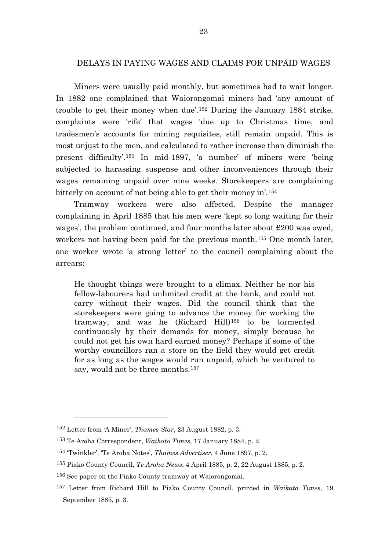# DELAYS IN PAYING WAGES AND CLAIMS FOR UNPAID WAGES

Miners were usually paid monthly, but sometimes had to wait longer. In 1882 one complained that Waiorongomai miners had 'any amount of trouble to get their money when due'.[152](#page-23-0) During the January 1884 strike, complaints were 'rife' that wages 'due up to Christmas time, and tradesmen's accounts for mining requisites, still remain unpaid. This is most unjust to the men, and calculated to rather increase than diminish the present difficulty'.[153](#page-23-1) In mid-1897, 'a number' of miners were 'being subjected to harassing suspense and other inconveniences through their wages remaining unpaid over nine weeks. Storekeepers are complaining bitterly on account of not being able to get their money in'.[154](#page-23-2)

Tramway workers were also affected. Despite the manager complaining in April 1885 that his men were 'kept so long waiting for their wages', the problem continued, and four months later about £200 was owed, workers not having been paid for the previous month.[155](#page-23-3) One month later, one worker wrote 'a strong letter' to the council complaining about the arrears:

He thought things were brought to a climax. Neither he nor his fellow-labourers had unlimited credit at the bank, and could not carry without their wages. Did the council think that the storekeepers were going to advance the money for working the tramway, and was he (Richard Hill)[156](#page-23-4) to be tormented continuously by their demands for money, simply because he could not get his own hard earned money? Perhaps if some of the worthy councillors ran a store on the field they would get credit for as long as the wages would run unpaid, which he ventured to say, would not be three months.[157](#page-23-5)

<span id="page-23-0"></span><sup>152</sup> Letter from 'A Miner', *Thames Star*, 23 August 1882, p. 3.

<span id="page-23-1"></span><sup>153</sup> Te Aroha Correspondent, *Waikato Times*, 17 January 1884, p. 2.

<span id="page-23-2"></span><sup>154</sup> 'Twinkler', 'Te Aroha Notes', *Thames Advertiser*, 4 June 1897, p. 2.

<span id="page-23-3"></span><sup>155</sup> Piako County Council, *Te Aroha News*, 4 April 1885, p. 2, 22 August 1885, p. 2.

<span id="page-23-4"></span><sup>156</sup> See paper on the Piako County tramway at Waiorongomai.

<span id="page-23-5"></span><sup>157</sup> Letter from Richard Hill to Piako County Council, printed in *Waikato Times*, 19 September 1885, p. 3.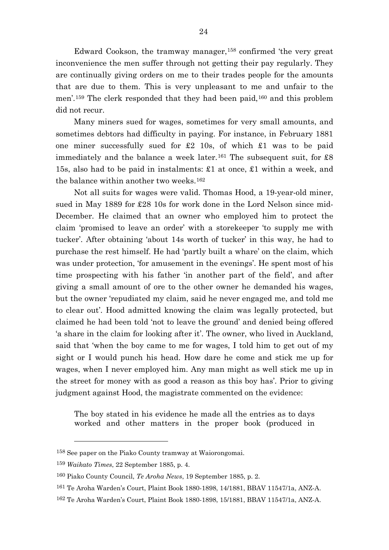Edward Cookson, the tramway manager,[158](#page-24-0) confirmed 'the very great inconvenience the men suffer through not getting their pay regularly. They are continually giving orders on me to their trades people for the amounts that are due to them. This is very unpleasant to me and unfair to the men'.[159](#page-24-1) The clerk responded that they had been paid,[160](#page-24-2) and this problem did not recur.

Many miners sued for wages, sometimes for very small amounts, and sometimes debtors had difficulty in paying. For instance, in February 1881 one miner successfully sued for £2 10s, of which £1 was to be paid immediately and the balance a week later.<sup>[161](#page-24-3)</sup> The subsequent suit, for  $\pounds 8$ 15s, also had to be paid in instalments: £1 at once, £1 within a week, and the balance within another two weeks.[162](#page-24-4)

Not all suits for wages were valid. Thomas Hood, a 19-year-old miner, sued in May 1889 for £28 10s for work done in the Lord Nelson since mid-December. He claimed that an owner who employed him to protect the claim 'promised to leave an order' with a storekeeper 'to supply me with tucker'. After obtaining 'about 14s worth of tucker' in this way, he had to purchase the rest himself. He had 'partly built a whare' on the claim, which was under protection, 'for amusement in the evenings'. He spent most of his time prospecting with his father 'in another part of the field', and after giving a small amount of ore to the other owner he demanded his wages, but the owner 'repudiated my claim, said he never engaged me, and told me to clear out'. Hood admitted knowing the claim was legally protected, but claimed he had been told 'not to leave the ground' and denied being offered 'a share in the claim for looking after it'. The owner, who lived in Auckland, said that 'when the boy came to me for wages, I told him to get out of my sight or I would punch his head. How dare he come and stick me up for wages, when I never employed him. Any man might as well stick me up in the street for money with as good a reason as this boy has'. Prior to giving judgment against Hood, the magistrate commented on the evidence:

The boy stated in his evidence he made all the entries as to days worked and other matters in the proper book (produced in

<span id="page-24-0"></span><sup>158</sup> See paper on the Piako County tramway at Waiorongomai.

<span id="page-24-1"></span><sup>159</sup> *Waikato Times*, 22 September 1885, p. 4.

<span id="page-24-2"></span><sup>160</sup> Piako County Council, *Te Aroha News*, 19 September 1885, p. 2.

<span id="page-24-3"></span><sup>161</sup> Te Aroha Warden's Court, Plaint Book 1880-1898, 14/1881, BBAV 11547/1a, ANZ-A.

<span id="page-24-4"></span><sup>162</sup> Te Aroha Warden's Court, Plaint Book 1880-1898, 15/1881, BBAV 11547/1a, ANZ-A.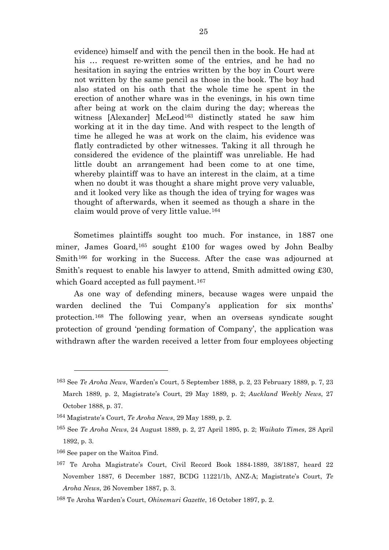evidence) himself and with the pencil then in the book. He had at his … request re-written some of the entries, and he had no hesitation in saying the entries written by the boy in Court were not written by the same pencil as those in the book. The boy had also stated on his oath that the whole time he spent in the erection of another whare was in the evenings, in his own time after being at work on the claim during the day; whereas the witness [Alexander] McLeod<sup>[163](#page-25-0)</sup> distinctly stated he saw him working at it in the day time. And with respect to the length of time he alleged he was at work on the claim, his evidence was flatly contradicted by other witnesses. Taking it all through he considered the evidence of the plaintiff was unreliable. He had little doubt an arrangement had been come to at one time, whereby plaintiff was to have an interest in the claim, at a time when no doubt it was thought a share might prove very valuable, and it looked very like as though the idea of trying for wages was thought of afterwards, when it seemed as though a share in the claim would prove of very little value.[164](#page-25-1)

Sometimes plaintiffs sought too much. For instance, in 1887 one miner, James Goard,[165](#page-25-2) sought £100 for wages owed by John Bealby Smith<sup>[166](#page-25-3)</sup> for working in the Success. After the case was adjourned at Smith's request to enable his lawyer to attend, Smith admitted owing £30, which Goard accepted as full payment.<sup>[167](#page-25-4)</sup>

As one way of defending miners, because wages were unpaid the warden declined the Tui Company's application for six months' protection.[168](#page-25-5) The following year, when an overseas syndicate sought protection of ground 'pending formation of Company', the application was withdrawn after the warden received a letter from four employees objecting

<span id="page-25-0"></span><sup>163</sup> See *Te Aroha News*, Warden's Court, 5 September 1888, p. 2, 23 February 1889, p. 7, 23 March 1889, p. 2, Magistrate's Court, 29 May 1889, p. 2; *Auckland Weekly News*, 27 October 1888, p. 37.

<span id="page-25-1"></span><sup>164</sup> Magistrate's Court, *Te Aroha News*, 29 May 1889, p. 2.

<span id="page-25-2"></span><sup>165</sup> See *Te Aroha News*, 24 August 1889, p. 2, 27 April 1895, p. 2; *Waikato Times*, 28 April 1892, p. 3.

<span id="page-25-3"></span><sup>166</sup> See paper on the Waitoa Find.

<span id="page-25-4"></span><sup>167</sup> Te Aroha Magistrate's Court, Civil Record Book 1884-1889, 38/1887, heard 22 November 1887, 6 December 1887, BCDG 11221/1b, ANZ-A; Magistrate's Court, *Te Aroha News*, 26 November 1887, p. 3.

<span id="page-25-5"></span><sup>168</sup> Te Aroha Warden's Court, *Ohinemuri Gazette*, 16 October 1897, p. 2.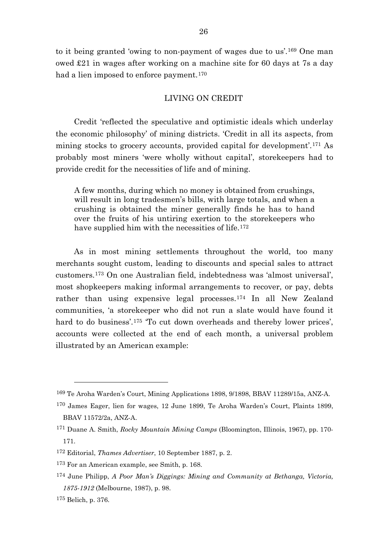to it being granted 'owing to non-payment of wages due to us'.[169](#page-26-0) One man owed £21 in wages after working on a machine site for 60 days at 7s a day had a lien imposed to enforce payment.<sup>[170](#page-26-1)</sup>

## LIVING ON CREDIT

Credit 'reflected the speculative and optimistic ideals which underlay the economic philosophy' of mining districts. 'Credit in all its aspects, from mining stocks to grocery accounts, provided capital for development'.[171](#page-26-2) As probably most miners 'were wholly without capital', storekeepers had to provide credit for the necessities of life and of mining.

A few months, during which no money is obtained from crushings, will result in long tradesmen's bills, with large totals, and when a crushing is obtained the miner generally finds he has to hand over the fruits of his untiring exertion to the storekeepers who have supplied him with the necessities of life.<sup>[172](#page-26-3)</sup>

As in most mining settlements throughout the world, too many merchants sought custom, leading to discounts and special sales to attract customers.[173](#page-26-4) On one Australian field, indebtedness was 'almost universal', most shopkeepers making informal arrangements to recover, or pay, debts rather than using expensive legal processes.[174](#page-26-5) In all New Zealand communities, 'a storekeeper who did not run a slate would have found it hard to do business'.<sup>[175](#page-26-6)</sup> To cut down overheads and thereby lower prices', accounts were collected at the end of each month, a universal problem illustrated by an American example:

<span id="page-26-0"></span><sup>169</sup> Te Aroha Warden's Court, Mining Applications 1898, 9/1898, BBAV 11289/15a, ANZ-A.

<span id="page-26-1"></span><sup>170</sup> James Eager, lien for wages, 12 June 1899, Te Aroha Warden's Court, Plaints 1899, BBAV 11572/2a, ANZ-A.

<span id="page-26-2"></span><sup>171</sup> Duane A. Smith, *Rocky Mountain Mining Camps* (Bloomington, Illinois, 1967), pp. 170- 171.

<span id="page-26-3"></span><sup>172</sup> Editorial, *Thames Advertiser*, 10 September 1887, p. 2.

<span id="page-26-4"></span><sup>173</sup> For an American example, see Smith, p. 168.

<span id="page-26-5"></span><sup>174</sup> June Philipp, *A Poor Man's Diggings: Mining and Community at Bethanga, Victoria, 1875-1912* (Melbourne, 1987), p. 98.

<span id="page-26-6"></span><sup>175</sup> Belich, p. 376.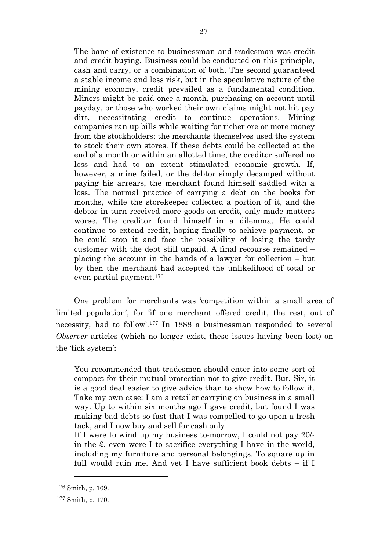The bane of existence to businessman and tradesman was credit and credit buying. Business could be conducted on this principle, cash and carry, or a combination of both. The second guaranteed a stable income and less risk, but in the speculative nature of the mining economy, credit prevailed as a fundamental condition. Miners might be paid once a month, purchasing on account until payday, or those who worked their own claims might not hit pay dirt, necessitating credit to continue operations. Mining companies ran up bills while waiting for richer ore or more money from the stockholders; the merchants themselves used the system to stock their own stores. If these debts could be collected at the end of a month or within an allotted time, the creditor suffered no loss and had to an extent stimulated economic growth. If, however, a mine failed, or the debtor simply decamped without paying his arrears, the merchant found himself saddled with a loss. The normal practice of carrying a debt on the books for months, while the storekeeper collected a portion of it, and the debtor in turn received more goods on credit, only made matters worse. The creditor found himself in a dilemma. He could continue to extend credit, hoping finally to achieve payment, or he could stop it and face the possibility of losing the tardy customer with the debt still unpaid. A final recourse remained – placing the account in the hands of a lawyer for collection – but by then the merchant had accepted the unlikelihood of total or even partial payment.[176](#page-27-0)

One problem for merchants was 'competition within a small area of limited population', for 'if one merchant offered credit, the rest, out of necessity, had to follow'.[177](#page-27-1) In 1888 a businessman responded to several *Observer* articles (which no longer exist, these issues having been lost) on the 'tick system':

You recommended that tradesmen should enter into some sort of compact for their mutual protection not to give credit. But, Sir, it is a good deal easier to give advice than to show how to follow it. Take my own case: I am a retailer carrying on business in a small way. Up to within six months ago I gave credit, but found I was making bad debts so fast that I was compelled to go upon a fresh tack, and I now buy and sell for cash only.

If I were to wind up my business to-morrow, I could not pay 20/ in the £, even were I to sacrifice everything I have in the world, including my furniture and personal belongings. To square up in full would ruin me. And yet I have sufficient book debts – if I

<span id="page-27-0"></span><sup>176</sup> Smith, p. 169.

<span id="page-27-1"></span><sup>177</sup> Smith, p. 170.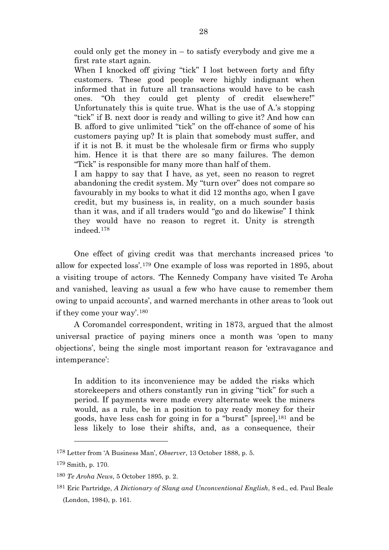could only get the money in – to satisfy everybody and give me a first rate start again.

When I knocked off giving "tick" I lost between forty and fifty customers. These good people were highly indignant when informed that in future all transactions would have to be cash ones. "Oh they could get plenty of credit elsewhere!" Unfortunately this is quite true. What is the use of A.'s stopping "tick" if B. next door is ready and willing to give it? And how can B. afford to give unlimited "tick" on the off-chance of some of his customers paying up? It is plain that somebody must suffer, and if it is not B. it must be the wholesale firm or firms who supply him. Hence it is that there are so many failures. The demon "Tick" is responsible for many more than half of them.

I am happy to say that I have, as yet, seen no reason to regret abandoning the credit system. My "turn over" does not compare so favourably in my books to what it did 12 months ago, when I gave credit, but my business is, in reality, on a much sounder basis than it was, and if all traders would "go and do likewise" I think they would have no reason to regret it. Unity is strength indeed.[178](#page-28-0)

One effect of giving credit was that merchants increased prices 'to allow for expected loss'.[179](#page-28-1) One example of loss was reported in 1895, about a visiting troupe of actors. 'The Kennedy Company have visited Te Aroha and vanished, leaving as usual a few who have cause to remember them owing to unpaid accounts', and warned merchants in other areas to 'look out if they come your way'.[180](#page-28-2)

A Coromandel correspondent, writing in 1873, argued that the almost universal practice of paying miners once a month was 'open to many objections', being the single most important reason for 'extravagance and intemperance':

In addition to its inconvenience may be added the risks which storekeepers and others constantly run in giving "tick" for such a period. If payments were made every alternate week the miners would, as a rule, be in a position to pay ready money for their goods, have less cash for going in for a "burst" [spree],[181](#page-28-3) and be less likely to lose their shifts, and, as a consequence, their

<span id="page-28-0"></span><sup>178</sup> Letter from 'A Business Man', *Observer*, 13 October 1888, p. 5.

<span id="page-28-1"></span><sup>179</sup> Smith, p. 170.

<span id="page-28-2"></span><sup>180</sup> *Te Aroha News*, 5 October 1895, p. 2.

<span id="page-28-3"></span><sup>181</sup> Eric Partridge, *A Dictionary of Slang and Unconventional English*, 8 ed., ed. Paul Beale (London, 1984), p. 161.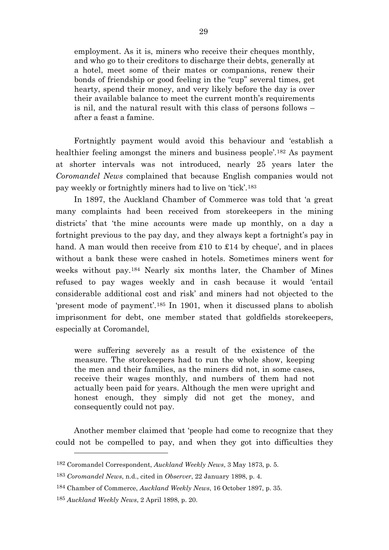employment. As it is, miners who receive their cheques monthly, and who go to their creditors to discharge their debts, generally at a hotel, meet some of their mates or companions, renew their bonds of friendship or good feeling in the "cup" several times, get hearty, spend their money, and very likely before the day is over their available balance to meet the current month's requirements is nil, and the natural result with this class of persons follows – after a feast a famine.

Fortnightly payment would avoid this behaviour and 'establish a healthier feeling amongst the miners and business people<sup>'[182](#page-29-0)</sup> As payment at shorter intervals was not introduced, nearly 25 years later the *Coromandel News* complained that because English companies would not pay weekly or fortnightly miners had to live on 'tick'.[183](#page-29-1)

In 1897, the Auckland Chamber of Commerce was told that 'a great many complaints had been received from storekeepers in the mining districts' that 'the mine accounts were made up monthly, on a day a fortnight previous to the pay day, and they always kept a fortnight's pay in hand. A man would then receive from £10 to £14 by cheque', and in places without a bank these were cashed in hotels. Sometimes miners went for weeks without pay.[184](#page-29-2) Nearly six months later, the Chamber of Mines refused to pay wages weekly and in cash because it would 'entail considerable additional cost and risk' and miners had not objected to the 'present mode of payment'.[185](#page-29-3) In 1901, when it discussed plans to abolish imprisonment for debt, one member stated that goldfields storekeepers, especially at Coromandel,

were suffering severely as a result of the existence of the measure. The storekeepers had to run the whole show, keeping the men and their families, as the miners did not, in some cases, receive their wages monthly, and numbers of them had not actually been paid for years. Although the men were upright and honest enough, they simply did not get the money, and consequently could not pay.

Another member claimed that 'people had come to recognize that they could not be compelled to pay, and when they got into difficulties they

<span id="page-29-0"></span><sup>182</sup> Coromandel Correspondent, *Auckland Weekly News*, 3 May 1873, p. 5.

<span id="page-29-1"></span><sup>183</sup> *Coromandel News*, n.d., cited in *Observer*, 22 January 1898, p. 4.

<span id="page-29-2"></span><sup>184</sup> Chamber of Commerce, *Auckland Weekly News*, 16 October 1897, p. 35.

<span id="page-29-3"></span><sup>185</sup> *Auckland Weekly News*, 2 April 1898, p. 20.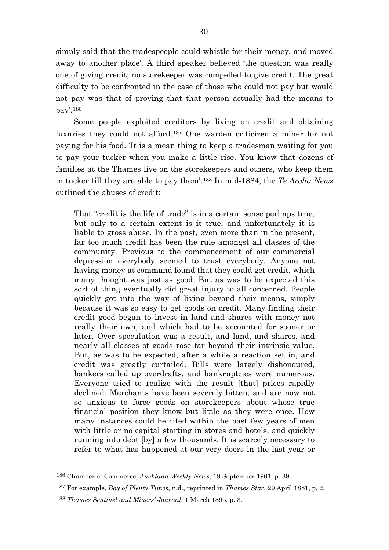simply said that the tradespeople could whistle for their money, and moved away to another place'. A third speaker believed 'the question was really one of giving credit; no storekeeper was compelled to give credit. The great difficulty to be confronted in the case of those who could not pay but would not pay was that of proving that that person actually had the means to pay'.[186](#page-30-0)

Some people exploited creditors by living on credit and obtaining luxuries they could not afford.[187](#page-30-1) One warden criticized a miner for not paying for his food. 'It is a mean thing to keep a tradesman waiting for you to pay your tucker when you make a little rise. You know that dozens of families at the Thames live on the storekeepers and others, who keep them in tucker till they are able to pay them'.[188](#page-30-2) In mid-1884, the *Te Aroha News* outlined the abuses of credit:

That "credit is the life of trade" is in a certain sense perhaps true, but only to a certain extent is it true, and unfortunately it is liable to gross abuse. In the past, even more than in the present, far too much credit has been the rule amongst all classes of the community. Previous to the commencement of our commercial depression everybody seemed to trust everybody. Anyone not having money at command found that they could get credit, which many thought was just as good. But as was to be expected this sort of thing eventually did great injury to all concerned. People quickly got into the way of living beyond their means, simply because it was so easy to get goods on credit. Many finding their credit good began to invest in land and shares with money not really their own, and which had to be accounted for sooner or later. Over speculation was a result, and land, and shares, and nearly all classes of goods rose far beyond their intrinsic value. But, as was to be expected, after a while a reaction set in, and credit was greatly curtailed. Bills were largely dishonoured, bankers called up overdrafts, and bankruptcies were numerous. Everyone tried to realize with the result [that] prices rapidly declined. Merchants have been severely bitten, and are now not so anxious to force goods on storekeepers about whose true financial position they know but little as they were once. How many instances could be cited within the past few years of men with little or no capital starting in stores and hotels, and quickly running into debt [by] a few thousands. It is scarcely necessary to refer to what has happened at our very doors in the last year or

<span id="page-30-0"></span><sup>186</sup> Chamber of Commerce, *Auckland Weekly News*, 19 September 1901, p. 39.

<span id="page-30-1"></span><sup>187</sup> For example, *Bay of Plenty Times*, n.d., reprinted in *Thames Star*, 29 April 1881, p. 2.

<span id="page-30-2"></span><sup>188</sup> *Thames Sentinel and Miners' Journal*, 1 March 1895, p. 3.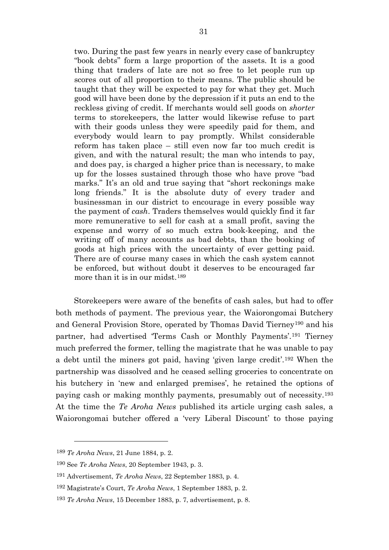two. During the past few years in nearly every case of bankruptcy "book debts" form a large proportion of the assets. It is a good thing that traders of late are not so free to let people run up scores out of all proportion to their means. The public should be taught that they will be expected to pay for what they get. Much good will have been done by the depression if it puts an end to the reckless giving of credit. If merchants would sell goods on *shorter* terms to storekeepers, the latter would likewise refuse to part with their goods unless they were speedily paid for them, and everybody would learn to pay promptly. Whilst considerable reform has taken place – still even now far too much credit is given, and with the natural result; the man who intends to pay, and does pay, is charged a higher price than is necessary, to make up for the losses sustained through those who have prove "bad marks." It's an old and true saying that "short reckonings make" long friends." It is the absolute duty of every trader and businessman in our district to encourage in every possible way the payment of *cash*. Traders themselves would quickly find it far more remunerative to sell for cash at a small profit, saving the expense and worry of so much extra book-keeping, and the writing off of many accounts as bad debts, than the booking of goods at high prices with the uncertainty of ever getting paid. There are of course many cases in which the cash system cannot be enforced, but without doubt it deserves to be encouraged far more than it is in our midst.[189](#page-31-0)

Storekeepers were aware of the benefits of cash sales, but had to offer both methods of payment. The previous year, the Waiorongomai Butchery and General Provision Store, operated by Thomas David Tierney[190](#page-31-1) and his partner, had advertised 'Terms Cash or Monthly Payments'.[191](#page-31-2) Tierney much preferred the former, telling the magistrate that he was unable to pay a debt until the miners got paid, having 'given large credit'.[192](#page-31-3) When the partnership was dissolved and he ceased selling groceries to concentrate on his butchery in 'new and enlarged premises', he retained the options of paying cash or making monthly payments, presumably out of necessity.[193](#page-31-4) At the time the *Te Aroha News* published its article urging cash sales, a Waiorongomai butcher offered a 'very Liberal Discount' to those paying

<span id="page-31-0"></span><sup>189</sup> *Te Aroha News*, 21 June 1884, p. 2.

<span id="page-31-1"></span><sup>190</sup> See *Te Aroha News*, 20 September 1943, p. 3.

<span id="page-31-2"></span><sup>191</sup> Advertisement, *Te Aroha News*, 22 September 1883, p. 4.

<span id="page-31-3"></span><sup>192</sup> Magistrate's Court, *Te Aroha News*, 1 September 1883, p. 2.

<span id="page-31-4"></span><sup>193</sup> *Te Aroha News*, 15 December 1883, p. 7, advertisement, p. 8.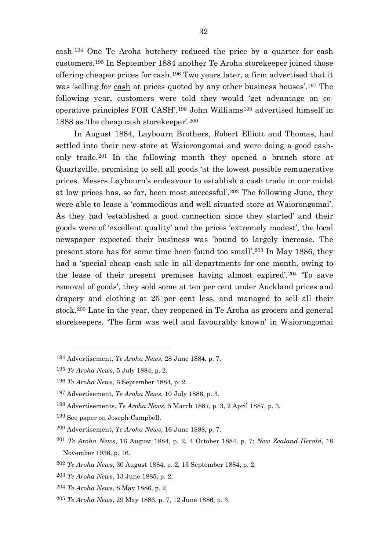cash.[194](#page-32-0) One Te Aroha butchery reduced the price by a quarter for cash customers.[195](#page-32-1) In September 1884 another Te Aroha storekeeper joined those offering cheaper prices for cash.[196](#page-32-2) Two years later, a firm advertised that it was 'selling for cash at prices quoted by any other business houses'.[197](#page-32-3) The following year, customers were told they would 'get advantage on cooperative principles FOR CASH'.[198](#page-32-4) John Williams[199](#page-32-5) advertised himself in 1888 as 'the cheap cash storekeeper'.[200](#page-32-6)

In August 1884, Laybourn Brothers, Robert Elliott and Thomas, had settled into their new store at Waiorongomai and were doing a good cashonly trade.[201](#page-32-7) In the following month they opened a branch store at Quartzville, promising to sell all goods 'at the lowest possible remunerative prices. Messrs Laybourn's endeavour to establish a cash trade in our midst at low prices has, so far, been most successful'.[202](#page-32-8) The following June, they were able to lease a 'commodious and well situated store at Waiorongomai'. As they had 'established a good connection since they started' and their goods were of 'excellent quality' and the prices 'extremely modest', the local newspaper expected their business was 'bound to largely increase. The present store has for some time been found too small'.[203](#page-32-9) In May 1886, they had a 'special cheap–cash sale in all departments for one month, owing to the lease of their present premises having almost expired'.[204](#page-32-10) 'To save removal of goods', they sold some at ten per cent under Auckland prices and drapery and clothing at 25 per cent less, and managed to sell all their stock.[205](#page-32-11) Late in the year, they reopened in Te Aroha as grocers and general storekeepers. 'The firm was well and favourably known' in Waiorongomai

<span id="page-32-0"></span><sup>194</sup> Advertisement, *Te Aroha News*, 28 June 1884, p. 7.

<span id="page-32-1"></span><sup>195</sup> *Te Aroha News*, 5 July 1884, p. 2.

<span id="page-32-2"></span><sup>196</sup> *Te Aroha News*, 6 September 1884, p. 2.

<span id="page-32-3"></span><sup>197</sup> Advertisement, *Te Aroha News*, 10 July 1886, p. 3.

<span id="page-32-4"></span><sup>198</sup> Advertisements, *Te Aroha News*, 5 March 1887, p. 3, 2 April 1887, p. 3.

<span id="page-32-5"></span><sup>199</sup> See paper on Joseph Campbell.

<span id="page-32-6"></span><sup>200</sup> Advertisement, *Te Aroha News*, 16 June 1888, p. 7.

<span id="page-32-7"></span><sup>201</sup> *Te Aroha News*, 16 August 1884, p. 2, 4 October 1884, p. 7; *New Zealand Herald*, 18 November 1936, p. 16.

<span id="page-32-8"></span><sup>202</sup> *Te Aroha News*, 30 August 1884, p. 2, 13 September 1884, p. 2.

<span id="page-32-9"></span><sup>203</sup> *Te Aroha News*, 13 June 1885, p. 2.

<span id="page-32-10"></span><sup>204</sup> *Te Aroha News*, 8 May 1886, p. 2.

<span id="page-32-11"></span><sup>205</sup> *Te Aroha News*, 29 May 1886, p. 7, 12 June 1886, p. 3.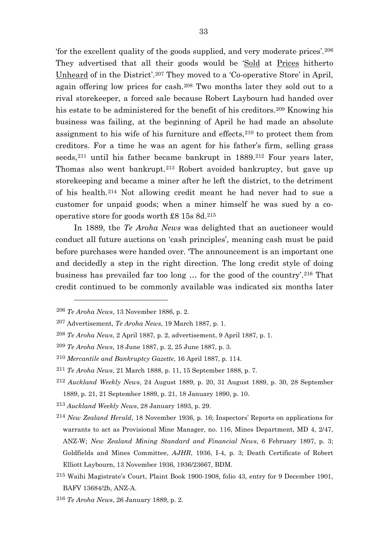'for the excellent quality of the goods supplied, and very moderate prices'.[206](#page-33-0) They advertised that all their goods would be 'Sold at Prices hitherto Unheard of in the District'.[207](#page-33-1) They moved to a 'Co-operative Store' in April, again offering low prices for cash.[208](#page-33-2) Two months later they sold out to a rival storekeeper, a forced sale because Robert Laybourn had handed over his estate to be administered for the benefit of his creditors.<sup>[209](#page-33-3)</sup> Knowing his business was failing, at the beginning of April he had made an absolute assignment to his wife of his furniture and effects,  $210$  to protect them from creditors. For a time he was an agent for his father's firm, selling grass seeds,<sup>[211](#page-33-5)</sup> until his father became bankrupt in 1889.<sup>[212](#page-33-6)</sup> Four years later, Thomas also went bankrupt.[213](#page-33-7) Robert avoided bankruptcy, but gave up storekeeping and became a miner after he left the district, to the detriment of his health.[214](#page-33-8) Not allowing credit meant he had never had to sue a customer for unpaid goods; when a miner himself he was sued by a cooperative store for goods worth £8 15s 8d.[215](#page-33-9)

In 1889, the *Te Aroha News* was delighted that an auctioneer would conduct all future auctions on 'cash principles', meaning cash must be paid before purchases were handed over. 'The announcement is an important one and decidedly a step in the right direction. The long credit style of doing business has prevailed far too long … for the good of the country'.[216](#page-33-10) That credit continued to be commonly available was indicated six months later

<span id="page-33-0"></span><sup>206</sup> *Te Aroha News*, 13 November 1886, p. 2.

<span id="page-33-1"></span><sup>207</sup> Advertisement, *Te Aroha News*, 19 March 1887, p. 1.

<span id="page-33-2"></span><sup>208</sup> *Te Aroha News*, 2 April 1887, p. 2, advertisement, 9 April 1887, p. 1.

<span id="page-33-4"></span><span id="page-33-3"></span><sup>209</sup> *Te Aroha News*, 18 June 1887, p. 2, 25 June 1887, p. 3.

<sup>210</sup> *Mercantile and Bankruptcy Gazette*, 16 April 1887, p. 114.

<span id="page-33-5"></span><sup>211</sup> *Te Aroha News*, 21 March 1888, p. 11, 15 September 1888, p. 7.

<span id="page-33-6"></span><sup>212</sup> *Auckland Weekly News*, 24 August 1889, p. 20, 31 August 1889, p. 30, 28 September 1889, p. 21, 21 September 1889, p. 21, 18 January 1890, p. 10.

<span id="page-33-7"></span><sup>213</sup> *Auckland Weekly News*, 28 January 1893, p. 29.

<span id="page-33-8"></span><sup>214</sup> *New Zealand Herald*, 18 November 1936, p. 16; Inspectors' Reports on applications for warrants to act as Provisional Mine Manager, no. 116, Mines Department, MD 4, 2/47, ANZ-W; *New Zealand Mining Standard and Financial News*, 6 February 1897, p. 3; Goldfields and Mines Committee, *AJHR*, 1936, I-4, p. 3; Death Certificate of Robert Elliott Laybourn, 13 November 1936, 1936/23667, BDM.

<span id="page-33-9"></span><sup>215</sup> Waihi Magistrate's Court, Plaint Book 1900-1908, folio 43, entry for 9 December 1901, BAFV 13684/2b, ANZ-A.

<span id="page-33-10"></span><sup>216</sup> *Te Aroha News*, 26 January 1889, p. 2.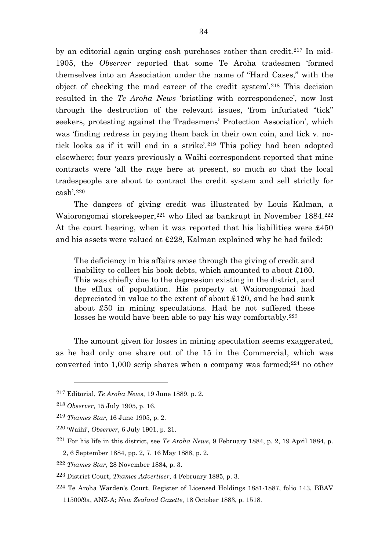by an editorial again urging cash purchases rather than credit.[217](#page-34-0) In mid-1905, the *Observer* reported that some Te Aroha tradesmen 'formed themselves into an Association under the name of "Hard Cases," with the object of checking the mad career of the credit system'.[218](#page-34-1) This decision resulted in the *Te Aroha News* 'bristling with correspondence', now lost through the destruction of the relevant issues, 'from infuriated "tick" seekers, protesting against the Tradesmens' Protection Association', which was 'finding redress in paying them back in their own coin, and tick v. no-tick looks as if it will end in a strike'.<sup>[219](#page-34-2)</sup> This policy had been adopted elsewhere; four years previously a Waihi correspondent reported that mine contracts were 'all the rage here at present, so much so that the local tradespeople are about to contract the credit system and sell strictly for cash'.[220](#page-34-3)

The dangers of giving credit was illustrated by Louis Kalman, a Waiorongomai storekeeper, <sup>[221](#page-34-4)</sup> who filed as bankrupt in November 1884. <sup>[222](#page-34-5)</sup> At the court hearing, when it was reported that his liabilities were £450 and his assets were valued at £228, Kalman explained why he had failed:

The deficiency in his affairs arose through the giving of credit and inability to collect his book debts, which amounted to about £160. This was chiefly due to the depression existing in the district, and the efflux of population. His property at Waiorongomai had depreciated in value to the extent of about £120, and he had sunk about £50 in mining speculations. Had he not suffered these losses he would have been able to pay his way comfortably.<sup>[223](#page-34-6)</sup>

The amount given for losses in mining speculation seems exaggerated, as he had only one share out of the 15 in the Commercial, which was converted into  $1,000$  scrip shares when a company was formed;<sup>[224](#page-34-7)</sup> no other

<span id="page-34-0"></span><sup>217</sup> Editorial, *Te Aroha News*, 19 June 1889, p. 2.

<span id="page-34-1"></span><sup>218</sup> *Observer*, 15 July 1905, p. 16.

<span id="page-34-2"></span><sup>219</sup> *Thames Star*, 16 June 1905, p. 2.

<span id="page-34-3"></span><sup>220</sup> 'Waihi', *Observer*, 6 July 1901, p. 21.

<span id="page-34-4"></span><sup>221</sup> For his life in this district, see *Te Aroha News*, 9 February 1884, p. 2, 19 April 1884, p.

<sup>2, 6</sup> September 1884, pp. 2, 7, 16 May 1888, p. 2.

<span id="page-34-5"></span><sup>222</sup> *Thames Star*, 28 November 1884, p. 3.

<span id="page-34-6"></span><sup>223</sup> District Court, *Thames Advertiser*, 4 February 1885, p. 3.

<span id="page-34-7"></span><sup>224</sup> Te Aroha Warden's Court, Register of Licensed Holdings 1881-1887, folio 143, BBAV 11500/9a, ANZ-A; *New Zealand Gazette*, 18 October 1883, p. 1518.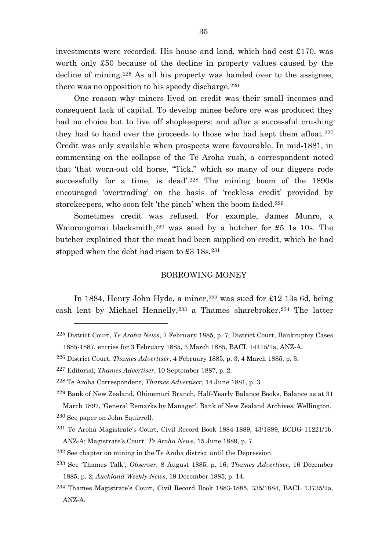investments were recorded. His house and land, which had cost £170, was worth only £50 because of the decline in property values caused by the decline of mining.[225](#page-35-0) As all his property was handed over to the assignee, there was no opposition to his speedy discharge.  $226$ 

One reason why miners lived on credit was their small incomes and consequent lack of capital. To develop mines before ore was produced they had no choice but to live off shopkeepers; and after a successful crushing they had to hand over the proceeds to those who had kept them afloat.<sup>[227](#page-35-2)</sup> Credit was only available when prospects were favourable. In mid-1881, in commenting on the collapse of the Te Aroha rush, a correspondent noted that 'that worn-out old horse, "Tick," which so many of our diggers rode successfully for a time, is dead'.<sup>[228](#page-35-3)</sup> The mining boom of the 1890s encouraged 'overtrading' on the basis of 'reckless credit' provided by storekeepers, who soon felt 'the pinch' when the boom faded.<sup>[229](#page-35-4)</sup>

Sometimes credit was refused. For example, James Munro, a Waiorongomai blacksmith,<sup>[230](#page-35-5)</sup> was sued by a butcher for £5 1s 10s. The butcher explained that the meat had been supplied on credit, which he had stopped when the debt had risen to  $\pounds 3$  18s.<sup>[231](#page-35-6)</sup>

#### BORROWING MONEY

In 1884, Henry John Hyde, a miner,  $232$  was sued for £12 13s 6d, being cash lent by Michael Hennelly,[233](#page-35-8) a Thames sharebroker.[234](#page-35-9) The latter

 $\overline{a}$ 

<span id="page-35-6"></span><span id="page-35-5"></span>231 Te Aroha Magistrate's Court, Civil Record Book 1884-1889, 43/1889, BCDG 11221/1b, ANZ-A; Magistrate's Court, *Te Aroha News*, 15 June 1889, p. 7.

<span id="page-35-0"></span><sup>225</sup> District Court, *Te Aroha News*, 7 February 1885, p. 7; District Court, Bankruptcy Cases 1885-1887, entries for 3 February 1885, 3 March 1885, BACL 14415/1a, ANZ-A.

<span id="page-35-1"></span><sup>226</sup> District Court, *Thames Advertiser*, 4 February 1885, p. 3, 4 March 1885, p. 3.

<span id="page-35-2"></span><sup>227</sup> Editorial, *Thames Advertiser*, 10 September 1887, p. 2.

<span id="page-35-3"></span><sup>228</sup> Te Aroha Correspondent, *Thames Advertiser*, 14 June 1881, p. 3.

<span id="page-35-4"></span><sup>229</sup> Bank of New Zealand, Ohinemuri Branch, Half-Yearly Balance Books, Balance as at 31 March 1897, 'General Remarks by Manager', Bank of New Zealand Archives, Wellington. 230 See paper on John Squirrell.

<span id="page-35-7"></span><sup>232</sup> See chapter on mining in the Te Aroha district until the Depression.

<span id="page-35-8"></span><sup>233</sup> See 'Thames Talk', *Observer*, 8 August 1885, p. 16; *Thames Advertiser*, 16 December 1885, p. 2; *Auckland Weekly News*, 19 December 1885, p. 14.

<span id="page-35-9"></span><sup>234</sup> Thames Magistrate's Court, Civil Record Book 1883-1885, 335/1884, BACL 13735/2a, ANZ-A.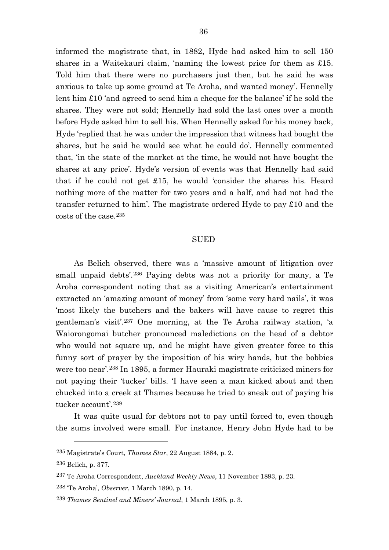informed the magistrate that, in 1882, Hyde had asked him to sell 150 shares in a Waitekauri claim, 'naming the lowest price for them as £15. Told him that there were no purchasers just then, but he said he was anxious to take up some ground at Te Aroha, and wanted money'. Hennelly lent him £10 'and agreed to send him a cheque for the balance' if he sold the shares. They were not sold; Hennelly had sold the last ones over a month before Hyde asked him to sell his. When Hennelly asked for his money back, Hyde 'replied that he was under the impression that witness had bought the shares, but he said he would see what he could do'. Hennelly commented that, 'in the state of the market at the time, he would not have bought the shares at any price'. Hyde's version of events was that Hennelly had said that if he could not get £15, he would 'consider the shares his. Heard nothing more of the matter for two years and a half, and had not had the transfer returned to him'. The magistrate ordered Hyde to pay £10 and the costs of the case.[235](#page-36-0)

## SUED

As Belich observed, there was a 'massive amount of litigation over small unpaid debts'.<sup>[236](#page-36-1)</sup> Paying debts was not a priority for many, a Te Aroha correspondent noting that as a visiting American's entertainment extracted an 'amazing amount of money' from 'some very hard nails', it was 'most likely the butchers and the bakers will have cause to regret this gentleman's visit'.[237](#page-36-2) One morning, at the Te Aroha railway station, 'a Waiorongomai butcher pronounced maledictions on the head of a debtor who would not square up, and he might have given greater force to this funny sort of prayer by the imposition of his wiry hands, but the bobbies were too near'.[238](#page-36-3) In 1895, a former Hauraki magistrate criticized miners for not paying their 'tucker' bills. 'I have seen a man kicked about and then chucked into a creek at Thames because he tried to sneak out of paying his tucker account'.[239](#page-36-4)

It was quite usual for debtors not to pay until forced to, even though the sums involved were small. For instance, Henry John Hyde had to be

<span id="page-36-1"></span><span id="page-36-0"></span><sup>235</sup> Magistrate's Court, *Thames Star*, 22 August 1884, p. 2.

<sup>236</sup> Belich, p. 377.

<span id="page-36-2"></span><sup>237</sup> Te Aroha Correspondent, *Auckland Weekly News*, 11 November 1893, p. 23.

<span id="page-36-3"></span><sup>238</sup> 'Te Aroha', *Observer*, 1 March 1890, p. 14.

<span id="page-36-4"></span><sup>239</sup> *Thames Sentinel and Miners' Journal*, 1 March 1895, p. 3.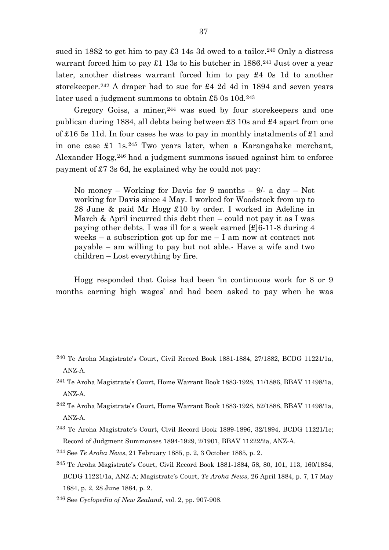sued in 1882 to get him to pay  $\pounds 3$  14s 3d owed to a tailor.<sup>[240](#page-37-0)</sup> Only a distress warrant forced him to pay  $\pounds1$  13s to his butcher in 1886.<sup>[241](#page-37-1)</sup> Just over a year later, another distress warrant forced him to pay £4 0s 1d to another storekeeper.[242](#page-37-2) A draper had to sue for £4 2d 4d in 1894 and seven years later used a judgment summons to obtain  $£50s10d.243$  $£50s10d.243$ 

Gregory Goiss, a miner, <sup>[244](#page-37-4)</sup> was sued by four storekeepers and one publican during 1884, all debts being between £3 10s and £4 apart from one of £16 5s 11d. In four cases he was to pay in monthly instalments of £1 and in one case  $\pounds 1$  1s.<sup>[245](#page-37-5)</sup> Two years later, when a Karangahake merchant, Alexander Hogg,<sup>[246](#page-37-6)</sup> had a judgment summons issued against him to enforce payment of £7 3s 6d, he explained why he could not pay:

No money – Working for Davis for 9 months – 9/- a day – Not working for Davis since 4 May. I worked for Woodstock from up to 28 June & paid Mr Hogg £10 by order. I worked in Adeline in March & April incurred this debt then  $-\text{could not pay it as I was}$ paying other debts. I was ill for a week earned [£]6-11-8 during 4 weeks – a subscription got up for me – I am now at contract not  $payable - am willing to pay but not able. Have a wife and two$ children – Lost everything by fire.

Hogg responded that Goiss had been 'in continuous work for 8 or 9 months earning high wages' and had been asked to pay when he was

<span id="page-37-0"></span><sup>240</sup> Te Aroha Magistrate's Court, Civil Record Book 1881-1884, 27/1882, BCDG 11221/1a, ANZ-A.

<span id="page-37-1"></span><sup>241</sup> Te Aroha Magistrate's Court, Home Warrant Book 1883-1928, 11/1886, BBAV 11498/1a, ANZ-A.

<span id="page-37-2"></span><sup>242</sup> Te Aroha Magistrate's Court, Home Warrant Book 1883-1928, 52/1888, BBAV 11498/1a, ANZ-A.

<span id="page-37-3"></span><sup>243</sup> Te Aroha Magistrate's Court, Civil Record Book 1889-1896, 32/1894, BCDG 11221/1c; Record of Judgment Summonses 1894-1929, 2/1901, BBAV 11222/2a, ANZ-A.

<span id="page-37-4"></span><sup>244</sup> See *Te Aroha News*, 21 February 1885, p. 2, 3 October 1885, p. 2.

<span id="page-37-5"></span><sup>245</sup> Te Aroha Magistrate's Court, Civil Record Book 1881-1884, 58, 80, 101, 113, 160/1884, BCDG 11221/1a, ANZ-A; Magistrate's Court, *Te Aroha News*, 26 April 1884, p. 7, 17 May 1884, p. 2, 28 June 1884, p. 2.

<span id="page-37-6"></span><sup>246</sup> See *Cyclopedia of New Zealand*, vol. 2, pp. 907-908.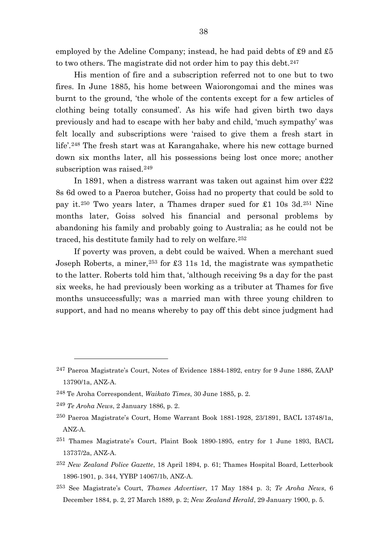employed by the Adeline Company; instead, he had paid debts of £9 and £5 to two others. The magistrate did not order him to pay this debt.<sup>[247](#page-38-0)</sup>

His mention of fire and a subscription referred not to one but to two fires. In June 1885, his home between Waiorongomai and the mines was burnt to the ground, 'the whole of the contents except for a few articles of clothing being totally consumed'. As his wife had given birth two days previously and had to escape with her baby and child, 'much sympathy' was felt locally and subscriptions were 'raised to give them a fresh start in life'.[248](#page-38-1) The fresh start was at Karangahake, where his new cottage burned down six months later, all his possessions being lost once more; another subscription was raised.<sup>[249](#page-38-2)</sup>

In 1891, when a distress warrant was taken out against him over £22 8s 6d owed to a Paeroa butcher, Goiss had no property that could be sold to pay it.[250](#page-38-3) Two years later, a Thames draper sued for £1 10s 3d.[251](#page-38-4) Nine months later, Goiss solved his financial and personal problems by abandoning his family and probably going to Australia; as he could not be traced, his destitute family had to rely on welfare.[252](#page-38-5)

If poverty was proven, a debt could be waived. When a merchant sued Joseph Roberts, a miner,[253](#page-38-6) for £3 11s 1d, the magistrate was sympathetic to the latter. Roberts told him that, 'although receiving 9s a day for the past six weeks, he had previously been working as a tributer at Thames for five months unsuccessfully; was a married man with three young children to support, and had no means whereby to pay off this debt since judgment had

- <span id="page-38-5"></span><sup>252</sup> *New Zealand Police Gazette*, 18 April 1894, p. 61; Thames Hospital Board, Letterbook 1896-1901, p. 344, YYBP 14067/1b, ANZ-A.
- <span id="page-38-6"></span><sup>253</sup> See Magistrate's Court, *Thames Advertiser*, 17 May 1884 p. 3; *Te Aroha News*, 6 December 1884, p. 2, 27 March 1889, p. 2; *New Zealand Herald*, 29 January 1900, p. 5.

<span id="page-38-0"></span><sup>247</sup> Paeroa Magistrate's Court, Notes of Evidence 1884-1892, entry for 9 June 1886, ZAAP 13790/1a, ANZ-A.

<span id="page-38-2"></span><span id="page-38-1"></span><sup>248</sup> Te Aroha Correspondent, *Waikato Times*, 30 June 1885, p. 2.

<sup>249</sup> *Te Aroha News*, 2 January 1886, p. 2.

<span id="page-38-3"></span><sup>250</sup> Paeroa Magistrate's Court, Home Warrant Book 1881-1928, 23/1891, BACL 13748/1a, ANZ-A.

<span id="page-38-4"></span><sup>251</sup> Thames Magistrate's Court, Plaint Book 1890-1895, entry for 1 June 1893, BACL 13737/2a, ANZ-A.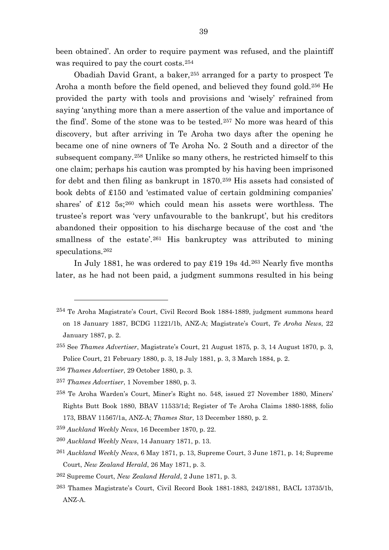been obtained'. An order to require payment was refused, and the plaintiff was required to pay the court costs.[254](#page-39-0)

Obadiah David Grant, a baker,[255](#page-39-1) arranged for a party to prospect Te Aroha a month before the field opened, and believed they found gold.[256](#page-39-2) He provided the party with tools and provisions and 'wisely' refrained from saying 'anything more than a mere assertion of the value and importance of the find'. Some of the stone was to be tested.[257](#page-39-3) No more was heard of this discovery, but after arriving in Te Aroha two days after the opening he became one of nine owners of Te Aroha No. 2 South and a director of the subsequent company.[258](#page-39-4) Unlike so many others, he restricted himself to this one claim; perhaps his caution was prompted by his having been imprisoned for debt and then filing as bankrupt in 1870.[259](#page-39-5) His assets had consisted of book debts of £150 and 'estimated value of certain goldmining companies' shares' of £12 5s;[260](#page-39-6) which could mean his assets were worthless. The trustee's report was 'very unfavourable to the bankrupt', but his creditors abandoned their opposition to his discharge because of the cost and 'the smallness of the estate<sup>'.[261](#page-39-7)</sup> His bankruptcy was attributed to mining speculations.[262](#page-39-8)

In July 1881, he was ordered to pay £19 19s 4d.[263](#page-39-9) Nearly five months later, as he had not been paid, a judgment summons resulted in his being

 $\overline{a}$ 

- <span id="page-39-5"></span><sup>259</sup> *Auckland Weekly News*, 16 December 1870, p. 22.
- <span id="page-39-6"></span><sup>260</sup> *Auckland Weekly News*, 14 January 1871, p. 13.
- <span id="page-39-7"></span><sup>261</sup> *Auckland Weekly News*, 6 May 1871, p. 13, Supreme Court, 3 June 1871, p. 14; Supreme Court, *New Zealand Herald*, 26 May 1871, p. 3.

<span id="page-39-9"></span>263 Thames Magistrate's Court, Civil Record Book 1881-1883, 242/1881, BACL 13735/1b, ANZ-A.

<span id="page-39-0"></span><sup>254</sup> Te Aroha Magistrate's Court, Civil Record Book 1884-1889, judgment summons heard on 18 January 1887, BCDG 11221/1b, ANZ-A; Magistrate's Court, *Te Aroha News*, 22 January 1887, p. 2.

<span id="page-39-1"></span><sup>255</sup> See *Thames Advertiser*, Magistrate's Court, 21 August 1875, p. 3, 14 August 1870, p. 3, Police Court, 21 February 1880, p. 3, 18 July 1881, p. 3, 3 March 1884, p. 2.

<span id="page-39-2"></span><sup>256</sup> *Thames Advertiser*, 29 October 1880, p. 3.

<span id="page-39-3"></span><sup>257</sup> *Thames Advertiser*, 1 November 1880, p. 3.

<span id="page-39-4"></span><sup>258</sup> Te Aroha Warden's Court, Miner's Right no. 548, issued 27 November 1880, Miners' Rights Butt Book 1880, BBAV 11533/1d; Register of Te Aroha Claims 1880-1888, folio 173, BBAV 11567/1a, ANZ-A; *Thames Star*, 13 December 1880, p. 2.

<span id="page-39-8"></span><sup>262</sup> Supreme Court, *New Zealand Herald*, 2 June 1871, p. 3.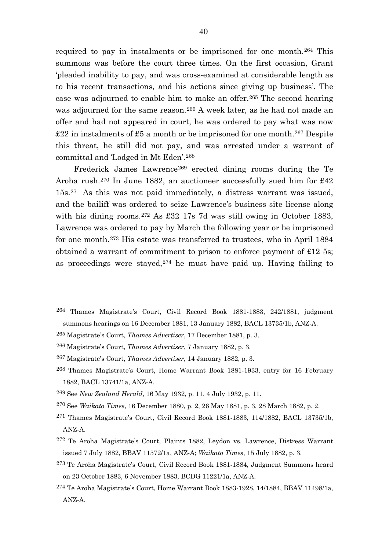required to pay in instalments or be imprisoned for one month.[264](#page-40-0) This summons was before the court three times. On the first occasion, Grant 'pleaded inability to pay, and was cross-examined at considerable length as to his recent transactions, and his actions since giving up business'. The case was adjourned to enable him to make an offer.[265](#page-40-1) The second hearing was adjourned for the same reason.[266](#page-40-2) A week later, as he had not made an offer and had not appeared in court, he was ordered to pay what was now  $\pounds22$  in instalments of  $\pounds5$  a month or be imprisoned for one month.<sup>[267](#page-40-3)</sup> Despite this threat, he still did not pay, and was arrested under a warrant of committal and 'Lodged in Mt Eden'.[268](#page-40-4)

Frederick James Lawrence<sup>[269](#page-40-5)</sup> erected dining rooms during the Te Aroha rush.[270](#page-40-6) In June 1882, an auctioneer successfully sued him for £42 15s.[271](#page-40-7) As this was not paid immediately, a distress warrant was issued, and the bailiff was ordered to seize Lawrence's business site license along with his dining rooms.<sup>[272](#page-40-8)</sup> As £32 17s 7d was still owing in October 1883, Lawrence was ordered to pay by March the following year or be imprisoned for one month.[273](#page-40-9) His estate was transferred to trustees, who in April 1884 obtained a warrant of commitment to prison to enforce payment of £12 5s; as proceedings were stayed,[274](#page-40-10) he must have paid up. Having failing to

 $\overline{a}$ 

<span id="page-40-7"></span>271 Thames Magistrate's Court, Civil Record Book 1881-1883, 114/1882, BACL 13735/1b, ANZ-A.

<span id="page-40-0"></span><sup>264</sup> Thames Magistrate's Court, Civil Record Book 1881-1883, 242/1881, judgment summons hearings on 16 December 1881, 13 January 1882, BACL 13735/1b, ANZ-A.

<span id="page-40-1"></span><sup>265</sup> Magistrate's Court, *Thames Advertiser*, 17 December 1881, p. 3.

<span id="page-40-2"></span><sup>266</sup> Magistrate's Court, *Thames Advertiser*, 7 January 1882, p. 3.

<span id="page-40-3"></span><sup>267</sup> Magistrate's Court, *Thames Advertiser*, 14 January 1882, p. 3.

<span id="page-40-4"></span><sup>268</sup> Thames Magistrate's Court, Home Warrant Book 1881-1933, entry for 16 February 1882, BACL 13741/1a, ANZ-A.

<span id="page-40-5"></span><sup>269</sup> See *New Zealand Herald*, 16 May 1932, p. 11, 4 July 1932, p. 11.

<span id="page-40-6"></span><sup>270</sup> See *Waikato Times*, 16 December 1880, p. 2, 26 May 1881, p. 3, 28 March 1882, p. 2.

<span id="page-40-8"></span><sup>272</sup> Te Aroha Magistrate's Court, Plaints 1882, Leydon vs. Lawrence, Distress Warrant issued 7 July 1882, BBAV 11572/1a, ANZ-A; *Waikato Times*, 15 July 1882, p. 3.

<span id="page-40-9"></span><sup>273</sup> Te Aroha Magistrate's Court, Civil Record Book 1881-1884, Judgment Summons heard on 23 October 1883, 6 November 1883, BCDG 11221/1a, ANZ-A.

<span id="page-40-10"></span><sup>274</sup> Te Aroha Magistrate's Court, Home Warrant Book 1883-1928, 14/1884, BBAV 11498/1a, ANZ-A.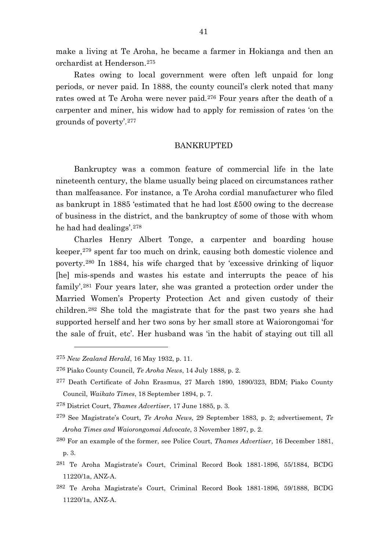make a living at Te Aroha, he became a farmer in Hokianga and then an orchardist at Henderson.[275](#page-41-0)

Rates owing to local government were often left unpaid for long periods, or never paid. In 1888, the county council's clerk noted that many rates owed at Te Aroha were never paid.<sup>[276](#page-41-1)</sup> Four years after the death of a carpenter and miner, his widow had to apply for remission of rates 'on the grounds of poverty'.[277](#page-41-2)

## BANKRUPTED

Bankruptcy was a common feature of commercial life in the late nineteenth century, the blame usually being placed on circumstances rather than malfeasance. For instance, a Te Aroha cordial manufacturer who filed as bankrupt in 1885 'estimated that he had lost £500 owing to the decrease of business in the district, and the bankruptcy of some of those with whom he had had dealings'.[278](#page-41-3)

Charles Henry Albert Tonge, a carpenter and boarding house keeper,[279](#page-41-4) spent far too much on drink, causing both domestic violence and poverty.[280](#page-41-5) In 1884, his wife charged that by 'excessive drinking of liquor [he] mis-spends and wastes his estate and interrupts the peace of his family'.[281](#page-41-6) Four years later, she was granted a protection order under the Married Women's Property Protection Act and given custody of their children.[282](#page-41-7) She told the magistrate that for the past two years she had supported herself and her two sons by her small store at Waiorongomai 'for the sale of fruit, etc'. Her husband was 'in the habit of staying out till all

<span id="page-41-0"></span><sup>275</sup> *New Zealand Herald*, 16 May 1932, p. 11.

<span id="page-41-1"></span><sup>276</sup> Piako County Council, *Te Aroha News*, 14 July 1888, p. 2.

<span id="page-41-2"></span><sup>277</sup> Death Certificate of John Erasmus, 27 March 1890, 1890/323, BDM; Piako County Council, *Waikato Times*, 18 September 1894, p. 7.

<span id="page-41-3"></span><sup>278</sup> District Court, *Thames Advertiser*, 17 June 1885, p. 3.

<span id="page-41-4"></span><sup>279</sup> See Magistrate's Court, *Te Aroha News*, 29 September 1883, p. 2; advertisement, *Te Aroha Times and Waiorongomai Advocate*, 3 November 1897, p. 2.

<span id="page-41-5"></span><sup>280</sup> For an example of the former, see Police Court, *Thames Advertiser*, 16 December 1881, p. 3.

<span id="page-41-6"></span><sup>281</sup> Te Aroha Magistrate's Court, Criminal Record Book 1881-1896, 55/1884, BCDG 11220/1a, ANZ-A.

<span id="page-41-7"></span><sup>282</sup> Te Aroha Magistrate's Court, Criminal Record Book 1881-1896, 59/1888, BCDG 11220/1a, ANZ-A.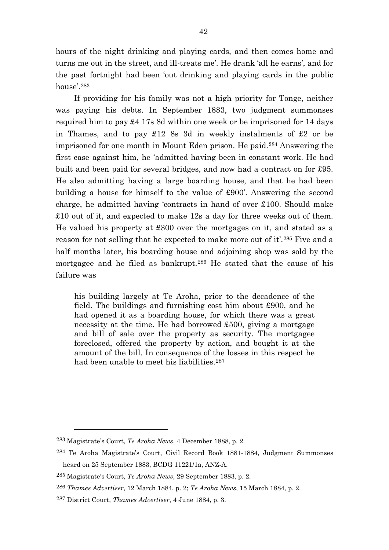hours of the night drinking and playing cards, and then comes home and turns me out in the street, and ill-treats me'. He drank 'all he earns', and for the past fortnight had been 'out drinking and playing cards in the public house'.[283](#page-42-0)

If providing for his family was not a high priority for Tonge, neither was paying his debts. In September 1883, two judgment summonses required him to pay £4 17s 8d within one week or be imprisoned for 14 days in Thames, and to pay £12 8s 3d in weekly instalments of £2 or be imprisoned for one month in Mount Eden prison. He paid.[284](#page-42-1) Answering the first case against him, he 'admitted having been in constant work. He had built and been paid for several bridges, and now had a contract on for £95. He also admitting having a large boarding house, and that he had been building a house for himself to the value of £900'. Answering the second charge, he admitted having 'contracts in hand of over £100. Should make £10 out of it, and expected to make 12s a day for three weeks out of them. He valued his property at £300 over the mortgages on it, and stated as a reason for not selling that he expected to make more out of it'.[285](#page-42-2) Five and a half months later, his boarding house and adjoining shop was sold by the mortgagee and he filed as bankrupt.[286](#page-42-3) He stated that the cause of his failure was

his building largely at Te Aroha, prior to the decadence of the field. The buildings and furnishing cost him about £900, and he had opened it as a boarding house, for which there was a great necessity at the time. He had borrowed £500, giving a mortgage and bill of sale over the property as security. The mortgagee foreclosed, offered the property by action, and bought it at the amount of the bill. In consequence of the losses in this respect he had been unable to meet his liabilities.<sup>[287](#page-42-4)</sup>

<span id="page-42-0"></span><sup>283</sup> Magistrate's Court, *Te Aroha News*, 4 December 1888, p. 2.

<span id="page-42-1"></span><sup>284</sup> Te Aroha Magistrate's Court, Civil Record Book 1881-1884, Judgment Summonses heard on 25 September 1883, BCDG 11221/1a, ANZ-A.

<span id="page-42-2"></span><sup>285</sup> Magistrate's Court, *Te Aroha News*, 29 September 1883, p. 2.

<span id="page-42-3"></span><sup>286</sup> *Thames Advertiser*, 12 March 1884, p. 2; *Te Aroha News*, 15 March 1884, p. 2.

<span id="page-42-4"></span><sup>287</sup> District Court, *Thames Advertiser*, 4 June 1884, p. 3.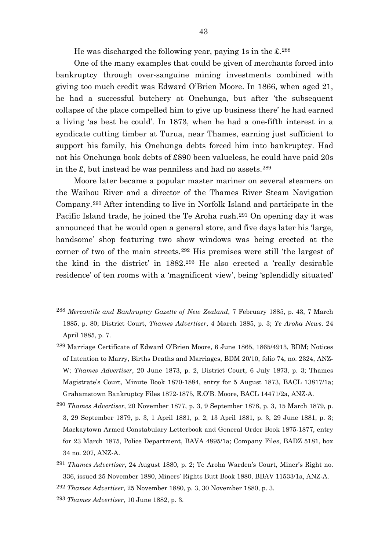He was discharged the following year, paying 1s in the  $\pounds$ <sup>[288](#page-43-0)</sup>

One of the many examples that could be given of merchants forced into bankruptcy through over-sanguine mining investments combined with giving too much credit was Edward O'Brien Moore. In 1866, when aged 21, he had a successful butchery at Onehunga, but after 'the subsequent collapse of the place compelled him to give up business there' he had earned a living 'as best he could'. In 1873, when he had a one-fifth interest in a syndicate cutting timber at Turua, near Thames, earning just sufficient to support his family, his Onehunga debts forced him into bankruptcy. Had not his Onehunga book debts of £890 been valueless, he could have paid 20s in the  $\pounds$ , but instead he was penniless and had no assets.<sup>[289](#page-43-1)</sup>

Moore later became a popular master mariner on several steamers on the Waihou River and a director of the Thames River Steam Navigation Company.[290](#page-43-2) After intending to live in Norfolk Island and participate in the Pacific Island trade, he joined the Te Aroha rush.[291](#page-43-3) On opening day it was announced that he would open a general store, and five days later his 'large, handsome' shop featuring two show windows was being erected at the corner of two of the main streets.[292](#page-43-4) His premises were still 'the largest of the kind in the district' in 1882.[293](#page-43-5) He also erected a 'really desirable residence' of ten rooms with a 'magnificent view', being 'splendidly situated'

<span id="page-43-5"></span><sup>293</sup> *Thames Advertiser*, 10 June 1882, p. 3.

<span id="page-43-0"></span><sup>288</sup> *Mercantile and Bankruptcy Gazette of New Zealand*, 7 February 1885, p. 43, 7 March 1885, p. 80; District Court, *Thames Advertiser*, 4 March 1885, p. 3; *Te Aroha News*. 24 April 1885, p. 7.

<span id="page-43-1"></span><sup>289</sup> Marriage Certificate of Edward O'Brien Moore, 6 June 1865, 1865/4913, BDM; Notices of Intention to Marry, Births Deaths and Marriages, BDM 20/10, folio 74, no. 2324, ANZ-W; *Thames Advertiser*, 20 June 1873, p. 2, District Court, 6 July 1873, p. 3; Thames Magistrate's Court, Minute Book 1870-1884, entry for 5 August 1873, BACL 13817/1a; Grahamstown Bankruptcy Files 1872-1875, E.O'B. Moore, BACL 14471/2a, ANZ-A.

<span id="page-43-2"></span><sup>290</sup> *Thames Advertiser*, 20 November 1877, p. 3, 9 September 1878, p. 3, 15 March 1879, p. 3, 29 September 1879, p. 3, 1 April 1881, p. 2, 13 April 1881, p. 3, 29 June 1881, p. 3; Mackaytown Armed Constabulary Letterbook and General Order Book 1875-1877, entry for 23 March 1875, Police Department, BAVA 4895/1a; Company Files, BADZ 5181, box 34 no. 207, ANZ-A.

<span id="page-43-3"></span><sup>291</sup> *Thames Advertiser*, 24 August 1880, p. 2; Te Aroha Warden's Court, Miner's Right no. 336, issued 25 November 1880, Miners' Rights Butt Book 1880, BBAV 11533/1a, ANZ-A.

<span id="page-43-4"></span><sup>292</sup> *Thames Advertiser*, 25 November 1880, p. 3, 30 November 1880, p. 3.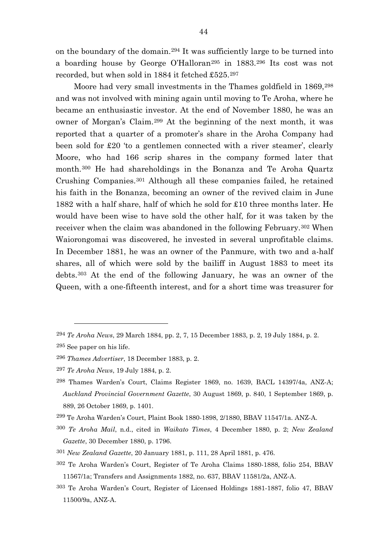on the boundary of the domain.[294](#page-44-0) It was sufficiently large to be turned into a boarding house by George O'Halloran[295](#page-44-1) in 1883.[296](#page-44-2) Its cost was not recorded, but when sold in 1884 it fetched £525.[297](#page-44-3)

Moore had very small investments in the Thames goldfield in 1869,<sup>[298](#page-44-4)</sup> and was not involved with mining again until moving to Te Aroha, where he became an enthusiastic investor. At the end of November 1880, he was an owner of Morgan's Claim.[299](#page-44-5) At the beginning of the next month, it was reported that a quarter of a promoter's share in the Aroha Company had been sold for £20 'to a gentlemen connected with a river steamer', clearly Moore, who had 166 scrip shares in the company formed later that month.[300](#page-44-6) He had shareholdings in the Bonanza and Te Aroha Quartz Crushing Companies.[301](#page-44-7) Although all these companies failed, he retained his faith in the Bonanza, becoming an owner of the revived claim in June 1882 with a half share, half of which he sold for £10 three months later. He would have been wise to have sold the other half, for it was taken by the receiver when the claim was abandoned in the following February.[302](#page-44-8) When Waiorongomai was discovered, he invested in several unprofitable claims. In December 1881, he was an owner of the Panmure, with two and a-half shares, all of which were sold by the bailiff in August 1883 to meet its debts.[303](#page-44-9) At the end of the following January, he was an owner of the Queen, with a one-fifteenth interest, and for a short time was treasurer for

 $\overline{a}$ 

<span id="page-44-9"></span>303 Te Aroha Warden's Court, Register of Licensed Holdings 1881-1887, folio 47, BBAV 11500/9a, ANZ-A.

<span id="page-44-0"></span><sup>294</sup> *Te Aroha News*, 29 March 1884, pp. 2, 7, 15 December 1883, p. 2, 19 July 1884, p. 2.

<span id="page-44-1"></span><sup>295</sup> See paper on his life.

<span id="page-44-2"></span><sup>296</sup> *Thames Advertiser*, 18 December 1883, p. 2.

<span id="page-44-3"></span><sup>297</sup> *Te Aroha News*, 19 July 1884, p. 2.

<span id="page-44-4"></span><sup>298</sup> Thames Warden's Court, Claims Register 1869, no. 1639, BACL 14397/4a, ANZ-A; *Auckland Provincial Government Gazette*, 30 August 1869, p. 840, 1 September 1869, p. 889, 26 October 1869, p. 1401.

<span id="page-44-5"></span><sup>299</sup> Te Aroha Warden's Court, Plaint Book 1880-1898, 2/1880, BBAV 11547/1a. ANZ-A.

<span id="page-44-6"></span><sup>300</sup> *Te Aroha Mail*, n.d., cited in *Waikato Times*, 4 December 1880, p. 2; *New Zealand Gazette*, 30 December 1880, p. 1796.

<span id="page-44-7"></span><sup>301</sup> *New Zealand Gazette*, 20 January 1881, p. 111, 28 April 1881, p. 476.

<span id="page-44-8"></span><sup>302</sup> Te Aroha Warden's Court, Register of Te Aroha Claims 1880-1888, folio 254, BBAV 11567/1a; Transfers and Assignments 1882, no. 637, BBAV 11581/2a, ANZ-A.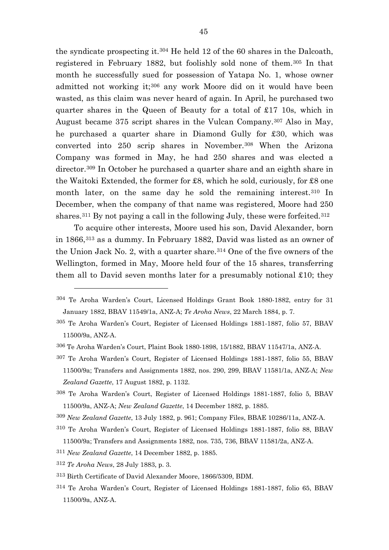the syndicate prospecting it.[304](#page-45-0) He held 12 of the 60 shares in the Dalcoath, registered in February 1882, but foolishly sold none of them.[305](#page-45-1) In that month he successfully sued for possession of Yatapa No. 1, whose owner admitted not working it;[306](#page-45-2) any work Moore did on it would have been wasted, as this claim was never heard of again. In April, he purchased two quarter shares in the Queen of Beauty for a total of £17 10s, which in August became 375 script shares in the Vulcan Company.[307](#page-45-3) Also in May, he purchased a quarter share in Diamond Gully for £30, which was converted into 250 scrip shares in November.[308](#page-45-4) When the Arizona Company was formed in May, he had 250 shares and was elected a director.[309](#page-45-5) In October he purchased a quarter share and an eighth share in the Waitoki Extended, the former for £8, which he sold, curiously, for £8 one month later, on the same day he sold the remaining interest.<sup>[310](#page-45-6)</sup> In December, when the company of that name was registered, Moore had 250 shares.<sup>[311](#page-45-7)</sup> By not paying a call in the following July, these were forfeited.<sup>[312](#page-45-8)</sup>

To acquire other interests, Moore used his son, David Alexander, born in 1866,[313](#page-45-9) as a dummy. In February 1882, David was listed as an owner of the Union Jack No. 2, with a quarter share.[314](#page-45-10) One of the five owners of the Wellington, formed in May, Moore held four of the 15 shares, transferring them all to David seven months later for a presumably notional  $£10;$  they

<span id="page-45-1"></span>305 Te Aroha Warden's Court, Register of Licensed Holdings 1881-1887, folio 57, BBAV 11500/9a, ANZ-A.

- <span id="page-45-6"></span>310 Te Aroha Warden's Court, Register of Licensed Holdings 1881-1887, folio 88, BBAV 11500/9a; Transfers and Assignments 1882, nos. 735, 736, BBAV 11581/2a, ANZ-A.
- <span id="page-45-7"></span><sup>311</sup> *New Zealand Gazette*, 14 December 1882, p. 1885.
- <span id="page-45-8"></span><sup>312</sup> *Te Aroha News*, 28 July 1883, p. 3.

- <span id="page-45-9"></span>313 Birth Certificate of David Alexander Moore, 1866/5309, BDM.
- <span id="page-45-10"></span>314 Te Aroha Warden's Court, Register of Licensed Holdings 1881-1887, folio 65, BBAV 11500/9a, ANZ-A.

<span id="page-45-0"></span><sup>304</sup> Te Aroha Warden's Court, Licensed Holdings Grant Book 1880-1882, entry for 31 January 1882, BBAV 11549/1a, ANZ-A; *Te Aroha News*, 22 March 1884, p. 7.

<span id="page-45-2"></span><sup>306</sup> Te Aroha Warden's Court, Plaint Book 1880-1898, 15/1882, BBAV 11547/1a, ANZ-A.

<span id="page-45-3"></span><sup>307</sup> Te Aroha Warden's Court, Register of Licensed Holdings 1881-1887, folio 55, BBAV 11500/9a; Transfers and Assignments 1882, nos. 290, 299, BBAV 11581/1a, ANZ-A; *New Zealand Gazette*, 17 August 1882, p. 1132.

<span id="page-45-4"></span><sup>308</sup> Te Aroha Warden's Court, Register of Licensed Holdings 1881-1887, folio 5, BBAV 11500/9a, ANZ-A; *New Zealand Gazette*, 14 December 1882, p. 1885.

<span id="page-45-5"></span><sup>309</sup> *New Zealand Gazette*, 13 July 1882, p. 961; Company Files, BBAE 10286/11a, ANZ-A.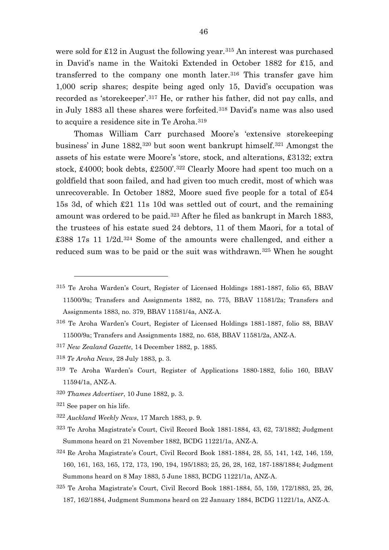were sold for  $\pounds 12$  in August the following year.<sup>[315](#page-46-0)</sup> An interest was purchased in David's name in the Waitoki Extended in October 1882 for £15, and transferred to the company one month later.<sup>[316](#page-46-1)</sup> This transfer gave him 1,000 scrip shares; despite being aged only 15, David's occupation was recorded as 'storekeeper'.[317](#page-46-2) He, or rather his father, did not pay calls, and in July 1883 all these shares were forfeited.[318](#page-46-3) David's name was also used to acquire a residence site in Te Aroha.[319](#page-46-4)

Thomas William Carr purchased Moore's 'extensive storekeeping business' in June 1882,[320](#page-46-5) but soon went bankrupt himself.[321](#page-46-6) Amongst the assets of his estate were Moore's 'store, stock, and alterations, £3132; extra stock, £4000; book debts, £2500'.[322](#page-46-7) Clearly Moore had spent too much on a goldfield that soon failed, and had given too much credit, most of which was unrecoverable. In October 1882, Moore sued five people for a total of £54 15s 3d, of which £21 11s 10d was settled out of court, and the remaining amount was ordered to be paid.[323](#page-46-8) After he filed as bankrupt in March 1883, the trustees of his estate sued 24 debtors, 11 of them Maori, for a total of £388 17s 11 1/2d.[324](#page-46-9) Some of the amounts were challenged, and either a reduced sum was to be paid or the suit was withdrawn.[325](#page-46-10) When he sought

- <span id="page-46-3"></span><span id="page-46-2"></span><sup>317</sup> *New Zealand Gazette*, 14 December 1882, p. 1885.
- <sup>318</sup> *Te Aroha News*, 28 July 1883, p. 3.
- <span id="page-46-4"></span>319 Te Aroha Warden's Court, Register of Applications 1880-1882, folio 160, BBAV 11594/1a, ANZ-A.
- <span id="page-46-6"></span><span id="page-46-5"></span><sup>320</sup> *Thames Advertiser*, 10 June 1882, p. 3.
- 321 See paper on his life.

- <span id="page-46-7"></span><sup>322</sup> *Auckland Weekly News*, 17 March 1883, p. 9.
- <span id="page-46-8"></span>323 Te Aroha Magistrate's Court, Civil Record Book 1881-1884, 43, 62, 73/1882; Judgment Summons heard on 21 November 1882, BCDG 11221/1a, ANZ-A.
- <span id="page-46-9"></span>324 Re Aroha Magistrate's Court, Civil Record Book 1881-1884, 28, 55, 141, 142, 146, 159, 160, 161, 163, 165, 172, 173, 190, 194, 195/1883; 25, 26, 28, 162, 187-188/1884; Judgment Summons heard on 8 May 1883, 5 June 1883, BCDG 11221/1a, ANZ-A.
- <span id="page-46-10"></span>325 Te Aroha Magistrate's Court, Civil Record Book 1881-1884, 55, 159, 172/1883, 25, 26, 187, 162/1884, Judgment Summons heard on 22 January 1884, BCDG 11221/1a, ANZ-A.

<span id="page-46-0"></span><sup>315</sup> Te Aroha Warden's Court, Register of Licensed Holdings 1881-1887, folio 65, BBAV 11500/9a; Transfers and Assignments 1882, no. 775, BBAV 11581/2a; Transfers and Assignments 1883, no. 379, BBAV 11581/4a, ANZ-A.

<span id="page-46-1"></span><sup>316</sup> Te Aroha Warden's Court, Register of Licensed Holdings 1881-1887, folio 88, BBAV 11500/9a; Transfers and Assignments 1882, no. 658, BBAV 11581/2a, ANZ-A.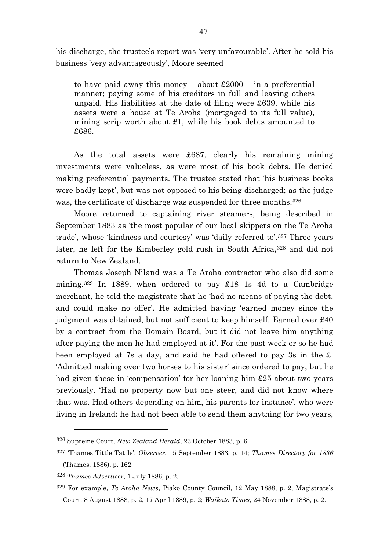his discharge, the trustee's report was 'very unfavourable'. After he sold his business 'very advantageously', Moore seemed

to have paid away this money – about  $\pounds 2000$  – in a preferential manner; paying some of his creditors in full and leaving others unpaid. His liabilities at the date of filing were £639, while his assets were a house at Te Aroha (mortgaged to its full value), mining scrip worth about £1, while his book debts amounted to £686.

As the total assets were £687, clearly his remaining mining investments were valueless, as were most of his book debts. He denied making preferential payments. The trustee stated that 'his business books were badly kept', but was not opposed to his being discharged; as the judge was, the certificate of discharge was suspended for three months.<sup>[326](#page-47-0)</sup>

Moore returned to captaining river steamers, being described in September 1883 as 'the most popular of our local skippers on the Te Aroha trade', whose 'kindness and courtesy' was 'daily referred to'.[327](#page-47-1) Three years later, he left for the Kimberley gold rush in South Africa, [328](#page-47-2) and did not return to New Zealand.

Thomas Joseph Niland was a Te Aroha contractor who also did some mining.[329](#page-47-3) In 1889, when ordered to pay £18 1s 4d to a Cambridge merchant, he told the magistrate that he 'had no means of paying the debt, and could make no offer'. He admitted having 'earned money since the judgment was obtained, but not sufficient to keep himself. Earned over £40 by a contract from the Domain Board, but it did not leave him anything after paying the men he had employed at it'. For the past week or so he had been employed at 7s a day, and said he had offered to pay 3s in the £. 'Admitted making over two horses to his sister' since ordered to pay, but he had given these in 'compensation' for her loaning him £25 about two years previously. 'Had no property now but one steer, and did not know where that was. Had others depending on him, his parents for instance', who were living in Ireland: he had not been able to send them anything for two years,

<span id="page-47-0"></span><sup>326</sup> Supreme Court, *New Zealand Herald*, 23 October 1883, p. 6.

<span id="page-47-1"></span><sup>327</sup> 'Thames Tittle Tattle', *Observer*, 15 September 1883, p. 14; *Thames Directory for 1886* (Thames, 1886), p. 162.

<span id="page-47-2"></span><sup>328</sup> *Thames Advertiser*, 1 July 1886, p. 2.

<span id="page-47-3"></span><sup>329</sup> For example, *Te Aroha News*, Piako County Council, 12 May 1888, p. 2, Magistrate's Court, 8 August 1888, p. 2, 17 April 1889, p. 2; *Waikato Times*, 24 November 1888, p. 2.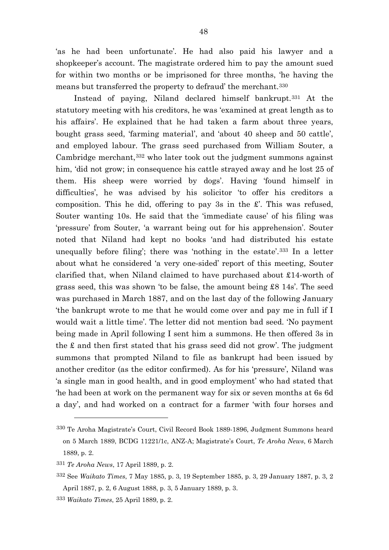'as he had been unfortunate'. He had also paid his lawyer and a shopkeeper's account. The magistrate ordered him to pay the amount sued for within two months or be imprisoned for three months, 'he having the means but transferred the property to defraud' the merchant.[330](#page-48-0)

Instead of paying, Niland declared himself bankrupt.[331](#page-48-1) At the statutory meeting with his creditors, he was 'examined at great length as to his affairs'. He explained that he had taken a farm about three years, bought grass seed, 'farming material', and 'about 40 sheep and 50 cattle', and employed labour. The grass seed purchased from William Souter, a Cambridge merchant,[332](#page-48-2) who later took out the judgment summons against him, 'did not grow; in consequence his cattle strayed away and he lost 25 of them. His sheep were worried by dogs'. Having 'found himself in difficulties', he was advised by his solicitor 'to offer his creditors a composition. This he did, offering to pay 3s in the  $\pounds$ . This was refused, Souter wanting 10s. He said that the 'immediate cause' of his filing was 'pressure' from Souter, 'a warrant being out for his apprehension'. Souter noted that Niland had kept no books 'and had distributed his estate unequally before filing'; there was 'nothing in the estate'.[333](#page-48-3) In a letter about what he considered 'a very one-sided' report of this meeting, Souter clarified that, when Niland claimed to have purchased about £14-worth of grass seed, this was shown 'to be false, the amount being £8 14s'. The seed was purchased in March 1887, and on the last day of the following January 'the bankrupt wrote to me that he would come over and pay me in full if I would wait a little time'. The letter did not mention bad seed. 'No payment being made in April following I sent him a summons. He then offered 3s in the £ and then first stated that his grass seed did not grow'. The judgment summons that prompted Niland to file as bankrupt had been issued by another creditor (as the editor confirmed). As for his 'pressure', Niland was 'a single man in good health, and in good employment' who had stated that 'he had been at work on the permanent way for six or seven months at 6s 6d a day', and had worked on a contract for a farmer 'with four horses and

<span id="page-48-0"></span><sup>330</sup> Te Aroha Magistrate's Court, Civil Record Book 1889-1896, Judgment Summons heard on 5 March 1889, BCDG 11221/1c, ANZ-A; Magistrate's Court, *Te Aroha News*, 6 March 1889, p. 2.

<span id="page-48-1"></span><sup>331</sup> *Te Aroha News*, 17 April 1889, p. 2.

<span id="page-48-2"></span><sup>332</sup> See *Waikato Times*, 7 May 1885, p. 3, 19 September 1885, p. 3, 29 January 1887, p. 3, 2 April 1887, p. 2, 6 August 1888, p. 3, 5 January 1889, p. 3.

<span id="page-48-3"></span><sup>333</sup> *Waikato Times*, 25 April 1889, p. 2.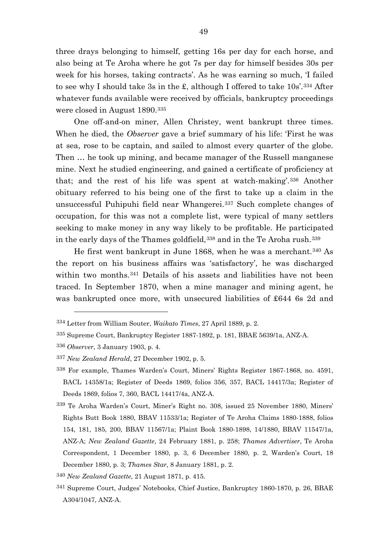three drays belonging to himself, getting 16s per day for each horse, and also being at Te Aroha where he got 7s per day for himself besides 30s per week for his horses, taking contracts'. As he was earning so much, 'I failed to see why I should take 3s in the £, although I offered to take 10s'.[334](#page-49-0) After whatever funds available were received by officials, bankruptcy proceedings were closed in August 1890.[335](#page-49-1)

One off-and-on miner, Allen Christey, went bankrupt three times. When he died, the *Observer* gave a brief summary of his life: 'First he was at sea, rose to be captain, and sailed to almost every quarter of the globe. Then … he took up mining, and became manager of the Russell manganese mine. Next he studied engineering, and gained a certificate of proficiency at that; and the rest of his life was spent at watch-making'.[336](#page-49-2) Another obituary referred to his being one of the first to take up a claim in the unsuccessful Puhipuhi field near Whangerei.[337](#page-49-3) Such complete changes of occupation, for this was not a complete list, were typical of many settlers seeking to make money in any way likely to be profitable. He participated in the early days of the Thames goldfield,<sup>[338](#page-49-4)</sup> and in the Te Aroha rush.<sup>[339](#page-49-5)</sup>

He first went bankrupt in June 1868, when he was a merchant.[340](#page-49-6) As the report on his business affairs was 'satisfactory', he was discharged within two months.<sup>[341](#page-49-7)</sup> Details of his assets and liabilities have not been traced. In September 1870, when a mine manager and mining agent, he was bankrupted once more, with unsecured liabilities of £644 6s 2d and

<span id="page-49-0"></span><sup>334</sup> Letter from William Souter, *Waikato Times*, 27 April 1889, p. 2.

<span id="page-49-1"></span><sup>335</sup> Supreme Court, Bankruptcy Register 1887-1892, p. 181, BBAE 5639/1a, ANZ-A.

<span id="page-49-2"></span><sup>336</sup> *Observer*, 3 January 1903, p. 4.

<span id="page-49-3"></span><sup>337</sup> *New Zealand Herald*, 27 December 1902, p. 5.

<span id="page-49-4"></span><sup>338</sup> For example, Thames Warden's Court, Miners' Rights Register 1867-1868, no. 4591, BACL 14358/1a; Register of Deeds 1869, folios 356, 357, BACL 14417/3a; Register of Deeds 1869, folios 7, 360, BACL 14417/4a, ANZ-A.

<span id="page-49-5"></span><sup>339</sup> Te Aroha Warden's Court, Miner's Right no. 308, issued 25 November 1880, Miners' Rights Butt Book 1880, BBAV 11533/1a; Register of Te Aroha Claims 1880-1888, folios 154, 181, 185, 200, BBAV 11567/1a; Plaint Book 1880-1898, 14/1880, BBAV 11547/1a, ANZ-A; *New Zealand Gazette*, 24 February 1881, p. 258; *Thames Advertiser*, Te Aroha Correspondent, 1 December 1880, p. 3, 6 December 1880, p. 2, Warden's Court, 18 December 1880, p. 3; *Thames Star*, 8 January 1881, p. 2.

<span id="page-49-6"></span><sup>340</sup> *New Zealand Gazette*, 21 August 1871, p. 415.

<span id="page-49-7"></span><sup>341</sup> Supreme Court, Judges' Notebooks, Chief Justice, Bankruptcy 1860-1870, p. 26, BBAE A304/1047, ANZ-A.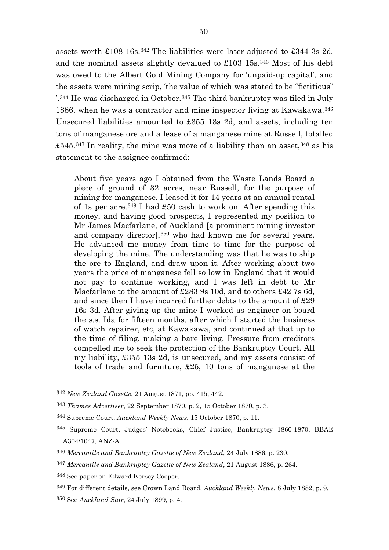assets worth £108 16s.[342](#page-50-0) The liabilities were later adjusted to £344 3s 2d, and the nominal assets slightly devalued to £103 15s.[343](#page-50-1) Most of his debt was owed to the Albert Gold Mining Company for 'unpaid-up capital', and the assets were mining scrip, 'the value of which was stated to be "fictitious" '.[344](#page-50-2) He was discharged in October.[345](#page-50-3) The third bankruptcy was filed in July 1886, when he was a contractor and mine inspector living at Kawakawa.[346](#page-50-4) Unsecured liabilities amounted to £355 13s 2d, and assets, including ten tons of manganese ore and a lease of a manganese mine at Russell, totalled  $\pounds$ 545.<sup>[347](#page-50-5)</sup> In reality, the mine was more of a liability than an asset,  $348$  as his statement to the assignee confirmed:

About five years ago I obtained from the Waste Lands Board a piece of ground of 32 acres, near Russell, for the purpose of mining for manganese. I leased it for 14 years at an annual rental of 1s per acre.<sup>[349](#page-50-7)</sup> I had £50 cash to work on. After spending this money, and having good prospects, I represented my position to Mr James Macfarlane, of Auckland [a prominent mining investor and company director],[350](#page-50-8) who had known me for several years. He advanced me money from time to time for the purpose of developing the mine. The understanding was that he was to ship the ore to England, and draw upon it. After working about two years the price of manganese fell so low in England that it would not pay to continue working, and I was left in debt to Mr Macfarlane to the amount of £283 9s 10d, and to others £42 7s 6d, and since then I have incurred further debts to the amount of £29 16s 3d. After giving up the mine I worked as engineer on board the s.s. Ida for fifteen months, after which I started the business of watch repairer, etc, at Kawakawa, and continued at that up to the time of filing, making a bare living. Pressure from creditors compelled me to seek the protection of the Bankruptcy Court. All my liability, £355 13s 2d, is unsecured, and my assets consist of tools of trade and furniture, £25, 10 tons of manganese at the

<span id="page-50-0"></span><sup>342</sup> *New Zealand Gazette*, 21 August 1871, pp. 415, 442.

<span id="page-50-2"></span><span id="page-50-1"></span><sup>343</sup> *Thames Advertiser*, 22 September 1870, p. 2, 15 October 1870, p. 3.

<sup>344</sup> Supreme Court, *Auckland Weekly News*, 15 October 1870, p. 11.

<span id="page-50-3"></span><sup>345</sup> Supreme Court, Judges' Notebooks, Chief Justice, Bankruptcy 1860-1870, BBAE A304/1047, ANZ-A.

<span id="page-50-4"></span><sup>346</sup> *Mercantile and Bankruptcy Gazette of New Zealand*, 24 July 1886, p. 230.

<span id="page-50-5"></span><sup>347</sup> *Mercantile and Bankruptcy Gazette of New Zealand*, 21 August 1886, p. 264.

<span id="page-50-6"></span><sup>348</sup> See paper on Edward Kersey Cooper.

<span id="page-50-8"></span><span id="page-50-7"></span><sup>349</sup> For different details, see Crown Land Board, *Auckland Weekly News*, 8 July 1882, p. 9. <sup>350</sup> See *Auckland Star*, 24 July 1899, p. 4.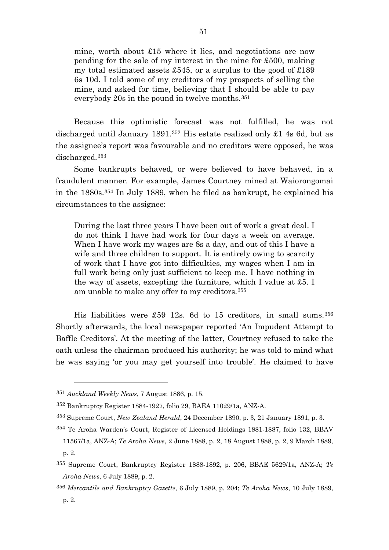mine, worth about £15 where it lies, and negotiations are now pending for the sale of my interest in the mine for £500, making my total estimated assets £545, or a surplus to the good of  $\pounds189$ 6s 10d. I told some of my creditors of my prospects of selling the mine, and asked for time, believing that I should be able to pay everybody 20s in the pound in twelve months.[351](#page-51-0)

Because this optimistic forecast was not fulfilled, he was not discharged until January 1891.[352](#page-51-1) His estate realized only £1 4s 6d, but as the assignee's report was favourable and no creditors were opposed, he was discharged.[353](#page-51-2)

Some bankrupts behaved, or were believed to have behaved, in a fraudulent manner. For example, James Courtney mined at Waiorongomai in the 1880s.[354](#page-51-3) In July 1889, when he filed as bankrupt, he explained his circumstances to the assignee:

During the last three years I have been out of work a great deal. I do not think I have had work for four days a week on average. When I have work my wages are 8s a day, and out of this I have a wife and three children to support. It is entirely owing to scarcity of work that I have got into difficulties, my wages when I am in full work being only just sufficient to keep me. I have nothing in the way of assets, excepting the furniture, which I value at £5. I am unable to make any offer to my creditors.[355](#page-51-4)

His liabilities were £59 12s. 6d to 15 creditors, in small sums.[356](#page-51-5) Shortly afterwards, the local newspaper reported 'An Impudent Attempt to Baffle Creditors'. At the meeting of the latter, Courtney refused to take the oath unless the chairman produced his authority; he was told to mind what he was saying 'or you may get yourself into trouble'. He claimed to have

<span id="page-51-0"></span><sup>351</sup> *Auckland Weekly News*, 7 August 1886, p. 15.

<span id="page-51-1"></span><sup>352</sup> Bankruptcy Register 1884-1927, folio 29, BAEA 11029/1a, ANZ-A.

<span id="page-51-2"></span><sup>353</sup> Supreme Court, *New Zealand Herald*, 24 December 1890, p. 3, 21 January 1891, p. 3.

<span id="page-51-3"></span><sup>354</sup> Te Aroha Warden's Court, Register of Licensed Holdings 1881-1887, folio 132, BBAV

<sup>11567/1</sup>a, ANZ-A; *Te Aroha News*, 2 June 1888, p. 2, 18 August 1888, p. 2, 9 March 1889, p. 2.

<span id="page-51-4"></span><sup>355</sup> Supreme Court, Bankruptcy Register 1888-1892, p. 206, BBAE 5629/1a, ANZ-A; *Te Aroha News*, 6 July 1889, p. 2.

<span id="page-51-5"></span><sup>356</sup> *Mercantile and Bankruptcy Gazette*, 6 July 1889, p. 204; *Te Aroha News*, 10 July 1889, p. 2.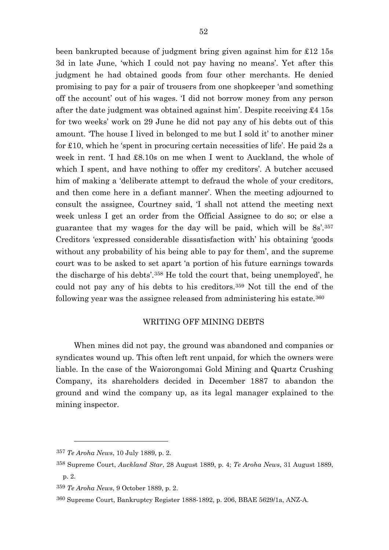been bankrupted because of judgment bring given against him for £12 15s 3d in late June, 'which I could not pay having no means'. Yet after this judgment he had obtained goods from four other merchants. He denied promising to pay for a pair of trousers from one shopkeeper 'and something off the account' out of his wages. 'I did not borrow money from any person after the date judgment was obtained against him'. Despite receiving £4 15s for two weeks' work on 29 June he did not pay any of his debts out of this amount. 'The house I lived in belonged to me but I sold it' to another miner for £10, which he 'spent in procuring certain necessities of life'. He paid 2s a week in rent. 'I had £8.10s on me when I went to Auckland, the whole of which I spent, and have nothing to offer my creditors'. A butcher accused him of making a 'deliberate attempt to defraud the whole of your creditors, and then come here in a defiant manner'. When the meeting adjourned to consult the assignee, Courtney said, 'I shall not attend the meeting next week unless I get an order from the Official Assignee to do so; or else a guarantee that my wages for the day will be paid, which will be 8s'.[357](#page-52-0) Creditors 'expressed considerable dissatisfaction with' his obtaining 'goods without any probability of his being able to pay for them', and the supreme court was to be asked to set apart 'a portion of his future earnings towards the discharge of his debts'.[358](#page-52-1) He told the court that, being unemployed', he could not pay any of his debts to his creditors.[359](#page-52-2) Not till the end of the following year was the assignee released from administering his estate.[360](#page-52-3)

## WRITING OFF MINING DEBTS

When mines did not pay, the ground was abandoned and companies or syndicates wound up. This often left rent unpaid, for which the owners were liable. In the case of the Waiorongomai Gold Mining and Quartz Crushing Company, its shareholders decided in December 1887 to abandon the ground and wind the company up, as its legal manager explained to the mining inspector.

<span id="page-52-0"></span><sup>357</sup> *Te Aroha News*, 10 July 1889, p. 2.

<span id="page-52-1"></span><sup>358</sup> Supreme Court, *Auckland Star*, 28 August 1889, p. 4; *Te Aroha News*, 31 August 1889, p. 2.

<span id="page-52-2"></span><sup>359</sup> *Te Aroha News*, 9 October 1889, p. 2.

<span id="page-52-3"></span><sup>360</sup> Supreme Court, Bankruptcy Register 1888-1892, p. 206, BBAE 5629/1a, ANZ-A.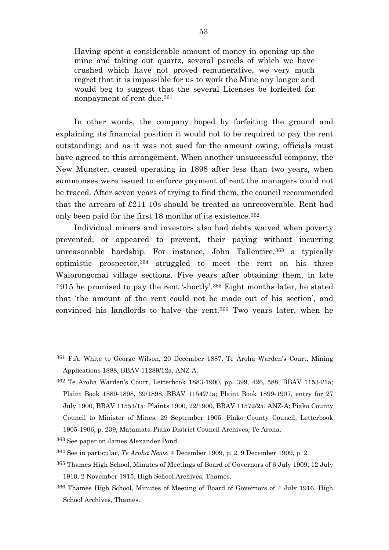Having spent a considerable amount of money in opening up the mine and taking out quartz, several parcels of which we have crushed which have not proved remunerative, we very much regret that it is impossible for us to work the Mine any longer and would beg to suggest that the several Licenses be forfeited for nonpayment of rent due.[361](#page-53-0)

In other words, the company hoped by forfeiting the ground and explaining its financial position it would not to be required to pay the rent outstanding; and as it was not sued for the amount owing, officials must have agreed to this arrangement. When another unsuccessful company, the New Munster, ceased operating in 1898 after less than two years, when summonses were issued to enforce payment of rent the managers could not be traced. After seven years of trying to find them, the council recommended that the arrears of  $\pounds211$  10s should be treated as unrecoverable. Rent had only been paid for the first 18 months of its existence.<sup>[362](#page-53-1)</sup>

Individual miners and investors also had debts waived when poverty prevented, or appeared to prevent, their paying without incurring unreasonable hardship. For instance, John Tallentire, [363](#page-53-2) a typically optimistic prospector,[364](#page-53-3) struggled to meet the rent on his three Waiorongomai village sections. Five years after obtaining them, in late 1915 he promised to pay the rent 'shortly'.[365](#page-53-4) Eight months later, he stated that 'the amount of the rent could not be made out of his section', and convinced his landlords to halve the rent.[366](#page-53-5) Two years later, when he

<span id="page-53-0"></span><sup>361</sup> F.A. White to George Wilson, 20 December 1887, Te Aroha Warden's Court, Mining Applications 1888, BBAV 11289/12a, ANZ-A.

<span id="page-53-1"></span><sup>362</sup> Te Aroha Warden's Court, Letterbook 1883-1900, pp. 399, 426, 588, BBAV 11534/1a; Plaint Book 1880-1898, 39/1898, BBAV 11547/1a; Plaint Book 1899-1907, entry for 27 July 1900, BBAV 11551/1a; Plaints 1900, 22/1900, BBAV 11572/2a, ANZ-A; Piako County Council to Minister of Mines, 29 September 1905, Piako County Council, Letterbook 1905-1906, p. 239, Matamata-Piako District Council Archives, Te Aroha.

<span id="page-53-2"></span><sup>363</sup> See paper on James Alexander Pond.

<span id="page-53-3"></span><sup>364</sup> See in particular, *Te Aroha News*, 4 December 1909, p. 2, 9 December 1909, p. 2.

<span id="page-53-4"></span><sup>365</sup> Thames High School, Minutes of Meetings of Board of Governors of 6 July 1909, 12 July 1910, 2 November 1915, High School Archives, Thames.

<span id="page-53-5"></span><sup>366</sup> Thames High School, Minutes of Meeting of Board of Governors of 4 July 1916, High School Archives, Thames.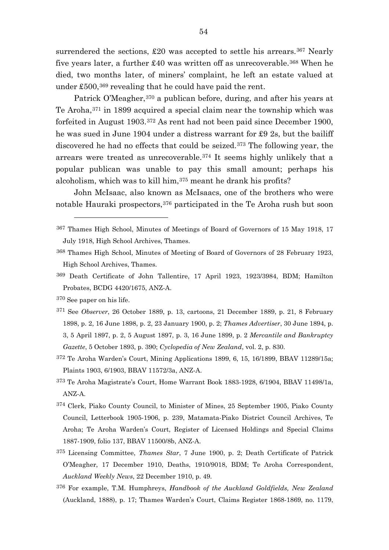surrendered the sections,  $\pounds 20$  was accepted to settle his arrears.<sup>[367](#page-54-0)</sup> Nearly five years later, a further  $\pounds 40$  was written off as unrecoverable.<sup>[368](#page-54-1)</sup> When he died, two months later, of miners' complaint, he left an estate valued at under  $\pounds 500$ ,  $369$  revealing that he could have paid the rent.

Patrick O'Meagher,<sup>[370](#page-54-3)</sup> a publican before, during, and after his years at Te Aroha,[371](#page-54-4) in 1899 acquired a special claim near the township which was forfeited in August 1903.[372](#page-54-5) As rent had not been paid since December 1900, he was sued in June 1904 under a distress warrant for £9 2s, but the bailiff discovered he had no effects that could be seized.[373](#page-54-6) The following year, the arrears were treated as unrecoverable.[374](#page-54-7) It seems highly unlikely that a popular publican was unable to pay this small amount; perhaps his alcoholism, which was to kill him,[375](#page-54-8) meant he drank his profits?

John McIsaac, also known as McIsaacs, one of the brothers who were notable Hauraki prospectors, [376](#page-54-9) participated in the Te Aroha rush but soon

<span id="page-54-3"></span>370 See paper on his life.

- <span id="page-54-4"></span><sup>371</sup> See *Observer*, 26 October 1889, p. 13, cartoons, 21 December 1889, p. 21, 8 February 1898, p. 2, 16 June 1898, p. 2, 23 January 1900, p. 2; *Thames Advertiser*, 30 June 1894, p. 3, 5 April 1897, p. 2, 5 August 1897, p. 3, 16 June 1899, p. 2 *Mercantile and Bankruptcy Gazette*, 5 October 1893, p. 390; *Cyclopedia of New Zealand*, vol. 2, p. 830.
- <span id="page-54-5"></span>372 Te Aroha Warden's Court, Mining Applications 1899, 6, 15, 16/1899, BBAV 11289/15a; Plaints 1903, 6/1903, BBAV 11572/3a, ANZ-A.
- <span id="page-54-6"></span>373 Te Aroha Magistrate's Court, Home Warrant Book 1883-1928, 6/1904, BBAV 11498/1a, ANZ-A.
- <span id="page-54-7"></span>374 Clerk, Piako County Council, to Minister of Mines, 25 September 1905, Piako County Council, Letterbook 1905-1906, p. 239, Matamata-Piako District Council Archives, Te Aroha; Te Aroha Warden's Court, Register of Licensed Holdings and Special Claims 1887-1909, folio 137, BBAV 11500/8b, ANZ-A.
- <span id="page-54-8"></span><sup>375</sup> Licensing Committee, *Thames Star*, 7 June 1900, p. 2; Death Certificate of Patrick O'Meagher, 17 December 1910, Deaths, 1910/9018, BDM; Te Aroha Correspondent, *Auckland Weekly News*, 22 December 1910, p. 49.
- <span id="page-54-9"></span><sup>376</sup> For example, T.M. Humphreys, *Handbook of the Auckland Goldfields, New Zealand* (Auckland, 1888), p. 17; Thames Warden's Court, Claims Register 1868-1869, no. 1179,

<span id="page-54-0"></span><sup>367</sup> Thames High School, Minutes of Meetings of Board of Governors of 15 May 1918, 17 July 1918, High School Archives, Thames.

<span id="page-54-1"></span><sup>368</sup> Thames High School, Minutes of Meeting of Board of Governors of 28 February 1923, High School Archives, Thames.

<span id="page-54-2"></span><sup>369</sup> Death Certificate of John Tallentire, 17 April 1923, 1923/3984, BDM; Hamilton Probates, BCDG 4420/1675, ANZ-A.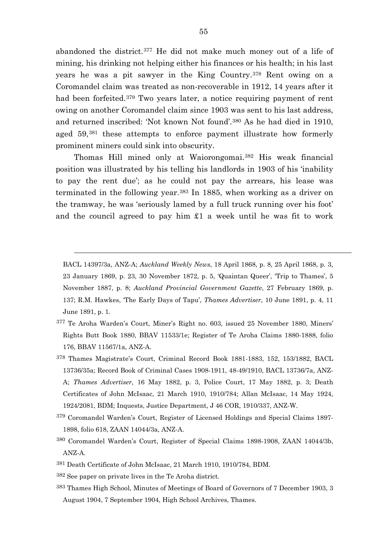abandoned the district.[377](#page-55-0) He did not make much money out of a life of mining, his drinking not helping either his finances or his health; in his last years he was a pit sawyer in the King Country.[378](#page-55-1) Rent owing on a Coromandel claim was treated as non-recoverable in 1912, 14 years after it had been forfeited.[379](#page-55-2) Two years later, a notice requiring payment of rent owing on another Coromandel claim since 1903 was sent to his last address, and returned inscribed: 'Not known Not found'.[380](#page-55-3) As he had died in 1910, aged 59,[381](#page-55-4) these attempts to enforce payment illustrate how formerly prominent miners could sink into obscurity.

Thomas Hill mined only at Waiorongomai.[382](#page-55-5) His weak financial position was illustrated by his telling his landlords in 1903 of his 'inability to pay the rent due'; as he could not pay the arrears, his lease was terminated in the following year.[383](#page-55-6) In 1885, when working as a driver on the tramway, he was 'seriously lamed by a full truck running over his foot' and the council agreed to pay him £1 a week until he was fit to work

BACL 14397/3a, ANZ-A; *Auckland Weekly News*, 18 April 1868, p. 8, 25 April 1868, p. 3, 23 January 1869, p. 23, 30 November 1872, p. 5, 'Quaintan Queer', 'Trip to Thames', 5 November 1887, p. 8; *Auckland Provincial Government Gazette*, 27 February 1869, p. 137; R.M. Hawkes, 'The Early Days of Tapu', *Thames Advertiser*, 10 June 1891, p. 4, 11 June 1891, p. 1.

- <span id="page-55-0"></span>377 Te Aroha Warden's Court, Miner's Right no. 603, issued 25 November 1880, Miners' Rights Butt Book 1880, BBAV 11533/1e; Register of Te Aroha Claims 1880-1888, folio 176, BBAV 11567/1a, ANZ-A.
- <span id="page-55-1"></span>378 Thames Magistrate's Court, Criminal Record Book 1881-1883, 152, 153/1882, BACL 13736/35a; Record Book of Criminal Cases 1908-1911, 48-49/1910, BACL 13736/7a, ANZ-A; *Thames Advertiser*, 16 May 1882, p. 3, Police Court, 17 May 1882, p. 3; Death Certificates of John McIsaac, 21 March 1910, 1910/784; Allan McIsaac, 14 May 1924, 1924/2081, BDM; Inquests, Justice Department, J 46 COR, 1910/337, ANZ-W.
- <span id="page-55-2"></span>379 Coromandel Warden's Court, Register of Licensed Holdings and Special Claims 1897- 1898, folio 618, ZAAN 14044/3a, ANZ-A.
- <span id="page-55-3"></span>380 Coromandel Warden's Court, Register of Special Claims 1898-1908, ZAAN 14044/3b, ANZ-A.
- <span id="page-55-4"></span>381 Death Certificate of John McIsaac, 21 March 1910, 1910/784, BDM.
- <span id="page-55-5"></span>382 See paper on private lives in the Te Aroha district.

 $\overline{a}$ 

<span id="page-55-6"></span>383 Thames High School, Minutes of Meetings of Board of Governors of 7 December 1903, 3 August 1904, 7 September 1904, High School Archives, Thames.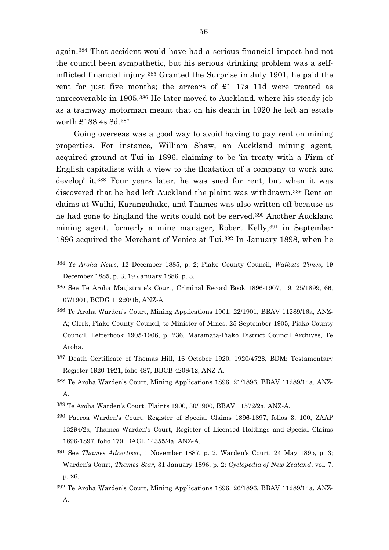again.[384](#page-56-0) That accident would have had a serious financial impact had not the council been sympathetic, but his serious drinking problem was a selfinflicted financial injury.[385](#page-56-1) Granted the Surprise in July 1901, he paid the rent for just five months; the arrears of £1 17s 11d were treated as unrecoverable in 1905.[386](#page-56-2) He later moved to Auckland, where his steady job as a tramway motorman meant that on his death in 1920 he left an estate worth £188 4s 8d.[387](#page-56-3)

Going overseas was a good way to avoid having to pay rent on mining properties. For instance, William Shaw, an Auckland mining agent, acquired ground at Tui in 1896, claiming to be 'in treaty with a Firm of English capitalists with a view to the floatation of a company to work and develop' it.[388](#page-56-4) Four years later, he was sued for rent, but when it was discovered that he had left Auckland the plaint was withdrawn.[389](#page-56-5) Rent on claims at Waihi, Karangahake, and Thames was also written off because as he had gone to England the writs could not be served.[390](#page-56-6) Another Auckland mining agent, formerly a mine manager, Robert Kelly,<sup>[391](#page-56-7)</sup> in September 1896 acquired the Merchant of Venice at Tui.[392](#page-56-8) In January 1898, when he

- <span id="page-56-2"></span>386 Te Aroha Warden's Court, Mining Applications 1901, 22/1901, BBAV 11289/16a, ANZ-A; Clerk, Piako County Council, to Minister of Mines, 25 September 1905, Piako County Council, Letterbook 1905-1906, p. 236, Matamata-Piako District Council Archives, Te Aroha.
- <span id="page-56-3"></span>387 Death Certificate of Thomas Hill, 16 October 1920, 1920/4728, BDM; Testamentary Register 1920-1921, folio 487, BBCB 4208/12, ANZ-A.
- <span id="page-56-4"></span>388 Te Aroha Warden's Court, Mining Applications 1896, 21/1896, BBAV 11289/14a, ANZ-A.
- <span id="page-56-5"></span>389 Te Aroha Warden's Court, Plaints 1900, 30/1900, BBAV 11572/2a, ANZ-A.
- <span id="page-56-6"></span>390 Paeroa Warden's Court, Register of Special Claims 1896-1897, folios 3, 100, ZAAP 13294/2a; Thames Warden's Court, Register of Licensed Holdings and Special Claims 1896-1897, folio 179, BACL 14355/4a, ANZ-A.
- <span id="page-56-7"></span><sup>391</sup> See *Thames Advertiser*, 1 November 1887, p. 2, Warden's Court, 24 May 1895, p. 3; Warden's Court, *Thames Star*, 31 January 1896, p. 2; *Cyclopedia of New Zealand*, vol. 7, p. 26.
- <span id="page-56-8"></span>392 Te Aroha Warden's Court, Mining Applications 1896, 26/1896, BBAV 11289/14a, ANZ-A.

<span id="page-56-0"></span><sup>384</sup> *Te Aroha News*, 12 December 1885, p. 2; Piako County Council, *Waikato Times*, 19 December 1885, p. 3, 19 January 1886, p. 3.

<span id="page-56-1"></span><sup>385</sup> See Te Aroha Magistrate's Court, Criminal Record Book 1896-1907, 19, 25/1899, 66, 67/1901, BCDG 11220/1b, ANZ-A.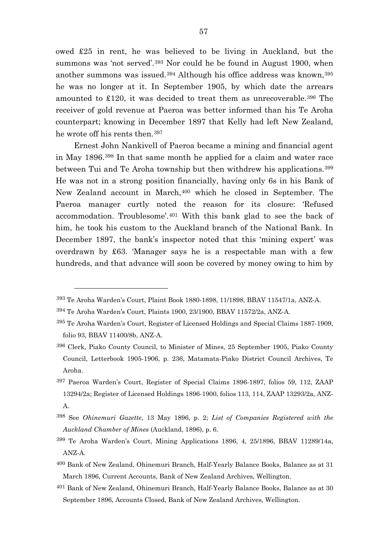owed £25 in rent, he was believed to be living in Auckland, but the summons was 'not served'.<sup>[393](#page-57-0)</sup> Nor could he be found in August 1900, when another summons was issued.[394](#page-57-1) Although his office address was known,[395](#page-57-2) he was no longer at it. In September 1905, by which date the arrears amounted to £120, it was decided to treat them as unrecoverable.[396](#page-57-3) The receiver of gold revenue at Paeroa was better informed than his Te Aroha counterpart; knowing in December 1897 that Kelly had left New Zealand, he wrote off his rents then.[397](#page-57-4)

Ernest John Nankivell of Paeroa became a mining and financial agent in May 1896.[398](#page-57-5) In that same month he applied for a claim and water race between Tui and Te Aroha township but then withdrew his applications.[399](#page-57-6) He was not in a strong position financially, having only 6s in his Bank of New Zealand account in March,[400](#page-57-7) which he closed in September. The Paeroa manager curtly noted the reason for its closure: 'Refused accommodation. Troublesome'.[401](#page-57-8) With this bank glad to see the back of him, he took his custom to the Auckland branch of the National Bank. In December 1897, the bank's inspector noted that this 'mining expert' was overdrawn by £63. 'Manager says he is a respectable man with a few hundreds, and that advance will soon be covered by money owing to him by

- <span id="page-57-5"></span><sup>398</sup> See *Ohinemuri Gazette*, 13 May 1896, p. 2; *List of Companies Registered with the Auckland Chamber of Mines* (Auckland, 1896), p. 6.
- <span id="page-57-6"></span>399 Te Aroha Warden's Court, Mining Applications 1896, 4, 25/1896, BBAV 11289/14a, ANZ-A.
- <span id="page-57-7"></span>400 Bank of New Zealand, Ohinemuri Branch, Half-Yearly Balance Books, Balance as at 31 March 1896, Current Accounts, Bank of New Zealand Archives, Wellington.
- <span id="page-57-8"></span>401 Bank of New Zealand, Ohinemuri Branch, Half-Yearly Balance Books, Balance as at 30 September 1896, Accounts Closed, Bank of New Zealand Archives, Wellington.

<span id="page-57-0"></span><sup>393</sup> Te Aroha Warden's Court, Plaint Book 1880-1898, 11/1898, BBAV 11547/1a, ANZ-A.

<span id="page-57-1"></span><sup>394</sup> Te Aroha Warden's Court, Plaints 1900, 23/1900, BBAV 11572/2a, ANZ-A.

<span id="page-57-2"></span><sup>395</sup> Te Aroha Warden's Court, Register of Licensed Holdings and Special Claims 1887-1909, folio 93, BBAV 11400/8b, ANZ-A.

<span id="page-57-3"></span><sup>396</sup> Clerk, Piako County Council, to Minister of Mines, 25 September 1905, Piako County Council, Letterbook 1905-1906, p. 236, Matamata-Piako District Council Archives, Te Aroha.

<span id="page-57-4"></span><sup>397</sup> Paeroa Warden's Court, Register of Special Claims 1896-1897, folios 59, 112, ZAAP 13294/2a; Register of Licensed Holdings 1896-1900, folios 113, 114, ZAAP 13293/2a, ANZ-A.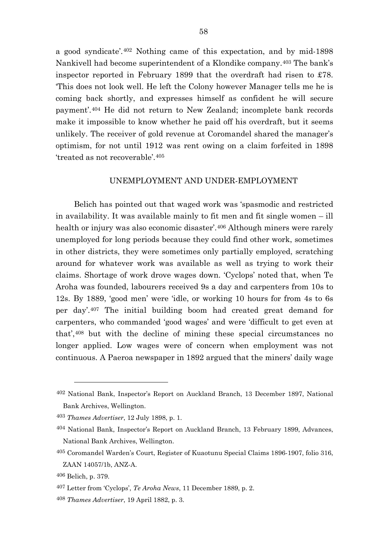a good syndicate'.[402](#page-58-0) Nothing came of this expectation, and by mid-1898 Nankivell had become superintendent of a Klondike company.[403](#page-58-1) The bank's inspector reported in February 1899 that the overdraft had risen to £78. 'This does not look well. He left the Colony however Manager tells me he is coming back shortly, and expresses himself as confident he will secure payment'.[404](#page-58-2) He did not return to New Zealand; incomplete bank records make it impossible to know whether he paid off his overdraft, but it seems unlikely. The receiver of gold revenue at Coromandel shared the manager's optimism, for not until 1912 was rent owing on a claim forfeited in 1898 'treated as not recoverable'.[405](#page-58-3)

## UNEMPLOYMENT AND UNDER-EMPLOYMENT

Belich has pointed out that waged work was 'spasmodic and restricted in availability. It was available mainly to fit men and fit single women – ill health or injury was also economic disaster'.<sup>[406](#page-58-4)</sup> Although miners were rarely unemployed for long periods because they could find other work, sometimes in other districts, they were sometimes only partially employed, scratching around for whatever work was available as well as trying to work their claims. Shortage of work drove wages down. 'Cyclops' noted that, when Te Aroha was founded, labourers received 9s a day and carpenters from 10s to 12s. By 1889, 'good men' were 'idle, or working 10 hours for from 4s to 6s per day'.[407](#page-58-5) The initial building boom had created great demand for carpenters, who commanded 'good wages' and were 'difficult to get even at that',[408](#page-58-6) but with the decline of mining these special circumstances no longer applied. Low wages were of concern when employment was not continuous. A Paeroa newspaper in 1892 argued that the miners' daily wage

<span id="page-58-0"></span><sup>402</sup> National Bank, Inspector's Report on Auckland Branch, 13 December 1897, National Bank Archives, Wellington.

<span id="page-58-1"></span><sup>403</sup> *Thames Advertiser*, 12 July 1898, p. 1.

<span id="page-58-2"></span><sup>404</sup> National Bank, Inspector's Report on Auckland Branch, 13 February 1899, Advances, National Bank Archives, Wellington.

<span id="page-58-3"></span><sup>405</sup> Coromandel Warden's Court, Register of Kuaotunu Special Claims 1896-1907, folio 316, ZAAN 14057/1b, ANZ-A.

<span id="page-58-5"></span><span id="page-58-4"></span><sup>406</sup> Belich, p. 379.

<sup>407</sup> Letter from 'Cyclops', *Te Aroha News*, 11 December 1889, p. 2.

<span id="page-58-6"></span><sup>408</sup> *Thames Advertiser*, 19 April 1882, p. 3.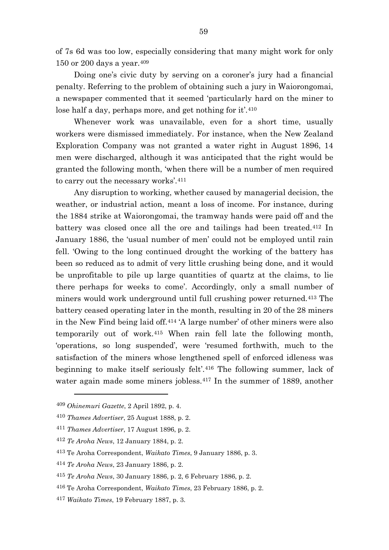of 7s 6d was too low, especially considering that many might work for only 150 or 200 days a year.[409](#page-59-0)

Doing one's civic duty by serving on a coroner's jury had a financial penalty. Referring to the problem of obtaining such a jury in Waiorongomai, a newspaper commented that it seemed 'particularly hard on the miner to lose half a day, perhaps more, and get nothing for it'.<sup>[410](#page-59-1)</sup>

Whenever work was unavailable, even for a short time, usually workers were dismissed immediately. For instance, when the New Zealand Exploration Company was not granted a water right in August 1896, 14 men were discharged, although it was anticipated that the right would be granted the following month, 'when there will be a number of men required to carry out the necessary works'.[411](#page-59-2)

Any disruption to working, whether caused by managerial decision, the weather, or industrial action, meant a loss of income. For instance, during the 1884 strike at Waiorongomai, the tramway hands were paid off and the battery was closed once all the ore and tailings had been treated.[412](#page-59-3) In January 1886, the 'usual number of men' could not be employed until rain fell. 'Owing to the long continued drought the working of the battery has been so reduced as to admit of very little crushing being done, and it would be unprofitable to pile up large quantities of quartz at the claims, to lie there perhaps for weeks to come'. Accordingly, only a small number of miners would work underground until full crushing power returned.[413](#page-59-4) The battery ceased operating later in the month, resulting in 20 of the 28 miners in the New Find being laid off.[414](#page-59-5) 'A large number' of other miners were also temporarily out of work.[415](#page-59-6) When rain fell late the following month, 'operations, so long suspended', were 'resumed forthwith, much to the satisfaction of the miners whose lengthened spell of enforced idleness was beginning to make itself seriously felt'.[416](#page-59-7) The following summer, lack of water again made some miners jobless.[417](#page-59-8) In the summer of 1889, another

<span id="page-59-0"></span><sup>409</sup> *Ohinemuri Gazette*, 2 April 1892, p. 4.

<span id="page-59-1"></span><sup>410</sup> *Thames Advertiser*, 25 August 1888, p. 2.

<span id="page-59-2"></span><sup>411</sup> *Thames Advertiser*, 17 August 1896, p. 2.

<span id="page-59-3"></span><sup>412</sup> *Te Aroha News*, 12 January 1884, p. 2.

<span id="page-59-4"></span><sup>413</sup> Te Aroha Correspondent, *Waikato Times*, 9 January 1886, p. 3.

<span id="page-59-5"></span><sup>414</sup> *Te Aroha News*, 23 January 1886, p. 2.

<span id="page-59-6"></span><sup>415</sup> *Te Aroha News*, 30 January 1886, p. 2, 6 February 1886, p. 2.

<span id="page-59-7"></span><sup>416</sup> Te Aroha Correspondent, *Waikato Times*, 23 February 1886, p. 2.

<span id="page-59-8"></span><sup>417</sup> *Waikato Times*, 19 February 1887, p. 3.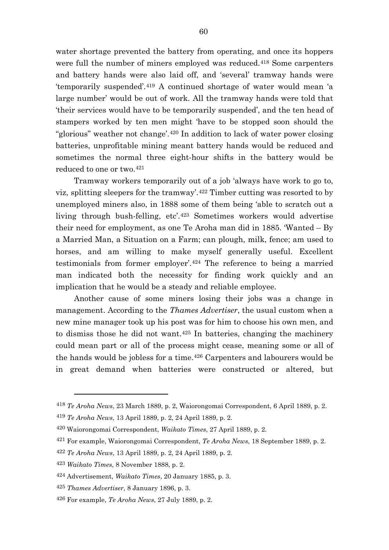water shortage prevented the battery from operating, and once its hoppers were full the number of miners employed was reduced.<sup>[418](#page-60-0)</sup> Some carpenters and battery hands were also laid off, and 'several' tramway hands were 'temporarily suspended'.[419](#page-60-1) A continued shortage of water would mean 'a large number' would be out of work. All the tramway hands were told that 'their services would have to be temporarily suspended', and the ten head of stampers worked by ten men might 'have to be stopped soon should the "glorious" weather not change'.[420](#page-60-2) In addition to lack of water power closing batteries, unprofitable mining meant battery hands would be reduced and sometimes the normal three eight-hour shifts in the battery would be reduced to one or two.[421](#page-60-3)

Tramway workers temporarily out of a job 'always have work to go to, viz, splitting sleepers for the tramway'.[422](#page-60-4) Timber cutting was resorted to by unemployed miners also, in 1888 some of them being 'able to scratch out a living through bush-felling, etc'.[423](#page-60-5) Sometimes workers would advertise their need for employment, as one Te Aroha man did in 1885. 'Wanted – By a Married Man, a Situation on a Farm; can plough, milk, fence; am used to horses, and am willing to make myself generally useful. Excellent testimonials from former employer'.[424](#page-60-6) The reference to being a married man indicated both the necessity for finding work quickly and an implication that he would be a steady and reliable employee.

Another cause of some miners losing their jobs was a change in management. According to the *Thames Advertiser*, the usual custom when a new mine manager took up his post was for him to choose his own men, and to dismiss those he did not want.[425](#page-60-7) In batteries, changing the machinery could mean part or all of the process might cease, meaning some or all of the hands would be jobless for a time.[426](#page-60-8) Carpenters and labourers would be in great demand when batteries were constructed or altered, but

<span id="page-60-0"></span><sup>418</sup> *Te Aroha News*, 23 March 1889, p. 2, Waiorongomai Correspondent, 6 April 1889, p. 2.

<span id="page-60-1"></span><sup>419</sup> *Te Aroha News*, 13 April 1889, p. 2, 24 April 1889, p. 2.

<span id="page-60-2"></span><sup>420</sup> Waiorongomai Correspondent, *Waikato Times*, 27 April 1889, p. 2.

<span id="page-60-3"></span><sup>421</sup> For example, Waiorongomai Correspondent, *Te Aroha News*, 18 September 1889, p. 2.

<span id="page-60-4"></span><sup>422</sup> *Te Aroha News*, 13 April 1889, p. 2, 24 April 1889, p. 2.

<span id="page-60-5"></span><sup>423</sup> *Waikato Times*, 8 November 1888, p. 2.

<span id="page-60-6"></span><sup>424</sup> Advertisement, *Waikato Times*, 20 January 1885, p. 3.

<span id="page-60-7"></span><sup>425</sup> *Thames Advertiser*, 8 January 1896, p. 3.

<span id="page-60-8"></span><sup>426</sup> For example, *Te Aroha News*, 27 July 1889, p. 2.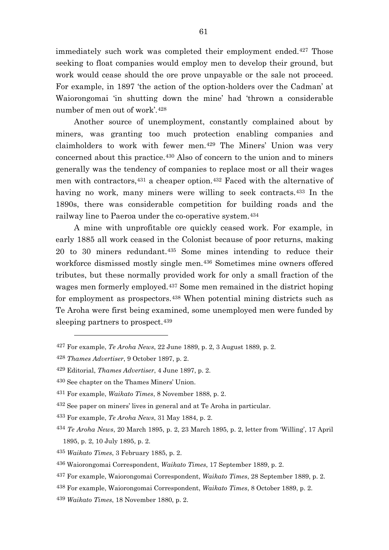immediately such work was completed their employment ended.<sup>[427](#page-61-0)</sup> Those seeking to float companies would employ men to develop their ground, but work would cease should the ore prove unpayable or the sale not proceed. For example, in 1897 'the action of the option-holders over the Cadman' at Waiorongomai 'in shutting down the mine' had 'thrown a considerable number of men out of work'.[428](#page-61-1)

Another source of unemployment, constantly complained about by miners, was granting too much protection enabling companies and claimholders to work with fewer men.[429](#page-61-2) The Miners' Union was very concerned about this practice.[430](#page-61-3) Also of concern to the union and to miners generally was the tendency of companies to replace most or all their wages men with contractors,[431](#page-61-4) a cheaper option.[432](#page-61-5) Faced with the alternative of having no work, many miners were willing to seek contracts.<sup>[433](#page-61-6)</sup> In the 1890s, there was considerable competition for building roads and the railway line to Paeroa under the co-operative system.[434](#page-61-7)

A mine with unprofitable ore quickly ceased work. For example, in early 1885 all work ceased in the Colonist because of poor returns, making 20 to 30 miners redundant.[435](#page-61-8) Some mines intending to reduce their workforce dismissed mostly single men.[436](#page-61-9) Sometimes mine owners offered tributes, but these normally provided work for only a small fraction of the wages men formerly employed.[437](#page-61-10) Some men remained in the district hoping for employment as prospectors.[438](#page-61-11) When potential mining districts such as Te Aroha were first being examined, some unemployed men were funded by sleeping partners to prospect.<sup>[439](#page-61-12)</sup>

 $\overline{a}$ 

<span id="page-61-5"></span>432 See paper on miners' lives in general and at Te Aroha in particular.

<span id="page-61-6"></span><sup>433</sup> For example, *Te Aroha News*, 31 May 1884, p. 2.

<span id="page-61-0"></span><sup>427</sup> For example, *Te Aroha News*, 22 June 1889, p. 2, 3 August 1889, p. 2.

<span id="page-61-1"></span><sup>428</sup> *Thames Advertiser*, 9 October 1897, p. 2.

<span id="page-61-2"></span><sup>429</sup> Editorial, *Thames Advertiser*, 4 June 1897, p. 2.

<span id="page-61-3"></span><sup>430</sup> See chapter on the Thames Miners' Union.

<span id="page-61-4"></span><sup>431</sup> For example, *Waikato Times*, 8 November 1888, p. 2.

<span id="page-61-7"></span><sup>434</sup> *Te Aroha News*, 20 March 1895, p. 2, 23 March 1895, p. 2, letter from 'Willing', 17 April 1895, p. 2, 10 July 1895, p. 2.

<span id="page-61-8"></span><sup>435</sup> *Waikato Times*, 3 February 1885, p. 2.

<span id="page-61-9"></span><sup>436</sup> Waiorongomai Correspondent, *Waikato Times*, 17 September 1889, p. 2.

<span id="page-61-10"></span><sup>437</sup> For example, Waiorongomai Correspondent, *Waikato Times*, 28 September 1889, p. 2.

<span id="page-61-11"></span><sup>438</sup> For example, Waiorongomai Correspondent, *Waikato Times*, 8 October 1889, p. 2.

<span id="page-61-12"></span><sup>439</sup> *Waikato Times*, 18 November 1880, p. 2.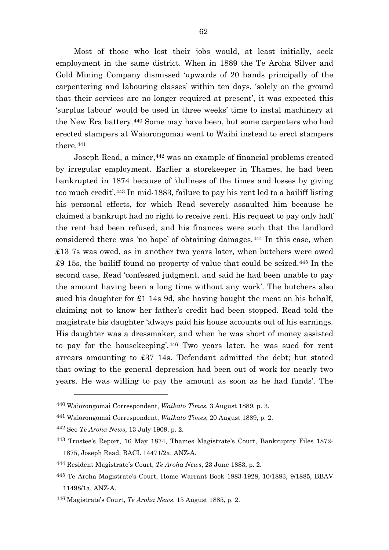Most of those who lost their jobs would, at least initially, seek employment in the same district. When in 1889 the Te Aroha Silver and Gold Mining Company dismissed 'upwards of 20 hands principally of the carpentering and labouring classes' within ten days, 'solely on the ground that their services are no longer required at present', it was expected this 'surplus labour' would be used in three weeks' time to instal machinery at the New Era battery.[440](#page-62-0) Some may have been, but some carpenters who had erected stampers at Waiorongomai went to Waihi instead to erect stampers there.[441](#page-62-1)

Joseph Read, a miner, [442](#page-62-2) was an example of financial problems created by irregular employment. Earlier a storekeeper in Thames, he had been bankrupted in 1874 because of 'dullness of the times and losses by giving too much credit'.[443](#page-62-3) In mid-1883, failure to pay his rent led to a bailiff listing his personal effects, for which Read severely assaulted him because he claimed a bankrupt had no right to receive rent. His request to pay only half the rent had been refused, and his finances were such that the landlord considered there was 'no hope' of obtaining damages.[444](#page-62-4) In this case, when £13 7s was owed, as in another two years later, when butchers were owed £9 15s, the bailiff found no property of value that could be seized.[445](#page-62-5) In the second case, Read 'confessed judgment, and said he had been unable to pay the amount having been a long time without any work'. The butchers also sued his daughter for £1 14s 9d, she having bought the meat on his behalf, claiming not to know her father's credit had been stopped. Read told the magistrate his daughter 'always paid his house accounts out of his earnings. His daughter was a dressmaker, and when he was short of money assisted to pay for the housekeeping'.[446](#page-62-6) Two years later, he was sued for rent arrears amounting to £37 14s. 'Defendant admitted the debt; but stated that owing to the general depression had been out of work for nearly two years. He was willing to pay the amount as soon as he had funds'. The

<span id="page-62-0"></span><sup>440</sup> Waiorongomai Correspondent, *Waikato Times*, 3 August 1889, p. 3.

<span id="page-62-1"></span><sup>441</sup> Waiorongomai Correspondent, *Waikato Times*, 20 August 1889, p. 2.

<span id="page-62-2"></span><sup>442</sup> See *Te Aroha News*, 13 July 1909, p. 2.

<span id="page-62-3"></span><sup>443</sup> Trustee's Report, 16 May 1874, Thames Magistrate's Court, Bankruptcy Files 1872- 1875, Joseph Read, BACL 14471/2a, ANZ-A.

<span id="page-62-4"></span><sup>444</sup> Resident Magistrate's Court, *Te Aroha News*, 23 June 1883, p. 2.

<span id="page-62-5"></span><sup>445</sup> Te Aroha Magistrate's Court, Home Warrant Book 1883-1928, 10/1883, 9/1885, BBAV 11498/1a, ANZ-A.

<span id="page-62-6"></span><sup>446</sup> Magistrate's Court, *Te Aroha News*, 15 August 1885, p. 2.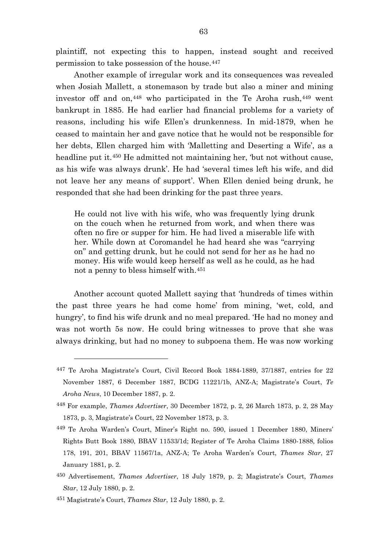plaintiff, not expecting this to happen, instead sought and received permission to take possession of the house.[447](#page-63-0)

Another example of irregular work and its consequences was revealed when Josiah Mallett, a stonemason by trade but also a miner and mining investor off and on,<sup>[448](#page-63-1)</sup> who participated in the Te Aroha rush,<sup>[449](#page-63-2)</sup> went bankrupt in 1885. He had earlier had financial problems for a variety of reasons, including his wife Ellen's drunkenness. In mid-1879, when he ceased to maintain her and gave notice that he would not be responsible for her debts, Ellen charged him with 'Malletting and Deserting a Wife', as a headline put it.<sup>[450](#page-63-3)</sup> He admitted not maintaining her, 'but not without cause, as his wife was always drunk'. He had 'several times left his wife, and did not leave her any means of support'. When Ellen denied being drunk, he responded that she had been drinking for the past three years.

He could not live with his wife, who was frequently lying drunk on the couch when he returned from work, and when there was often no fire or supper for him. He had lived a miserable life with her. While down at Coromandel he had heard she was "carrying on" and getting drunk, but he could not send for her as he had no money. His wife would keep herself as well as he could, as he had not a penny to bless himself with.[451](#page-63-4)

Another account quoted Mallett saying that 'hundreds of times within the past three years he had come home' from mining, 'wet, cold, and hungry', to find his wife drunk and no meal prepared. 'He had no money and was not worth 5s now. He could bring witnesses to prove that she was always drinking, but had no money to subpoena them. He was now working

<span id="page-63-0"></span><sup>447</sup> Te Aroha Magistrate's Court, Civil Record Book 1884-1889, 37/1887, entries for 22 November 1887, 6 December 1887, BCDG 11221/1b, ANZ-A; Magistrate's Court, *Te Aroha News*, 10 December 1887, p. 2.

<span id="page-63-1"></span><sup>448</sup> For example, *Thames Advertiser*, 30 December 1872, p. 2, 26 March 1873, p. 2, 28 May 1873, p. 3, Magistrate's Court, 22 November 1873, p. 3.

<span id="page-63-2"></span><sup>449</sup> Te Aroha Warden's Court, Miner's Right no. 590, issued 1 December 1880, Miners' Rights Butt Book 1880, BBAV 11533/1d; Register of Te Aroha Claims 1880-1888, folios 178, 191, 201, BBAV 11567/1a, ANZ-A; Te Aroha Warden's Court, *Thames Star*, 27 January 1881, p. 2.

<span id="page-63-3"></span><sup>450</sup> Advertisement, *Thames Advertiser*, 18 July 1879, p. 2; Magistrate's Court, *Thames Star*, 12 July 1880, p. 2.

<span id="page-63-4"></span><sup>451</sup> Magistrate's Court, *Thames Star*, 12 July 1880, p. 2.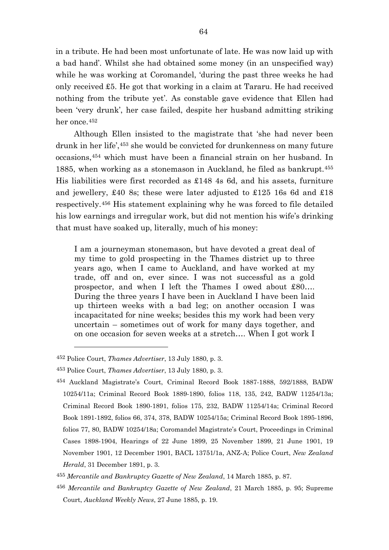in a tribute. He had been most unfortunate of late. He was now laid up with a bad hand'. Whilst she had obtained some money (in an unspecified way) while he was working at Coromandel, 'during the past three weeks he had only received £5. He got that working in a claim at Tararu. He had received nothing from the tribute yet'. As constable gave evidence that Ellen had been 'very drunk', her case failed, despite her husband admitting striking her once.<sup>[452](#page-64-0)</sup>

Although Ellen insisted to the magistrate that 'she had never been drunk in her life',[453](#page-64-1) she would be convicted for drunkenness on many future occasions,[454](#page-64-2) which must have been a financial strain on her husband. In 1885, when working as a stonemason in Auckland, he filed as bankrupt.[455](#page-64-3) His liabilities were first recorded as £148 4s 6d, and his assets, furniture and jewellery, £40 8s; these were later adjusted to £125 16s 6d and £18 respectively.[456](#page-64-4) His statement explaining why he was forced to file detailed his low earnings and irregular work, but did not mention his wife's drinking that must have soaked up, literally, much of his money:

I am a journeyman stonemason, but have devoted a great deal of my time to gold prospecting in the Thames district up to three years ago, when I came to Auckland, and have worked at my trade, off and on, ever since. I was not successful as a gold prospector, and when I left the Thames I owed about £80…. During the three years I have been in Auckland I have been laid up thirteen weeks with a bad leg; on another occasion I was incapacitated for nine weeks; besides this my work had been very uncertain – sometimes out of work for many days together, and on one occasion for seven weeks at a stretch…. When I got work I

 $\overline{a}$ 

<span id="page-64-4"></span><sup>456</sup> *Mercantile and Bankruptcy Gazette of New Zealand*, 21 March 1885, p. 95; Supreme Court, *Auckland Weekly News*, 27 June 1885, p. 19.

<span id="page-64-0"></span><sup>452</sup> Police Court, *Thames Advertiser*, 13 July 1880, p. 3.

<span id="page-64-1"></span><sup>453</sup> Police Court, *Thames Advertiser*, 13 July 1880, p. 3.

<span id="page-64-2"></span><sup>454</sup> Auckland Magistrate's Court, Criminal Record Book 1887-1888, 592/1888, BADW 10254/11a; Criminal Record Book 1889-1890, folios 118, 135, 242, BADW 11254/13a; Criminal Record Book 1890-1891, folios 175, 232, BADW 11254/14a; Criminal Record Book 1891-1892, folios 66, 374, 378, BADW 10254/15a; Criminal Record Book 1895-1896, folios 77, 80, BADW 10254/18a; Coromandel Magistrate's Court, Proceedings in Criminal Cases 1898-1904, Hearings of 22 June 1899, 25 November 1899, 21 June 1901, 19 November 1901, 12 December 1901, BACL 13751/1a, ANZ-A; Police Court, *New Zealand Herald*, 31 December 1891, p. 3.

<span id="page-64-3"></span><sup>455</sup> *Mercantile and Bankruptcy Gazette of New Zealand*, 14 March 1885, p. 87.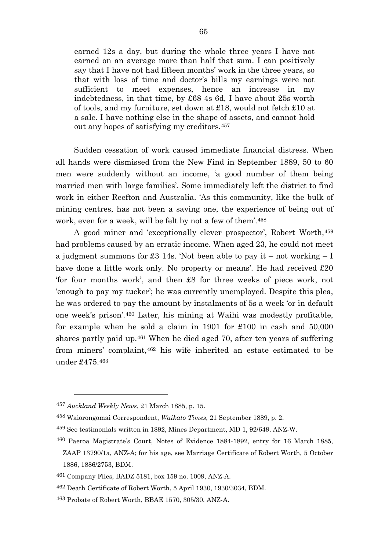earned 12s a day, but during the whole three years I have not earned on an average more than half that sum. I can positively say that I have not had fifteen months' work in the three years, so that with loss of time and doctor's bills my earnings were not sufficient to meet expenses, hence an increase in my indebtedness, in that time, by £68 4s 6d, I have about 25s worth of tools, and my furniture, set down at £18, would not fetch £10 at a sale. I have nothing else in the shape of assets, and cannot hold out any hopes of satisfying my creditors.[457](#page-65-0)

Sudden cessation of work caused immediate financial distress. When all hands were dismissed from the New Find in September 1889, 50 to 60 men were suddenly without an income, 'a good number of them being married men with large families'. Some immediately left the district to find work in either Reefton and Australia. 'As this community, like the bulk of mining centres, has not been a saving one, the experience of being out of work, even for a week, will be felt by not a few of them'.[458](#page-65-1)

A good miner and 'exceptionally clever prospector', Robert Worth,[459](#page-65-2) had problems caused by an erratic income. When aged 23, he could not meet a judgment summons for £3 14s. 'Not been able to pay it – not working – I have done a little work only. No property or means'. He had received £20 'for four months work', and then £8 for three weeks of piece work, not 'enough to pay my tucker'; he was currently unemployed. Despite this plea, he was ordered to pay the amount by instalments of 5s a week 'or in default one week's prison'.[460](#page-65-3) Later, his mining at Waihi was modestly profitable, for example when he sold a claim in 1901 for £100 in cash and 50,000 shares partly paid up.[461](#page-65-4) When he died aged 70, after ten years of suffering from miners' complaint,[462](#page-65-5) his wife inherited an estate estimated to be under £475.[463](#page-65-6)

<span id="page-65-0"></span><sup>457</sup> *Auckland Weekly News*, 21 March 1885, p. 15.

<span id="page-65-1"></span><sup>458</sup> Waiorongomai Correspondent, *Waikato Times*, 21 September 1889, p. 2.

<span id="page-65-2"></span><sup>459</sup> See testimonials written in 1892, Mines Department, MD 1, 92/649, ANZ-W.

<span id="page-65-3"></span><sup>460</sup> Paeroa Magistrate's Court, Notes of Evidence 1884-1892, entry for 16 March 1885, ZAAP 13790/1a, ANZ-A; for his age, see Marriage Certificate of Robert Worth, 5 October 1886, 1886/2753, BDM.

<span id="page-65-4"></span><sup>461</sup> Company Files, BADZ 5181, box 159 no. 1009, ANZ-A.

<span id="page-65-5"></span><sup>462</sup> Death Certificate of Robert Worth, 5 April 1930, 1930/3034, BDM.

<span id="page-65-6"></span><sup>463</sup> Probate of Robert Worth, BBAE 1570, 305/30, ANZ-A.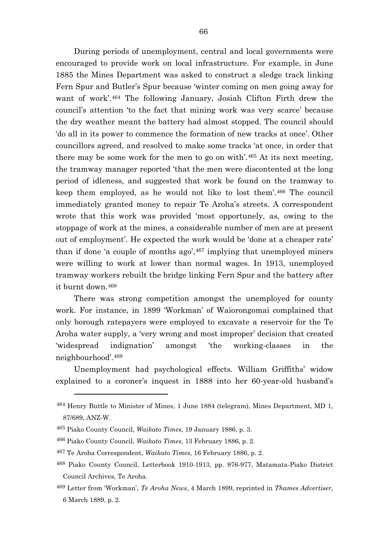During periods of unemployment, central and local governments were encouraged to provide work on local infrastructure. For example, in June 1885 the Mines Department was asked to construct a sledge track linking Fern Spur and Butler's Spur because 'winter coming on men going away for want of work'.[464](#page-66-0) The following January, Josiah Clifton Firth drew the council's attention 'to the fact that mining work was very scarce' because the dry weather meant the battery had almost stopped. The council should 'do all in its power to commence the formation of new tracks at once'. Other councillors agreed, and resolved to make some tracks 'at once, in order that there may be some work for the men to go on with'.[465](#page-66-1) At its next meeting, the tramway manager reported 'that the men were discontented at the long period of idleness, and suggested that work be found on the tramway to keep them employed, as he would not like to lost them'.[466](#page-66-2) The council immediately granted money to repair Te Aroha's streets. A correspondent wrote that this work was provided 'most opportunely, as, owing to the stoppage of work at the mines, a considerable number of men are at present out of employment'. He expected the work would be 'done at a cheaper rate' than if done 'a couple of months  $ago'$ ,  $467$  implying that unemployed miners were willing to work at lower than normal wages. In 1913, unemployed tramway workers rebuilt the bridge linking Fern Spur and the battery after it burnt down.[468](#page-66-4)

There was strong competition amongst the unemployed for county work. For instance, in 1899 'Workman' of Waiorongomai complained that only borough ratepayers were employed to excavate a reservoir for the Te Aroha water supply, a 'very wrong and most improper' decision that created 'widespread indignation' amongst 'the working-classes in the neighbourhood'.[469](#page-66-5)

Unemployment had psychological effects. William Griffiths' widow explained to a coroner's inquest in 1888 into her 60-year-old husband's

<span id="page-66-0"></span><sup>464</sup> Henry Buttle to Minister of Mines, 1 June 1884 (telegram), Mines Department, MD 1, 87/689, ANZ-W.

<span id="page-66-1"></span><sup>465</sup> Piako County Council, *Waikato Times*, 19 January 1886, p. 3.

<span id="page-66-3"></span><span id="page-66-2"></span><sup>466</sup> Piako County Council, *Waikato Times*, 13 February 1886, p. 2.

<sup>467</sup> Te Aroha Correspondent, *Waikato Times*, 16 February 1886, p. 2.

<span id="page-66-4"></span><sup>468</sup> Piako County Council, Letterbook 1910-1913, pp. 976-977, Matamata-Piako District Council Archives, Te Aroha.

<span id="page-66-5"></span><sup>469</sup> Letter from 'Workman', *Te Aroha News*, 4 March 1899, reprinted in *Thames Advertiser*, 6 March 1889, p. 2.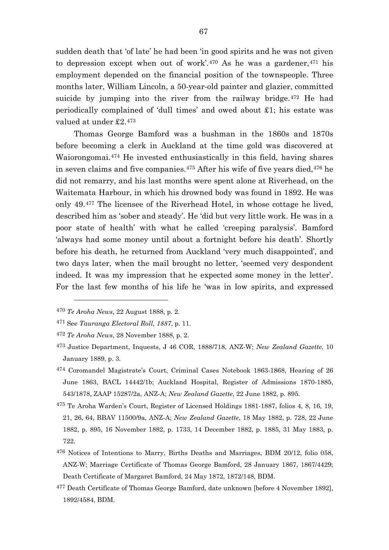sudden death that 'of late' he had been 'in good spirits and he was not given to depression except when out of work'. $470$  As he was a gardener, $471$  his employment depended on the financial position of the townspeople. Three months later, William Lincoln, a 50-year-old painter and glazier, committed suicide by jumping into the river from the railway bridge.<sup>[472](#page-67-2)</sup> He had periodically complained of 'dull times' and owed about £1; his estate was valued at under £2.[473](#page-67-3)

Thomas George Bamford was a bushman in the 1860s and 1870s before becoming a clerk in Auckland at the time gold was discovered at Waiorongomai.[474](#page-67-4) He invested enthusiastically in this field, having shares in seven claims and five companies.<sup>[475](#page-67-5)</sup> After his wife of five years died,<sup>[476](#page-67-6)</sup> he did not remarry, and his last months were spent alone at Riverhead, on the Waitemata Harbour, in which his drowned body was found in 1892. He was only 49.[477](#page-67-7) The licensee of the Riverhead Hotel, in whose cottage he lived, described him as 'sober and steady'. He 'did but very little work. He was in a poor state of health' with what he called 'creeping paralysis'. Bamford 'always had some money until about a fortnight before his death'. Shortly before his death, he returned from Auckland 'very much disappointed', and two days later, when the mail brought no letter, 'seemed very despondent indeed. It was my impression that he expected some money in the letter'. For the last few months of his life he 'was in low spirits, and expressed

<span id="page-67-0"></span><sup>470</sup> *Te Aroha News*, 22 August 1888, p. 2.

<span id="page-67-1"></span><sup>471</sup> See *Tauranga Electoral Roll, 1887*, p. 11.

<span id="page-67-2"></span><sup>472</sup> *Te Aroha News*, 28 November 1888, p. 2.

<span id="page-67-3"></span><sup>473</sup> Justice Department, Inquests, J 46 COR, 1888/718, ANZ-W; *New Zealand Gazette*, 10 January 1889, p. 3.

<span id="page-67-4"></span><sup>474</sup> Coromandel Magistrate's Court, Criminal Cases Notebook 1863-1868, Hearing of 26 June 1863, BACL 14442/1b; Auckland Hospital, Register of Admissions 1870-1885, 543/1878, ZAAP 15287/2a, ANZ-A; *New Zealand Gazette*, 22 June 1882, p. 895.

<span id="page-67-5"></span><sup>475</sup> Te Aroha Warden's Court, Register of Licensed Holdings 1881-1887, folios 4, 8, 16, 19, 21, 26, 64, BBAV 11500/9a, ANZ-A; *New Zealand Gazette*, 18 May 1882, p. 728, 22 June 1882, p. 895, 16 November 1882, p. 1733, 14 December 1882, p. 1885, 31 May 1883, p. 722.

<span id="page-67-6"></span><sup>476</sup> Notices of Intentions to Marry, Births Deaths and Marriages, BDM 20/12, folio 058, ANZ-W; Marriage Certificate of Thomas George Bamford, 28 January 1867, 1867/4429; Death Certificate of Margaret Bamford, 24 May 1872, 1872/148, BDM.

<span id="page-67-7"></span><sup>477</sup> Death Certificate of Thomas George Bamford, date unknown [before 4 November 1892], 1892/4584, BDM.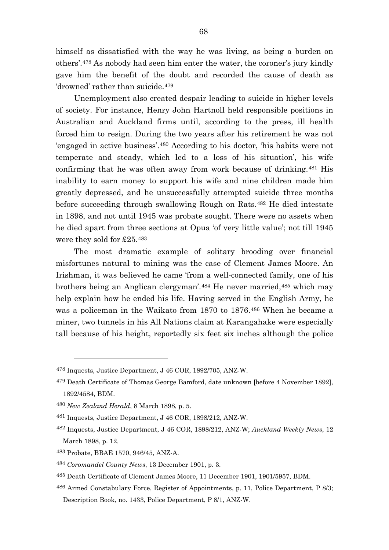himself as dissatisfied with the way he was living, as being a burden on others'.[478](#page-68-0) As nobody had seen him enter the water, the coroner's jury kindly gave him the benefit of the doubt and recorded the cause of death as 'drowned' rather than suicide.<sup>[479](#page-68-1)</sup>

Unemployment also created despair leading to suicide in higher levels of society. For instance, Henry John Hartnoll held responsible positions in Australian and Auckland firms until, according to the press, ill health forced him to resign. During the two years after his retirement he was not 'engaged in active business'.[480](#page-68-2) According to his doctor, 'his habits were not temperate and steady, which led to a loss of his situation', his wife confirming that he was often away from work because of drinking.[481](#page-68-3) His inability to earn money to support his wife and nine children made him greatly depressed, and he unsuccessfully attempted suicide three months before succeeding through swallowing Rough on Rats.[482](#page-68-4) He died intestate in 1898, and not until 1945 was probate sought. There were no assets when he died apart from three sections at Opua 'of very little value'; not till 1945 were they sold for £25.[483](#page-68-5)

The most dramatic example of solitary brooding over financial misfortunes natural to mining was the case of Clement James Moore. An Irishman, it was believed he came 'from a well-connected family, one of his brothers being an Anglican clergyman'.[484](#page-68-6) He never married,[485](#page-68-7) which may help explain how he ended his life. Having served in the English Army, he was a policeman in the Waikato from 1870 to 1876.[486](#page-68-8) When he became a miner, two tunnels in his All Nations claim at Karangahake were especially tall because of his height, reportedly six feet six inches although the police

<span id="page-68-0"></span><sup>478</sup> Inquests, Justice Department, J 46 COR, 1892/705, ANZ-W.

<span id="page-68-1"></span><sup>479</sup> Death Certificate of Thomas George Bamford, date unknown [before 4 November 1892], 1892/4584, BDM.

<span id="page-68-2"></span><sup>480</sup> *New Zealand Herald*, 8 March 1898, p. 5.

<span id="page-68-3"></span><sup>481</sup> Inquests, Justice Department, J 46 COR, 1898/212, ANZ-W.

<span id="page-68-4"></span><sup>482</sup> Inquests, Justice Department, J 46 COR, 1898/212, ANZ-W; *Auckland Weekly News*, 12 March 1898, p. 12.

<span id="page-68-5"></span><sup>483</sup> Probate, BBAE 1570, 946/45, ANZ-A.

<span id="page-68-6"></span><sup>484</sup> *Coromandel County News*, 13 December 1901, p. 3.

<span id="page-68-7"></span><sup>485</sup> Death Certificate of Clement James Moore, 11 December 1901, 1901/5957, BDM.

<span id="page-68-8"></span><sup>486</sup> Armed Constabulary Force, Register of Appointments, p. 11, Police Department, P 8/3; Description Book, no. 1433, Police Department, P 8/1, ANZ-W.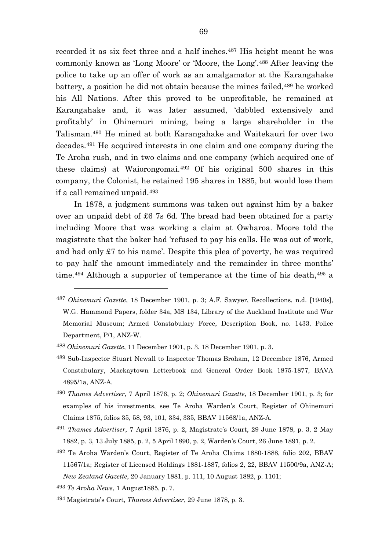recorded it as six feet three and a half inches.<sup>[487](#page-69-0)</sup> His height meant he was commonly known as 'Long Moore' or 'Moore, the Long'.[488](#page-69-1) After leaving the police to take up an offer of work as an amalgamator at the Karangahake battery, a position he did not obtain because the mines failed, <sup>[489](#page-69-2)</sup> he worked his All Nations. After this proved to be unprofitable, he remained at Karangahake and, it was later assumed, 'dabbled extensively and profitably' in Ohinemuri mining, being a large shareholder in the Talisman.[490](#page-69-3) He mined at both Karangahake and Waitekauri for over two decades.[491](#page-69-4) He acquired interests in one claim and one company during the Te Aroha rush, and in two claims and one company (which acquired one of these claims) at Waiorongomai.[492](#page-69-5) Of his original 500 shares in this company, the Colonist, he retained 195 shares in 1885, but would lose them if a call remained unpaid.[493](#page-69-6)

In 1878, a judgment summons was taken out against him by a baker over an unpaid debt of £6 7s 6d. The bread had been obtained for a party including Moore that was working a claim at Owharoa. Moore told the magistrate that the baker had 'refused to pay his calls. He was out of work, and had only £7 to his name'. Despite this plea of poverty, he was required to pay half the amount immediately and the remainder in three months' time.<sup>[494](#page-69-7)</sup> Although a supporter of temperance at the time of his death,<sup>[495](#page-69-5)</sup> a

<span id="page-69-4"></span><sup>491</sup> *Thames Advertiser*, 7 April 1876, p. 2, Magistrate's Court, 29 June 1878, p. 3, 2 May 1882, p. 3, 13 July 1885, p. 2, 5 April 1890, p. 2, Warden's Court, 26 June 1891, p. 2.

<span id="page-69-0"></span><sup>487</sup> *Ohinemuri Gazette*, 18 December 1901, p. 3; A.F. Sawyer, Recollections, n.d. [1940s], W.G. Hammond Papers, folder 34a, MS 134, Library of the Auckland Institute and War Memorial Museum; Armed Constabulary Force, Description Book, no. 1433, Police Department, P/1, ANZ-W.

<span id="page-69-1"></span><sup>488</sup> *Ohinemuri Gazette*, 11 December 1901, p. 3. 18 December 1901, p. 3.

<span id="page-69-2"></span><sup>489</sup> Sub-Inspector Stuart Newall to Inspector Thomas Broham, 12 December 1876, Armed Constabulary, Mackaytown Letterbook and General Order Book 1875-1877, BAVA 4895/1a, ANZ-A.

<span id="page-69-3"></span><sup>490</sup> *Thames Advertiser*, 7 April 1876, p. 2; *Ohinemuri Gazette*, 18 December 1901, p. 3; for examples of his investments, see Te Aroha Warden's Court, Register of Ohinemuri Claims 1875, folios 35, 58, 93, 101, 334, 335, BBAV 11568/1a, ANZ-A.

<span id="page-69-5"></span><sup>492</sup> Te Aroha Warden's Court, Register of Te Aroha Claims 1880-1888, folio 202, BBAV 11567/1a; Register of Licensed Holdings 1881-1887, folios 2, 22, BBAV 11500/9a, ANZ-A; *New Zealand Gazette*, 20 January 1881, p. 111, 10 August 1882, p. 1101;

<span id="page-69-6"></span><sup>493</sup> *Te Aroha News*, 1 August1885, p. 7.

<span id="page-69-7"></span><sup>494</sup> Magistrate's Court, *Thames Advertiser*, 29 June 1878, p. 3.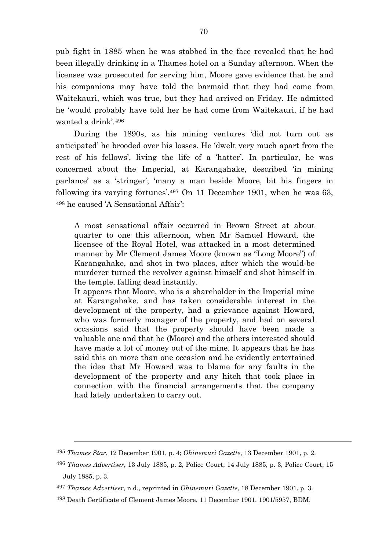pub fight in 1885 when he was stabbed in the face revealed that he had been illegally drinking in a Thames hotel on a Sunday afternoon. When the licensee was prosecuted for serving him, Moore gave evidence that he and his companions may have told the barmaid that they had come from Waitekauri, which was true, but they had arrived on Friday. He admitted he 'would probably have told her he had come from Waitekauri, if he had wanted a drink'.[496](#page-70-0)

During the 1890s, as his mining ventures 'did not turn out as anticipated' he brooded over his losses. He 'dwelt very much apart from the rest of his fellows', living the life of a 'hatter'. In particular, he was concerned about the Imperial, at Karangahake, described 'in mining parlance' as a 'stringer'; 'many a man beside Moore, bit his fingers in following its varying fortunes'.[497](#page-70-1) On 11 December 1901, when he was 63, [498](#page-70-2) he caused 'A Sensational Affair':

A most sensational affair occurred in Brown Street at about quarter to one this afternoon, when Mr Samuel Howard, the licensee of the Royal Hotel, was attacked in a most determined manner by Mr Clement James Moore (known as "Long Moore") of Karangahake, and shot in two places, after which the would-be murderer turned the revolver against himself and shot himself in the temple, falling dead instantly.

It appears that Moore, who is a shareholder in the Imperial mine at Karangahake, and has taken considerable interest in the development of the property, had a grievance against Howard, who was formerly manager of the property, and had on several occasions said that the property should have been made a valuable one and that he (Moore) and the others interested should have made a lot of money out of the mine. It appears that he has said this on more than one occasion and he evidently entertained the idea that Mr Howard was to blame for any faults in the development of the property and any hitch that took place in connection with the financial arrangements that the company had lately undertaken to carry out.

<sup>495</sup> *Thames Star*, 12 December 1901, p. 4; *Ohinemuri Gazette*, 13 December 1901, p. 2.

<span id="page-70-0"></span><sup>496</sup> *Thames Advertiser*, 13 July 1885, p. 2, Police Court, 14 July 1885, p. 3, Police Court, 15 July 1885, p. 3.

<span id="page-70-1"></span><sup>497</sup> *Thames Advertiser*, n.d., reprinted in *Ohinemuri Gazette*, 18 December 1901, p. 3.

<span id="page-70-2"></span><sup>498</sup> Death Certificate of Clement James Moore, 11 December 1901, 1901/5957, BDM.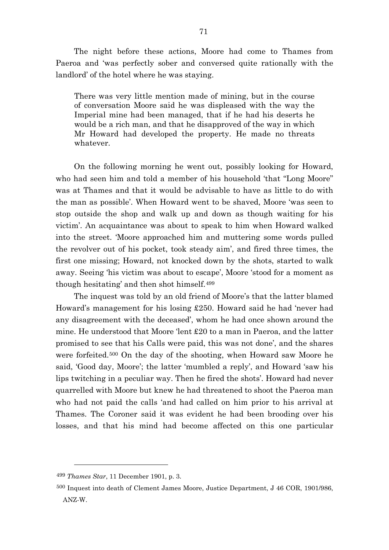The night before these actions, Moore had come to Thames from Paeroa and 'was perfectly sober and conversed quite rationally with the landlord' of the hotel where he was staying.

There was very little mention made of mining, but in the course of conversation Moore said he was displeased with the way the Imperial mine had been managed, that if he had his deserts he would be a rich man, and that he disapproved of the way in which Mr Howard had developed the property. He made no threats whatever.

On the following morning he went out, possibly looking for Howard, who had seen him and told a member of his household 'that "Long Moore" was at Thames and that it would be advisable to have as little to do with the man as possible'. When Howard went to be shaved, Moore 'was seen to stop outside the shop and walk up and down as though waiting for his victim'. An acquaintance was about to speak to him when Howard walked into the street. 'Moore approached him and muttering some words pulled the revolver out of his pocket, took steady aim', and fired three times, the first one missing; Howard, not knocked down by the shots, started to walk away. Seeing 'his victim was about to escape', Moore 'stood for a moment as though hesitating' and then shot himself.[499](#page-71-0)

The inquest was told by an old friend of Moore's that the latter blamed Howard's management for his losing £250. Howard said he had 'never had any disagreement with the deceased', whom he had once shown around the mine. He understood that Moore 'lent £20 to a man in Paeroa, and the latter promised to see that his Calls were paid, this was not done', and the shares were forfeited.[500](#page-71-1) On the day of the shooting, when Howard saw Moore he said, 'Good day, Moore'; the latter 'mumbled a reply', and Howard 'saw his lips twitching in a peculiar way. Then he fired the shots'. Howard had never quarrelled with Moore but knew he had threatened to shoot the Paeroa man who had not paid the calls 'and had called on him prior to his arrival at Thames. The Coroner said it was evident he had been brooding over his losses, and that his mind had become affected on this one particular

<span id="page-71-0"></span><sup>499</sup> *Thames Star*, 11 December 1901, p. 3.

<span id="page-71-1"></span><sup>500</sup> Inquest into death of Clement James Moore, Justice Department, J 46 COR, 1901/986, ANZ-W.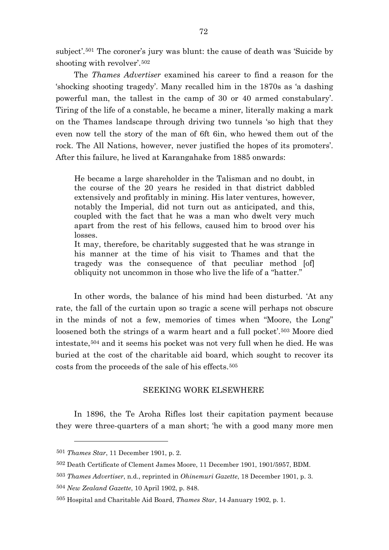subject'.[501](#page-72-0) The coroner's jury was blunt: the cause of death was 'Suicide by shooting with revolver'.[502](#page-72-1)

The *Thames Advertiser* examined his career to find a reason for the 'shocking shooting tragedy'. Many recalled him in the 1870s as 'a dashing powerful man, the tallest in the camp of 30 or 40 armed constabulary'. Tiring of the life of a constable, he became a miner, literally making a mark on the Thames landscape through driving two tunnels 'so high that they even now tell the story of the man of 6ft 6in, who hewed them out of the rock. The All Nations, however, never justified the hopes of its promoters'. After this failure, he lived at Karangahake from 1885 onwards:

He became a large shareholder in the Talisman and no doubt, in the course of the 20 years he resided in that district dabbled extensively and profitably in mining. His later ventures, however, notably the Imperial, did not turn out as anticipated, and this, coupled with the fact that he was a man who dwelt very much apart from the rest of his fellows, caused him to brood over his losses.

It may, therefore, be charitably suggested that he was strange in his manner at the time of his visit to Thames and that the tragedy was the consequence of that peculiar method [of] obliquity not uncommon in those who live the life of a "hatter."

In other words, the balance of his mind had been disturbed. 'At any rate, the fall of the curtain upon so tragic a scene will perhaps not obscure in the minds of not a few, memories of times when "Moore, the Long" loosened both the strings of a warm heart and a full pocket'.<sup>[503](#page-72-2)</sup> Moore died intestate,[504](#page-72-3) and it seems his pocket was not very full when he died. He was buried at the cost of the charitable aid board, which sought to recover its costs from the proceeds of the sale of his effects.[505](#page-72-4)

## SEEKING WORK ELSEWHERE

In 1896, the Te Aroha Rifles lost their capitation payment because they were three-quarters of a man short; 'he with a good many more men

<span id="page-72-0"></span><sup>501</sup> *Thames Star*, 11 December 1901, p. 2.

<span id="page-72-1"></span><sup>502</sup> Death Certificate of Clement James Moore, 11 December 1901, 1901/5957, BDM.

<span id="page-72-2"></span><sup>503</sup> *Thames Advertiser*, n.d., reprinted in *Ohinemuri Gazette*, 18 December 1901, p. 3.

<span id="page-72-3"></span><sup>504</sup> *New Zealand Gazette*, 10 April 1902, p. 848.

<span id="page-72-4"></span><sup>505</sup> Hospital and Charitable Aid Board, *Thames Star*, 14 January 1902, p. 1.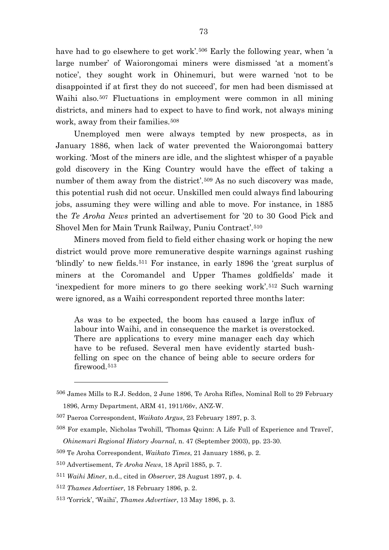have had to go elsewhere to get work'.<sup>[506](#page-73-0)</sup> Early the following year, when 'a large number' of Waiorongomai miners were dismissed 'at a moment's notice', they sought work in Ohinemuri, but were warned 'not to be disappointed if at first they do not succeed', for men had been dismissed at Waihi also.<sup>[507](#page-73-1)</sup> Fluctuations in employment were common in all mining districts, and miners had to expect to have to find work, not always mining work, away from their families.<sup>[508](#page-73-2)</sup>

Unemployed men were always tempted by new prospects, as in January 1886, when lack of water prevented the Waiorongomai battery working. 'Most of the miners are idle, and the slightest whisper of a payable gold discovery in the King Country would have the effect of taking a number of them away from the district'.<sup>[509](#page-73-3)</sup> As no such discovery was made, this potential rush did not occur. Unskilled men could always find labouring jobs, assuming they were willing and able to move. For instance, in 1885 the *Te Aroha News* printed an advertisement for '20 to 30 Good Pick and Shovel Men for Main Trunk Railway, Puniu Contract'.[510](#page-73-4)

Miners moved from field to field either chasing work or hoping the new district would prove more remunerative despite warnings against rushing 'blindly' to new fields.[511](#page-73-5) For instance, in early 1896 the 'great surplus of miners at the Coromandel and Upper Thames goldfields' made it 'inexpedient for more miners to go there seeking work'.[512](#page-73-6) Such warning were ignored, as a Waihi correspondent reported three months later:

As was to be expected, the boom has caused a large influx of labour into Waihi, and in consequence the market is overstocked. There are applications to every mine manager each day which have to be refused. Several men have evidently started bushfelling on spec on the chance of being able to secure orders for firewood.[513](#page-73-7)

<span id="page-73-0"></span><sup>506</sup> James Mills to R.J. Seddon, 2 June 1896, Te Aroha Rifles, Nominal Roll to 29 February 1896, Army Department, ARM 41, 1911/66v, ANZ-W.

<span id="page-73-1"></span><sup>507</sup> Paeroa Correspondent, *Waikato Argus*, 23 February 1897, p. 3.

<span id="page-73-2"></span><sup>508</sup> For example, Nicholas Twohill, 'Thomas Quinn: A Life Full of Experience and Travel', *Ohinemuri Regional History Journal*, n. 47 (September 2003), pp. 23-30.

<span id="page-73-3"></span><sup>509</sup> Te Aroha Correspondent, *Waikato Times*, 21 January 1886, p. 2.

<span id="page-73-4"></span><sup>510</sup> Advertisement, *Te Aroha News*, 18 April 1885, p. 7.

<span id="page-73-5"></span><sup>511</sup> *Waihi Miner*, n.d., cited in *Observer*, 28 August 1897, p. 4.

<span id="page-73-6"></span><sup>512</sup> *Thames Advertiser*, 18 February 1896, p. 2.

<span id="page-73-7"></span><sup>513</sup> 'Yorrick', 'Waihi', *Thames Advertiser*, 13 May 1896, p. 3.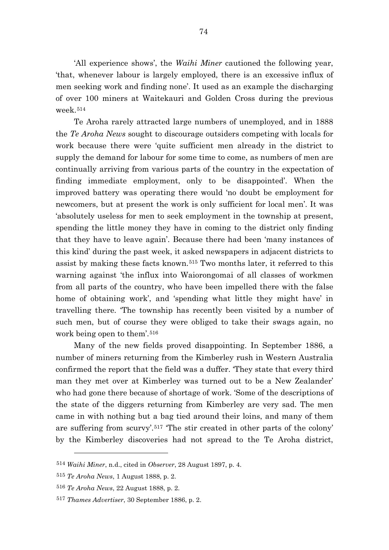'All experience shows', the *Waihi Miner* cautioned the following year, 'that, whenever labour is largely employed, there is an excessive influx of men seeking work and finding none'. It used as an example the discharging of over 100 miners at Waitekauri and Golden Cross during the previous week.[514](#page-74-0)

Te Aroha rarely attracted large numbers of unemployed, and in 1888 the *Te Aroha News* sought to discourage outsiders competing with locals for work because there were 'quite sufficient men already in the district to supply the demand for labour for some time to come, as numbers of men are continually arriving from various parts of the country in the expectation of finding immediate employment, only to be disappointed'. When the improved battery was operating there would 'no doubt be employment for newcomers, but at present the work is only sufficient for local men'. It was 'absolutely useless for men to seek employment in the township at present, spending the little money they have in coming to the district only finding that they have to leave again'. Because there had been 'many instances of this kind' during the past week, it asked newspapers in adjacent districts to assist by making these facts known.[515](#page-74-1) Two months later, it referred to this warning against 'the influx into Waiorongomai of all classes of workmen from all parts of the country, who have been impelled there with the false home of obtaining work', and 'spending what little they might have' in travelling there. 'The township has recently been visited by a number of such men, but of course they were obliged to take their swags again, no work being open to them'.[516](#page-74-2)

Many of the new fields proved disappointing. In September 1886, a number of miners returning from the Kimberley rush in Western Australia confirmed the report that the field was a duffer. 'They state that every third man they met over at Kimberley was turned out to be a New Zealander' who had gone there because of shortage of work. 'Some of the descriptions of the state of the diggers returning from Kimberley are very sad. The men came in with nothing but a bag tied around their loins, and many of them are suffering from scurvy'.[517](#page-74-3) 'The stir created in other parts of the colony' by the Kimberley discoveries had not spread to the Te Aroha district,

<span id="page-74-0"></span><sup>514</sup> *Waihi Miner*, n.d., cited in *Observer*, 28 August 1897, p. 4.

<span id="page-74-1"></span><sup>515</sup> *Te Aroha News*, 1 August 1888, p. 2.

<span id="page-74-2"></span><sup>516</sup> *Te Aroha News*, 22 August 1888, p. 2.

<span id="page-74-3"></span><sup>517</sup> *Thames Advertiser*, 30 September 1886, p. 2.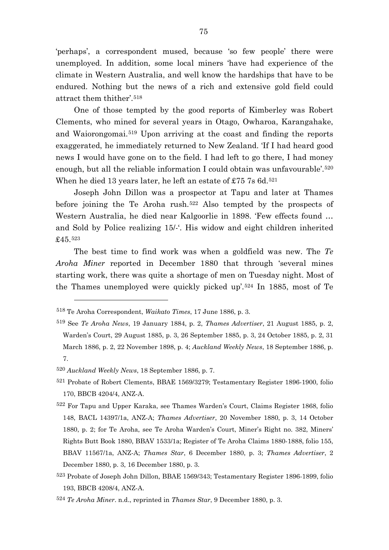'perhaps', a correspondent mused, because 'so few people' there were unemployed. In addition, some local miners 'have had experience of the climate in Western Australia, and well know the hardships that have to be endured. Nothing but the news of a rich and extensive gold field could attract them thither'.[518](#page-75-0)

One of those tempted by the good reports of Kimberley was Robert Clements, who mined for several years in Otago, Owharoa, Karangahake, and Waiorongomai.[519](#page-75-1) Upon arriving at the coast and finding the reports exaggerated, he immediately returned to New Zealand. 'If I had heard good news I would have gone on to the field. I had left to go there, I had money enough, but all the reliable information I could obtain was unfavourable'.<sup>[520](#page-75-2)</sup> When he died 13 years later, he left an estate of £75  $7s$  6d.<sup>[521](#page-75-3)</sup>

Joseph John Dillon was a prospector at Tapu and later at Thames before joining the Te Aroha rush.[522](#page-75-4) Also tempted by the prospects of Western Australia, he died near Kalgoorlie in 1898. 'Few effects found … and Sold by Police realizing 15/-'. His widow and eight children inherited £45.[523](#page-75-5)

The best time to find work was when a goldfield was new. The *Te Aroha Miner* reported in December 1880 that through 'several mines starting work, there was quite a shortage of men on Tuesday night. Most of the Thames unemployed were quickly picked up'.[524](#page-75-6) In 1885, most of Te

<span id="page-75-2"></span><sup>520</sup> *Auckland Weekly News*, 18 September 1886, p. 7.

 $\overline{a}$ 

<span id="page-75-3"></span>521 Probate of Robert Clements, BBAE 1569/3279; Testamentary Register 1896-1900, folio 170, BBCB 4204/4, ANZ-A.

<span id="page-75-0"></span><sup>518</sup> Te Aroha Correspondent, *Waikato Times*, 17 June 1886, p. 3.

<span id="page-75-1"></span><sup>519</sup> See *Te Aroha News*, 19 January 1884, p. 2, *Thames Advertiser*, 21 August 1885, p. 2, Warden's Court, 29 August 1885, p. 3, 26 September 1885, p. 3, 24 October 1885, p. 2, 31 March 1886, p. 2, 22 November 1898, p. 4; *Auckland Weekly News*, 18 September 1886, p. 7.

<span id="page-75-4"></span><sup>522</sup> For Tapu and Upper Karaka, see Thames Warden's Court, Claims Register 1868, folio 148, BACL 14397/1a, ANZ-A; *Thames Advertiser*, 20 November 1880, p. 3, 14 October 1880, p. 2; for Te Aroha, see Te Aroha Warden's Court, Miner's Right no. 382, Miners' Rights Butt Book 1880, BBAV 1533/1a; Register of Te Aroha Claims 1880-1888, folio 155, BBAV 11567/1a, ANZ-A; *Thames Star*, 6 December 1880, p. 3; *Thames Advertiser*, 2 December 1880, p. 3, 16 December 1880, p. 3.

<span id="page-75-5"></span><sup>523</sup> Probate of Joseph John Dillon, BBAE 1569/343; Testamentary Register 1896-1899, folio 193, BBCB 4208/4, ANZ-A.

<span id="page-75-6"></span><sup>524</sup> *Te Aroha Miner*. n.d., reprinted in *Thames Star*, 9 December 1880, p. 3.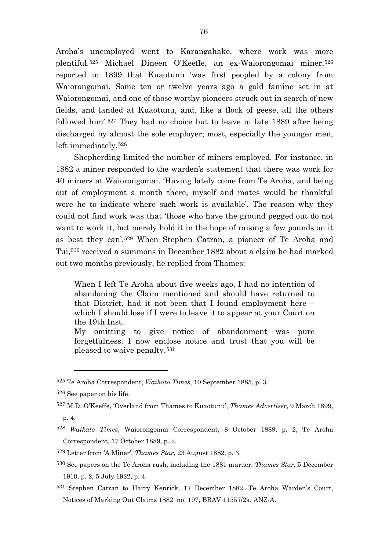Aroha's unemployed went to Karangahake, where work was more plentiful.[525](#page-76-0) Michael Dineen O'Keeffe, an ex-Waiorongomai miner,[526](#page-76-1) reported in 1899 that Kuaotunu 'was first peopled by a colony from Waiorongomai. Some ten or twelve years ago a gold famine set in at Waiorongomai, and one of those worthy pioneers struck out in search of new fields, and landed at Kuaotunu, and, like a flock of geese, all the others followed him'.[527](#page-76-2) They had no choice but to leave in late 1889 after being discharged by almost the sole employer; most, especially the younger men, left immediately.[528](#page-76-3)

Shepherding limited the number of miners employed. For instance, in 1882 a miner responded to the warden's statement that there was work for 40 miners at Waiorongomai. 'Having lately come from Te Aroha, and being out of employment a month there, myself and mates would be thankful were he to indicate where such work is available'. The reason why they could not find work was that 'those who have the ground pegged out do not want to work it, but merely hold it in the hope of raising a few pounds on it as best they can'.[529](#page-76-4) When Stephen Catran, a pioneer of Te Aroha and Tui,[530](#page-76-5) received a summons in December 1882 about a claim he had marked out two months previously, he replied from Thames:

When I left Te Aroha about five weeks ago, I had no intention of abandoning the Claim mentioned and should have returned to that District, had it not been that I found employment here – which I should lose if I were to leave it to appear at your Court on the 19th Inst.

My omitting to give notice of abandonment was pure forgetfulness. I now enclose notice and trust that you will be pleased to waive penalty.[531](#page-76-6)

 $\overline{a}$ 

<span id="page-76-6"></span>531 Stephen Catran to Harry Kenrick, 17 December 1882, Te Aroha Warden's Court, Notices of Marking Out Claims 1882, no. 197, BBAV 11557/2a, ANZ-A.

<span id="page-76-0"></span><sup>525</sup> Te Aroha Correspondent, *Waikato Times*, 10 September 1885, p. 3.

<span id="page-76-1"></span><sup>526</sup> See paper on his life.

<span id="page-76-2"></span><sup>527</sup> M.D. O'Keeffe, 'Overland from Thames to Kuaotunu', *Thames Advertiser*, 9 March 1899, p. 4.

<span id="page-76-3"></span><sup>528</sup> *Waikato Times*, Waiorongomai Correspondent, 8 October 1889, p. 2, Te Aroha Correspondent, 17 October 1889, p. 2.

<span id="page-76-4"></span><sup>529</sup> Letter from 'A Miner', *Thames Star*, 23 August 1882, p. 3.

<span id="page-76-5"></span><sup>530</sup> See papers on the Te Aroha rush, including the 1881 murder; *Thames Star*, 5 December 1910, p. 2, 5 July 1922, p. 4.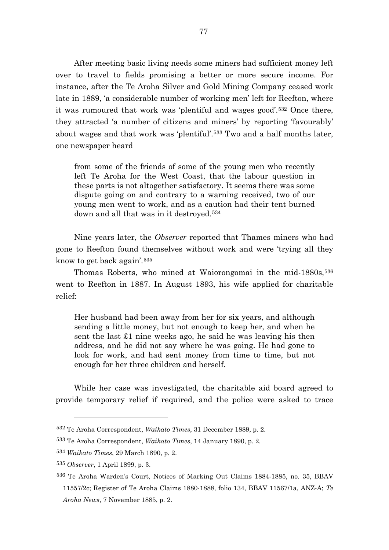After meeting basic living needs some miners had sufficient money left over to travel to fields promising a better or more secure income. For instance, after the Te Aroha Silver and Gold Mining Company ceased work late in 1889, 'a considerable number of working men' left for Reefton, where it was rumoured that work was 'plentiful and wages good'.[532](#page-77-0) Once there, they attracted 'a number of citizens and miners' by reporting 'favourably' about wages and that work was 'plentiful'.[533](#page-77-1) Two and a half months later, one newspaper heard

from some of the friends of some of the young men who recently left Te Aroha for the West Coast, that the labour question in these parts is not altogether satisfactory. It seems there was some dispute going on and contrary to a warning received, two of our young men went to work, and as a caution had their tent burned down and all that was in it destroyed.[534](#page-77-2)

Nine years later, the *Observer* reported that Thames miners who had gone to Reefton found themselves without work and were 'trying all they know to get back again'.[535](#page-77-3)

Thomas Roberts, who mined at Waiorongomai in the mid-1880s,<sup>[536](#page-77-4)</sup> went to Reefton in 1887. In August 1893, his wife applied for charitable relief:

Her husband had been away from her for six years, and although sending a little money, but not enough to keep her, and when he sent the last £1 nine weeks ago, he said he was leaving his then address, and he did not say where he was going. He had gone to look for work, and had sent money from time to time, but not enough for her three children and herself.

While her case was investigated, the charitable aid board agreed to provide temporary relief if required, and the police were asked to trace

<span id="page-77-0"></span><sup>532</sup> Te Aroha Correspondent, *Waikato Times*, 31 December 1889, p. 2.

<span id="page-77-1"></span><sup>533</sup> Te Aroha Correspondent, *Waikato Times*, 14 January 1890, p. 2.

<span id="page-77-2"></span><sup>534</sup> *Waikato Times*, 29 March 1890, p. 2.

<span id="page-77-3"></span><sup>535</sup> *Observer*, 1 April 1899, p. 3.

<span id="page-77-4"></span><sup>536</sup> Te Aroha Warden's Court, Notices of Marking Out Claims 1884-1885, no. 35, BBAV 11557/2c; Register of Te Aroha Claims 1880-1888, folio 134, BBAV 11567/1a, ANZ-A; *Te Aroha News*, 7 November 1885, p. 2.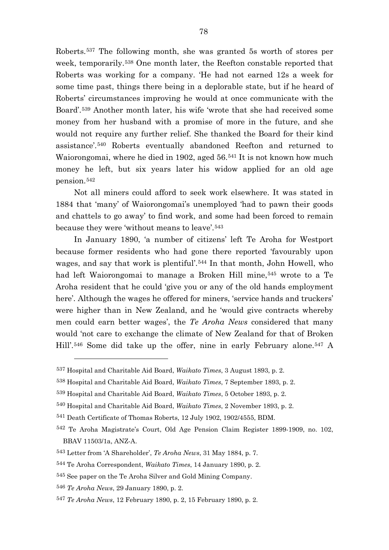Roberts.[537](#page-78-0) The following month, she was granted 5s worth of stores per week, temporarily.[538](#page-78-1) One month later, the Reefton constable reported that Roberts was working for a company. 'He had not earned 12s a week for some time past, things there being in a deplorable state, but if he heard of Roberts' circumstances improving he would at once communicate with the Board'.[539](#page-78-2) Another month later, his wife 'wrote that she had received some money from her husband with a promise of more in the future, and she would not require any further relief. She thanked the Board for their kind assistance'.[540](#page-78-3) Roberts eventually abandoned Reefton and returned to Waiorongomai, where he died in 1902, aged 56.[541](#page-78-4) It is not known how much money he left, but six years later his widow applied for an old age pension.[542](#page-78-5)

Not all miners could afford to seek work elsewhere. It was stated in 1884 that 'many' of Waiorongomai's unemployed 'had to pawn their goods and chattels to go away' to find work, and some had been forced to remain because they were 'without means to leave'.[543](#page-78-6)

In January 1890, 'a number of citizens' left Te Aroha for Westport because former residents who had gone there reported 'favourably upon wages, and say that work is plentiful'.[544](#page-78-7) In that month, John Howell, who had left Waiorongomai to manage a Broken Hill mine,<sup>[545](#page-78-8)</sup> wrote to a Te Aroha resident that he could 'give you or any of the old hands employment here'. Although the wages he offered for miners, 'service hands and truckers' were higher than in New Zealand, and he 'would give contracts whereby men could earn better wages', the *Te Aroha News* considered that many would 'not care to exchange the climate of New Zealand for that of Broken Hill'.[546](#page-78-9) Some did take up the offer, nine in early February alone.[547](#page-78-10) A

<span id="page-78-0"></span><sup>537</sup> Hospital and Charitable Aid Board, *Waikato Times*, 3 August 1893, p. 2.

<span id="page-78-1"></span><sup>538</sup> Hospital and Charitable Aid Board, *Waikato Times*, 7 September 1893, p. 2.

<span id="page-78-2"></span><sup>539</sup> Hospital and Charitable Aid Board, *Waikato Times*, 5 October 1893, p. 2.

<span id="page-78-3"></span><sup>540</sup> Hospital and Charitable Aid Board, *Waikato Times*, 2 November 1893, p. 2.

<span id="page-78-4"></span><sup>541</sup> Death Certificate of Thomas Roberts, 12 July 1902, 1902/4555, BDM.

<span id="page-78-5"></span><sup>542</sup> Te Aroha Magistrate's Court, Old Age Pension Claim Register 1899-1909, no. 102, BBAV 11503/1a, ANZ-A.

<span id="page-78-6"></span><sup>543</sup> Letter from 'A Shareholder', *Te Aroha News*, 31 May 1884, p. 7.

<span id="page-78-7"></span><sup>544</sup> Te Aroha Correspondent, *Waikato Times*, 14 January 1890, p. 2.

<span id="page-78-8"></span><sup>545</sup> See paper on the Te Aroha Silver and Gold Mining Company.

<span id="page-78-9"></span><sup>546</sup> *Te Aroha News*, 29 January 1890, p. 2.

<span id="page-78-10"></span><sup>547</sup> *Te Aroha News*, 12 February 1890, p. 2, 15 February 1890, p. 2.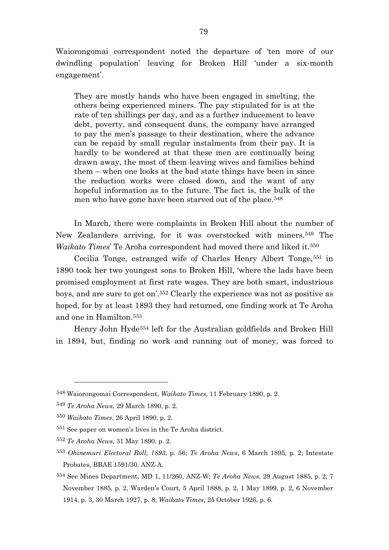Waiorongomai correspondent noted the departure of 'ten more of our dwindling population' leaving for Broken Hill 'under a six-month engagement'.

They are mostly hands who have been engaged in smelting, the others being experienced miners. The pay stipulated for is at the rate of ten shillings per day, and as a further inducement to leave debt, poverty, and consequent duns, the company have arranged to pay the men's passage to their destination, where the advance can be repaid by small regular instalments from their pay. It is hardly to be wondered at that these men are continually being drawn away, the most of them leaving wives and families behind them – when one looks at the bad state things have been in since the reduction works were closed down, and the want of any hopeful information as to the future. The fact is, the bulk of the men who have gone have been starved out of the place.<sup>[548](#page-79-0)</sup>

In March, there were complaints in Broken Hill about the number of New Zealanders arriving, for it was overstocked with miners.[549](#page-79-1) The *Waikato Times*' Te Aroha correspondent had moved there and liked it.[550](#page-79-2)

Cecilia Tonge, estranged wife of Charles Henry Albert Tonge,<sup>[551](#page-79-3)</sup> in 1890 took her two youngest sons to Broken Hill, 'where the lads have been promised employment at first rate wages. They are both smart, industrious boys, and are sure to get on'.[552](#page-79-4) Clearly the experience was not as positive as hoped, for by at least 1893 they had returned, one finding work at Te Aroha and one in Hamilton.[553](#page-79-5)

Henry John Hyde[554](#page-79-6) left for the Australian goldfields and Broken Hill in 1894, but, finding no work and running out of money, was forced to

<span id="page-79-0"></span><sup>548</sup> Waiorongomai Correspondent, *Waikato Times*, 11 February 1890, p. 2.

<span id="page-79-1"></span><sup>549</sup> *Te Aroha News*, 29 March 1890, p. 2.

<span id="page-79-2"></span><sup>550</sup> *Waikato Times*, 26 April 1890, p. 2.

<span id="page-79-3"></span><sup>551</sup> See paper on women's lives in the Te Aroha district.

<span id="page-79-4"></span><sup>552</sup> *Te Aroha News*, 31 May 1890, p. 2.

<span id="page-79-5"></span><sup>553</sup> *Ohinemuri Electoral Roll, 1893*, p. 56; *Te Aroha News*, 6 March 1895, p. 2; Intestate Probates, BBAE 1591/30, ANZ-A.

<span id="page-79-6"></span><sup>554</sup> See Mines Department, MD 1, 11/260, ANZ-W; *Te Aroha News*, 29 August 1885, p. 2, 7 November 1885, p. 2, Warden's Court, 5 April 1888, p. 2, 1 May 1899, p. 2, 6 November 1914, p. 3, 30 March 1927, p. 8; *Waikato Times*, 25 October 1926, p. 6.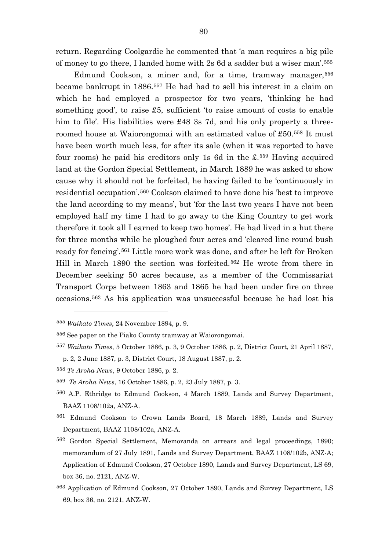return. Regarding Coolgardie he commented that 'a man requires a big pile of money to go there, I landed home with 2s 6d a sadder but a wiser man'.[555](#page-80-0)

Edmund Cookson, a miner and, for a time, tramway manager,<sup>[556](#page-80-1)</sup> became bankrupt in 1886.[557](#page-80-2) He had had to sell his interest in a claim on which he had employed a prospector for two years, 'thinking he had something good', to raise £5, sufficient 'to raise amount of costs to enable him to file'. His liabilities were £48 3s 7d, and his only property a threeroomed house at Waiorongomai with an estimated value of £50.[558](#page-80-3) It must have been worth much less, for after its sale (when it was reported to have four rooms) he paid his creditors only 1s 6d in the £.[559](#page-80-4) Having acquired land at the Gordon Special Settlement, in March 1889 he was asked to show cause why it should not be forfeited, he having failed to be 'continuously in residential occupation'.[560](#page-80-5) Cookson claimed to have done his 'best to improve the land according to my means', but 'for the last two years I have not been employed half my time I had to go away to the King Country to get work therefore it took all I earned to keep two homes'. He had lived in a hut there for three months while he ploughed four acres and 'cleared line round bush ready for fencing'.[561](#page-80-6) Little more work was done, and after he left for Broken Hill in March 1890 the section was forfeited.[562](#page-80-7) He wrote from there in December seeking 50 acres because, as a member of the Commissariat Transport Corps between 1863 and 1865 he had been under fire on three occasions.[563](#page-80-8) As his application was unsuccessful because he had lost his

<span id="page-80-0"></span><sup>555</sup> *Waikato Times*, 24 November 1894, p. 9.

<span id="page-80-1"></span><sup>556</sup> See paper on the Piako County tramway at Waiorongomai.

<span id="page-80-2"></span><sup>557</sup> *Waikato Times*, 5 October 1886, p. 3, 9 October 1886, p. 2, District Court, 21 April 1887,

p. 2, 2 June 1887, p. 3, District Court, 18 August 1887, p. 2.

<span id="page-80-3"></span><sup>558</sup> *Te Aroha News*, 9 October 1886, p. 2.

<span id="page-80-4"></span><sup>559</sup> *Te Aroha News*, 16 October 1886, p. 2, 23 July 1887, p. 3.

<span id="page-80-5"></span><sup>560</sup> A.P. Ethridge to Edmund Cookson, 4 March 1889, Lands and Survey Department, BAAZ 1108/102a, ANZ-A.

<span id="page-80-6"></span><sup>561</sup> Edmund Cookson to Crown Lands Board, 18 March 1889, Lands and Survey Department, BAAZ 1108/102a, ANZ-A.

<span id="page-80-7"></span><sup>562</sup> Gordon Special Settlement, Memoranda on arrears and legal proceedings, 1890; memorandum of 27 July 1891, Lands and Survey Department, BAAZ 1108/102b, ANZ-A; Application of Edmund Cookson, 27 October 1890, Lands and Survey Department, LS 69, box 36, no. 2121, ANZ-W.

<span id="page-80-8"></span><sup>563</sup> Application of Edmund Cookson, 27 October 1890, Lands and Survey Department, LS 69, box 36, no. 2121, ANZ-W.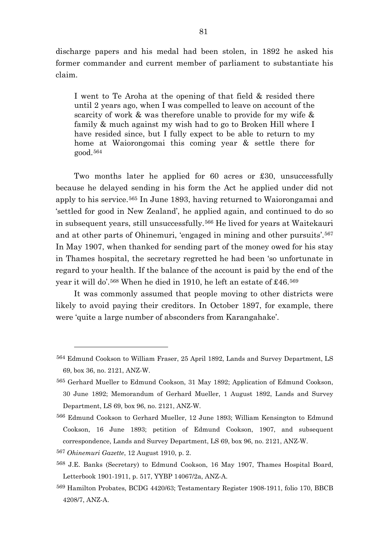discharge papers and his medal had been stolen, in 1892 he asked his former commander and current member of parliament to substantiate his claim.

I went to Te Aroha at the opening of that field & resided there until 2 years ago, when I was compelled to leave on account of the scarcity of work & was therefore unable to provide for my wife & family & much against my wish had to go to Broken Hill where I have resided since, but I fully expect to be able to return to my home at Waiorongomai this coming year & settle there for good.[564](#page-81-0)

Two months later he applied for 60 acres or £30, unsuccessfully because he delayed sending in his form the Act he applied under did not apply to his service.[565](#page-81-1) In June 1893, having returned to Waiorongamai and 'settled for good in New Zealand', he applied again, and continued to do so in subsequent years, still unsuccessfully.[566](#page-81-2) He lived for years at Waitekauri and at other parts of Ohinemuri, 'engaged in mining and other pursuits'.[567](#page-81-3) In May 1907, when thanked for sending part of the money owed for his stay in Thames hospital, the secretary regretted he had been 'so unfortunate in regard to your health. If the balance of the account is paid by the end of the year it will do'.[568](#page-81-4) When he died in 1910, he left an estate of £46.[569](#page-81-5)

It was commonly assumed that people moving to other districts were likely to avoid paying their creditors. In October 1897, for example, there were 'quite a large number of absconders from Karangahake'.

<span id="page-81-3"></span><sup>567</sup> *Ohinemuri Gazette*, 12 August 1910, p. 2.

 $\overline{a}$ 

<span id="page-81-5"></span>569 Hamilton Probates, BCDG 4420/63; Testamentary Register 1908-1911, folio 170, BBCB 4208/7, ANZ-A.

<span id="page-81-0"></span><sup>564</sup> Edmund Cookson to William Fraser, 25 April 1892, Lands and Survey Department, LS 69, box 36, no. 2121, ANZ-W.

<span id="page-81-1"></span><sup>565</sup> Gerhard Mueller to Edmund Cookson, 31 May 1892; Application of Edmund Cookson, 30 June 1892; Memorandum of Gerhard Mueller, 1 August 1892, Lands and Survey Department, LS 69, box 96, no. 2121, ANZ-W.

<span id="page-81-2"></span><sup>566</sup> Edmund Cookson to Gerhard Mueller, 12 June 1893; William Kensington to Edmund Cookson, 16 June 1893; petition of Edmund Cookson, 1907, and subsequent correspondence, Lands and Survey Department, LS 69, box 96, no. 2121, ANZ-W.

<span id="page-81-4"></span><sup>568</sup> J.E. Banks (Secretary) to Edmund Cookson, 16 May 1907, Thames Hospital Board, Letterbook 1901-1911, p. 517, YYBP 14067/2a, ANZ-A.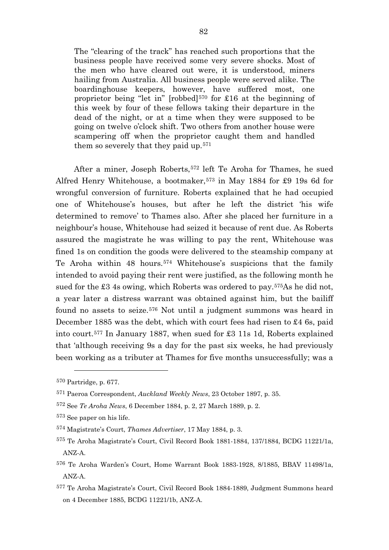The "clearing of the track" has reached such proportions that the business people have received some very severe shocks. Most of the men who have cleared out were, it is understood, miners hailing from Australia. All business people were served alike. The boardinghouse keepers, however, have suffered most, one proprietor being "let in" [robbed]<sup>570</sup> for £16 at the beginning of this week by four of these fellows taking their departure in the dead of the night, or at a time when they were supposed to be going on twelve o'clock shift. Two others from another house were scampering off when the proprietor caught them and handled them so severely that they paid up.[571](#page-82-1)

After a miner, Joseph Roberts,<sup>[572](#page-82-2)</sup> left Te Aroha for Thames, he sued Alfred Henry Whitehouse, a bootmaker,  $573$  in May 1884 for £9 19s 6d for wrongful conversion of furniture. Roberts explained that he had occupied one of Whitehouse's houses, but after he left the district 'his wife determined to remove' to Thames also. After she placed her furniture in a neighbour's house, Whitehouse had seized it because of rent due. As Roberts assured the magistrate he was willing to pay the rent, Whitehouse was fined 1s on condition the goods were delivered to the steamship company at Te Aroha within 48 hours.[574](#page-82-4) Whitehouse's suspicions that the family intended to avoid paying their rent were justified, as the following month he sued for the £3 4s owing, which Roberts was ordered to pay.[575](#page-82-5)As he did not, a year later a distress warrant was obtained against him, but the bailiff found no assets to seize.[576](#page-82-6) Not until a judgment summons was heard in December 1885 was the debt, which with court fees had risen to £4 6s, paid into court.[577](#page-82-7) In January 1887, when sued for £3 11s 1d, Roberts explained that 'although receiving 9s a day for the past six weeks, he had previously been working as a tributer at Thames for five months unsuccessfully; was a

<span id="page-82-0"></span><sup>570</sup> Partridge, p. 677.

<span id="page-82-1"></span><sup>571</sup> Paeroa Correspondent, *Auckland Weekly News*, 23 October 1897, p. 35.

<span id="page-82-2"></span><sup>572</sup> See *Te Aroha News*, 6 December 1884, p. 2, 27 March 1889, p. 2.

<span id="page-82-3"></span><sup>573</sup> See paper on his life.

<span id="page-82-4"></span><sup>574</sup> Magistrate's Court, *Thames Advertiser*, 17 May 1884, p. 3.

<span id="page-82-5"></span><sup>575</sup> Te Aroha Magistrate's Court, Civil Record Book 1881-1884, 137/1884, BCDG 11221/1a, ANZ-A.

<span id="page-82-6"></span><sup>576</sup> Te Aroha Warden's Court, Home Warrant Book 1883-1928, 8/1885, BBAV 11498/1a, ANZ-A.

<span id="page-82-7"></span><sup>577</sup> Te Aroha Magistrate's Court, Civil Record Book 1884-1889, Judgment Summons heard on 4 December 1885, BCDG 11221/1b, ANZ-A.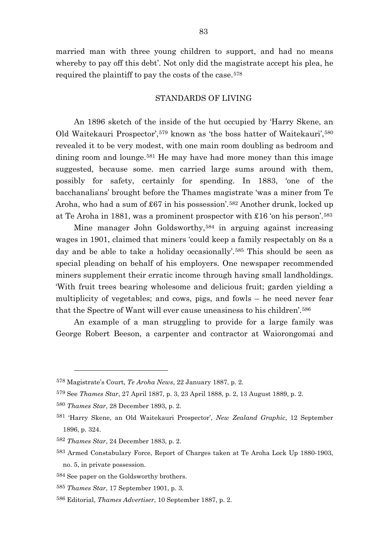married man with three young children to support, and had no means whereby to pay off this debt'. Not only did the magistrate accept his plea, he required the plaintiff to pay the costs of the case.[578](#page-83-0)

## STANDARDS OF LIVING

An 1896 sketch of the inside of the hut occupied by 'Harry Skene, an Old Waitekauri Prospector',[579](#page-83-1) known as 'the boss hatter of Waitekauri',[580](#page-83-2) revealed it to be very modest, with one main room doubling as bedroom and dining room and lounge.<sup>[581](#page-83-3)</sup> He may have had more money than this image suggested, because some. men carried large sums around with them, possibly for safety, certainly for spending. In 1883, 'one of the bacchanalians' brought before the Thames magistrate 'was a miner from Te Aroha, who had a sum of £67 in his possession'.[582](#page-83-4) Another drunk, locked up at Te Aroha in 1881, was a prominent prospector with £16 'on his person'.[583](#page-83-5)

Mine manager John Goldsworthy,<sup>[584](#page-83-6)</sup> in arguing against increasing wages in 1901, claimed that miners 'could keep a family respectably on 8s a day and be able to take a holiday occasionally'.<sup>[585](#page-83-7)</sup> This should be seen as special pleading on behalf of his employers. One newspaper recommended miners supplement their erratic income through having small landholdings. 'With fruit trees bearing wholesome and delicious fruit; garden yielding a multiplicity of vegetables; and cows, pigs, and fowls – he need never fear that the Spectre of Want will ever cause uneasiness to his children'.[586](#page-83-8)

An example of a man struggling to provide for a large family was George Robert Beeson, a carpenter and contractor at Waiorongomai and

<span id="page-83-0"></span><sup>578</sup> Magistrate's Court, *Te Aroha News*, 22 January 1887, p. 2.

<span id="page-83-1"></span><sup>579</sup> See *Thames Star*, 27 April 1887, p. 3, 23 April 1888, p. 2, 13 August 1889, p. 2.

<span id="page-83-2"></span><sup>580</sup> *Thames Star*, 28 December 1893, p. 2.

<span id="page-83-3"></span><sup>581</sup> 'Harry Skene, an Old Waitekauri Prospector', *New Zealand Graphic*, 12 September 1896, p. 324.

<span id="page-83-4"></span><sup>582</sup> *Thames Star*, 24 December 1883, p. 2.

<span id="page-83-5"></span><sup>583</sup> Armed Constabulary Force, Report of Charges taken at Te Aroha Lock Up 1880-1903, no. 5, in private possession.

<span id="page-83-6"></span><sup>584</sup> See paper on the Goldsworthy brothers.

<span id="page-83-7"></span><sup>585</sup> *Thames Star*, 17 September 1901, p. 3.

<span id="page-83-8"></span><sup>586</sup> Editorial, *Thames Advertiser*, 10 September 1887, p. 2.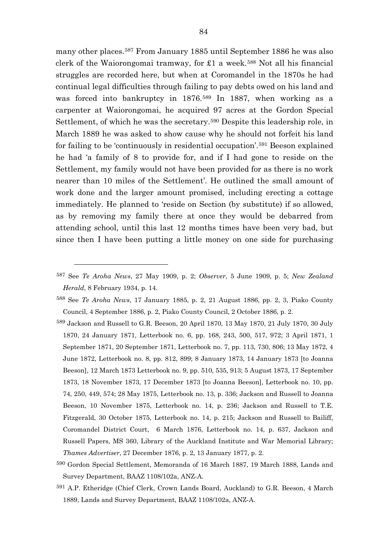many other places.[587](#page-84-0) From January 1885 until September 1886 he was also clerk of the Waiorongomai tramway, for  $\pounds1$  a week.<sup>[588](#page-84-1)</sup> Not all his financial struggles are recorded here, but when at Coromandel in the 1870s he had continual legal difficulties through failing to pay debts owed on his land and was forced into bankruptcy in 1876.[589](#page-84-2) In 1887, when working as a carpenter at Waiorongomai, he acquired 97 acres at the Gordon Special Settlement, of which he was the secretary.[590](#page-84-3) Despite this leadership role, in March 1889 he was asked to show cause why he should not forfeit his land for failing to be 'continuously in residential occupation'.[591](#page-84-4) Beeson explained he had 'a family of 8 to provide for, and if I had gone to reside on the Settlement, my family would not have been provided for as there is no work nearer than 10 miles of the Settlement'. He outlined the small amount of work done and the larger amount promised, including erecting a cottage immediately. He planned to 'reside on Section (by substitute) if so allowed, as by removing my family there at once they would be debarred from attending school, until this last 12 months times have been very bad, but since then I have been putting a little money on one side for purchasing

<span id="page-84-0"></span><sup>587</sup> See *Te Aroha News*, 27 May 1909, p. 2; *Observer*, 5 June 1909, p. 5; *New Zealand Herald*, 8 February 1934, p. 14.

<span id="page-84-1"></span><sup>588</sup> See *Te Aroha News*, 17 January 1885, p. 2, 21 August 1886, pp. 2, 3, Piako County Council, 4 September 1886, p. 2, Piako County Council, 2 October 1886, p. 2.

<span id="page-84-2"></span><sup>589</sup> Jackson and Russell to G.R. Beeson, 20 April 1870, 13 May 1870, 21 July 1870, 30 July 1870, 24 January 1871, Letterbook no. 6, pp. 168, 243, 500, 517, 972; 3 April 1871, 1 September 1871, 20 September 1871, Letterbook no. 7, pp. 113, 730, 806; 13 May 1872, 4 June 1872, Letterbook no. 8, pp. 812, 899; 8 January 1873, 14 January 1873 [to Joanna Beeson], 12 March 1873 Letterbook no. 9, pp. 510, 535, 913; 5 August 1873, 17 September 1873, 18 November 1873, 17 December 1873 [to Joanna Beeson], Letterbook no. 10, pp. 74, 250, 449, 574; 28 May 1875, Letterbook no. 13, p. 336; Jackson and Russell to Joanna Beeson, 10 November 1875, Letterbook no. 14, p. 236; Jackson and Russell to T.E. Fitzgerald, 30 October 1875, Letterbook no. 14, p. 215; Jackson and Russell to Bailiff, Coromandel District Court, 6 March 1876, Letterbook no. 14, p. 637, Jackson and Russell Papers, MS 360, Library of the Auckland Institute and War Memorial Library; *Thames Advertiser*, 27 December 1876, p. 2, 13 January 1877, p. 2.

<span id="page-84-3"></span><sup>590</sup> Gordon Special Settlement, Memoranda of 16 March 1887, 19 March 1888, Lands and Survey Department, BAAZ 1108/102a, ANZ-A.

<span id="page-84-4"></span><sup>591</sup> A.P. Etheridge (Chief Clerk, Crown Lands Board, Auckland) to G.R. Beeson, 4 March 1889, Lands and Survey Department, BAAZ 1108/102a, ANZ-A.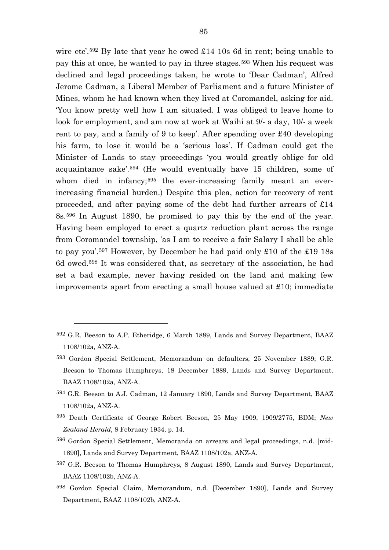wire etc'.<sup>[592](#page-85-0)</sup> By late that year he owed £14 10s 6d in rent; being unable to pay this at once, he wanted to pay in three stages.[593](#page-85-1) When his request was declined and legal proceedings taken, he wrote to 'Dear Cadman', Alfred Jerome Cadman, a Liberal Member of Parliament and a future Minister of Mines, whom he had known when they lived at Coromandel, asking for aid. 'You know pretty well how I am situated. I was obliged to leave home to look for employment, and am now at work at Waihi at 9/- a day, 10/- a week rent to pay, and a family of 9 to keep'. After spending over £40 developing his farm, to lose it would be a 'serious loss'. If Cadman could get the Minister of Lands to stay proceedings 'you would greatly oblige for old acquaintance sake'.[594](#page-85-2) (He would eventually have 15 children, some of whom died in infancy;<sup>[595](#page-85-3)</sup> the ever-increasing family meant an everincreasing financial burden.) Despite this plea, action for recovery of rent proceeded, and after paying some of the debt had further arrears of £14 8s.[596](#page-85-4) In August 1890, he promised to pay this by the end of the year. Having been employed to erect a quartz reduction plant across the range from Coromandel township, 'as I am to receive a fair Salary I shall be able to pay you'.[597](#page-85-5) However, by December he had paid only £10 of the £19 18s 6d owed.[598](#page-85-6) It was considered that, as secretary of the association, he had set a bad example, never having resided on the land and making few improvements apart from erecting a small house valued at £10; immediate

- <span id="page-85-2"></span>594 G.R. Beeson to A.J. Cadman, 12 January 1890, Lands and Survey Department, BAAZ 1108/102a, ANZ-A.
- <span id="page-85-3"></span><sup>595</sup> Death Certificate of George Robert Beeson, 25 May 1909, 1909/2775, BDM; *New Zealand Herald*, 8 February 1934, p. 14.
- <span id="page-85-4"></span>596 Gordon Special Settlement, Memoranda on arrears and legal proceedings, n.d. [mid-1890], Lands and Survey Department, BAAZ 1108/102a, ANZ-A.
- <span id="page-85-5"></span>597 G.R. Beeson to Thomas Humphreys, 8 August 1890, Lands and Survey Department, BAAZ 1108/102b, ANZ-A.
- <span id="page-85-6"></span>598 Gordon Special Claim, Memorandum, n.d. [December 1890], Lands and Survey Department, BAAZ 1108/102b, ANZ-A.

<span id="page-85-0"></span><sup>592</sup> G.R. Beeson to A.P. Etheridge, 6 March 1889, Lands and Survey Department, BAAZ 1108/102a, ANZ-A.

<span id="page-85-1"></span><sup>593</sup> Gordon Special Settlement, Memorandum on defaulters, 25 November 1889; G.R. Beeson to Thomas Humphreys, 18 December 1889, Lands and Survey Department, BAAZ 1108/102a, ANZ-A.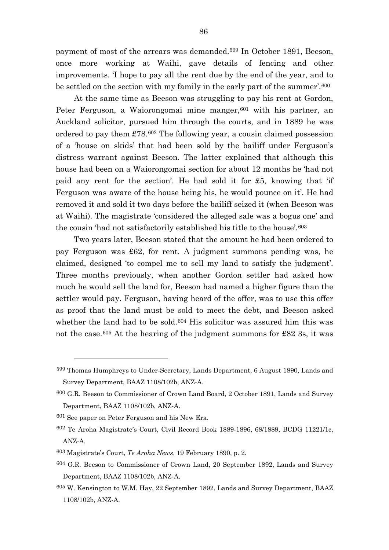payment of most of the arrears was demanded.[599](#page-86-0) In October 1891, Beeson, once more working at Waihi, gave details of fencing and other improvements. 'I hope to pay all the rent due by the end of the year, and to be settled on the section with my family in the early part of the summer'.[600](#page-86-1)

At the same time as Beeson was struggling to pay his rent at Gordon, Peter Ferguson, a Waiorongomai mine manger,<sup>[601](#page-86-2)</sup> with his partner, an Auckland solicitor, pursued him through the courts, and in 1889 he was ordered to pay them £78.[602](#page-86-3) The following year, a cousin claimed possession of a 'house on skids' that had been sold by the bailiff under Ferguson's distress warrant against Beeson. The latter explained that although this house had been on a Waiorongomai section for about 12 months he 'had not paid any rent for the section'. He had sold it for £5, knowing that 'if Ferguson was aware of the house being his, he would pounce on it'. He had removed it and sold it two days before the bailiff seized it (when Beeson was at Waihi). The magistrate 'considered the alleged sale was a bogus one' and the cousin 'had not satisfactorily established his title to the house'.[603](#page-86-4)

Two years later, Beeson stated that the amount he had been ordered to pay Ferguson was £62, for rent. A judgment summons pending was, he claimed, designed 'to compel me to sell my land to satisfy the judgment'. Three months previously, when another Gordon settler had asked how much he would sell the land for, Beeson had named a higher figure than the settler would pay. Ferguson, having heard of the offer, was to use this offer as proof that the land must be sold to meet the debt, and Beeson asked whether the land had to be sold.<sup>[604](#page-86-5)</sup> His solicitor was assured him this was not the case.[605](#page-86-6) At the hearing of the judgment summons for £82 3s, it was

<span id="page-86-0"></span><sup>599</sup> Thomas Humphreys to Under-Secretary, Lands Department, 6 August 1890, Lands and Survey Department, BAAZ 1108/102b, ANZ-A.

<span id="page-86-1"></span><sup>600</sup> G.R. Beeson to Commissioner of Crown Land Board, 2 October 1891, Lands and Survey Department, BAAZ 1108/102b, ANZ-A.

<span id="page-86-2"></span><sup>601</sup> See paper on Peter Ferguson and his New Era.

<span id="page-86-3"></span><sup>602</sup> Te Aroha Magistrate's Court, Civil Record Book 1889-1896, 68/1889, BCDG 11221/1c, ANZ-A.

<span id="page-86-4"></span><sup>603</sup> Magistrate's Court, *Te Aroha News*, 19 February 1890, p. 2.

<span id="page-86-5"></span><sup>604</sup> G.R. Beeson to Commissioner of Crown Land, 20 September 1892, Lands and Survey Department, BAAZ 1108/102b, ANZ-A.

<span id="page-86-6"></span><sup>605</sup> W. Kensington to W.M. Hay, 22 September 1892, Lands and Survey Department, BAAZ 1108/102b, ANZ-A.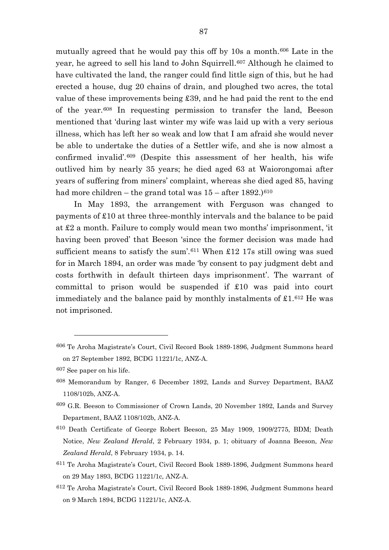mutually agreed that he would pay this off by 10s a month.[606](#page-87-0) Late in the year, he agreed to sell his land to John Squirrell.<sup>[607](#page-87-1)</sup> Although he claimed to have cultivated the land, the ranger could find little sign of this, but he had erected a house, dug 20 chains of drain, and ploughed two acres, the total value of these improvements being £39, and he had paid the rent to the end of the year.[608](#page-87-2) In requesting permission to transfer the land, Beeson mentioned that 'during last winter my wife was laid up with a very serious illness, which has left her so weak and low that I am afraid she would never be able to undertake the duties of a Settler wife, and she is now almost a confirmed invalid'.[609](#page-87-3) (Despite this assessment of her health, his wife outlived him by nearly 35 years; he died aged 63 at Waiorongomai after years of suffering from miners' complaint, whereas she died aged 85, having had more children – the grand total was  $15$  – after  $1892$ .)<sup>[610](#page-87-4)</sup>

In May 1893, the arrangement with Ferguson was changed to payments of £10 at three three-monthly intervals and the balance to be paid at £2 a month. Failure to comply would mean two months' imprisonment, 'it having been proved' that Beeson 'since the former decision was made had sufficient means to satisfy the sum'.[611](#page-87-5) When £12 17s still owing was sued for in March 1894, an order was made 'by consent to pay judgment debt and costs forthwith in default thirteen days imprisonment'. The warrant of committal to prison would be suspended if £10 was paid into court immediately and the balance paid by monthly instalments of  $\pounds1^{612}$  $\pounds1^{612}$  $\pounds1^{612}$  He was not imprisoned.

<span id="page-87-0"></span><sup>606</sup> Te Aroha Magistrate's Court, Civil Record Book 1889-1896, Judgment Summons heard on 27 September 1892, BCDG 11221/1c, ANZ-A.

<span id="page-87-1"></span><sup>607</sup> See paper on his life.

<span id="page-87-2"></span><sup>608</sup> Memorandum by Ranger, 6 December 1892, Lands and Survey Department, BAAZ 1108/102b, ANZ-A.

<span id="page-87-3"></span><sup>609</sup> G.R. Beeson to Commissioner of Crown Lands, 20 November 1892, Lands and Survey Department, BAAZ 1108/102b, ANZ-A.

<span id="page-87-4"></span><sup>610</sup> Death Certificate of George Robert Beeson, 25 May 1909, 1909/2775, BDM; Death Notice, *New Zealand Herald*, 2 February 1934, p. 1; obituary of Joanna Beeson, *New Zealand Herald*, 8 February 1934, p. 14.

<span id="page-87-5"></span><sup>611</sup> Te Aroha Magistrate's Court, Civil Record Book 1889-1896, Judgment Summons heard on 29 May 1893, BCDG 11221/1c, ANZ-A.

<span id="page-87-6"></span><sup>612</sup> Te Aroha Magistrate's Court, Civil Record Book 1889-1896, Judgment Summons heard on 9 March 1894, BCDG 11221/1c, ANZ-A.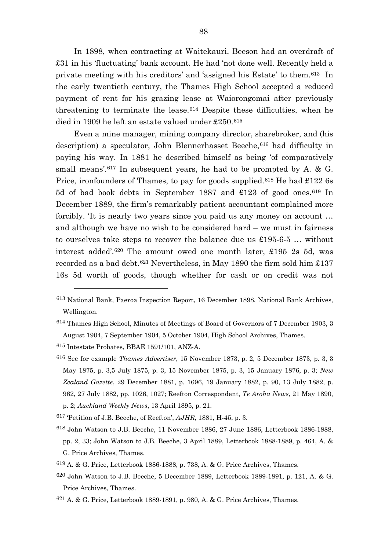In 1898, when contracting at Waitekauri, Beeson had an overdraft of £31 in his 'fluctuating' bank account. He had 'not done well. Recently held a private meeting with his creditors' and 'assigned his Estate' to them.[613](#page-88-0) In the early twentieth century, the Thames High School accepted a reduced payment of rent for his grazing lease at Waiorongomai after previously threatening to terminate the lease.[614](#page-88-1) Despite these difficulties, when he died in 1909 he left an estate valued under £250.[615](#page-88-2)

Even a mine manager, mining company director, sharebroker, and (his description) a speculator, John Blennerhasset Beeche, [616](#page-88-3) had difficulty in paying his way. In 1881 he described himself as being 'of comparatively small means'.<sup>[617](#page-88-4)</sup> In subsequent years, he had to be prompted by A. & G. Price, ironfounders of Thames, to pay for goods supplied.<sup>[618](#page-88-5)</sup> He had  $\pounds$ 122 6s 5d of bad book debts in September 1887 and £123 of good ones.[619](#page-88-6) In December 1889, the firm's remarkably patient accountant complained more forcibly. 'It is nearly two years since you paid us any money on account … and although we have no wish to be considered hard – we must in fairness to ourselves take steps to recover the balance due us £195-6-5 … without interest added'.[620](#page-88-7) The amount owed one month later, £195 2s 5d, was recorded as a bad debt.<sup>[621](#page-88-8)</sup> Nevertheless, in May 1890 the firm sold him  $£137$ 16s 5d worth of goods, though whether for cash or on credit was not

- <span id="page-88-5"></span>618 John Watson to J.B. Beeche, 11 November 1886, 27 June 1886, Letterbook 1886-1888, pp. 2, 33; John Watson to J.B. Beeche, 3 April 1889, Letterbook 1888-1889, p. 464, A. & G. Price Archives, Thames.
- <span id="page-88-6"></span>619 A. & G. Price, Letterbook 1886-1888, p. 738, A. & G. Price Archives, Thames.
- <span id="page-88-7"></span>620 John Watson to J.B. Beeche, 5 December 1889, Letterbook 1889-1891, p. 121, A. & G. Price Archives, Thames.

<span id="page-88-0"></span><sup>613</sup> National Bank, Paeroa Inspection Report, 16 December 1898, National Bank Archives, Wellington.

<span id="page-88-1"></span><sup>614</sup> Thames High School, Minutes of Meetings of Board of Governors of 7 December 1903, 3 August 1904, 7 September 1904, 5 October 1904, High School Archives, Thames.

<span id="page-88-2"></span><sup>615</sup> Intestate Probates, BBAE 1591/101, ANZ-A.

<span id="page-88-3"></span><sup>616</sup> See for example *Thames Advertiser*, 15 November 1873, p. 2, 5 December 1873, p. 3, 3 May 1875, p. 3,5 July 1875, p. 3, 15 November 1875, p. 3, 15 January 1876, p. 3; *New Zealand Gazette*, 29 December 1881, p. 1696, 19 January 1882, p. 90, 13 July 1882, p. 962, 27 July 1882, pp. 1026, 1027; Reefton Correspondent, *Te Aroha News*, 21 May 1890, p. 2; *Auckland Weekly News*, 13 April 1895, p. 21.

<span id="page-88-4"></span><sup>617</sup> 'Petition of J.B. Beeche, of Reefton', *AJHR*, 1881, H-45, p. 3.

<span id="page-88-8"></span><sup>621</sup> A. & G. Price, Letterbook 1889-1891, p. 980, A. & G. Price Archives, Thames.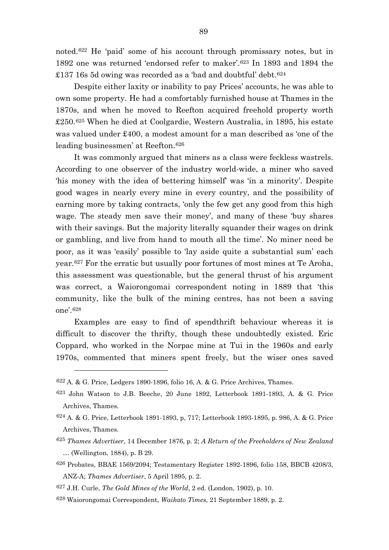noted.[622](#page-89-0) He 'paid' some of his account through promissary notes, but in 1892 one was returned 'endorsed refer to maker'.[623](#page-89-1) In 1893 and 1894 the £137 16s 5d owing was recorded as a 'bad and doubtful' debt.<sup>[624](#page-89-2)</sup>

Despite either laxity or inability to pay Prices' accounts, he was able to own some property. He had a comfortably furnished house at Thames in the 1870s, and when he moved to Reefton acquired freehold property worth £250.[625](#page-89-3) When he died at Coolgardie, Western Australia, in 1895, his estate was valued under £400, a modest amount for a man described as 'one of the leading businessmen' at Reefton.[626](#page-89-4)

It was commonly argued that miners as a class were feckless wastrels. According to one observer of the industry world-wide, a miner who saved 'his money with the idea of bettering himself' was 'in a minority'. Despite good wages in nearly every mine in every country, and the possibility of earning more by taking contracts, 'only the few get any good from this high wage. The steady men save their money', and many of these 'buy shares with their savings. But the majority literally squander their wages on drink or gambling, and live from hand to mouth all the time'. No miner need be poor, as it was 'easily' possible to 'lay aside quite a substantial sum' each year.[627](#page-89-5) For the erratic but usually poor fortunes of most mines at Te Aroha, this assessment was questionable, but the general thrust of his argument was correct, a Waiorongomai correspondent noting in 1889 that 'this community, like the bulk of the mining centres, has not been a saving one'.[628](#page-89-6)

Examples are easy to find of spendthrift behaviour whereas it is difficult to discover the thrifty, though these undoubtedly existed. Eric Coppard, who worked in the Norpac mine at Tui in the 1960s and early 1970s, commented that miners spent freely, but the wiser ones saved

<span id="page-89-0"></span><sup>622</sup> A. & G. Price, Ledgers 1890-1896, folio 16, A. & G. Price Archives, Thames.

<span id="page-89-1"></span><sup>623</sup> John Watson to J.B. Beeche, 20 June 1892, Letterbook 1891-1893, A. & G. Price Archives, Thames.

<span id="page-89-2"></span><sup>624</sup> A. & G. Price, Letterbook 1891-1893, p, 717; Letterbook 1893-1895, p. 986, A. & G. Price Archives, Thames.

<span id="page-89-3"></span><sup>625</sup> *Thames Advertiser*, 14 December 1876, p. 2; *A Return of the Freeholders of New Zealand …* (Wellington, 1884), p. B 29.

<span id="page-89-4"></span><sup>626</sup> Probates, BBAE 1569/2094; Testamentary Register 1892-1896, folio 158, BBCB 4208/3, ANZ-A; *Thames Advertiser*, 5 April 1895, p. 2.

<span id="page-89-6"></span><span id="page-89-5"></span><sup>627</sup> J.H. Curle, *The Gold Mines of the World*, 2 ed. (London, 1902), p. 10.

<sup>628</sup> Waiorongomai Correspondent, *Waikato Times*, 21 September 1889, p. 2.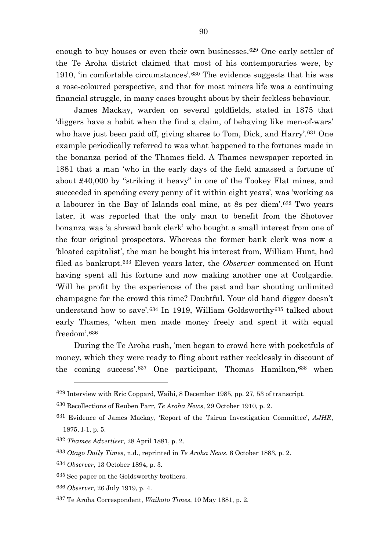enough to buy houses or even their own businesses.[629](#page-90-0) One early settler of the Te Aroha district claimed that most of his contemporaries were, by 1910, 'in comfortable circumstances'.[630](#page-90-1) The evidence suggests that his was a rose-coloured perspective, and that for most miners life was a continuing financial struggle, in many cases brought about by their feckless behaviour.

James Mackay, warden on several goldfields, stated in 1875 that 'diggers have a habit when the find a claim, of behaving like men-of-wars' who have just been paid off, giving shares to Tom, Dick, and Harry'.<sup>[631](#page-90-2)</sup> One example periodically referred to was what happened to the fortunes made in the bonanza period of the Thames field. A Thames newspaper reported in 1881 that a man 'who in the early days of the field amassed a fortune of about £40,000 by "striking it heavy" in one of the Tookey Flat mines, and succeeded in spending every penny of it within eight years', was 'working as a labourer in the Bay of Islands coal mine, at 8s per diem'.[632](#page-90-3) Two years later, it was reported that the only man to benefit from the Shotover bonanza was 'a shrewd bank clerk' who bought a small interest from one of the four original prospectors. Whereas the former bank clerk was now a 'bloated capitalist', the man he bought his interest from, William Hunt, had filed as bankrupt.[633](#page-90-4) Eleven years later, the *Observer* commented on Hunt having spent all his fortune and now making another one at Coolgardie. 'Will he profit by the experiences of the past and bar shouting unlimited champagne for the crowd this time? Doubtful. Your old hand digger doesn't understand how to save'.[634](#page-90-5) In 1919, William Goldsworthy[635](#page-90-6) talked about early Thames, 'when men made money freely and spent it with equal freedom'.[636](#page-90-7)

<span id="page-90-9"></span>During the Te Aroha rush, 'men began to crowd here with pocketfuls of money, which they were ready to fling about rather recklessly in discount of the coming success'.[637](#page-90-8) One participant, Thomas Hamilton,[638](#page-90-9) when

<span id="page-90-0"></span><sup>629</sup> Interview with Eric Coppard, Waihi, 8 December 1985, pp. 27, 53 of transcript.

<span id="page-90-1"></span><sup>630</sup> Recollections of Reuben Parr, *Te Aroha News*, 29 October 1910, p. 2.

<span id="page-90-2"></span><sup>631</sup> Evidence of James Mackay, 'Report of the Tairua Investigation Committee', *AJHR*, 1875, I-1, p. 5.

<span id="page-90-3"></span><sup>632</sup> *Thames Advertiser*, 28 April 1881, p. 2.

<span id="page-90-4"></span><sup>633</sup> *Otago Daily Times*, n.d., reprinted in *Te Aroha News*, 6 October 1883, p. 2.

<span id="page-90-5"></span><sup>634</sup> *Observer*, 13 October 1894, p. 3.

<span id="page-90-6"></span><sup>635</sup> See paper on the Goldsworthy brothers.

<span id="page-90-7"></span><sup>636</sup> *Observer*, 26 July 1919, p. 4.

<span id="page-90-8"></span><sup>637</sup> Te Aroha Correspondent, *Waikato Times*, 10 May 1881, p. 2.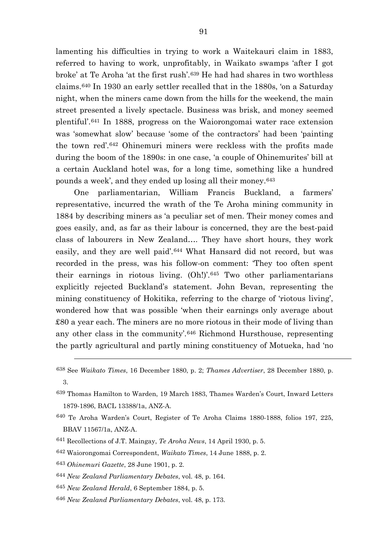lamenting his difficulties in trying to work a Waitekauri claim in 1883, referred to having to work, unprofitably, in Waikato swamps 'after I got broke' at Te Aroha 'at the first rush'.[639](#page-91-0) He had had shares in two worthless claims.[640](#page-91-1) In 1930 an early settler recalled that in the 1880s, 'on a Saturday night, when the miners came down from the hills for the weekend, the main street presented a lively spectacle. Business was brisk, and money seemed plentiful'.[641](#page-91-2) In 1888, progress on the Waiorongomai water race extension was 'somewhat slow' because 'some of the contractors' had been 'painting the town red'.[642](#page-91-3) Ohinemuri miners were reckless with the profits made during the boom of the 1890s: in one case, 'a couple of Ohinemurites' bill at a certain Auckland hotel was, for a long time, something like a hundred pounds a week', and they ended up losing all their money.[643](#page-91-4)

One parliamentarian, William Francis Buckland, a farmers' representative, incurred the wrath of the Te Aroha mining community in 1884 by describing miners as 'a peculiar set of men. Their money comes and goes easily, and, as far as their labour is concerned, they are the best-paid class of labourers in New Zealand…. They have short hours, they work easily, and they are well paid'.[644](#page-91-5) What Hansard did not record, but was recorded in the press, was his follow-on comment: 'They too often spent their earnings in riotous living. (Oh!)'.[645](#page-91-6) Two other parliamentarians explicitly rejected Buckland's statement. John Bevan, representing the mining constituency of Hokitika, referring to the charge of 'riotous living', wondered how that was possible 'when their earnings only average about £80 a year each. The miners are no more riotous in their mode of living than any other class in the community'.[646](#page-91-7) Richmond Hursthouse, representing the partly agricultural and partly mining constituency of Motueka, had 'no

- <span id="page-91-0"></span>639 Thomas Hamilton to Warden, 19 March 1883, Thames Warden's Court, Inward Letters 1879-1896, BACL 13388/1a, ANZ-A.
- <span id="page-91-1"></span>640 Te Aroha Warden's Court, Register of Te Aroha Claims 1880-1888, folios 197, 225, BBAV 11567/1a, ANZ-A.
- <span id="page-91-2"></span><sup>641</sup> Recollections of J.T. Maingay, *Te Aroha News*, 14 April 1930, p. 5.
- <span id="page-91-3"></span><sup>642</sup> Waiorongomai Correspondent, *Waikato Times*, 14 June 1888, p. 2.
- <span id="page-91-4"></span><sup>643</sup> *Ohinemuri Gazette*, 28 June 1901, p. 2.

- <span id="page-91-5"></span><sup>644</sup> *New Zealand Parliamentary Debates*, vol. 48, p. 164.
- <span id="page-91-6"></span><sup>645</sup> *New Zealand Herald*, 6 September 1884, p. 5.
- <span id="page-91-7"></span><sup>646</sup> *New Zealand Parliamentary Debates*, vol. 48, p. 173.

<sup>638</sup> See *Waikato Times*, 16 December 1880, p. 2; *Thames Advertiser*, 28 December 1880, p. 3.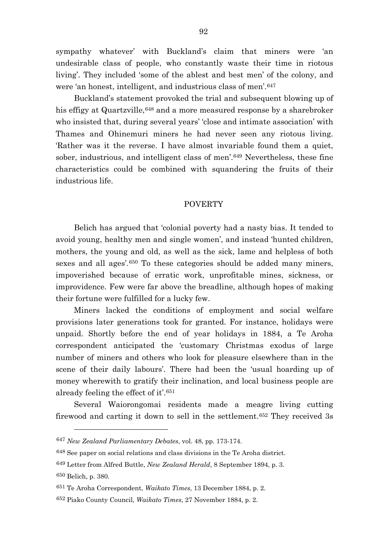sympathy whatever' with Buckland's claim that miners were 'an undesirable class of people, who constantly waste their time in riotous living'. They included 'some of the ablest and best men' of the colony, and were 'an honest, intelligent, and industrious class of men'.[647](#page-92-0)

Buckland's statement provoked the trial and subsequent blowing up of his effigy at Quartzville, [648](#page-92-1) and a more measured response by a sharebroker who insisted that, during several years' 'close and intimate association' with Thames and Ohinemuri miners he had never seen any riotous living. 'Rather was it the reverse. I have almost invariable found them a quiet, sober, industrious, and intelligent class of men'.[649](#page-92-2) Nevertheless, these fine characteristics could be combined with squandering the fruits of their industrious life.

## **POVERTY**

Belich has argued that 'colonial poverty had a nasty bias. It tended to avoid young, healthy men and single women', and instead 'hunted children, mothers, the young and old, as well as the sick, lame and helpless of both sexes and all ages'.<sup>[650](#page-92-3)</sup> To these categories should be added many miners, impoverished because of erratic work, unprofitable mines, sickness, or improvidence. Few were far above the breadline, although hopes of making their fortune were fulfilled for a lucky few.

Miners lacked the conditions of employment and social welfare provisions later generations took for granted. For instance, holidays were unpaid. Shortly before the end of year holidays in 1884, a Te Aroha correspondent anticipated the 'customary Christmas exodus of large number of miners and others who look for pleasure elsewhere than in the scene of their daily labours'. There had been the 'usual hoarding up of money wherewith to gratify their inclination, and local business people are already feeling the effect of it'.[651](#page-92-4)

Several Waiorongomai residents made a meagre living cutting firewood and carting it down to sell in the settlement.[652](#page-92-5) They received 3s

<span id="page-92-0"></span><sup>647</sup> *New Zealand Parliamentary Debates*, vol. 48, pp. 173-174.

<span id="page-92-1"></span><sup>648</sup> See paper on social relations and class divisions in the Te Aroha district.

<span id="page-92-3"></span><span id="page-92-2"></span><sup>649</sup> Letter from Alfred Buttle, *New Zealand Herald*, 8 September 1894, p. 3. 650 Belich, p. 380.

<span id="page-92-4"></span><sup>651</sup> Te Aroha Correspondent, *Waikato Times*, 13 December 1884, p. 2.

<span id="page-92-5"></span><sup>652</sup> Piako County Council, *Waikato Times*, 27 November 1884, p. 2.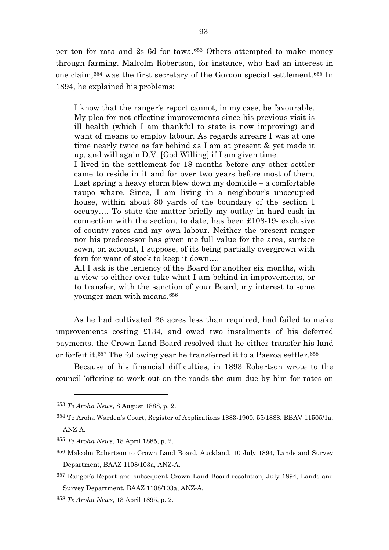per ton for rata and 2s 6d for tawa.[653](#page-93-0) Others attempted to make money through farming. Malcolm Robertson, for instance, who had an interest in one claim,[654](#page-93-1) was the first secretary of the Gordon special settlement.[655](#page-93-2) In 1894, he explained his problems:

I know that the ranger's report cannot, in my case, be favourable. My plea for not effecting improvements since his previous visit is ill health (which I am thankful to state is now improving) and want of means to employ labour. As regards arrears I was at one time nearly twice as far behind as I am at present & yet made it up, and will again D.V. [God Willing] if I am given time.

I lived in the settlement for 18 months before any other settler came to reside in it and for over two years before most of them. Last spring a heavy storm blew down my domicile – a comfortable raupo whare. Since, I am living in a neighbour's unoccupied house, within about 80 yards of the boundary of the section I occupy…. To state the matter briefly my outlay in hard cash in connection with the section, to date, has been £108-19- exclusive of county rates and my own labour. Neither the present ranger nor his predecessor has given me full value for the area, surface sown, on account, I suppose, of its being partially overgrown with fern for want of stock to keep it down….

All I ask is the leniency of the Board for another six months, with a view to either over take what I am behind in improvements, or to transfer, with the sanction of your Board, my interest to some younger man with means.[656](#page-93-3)

As he had cultivated 26 acres less than required, had failed to make improvements costing £134, and owed two instalments of his deferred payments, the Crown Land Board resolved that he either transfer his land or forfeit it.<sup>[657](#page-93-4)</sup> The following year he transferred it to a Paeroa settler.<sup>[658](#page-93-5)</sup>

Because of his financial difficulties, in 1893 Robertson wrote to the council 'offering to work out on the roads the sum due by him for rates on

<span id="page-93-0"></span><sup>653</sup> *Te Aroha News*, 8 August 1888, p. 2.

<span id="page-93-1"></span><sup>654</sup> Te Aroha Warden's Court, Register of Applications 1883-1900, 55/1888, BBAV 11505/1a, ANZ-A.

<span id="page-93-2"></span><sup>655</sup> *Te Aroha News*, 18 April 1885, p. 2.

<span id="page-93-3"></span><sup>656</sup> Malcolm Robertson to Crown Land Board, Auckland, 10 July 1894, Lands and Survey Department, BAAZ 1108/103a, ANZ-A.

<span id="page-93-4"></span><sup>657</sup> Ranger's Report and subsequent Crown Land Board resolution, July 1894, Lands and Survey Department, BAAZ 1108/103a, ANZ-A.

<span id="page-93-5"></span><sup>658</sup> *Te Aroha News*, 13 April 1895, p. 2.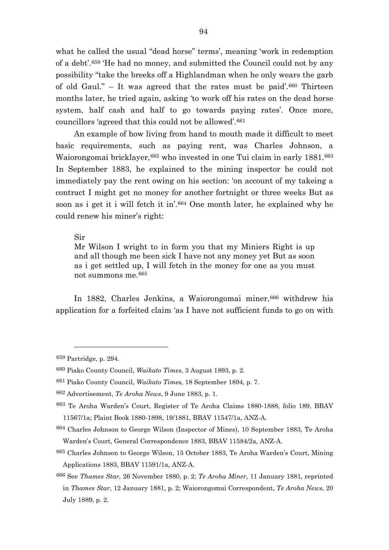what he called the usual "dead horse" terms', meaning 'work in redemption of a debt'.[659](#page-94-0) 'He had no money, and submitted the Council could not by any possibility "take the breeks off a Highlandman when he only wears the garb of old Gaul." – It was agreed that the rates must be paid'.[660](#page-94-1) Thirteen months later, he tried again, asking 'to work off his rates on the dead horse system, half cash and half to go towards paying rates'. Once more, councillors 'agreed that this could not be allowed'.[661](#page-94-2)

An example of how living from hand to mouth made it difficult to meet basic requirements, such as paying rent, was Charles Johnson, a Waiorongomai bricklayer, [662](#page-94-3) who invested in one Tui claim in early 1881.[663](#page-94-4) In September 1883, he explained to the mining inspector he could not immediately pay the rent owing on his section: 'on account of my takeing a contract I might get no money for another fortnight or three weeks But as soon as i get it i will fetch it in'.[664](#page-94-5) One month later, he explained why he could renew his miner's right:

## Sir

Mr Wilson I wright to in form you that my Miniers Right is up and all though me been sick I have not any money yet But as soon as i get settled up, I will fetch in the money for one as you must not summons me.[665](#page-94-6)

In 1882, Charles Jenkins, a Waiorongomai miner, [666](#page-94-7) withdrew his application for a forfeited claim 'as I have not sufficient funds to go on with

<span id="page-94-0"></span><sup>659</sup> Partridge, p. 294.

<span id="page-94-1"></span><sup>660</sup> Piako County Council, *Waikato Times*, 3 August 1893, p. 2.

<span id="page-94-2"></span><sup>661</sup> Piako County Council, *Waikato Times*, 18 September 1894, p. 7.

<span id="page-94-3"></span><sup>662</sup> Advertisement, *Te Aroha News*, 9 June 1883, p. 1.

<span id="page-94-4"></span><sup>663</sup> Te Aroha Warden's Court, Register of Te Aroha Claims 1880-1888, folio 189, BBAV 11567/1a; Plaint Book 1880-1898, 19/1881, BBAV 11547/1a, ANZ-A.

<span id="page-94-5"></span><sup>664</sup> Charles Johnson to George Wilson (Inspector of Mines), 10 September 1883, Te Aroha Warden's Court, General Correspondence 1883, BBAV 11584/2a, ANZ-A.

<span id="page-94-6"></span><sup>665</sup> Charles Johnson to George Wilson, 15 October 1883, Te Aroha Warden's Court, Mining Applications 1883, BBAV 11591/1a, ANZ-A.

<span id="page-94-7"></span><sup>666</sup> See *Thames Star*, 26 November 1880, p. 2; *Te Aroha Miner*, 11 January 1881, reprinted in *Thames Star*, 12 January 1881, p. 2; Waiorongomai Correspondent, *Te Aroha News*, 20 July 1889, p. 2.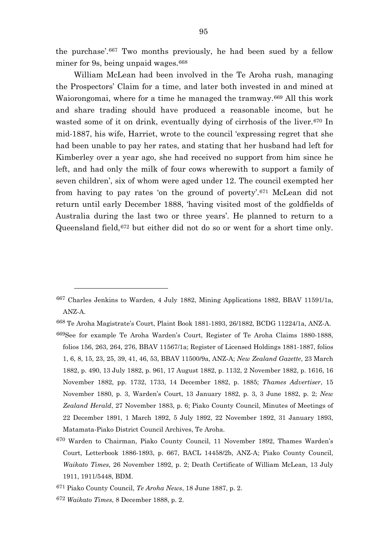the purchase'.[667](#page-95-0) Two months previously, he had been sued by a fellow miner for 9s, being unpaid wages.<sup>[668](#page-95-1)</sup>

William McLean had been involved in the Te Aroha rush, managing the Prospectors' Claim for a time, and later both invested in and mined at Waiorongomai, where for a time he managed the tramway.<sup>[669](#page-95-2)</sup> All this work and share trading should have produced a reasonable income, but he wasted some of it on drink, eventually dying of cirrhosis of the liver.<sup>[670](#page-95-3)</sup> In mid-1887, his wife, Harriet, wrote to the council 'expressing regret that she had been unable to pay her rates, and stating that her husband had left for Kimberley over a year ago, she had received no support from him since he left, and had only the milk of four cows wherewith to support a family of seven children', six of whom were aged under 12. The council exempted her from having to pay rates 'on the ground of poverty'.[671](#page-95-4) McLean did not return until early December 1888, 'having visited most of the goldfields of Australia during the last two or three years'. He planned to return to a Queensland field,[672](#page-95-5) but either did not do so or went for a short time only.

<span id="page-95-0"></span><sup>667</sup> Charles Jenkins to Warden, 4 July 1882, Mining Applications 1882, BBAV 11591/1a, ANZ-A.

<span id="page-95-1"></span><sup>668</sup> Te Aroha Magistrate's Court, Plaint Book 1881-1893, 26/1882, BCDG 11224/1a, ANZ-A.

<span id="page-95-2"></span><sup>669</sup>See for example Te Aroha Warden's Court, Register of Te Aroha Claims 1880-1888, folios 156, 263, 264, 276, BBAV 11567/1a; Register of Licensed Holdings 1881-1887, folios 1, 6, 8, 15, 23, 25, 39, 41, 46, 53, BBAV 11500/9a, ANZ-A; *New Zealand Gazette*, 23 March 1882, p. 490, 13 July 1882, p. 961, 17 August 1882, p. 1132, 2 November 1882, p. 1616, 16 November 1882, pp. 1732, 1733, 14 December 1882, p. 1885; *Thames Advertiser*, 15 November 1880, p. 3, Warden's Court, 13 January 1882, p. 3, 3 June 1882, p. 2; *New Zealand Herald*, 27 November 1883, p. 6; Piako County Council, Minutes of Meetings of 22 December 1891, 1 March 1892, 5 July 1892, 22 November 1892, 31 January 1893, Matamata-Piako District Council Archives, Te Aroha.

<span id="page-95-3"></span><sup>670</sup> Warden to Chairman, Piako County Council, 11 November 1892, Thames Warden's Court, Letterbook 1886-1893, p. 667, BACL 14458/2b, ANZ-A; Piako County Council, *Waikato Times*, 26 November 1892, p. 2; Death Certificate of William McLean, 13 July 1911, 1911/5448, BDM.

<span id="page-95-4"></span><sup>671</sup> Piako County Council, *Te Aroha News*, 18 June 1887, p. 2.

<span id="page-95-5"></span><sup>672</sup> *Waikato Times*, 8 December 1888, p. 2.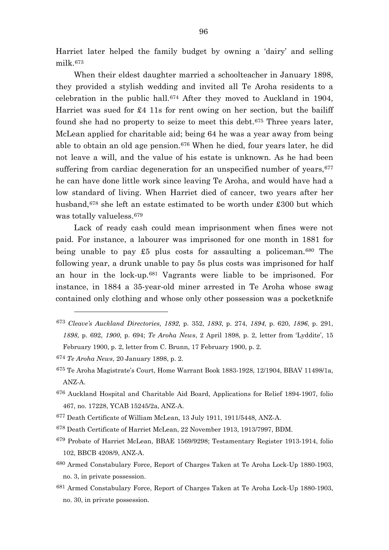Harriet later helped the family budget by owning a 'dairy' and selling milk.[673](#page-96-0)

When their eldest daughter married a schoolteacher in January 1898, they provided a stylish wedding and invited all Te Aroha residents to a celebration in the public hall.[674](#page-96-1) After they moved to Auckland in 1904, Harriet was sued for £4 11s for rent owing on her section, but the bailiff found she had no property to seize to meet this debt.[675](#page-96-2) Three years later, McLean applied for charitable aid; being 64 he was a year away from being able to obtain an old age pension.[676](#page-96-3) When he died, four years later, he did not leave a will, and the value of his estate is unknown. As he had been suffering from cardiac degeneration for an unspecified number of years,  $677$ he can have done little work since leaving Te Aroha, and would have had a low standard of living. When Harriet died of cancer, two years after her husband,[678](#page-96-5) she left an estate estimated to be worth under £300 but which was totally valueless.[679](#page-96-6)

Lack of ready cash could mean imprisonment when fines were not paid. For instance, a labourer was imprisoned for one month in 1881 for being unable to pay  $\pounds 5$  plus costs for assaulting a policeman.<sup>[680](#page-96-7)</sup> The following year, a drunk unable to pay 5s plus costs was imprisoned for half an hour in the lock-up.[681](#page-96-8) Vagrants were liable to be imprisoned. For instance, in 1884 a 35-year-old miner arrested in Te Aroha whose swag contained only clothing and whose only other possession was a pocketknife

- <span id="page-96-0"></span><sup>673</sup> *Cleave's Auckland Directories, 1892*, p. 352, *1893*, p. 274, *1894*, p. 620, *1896*, p. 291, *1898*, p. 692, *1900*, p. 694; *Te Aroha News*, 2 April 1898, p. 2, letter from 'Lyddite', 15 February 1900, p. 2, letter from C. Brunn, 17 February 1900, p. 2.
- <span id="page-96-1"></span><sup>674</sup> *Te Aroha News*, 20 January 1898, p. 2.

- <span id="page-96-2"></span>675 Te Aroha Magistrate's Court, Home Warrant Book 1883-1928, 12/1904, BBAV 11498/1a, ANZ-A.
- <span id="page-96-3"></span>676 Auckland Hospital and Charitable Aid Board, Applications for Relief 1894-1907, folio 467, no. 17228, YCAB 15245/2a, ANZ-A.
- <span id="page-96-4"></span>677 Death Certificate of William McLean, 13 July 1911, 1911/5448, ANZ-A.
- <span id="page-96-5"></span>678 Death Certificate of Harriet McLean, 22 November 1913, 1913/7997, BDM.
- <span id="page-96-6"></span>679 Probate of Harriet McLean, BBAE 1569/9298; Testamentary Register 1913-1914, folio 102, BBCB 4208/9, ANZ-A.
- <span id="page-96-7"></span>680 Armed Constabulary Force, Report of Charges Taken at Te Aroha Lock-Up 1880-1903, no. 3, in private possession.
- <span id="page-96-8"></span>681 Armed Constabulary Force, Report of Charges Taken at Te Aroha Lock-Up 1880-1903, no. 30, in private possession.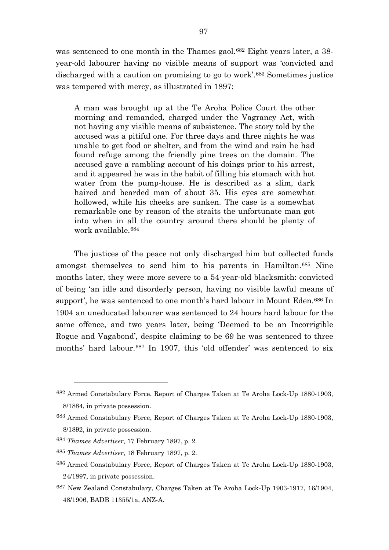was sentenced to one month in the Thames gaol.<sup>[682](#page-97-0)</sup> Eight years later, a 38year-old labourer having no visible means of support was 'convicted and discharged with a caution on promising to go to work'.[683](#page-97-1) Sometimes justice was tempered with mercy, as illustrated in 1897:

A man was brought up at the Te Aroha Police Court the other morning and remanded, charged under the Vagrancy Act, with not having any visible means of subsistence. The story told by the accused was a pitiful one. For three days and three nights he was unable to get food or shelter, and from the wind and rain he had found refuge among the friendly pine trees on the domain. The accused gave a rambling account of his doings prior to his arrest, and it appeared he was in the habit of filling his stomach with hot water from the pump-house. He is described as a slim, dark haired and bearded man of about 35. His eyes are somewhat hollowed, while his cheeks are sunken. The case is a somewhat remarkable one by reason of the straits the unfortunate man got into when in all the country around there should be plenty of work available.[684](#page-97-2)

The justices of the peace not only discharged him but collected funds amongst themselves to send him to his parents in Hamilton.[685](#page-97-3) Nine months later, they were more severe to a 54-year-old blacksmith: convicted of being 'an idle and disorderly person, having no visible lawful means of support', he was sentenced to one month's hard labour in Mount Eden.<sup>[686](#page-97-4)</sup> In 1904 an uneducated labourer was sentenced to 24 hours hard labour for the same offence, and two years later, being 'Deemed to be an Incorrigible Rogue and Vagabond', despite claiming to be 69 he was sentenced to three months' hard labour.[687](#page-97-5) In 1907, this 'old offender' was sentenced to six

<span id="page-97-0"></span><sup>682</sup> Armed Constabulary Force, Report of Charges Taken at Te Aroha Lock-Up 1880-1903, 8/1884, in private possession.

<span id="page-97-1"></span><sup>683</sup> Armed Constabulary Force, Report of Charges Taken at Te Aroha Lock-Up 1880-1903, 8/1892, in private possession.

<span id="page-97-2"></span><sup>684</sup> *Thames Advertiser*, 17 February 1897, p. 2.

<span id="page-97-3"></span><sup>685</sup> *Thames Advertiser*, 18 February 1897, p. 2.

<span id="page-97-4"></span><sup>686</sup> Armed Constabulary Force, Report of Charges Taken at Te Aroha Lock-Up 1880-1903, 24/1897, in private possession.

<span id="page-97-5"></span><sup>687</sup> New Zealand Constabulary, Charges Taken at Te Aroha Lock-Up 1903-1917, 16/1904, 48/1906, BADB 11355/1a, ANZ-A.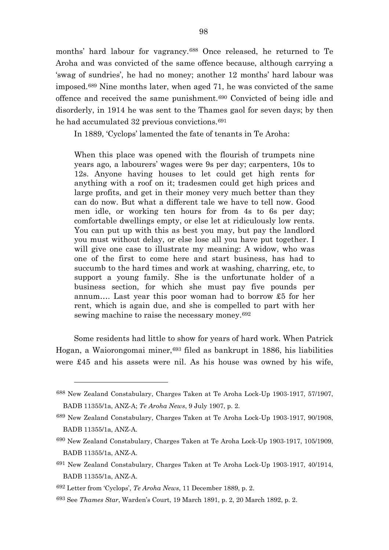months' hard labour for vagrancy.[688](#page-98-0) Once released, he returned to Te Aroha and was convicted of the same offence because, although carrying a 'swag of sundries', he had no money; another 12 months' hard labour was imposed.[689](#page-98-1) Nine months later, when aged 71, he was convicted of the same offence and received the same punishment.[690](#page-98-2) Convicted of being idle and disorderly, in 1914 he was sent to the Thames gaol for seven days; by then he had accumulated 32 previous convictions.<sup>[691](#page-98-3)</sup>

In 1889, 'Cyclops' lamented the fate of tenants in Te Aroha:

When this place was opened with the flourish of trumpets nine years ago, a labourers' wages were 9s per day; carpenters, 10s to 12s. Anyone having houses to let could get high rents for anything with a roof on it; tradesmen could get high prices and large profits, and get in their money very much better than they can do now. But what a different tale we have to tell now. Good men idle, or working ten hours for from 4s to 6s per day; comfortable dwellings empty, or else let at ridiculously low rents. You can put up with this as best you may, but pay the landlord you must without delay, or else lose all you have put together. I will give one case to illustrate my meaning: A widow, who was one of the first to come here and start business, has had to succumb to the hard times and work at washing, charring, etc, to support a young family. She is the unfortunate holder of a business section, for which she must pay five pounds per annum…. Last year this poor woman had to borrow £5 for her rent, which is again due, and she is compelled to part with her sewing machine to raise the necessary money.[692](#page-98-4)

Some residents had little to show for years of hard work. When Patrick Hogan, a Waiorongomai miner,  $693$  filed as bankrupt in 1886, his liabilities were £45 and his assets were nil. As his house was owned by his wife,

<span id="page-98-0"></span><sup>688</sup> New Zealand Constabulary, Charges Taken at Te Aroha Lock-Up 1903-1917, 57/1907, BADB 11355/1a, ANZ-A; *Te Aroha News*, 9 July 1907, p. 2.

<span id="page-98-1"></span><sup>689</sup> New Zealand Constabulary, Charges Taken at Te Aroha Lock-Up 1903-1917, 90/1908, BADB 11355/1a, ANZ-A.

<span id="page-98-2"></span><sup>690</sup> New Zealand Constabulary, Charges Taken at Te Aroha Lock-Up 1903-1917, 105/1909, BADB 11355/1a, ANZ-A.

<span id="page-98-3"></span><sup>691</sup> New Zealand Constabulary, Charges Taken at Te Aroha Lock-Up 1903-1917, 40/1914, BADB 11355/1a, ANZ-A.

<span id="page-98-4"></span><sup>692</sup> Letter from 'Cyclops', *Te Aroha News*, 11 December 1889, p. 2.

<span id="page-98-5"></span><sup>693</sup> See *Thames Star*, Warden's Court, 19 March 1891, p. 2, 20 March 1892, p. 2.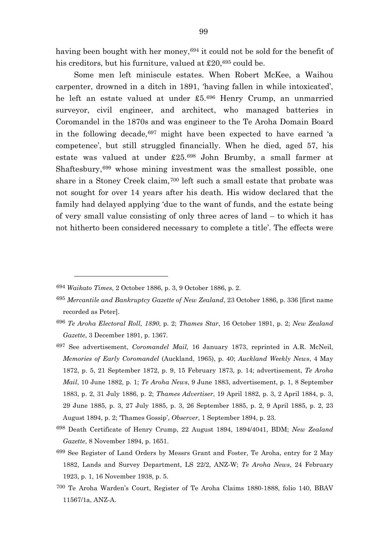having been bought with her money, <sup>[694](#page-99-0)</sup> it could not be sold for the benefit of his creditors, but his furniture, valued at £20,<sup>[695](#page-99-1)</sup> could be.

Some men left miniscule estates. When Robert McKee, a Waihou carpenter, drowned in a ditch in 1891, 'having fallen in while intoxicated', he left an estate valued at under £5.[696](#page-99-2) Henry Crump, an unmarried surveyor, civil engineer, and architect, who managed batteries in Coromandel in the 1870s and was engineer to the Te Aroha Domain Board in the following decade,  $697$  might have been expected to have earned 'a competence', but still struggled financially. When he died, aged 57, his estate was valued at under £25.[698](#page-99-4) John Brumby, a small farmer at Shaftesbury,[699](#page-99-5) whose mining investment was the smallest possible, one share in a Stoney Creek claim,<sup>[700](#page-99-6)</sup> left such a small estate that probate was not sought for over 14 years after his death. His widow declared that the family had delayed applying 'due to the want of funds, and the estate being of very small value consisting of only three acres of land – to which it has not hitherto been considered necessary to complete a title'. The effects were

- <span id="page-99-4"></span><sup>698</sup> Death Certificate of Henry Crump, 22 August 1894, 1894/4041, BDM; *New Zealand Gazette*, 8 November 1894, p. 1651.
- <span id="page-99-5"></span>699 See Register of Land Orders by Messrs Grant and Foster, Te Aroha, entry for 2 May 1882, Lands and Survey Department, LS 22/2, ANZ-W; *Te Aroha News*, 24 February 1923, p. 1, 16 November 1938, p. 5.
- <span id="page-99-6"></span>700 Te Aroha Warden's Court, Register of Te Aroha Claims 1880-1888, folio 140, BBAV 11567/1a, ANZ-A.

<span id="page-99-0"></span><sup>694</sup> *Waikato Times*, 2 October 1886, p. 3, 9 October 1886, p. 2.

<span id="page-99-1"></span><sup>695</sup> *Mercantile and Bankruptcy Gazette of New Zealand*, 23 October 1886, p. 336 [first name recorded as Peter].

<span id="page-99-2"></span><sup>696</sup> *Te Aroha Electoral Roll, 1890*, p. 2; *Thames Star*, 16 October 1891, p. 2; *New Zealand Gazette*, 3 December 1891, p. 1367.

<span id="page-99-3"></span><sup>697</sup> See advertisement, *Coromandel Mail*, 16 January 1873, reprinted in A.R. McNeil, *Memories of Early Coromandel* (Auckland, 1965), p. 40; *Auckland Weekly News*, 4 May 1872, p. 5, 21 September 1872, p. 9, 15 February 1873, p. 14; advertisement, *Te Aroha Mail*, 10 June 1882, p. 1; *Te Aroha News*, 9 June 1883, advertisement, p. 1, 8 September 1883, p. 2, 31 July 1886, p. 2; *Thames Advertiser*, 19 April 1882, p. 3, 2 April 1884, p. 3, 29 June 1885, p. 3, 27 July 1885, p. 3, 26 September 1885, p. 2, 9 April 1885, p. 2, 23 August 1894, p. 2; 'Thames Gossip', *Observer*, 1 September 1894, p. 23.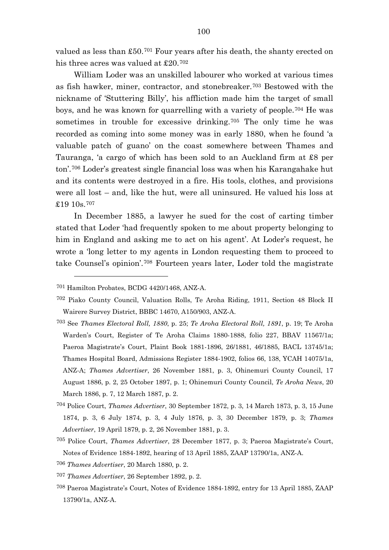valued as less than £50.[701](#page-100-0) Four years after his death, the shanty erected on his three acres was valued at £20.[702](#page-100-1)

William Loder was an unskilled labourer who worked at various times as fish hawker, miner, contractor, and stonebreaker.[703](#page-100-2) Bestowed with the nickname of 'Stuttering Billy', his affliction made him the target of small boys, and he was known for quarrelling with a variety of people.[704](#page-100-3) He was sometimes in trouble for excessive drinking.<sup>[705](#page-100-4)</sup> The only time he was recorded as coming into some money was in early 1880, when he found 'a valuable patch of guano' on the coast somewhere between Thames and Tauranga, 'a cargo of which has been sold to an Auckland firm at £8 per ton'.[706](#page-100-5) Loder's greatest single financial loss was when his Karangahake hut and its contents were destroyed in a fire. His tools, clothes, and provisions were all lost – and, like the hut, were all uninsured. He valued his loss at £19 10s.[707](#page-100-6)

In December 1885, a lawyer he sued for the cost of carting timber stated that Loder 'had frequently spoken to me about property belonging to him in England and asking me to act on his agent'. At Loder's request, he wrote a 'long letter to my agents in London requesting them to proceed to take Counsel's opinion'.[708](#page-100-7) Fourteen years later, Loder told the magistrate

 $\overline{a}$ 

<span id="page-100-3"></span><sup>704</sup> Police Court, *Thames Advertiser*, 30 September 1872, p. 3, 14 March 1873, p. 3, 15 June 1874, p. 3, 6 July 1874, p. 3, 4 July 1876, p. 3, 30 December 1879, p. 3; *Thames Advertiser*, 19 April 1879, p. 2, 26 November 1881, p. 3.

- <span id="page-100-5"></span><sup>706</sup> *Thames Advertiser*, 20 March 1880, p. 2.
- <span id="page-100-6"></span><sup>707</sup> *Thames Advertiser*, 26 September 1892, p. 2.
- <span id="page-100-7"></span>708 Paeroa Magistrate's Court, Notes of Evidence 1884-1892, entry for 13 April 1885, ZAAP 13790/1a, ANZ-A.

<span id="page-100-0"></span><sup>701</sup> Hamilton Probates, BCDG 4420/1468, ANZ-A.

<span id="page-100-1"></span><sup>702</sup> Piako County Council, Valuation Rolls, Te Aroha Riding, 1911, Section 48 Block II Wairere Survey District, BBBC 14670, A150/903, ANZ-A.

<span id="page-100-2"></span><sup>703</sup> See *Thames Electoral Roll, 1880*, p. 25; *Te Aroha Electoral Roll, 1891*, p. 19; Te Aroha Warden's Court, Register of Te Aroha Claims 1880-1888, folio 227, BBAV 11567/1a; Paeroa Magistrate's Court, Plaint Book 1881-1896, 26/1881, 46/1885, BACL 13745/1a; Thames Hospital Board, Admissions Register 1884-1902, folios 66, 138, YCAH 14075/1a, ANZ-A; *Thames Advertiser*, 26 November 1881, p. 3, Ohinemuri County Council, 17 August 1886, p. 2, 25 October 1897, p. 1; Ohinemuri County Council, *Te Aroha News*, 20 March 1886, p. 7, 12 March 1887, p. 2.

<span id="page-100-4"></span><sup>705</sup> Police Court, *Thames Advertiser*, 28 December 1877, p. 3; Paeroa Magistrate's Court, Notes of Evidence 1884-1892, hearing of 13 April 1885, ZAAP 13790/1a, ANZ-A.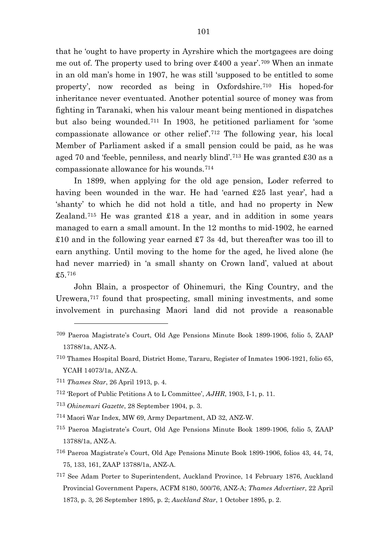that he 'ought to have property in Ayrshire which the mortgagees are doing me out of. The property used to bring over  $\text{\pounds}400$  a year'.<sup>[709](#page-101-0)</sup> When an inmate in an old man's home in 1907, he was still 'supposed to be entitled to some property', now recorded as being in Oxfordshire.[710](#page-101-1) His hoped-for inheritance never eventuated. Another potential source of money was from fighting in Taranaki, when his valour meant being mentioned in dispatches but also being wounded.[711](#page-101-2) In 1903, he petitioned parliament for 'some compassionate allowance or other relief'.[712](#page-101-3) The following year, his local Member of Parliament asked if a small pension could be paid, as he was aged 70 and 'feeble, penniless, and nearly blind'.[713](#page-101-4) He was granted £30 as a compassionate allowance for his wounds.[714](#page-101-5)

In 1899, when applying for the old age pension, Loder referred to having been wounded in the war. He had 'earned £25 last year', had a 'shanty' to which he did not hold a title, and had no property in New Zealand.<sup>[715](#page-101-6)</sup> He was granted  $£18$  a year, and in addition in some years managed to earn a small amount. In the 12 months to mid-1902, he earned £10 and in the following year earned £7 3s 4d, but thereafter was too ill to earn anything. Until moving to the home for the aged, he lived alone (he had never married) in 'a small shanty on Crown land', valued at about £5.[716](#page-101-7)

John Blain, a prospector of Ohinemuri, the King Country, and the Urewera,[717](#page-101-8) found that prospecting, small mining investments, and some involvement in purchasing Maori land did not provide a reasonable

<span id="page-101-1"></span>710 Thames Hospital Board, District Home, Tararu, Register of Inmates 1906-1921, folio 65, YCAH 14073/1a, ANZ-A.

- <span id="page-101-4"></span><sup>713</sup> *Ohinemuri Gazette*, 28 September 1904, p. 3.
- <span id="page-101-5"></span>714 Maori War Index, MW 69, Army Department, AD 32, ANZ-W.
- <span id="page-101-6"></span>715 Paeroa Magistrate's Court, Old Age Pensions Minute Book 1899-1906, folio 5, ZAAP 13788/1a, ANZ-A.
- <span id="page-101-7"></span>716 Paeroa Magistrate's Court, Old Age Pensions Minute Book 1899-1906, folios 43, 44, 74, 75, 133, 161, ZAAP 13788/1a, ANZ-A.
- <span id="page-101-8"></span>717 See Adam Porter to Superintendent, Auckland Province, 14 February 1876, Auckland Provincial Government Papers, ACFM 8180, 500/76, ANZ-A; *Thames Advertiser*, 22 April 1873, p. 3, 26 September 1895, p. 2; *Auckland Star*, 1 October 1895, p. 2.

<span id="page-101-0"></span><sup>709</sup> Paeroa Magistrate's Court, Old Age Pensions Minute Book 1899-1906, folio 5, ZAAP 13788/1a, ANZ-A.

<span id="page-101-2"></span><sup>711</sup> *Thames Star*, 26 April 1913, p. 4.

<span id="page-101-3"></span><sup>712</sup> 'Report of Public Petitions A to L Committee', *AJHR*, 1903, I-1, p. 11.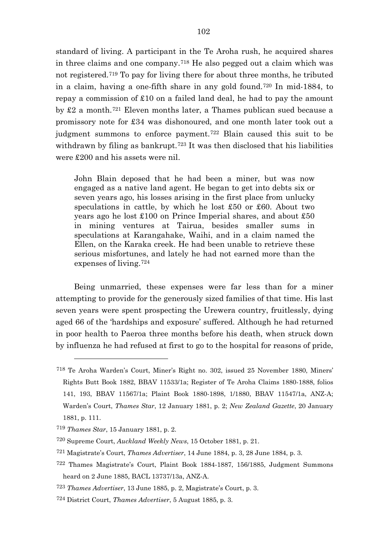standard of living. A participant in the Te Aroha rush, he acquired shares in three claims and one company.[718](#page-102-0) He also pegged out a claim which was not registered.[719](#page-102-1) To pay for living there for about three months, he tributed in a claim, having a one-fifth share in any gold found.[720](#page-102-2) In mid-1884, to repay a commission of £10 on a failed land deal, he had to pay the amount by £2 a month.[721](#page-102-3) Eleven months later, a Thames publican sued because a promissory note for £34 was dishonoured, and one month later took out a judgment summons to enforce payment.[722](#page-102-4) Blain caused this suit to be withdrawn by filing as bankrupt.<sup>[723](#page-102-5)</sup> It was then disclosed that his liabilities were £200 and his assets were nil.

John Blain deposed that he had been a miner, but was now engaged as a native land agent. He began to get into debts six or seven years ago, his losses arising in the first place from unlucky speculations in cattle, by which he lost £50 or £60. About two years ago he lost £100 on Prince Imperial shares, and about £50 in mining ventures at Tairua, besides smaller sums in speculations at Karangahake, Waihi, and in a claim named the Ellen, on the Karaka creek. He had been unable to retrieve these serious misfortunes, and lately he had not earned more than the expenses of living.[724](#page-102-6)

Being unmarried, these expenses were far less than for a miner attempting to provide for the generously sized families of that time. His last seven years were spent prospecting the Urewera country, fruitlessly, dying aged 66 of the 'hardships and exposure' suffered. Although he had returned in poor health to Paeroa three months before his death, when struck down by influenza he had refused at first to go to the hospital for reasons of pride,

<span id="page-102-0"></span><sup>718</sup> Te Aroha Warden's Court, Miner's Right no. 302, issued 25 November 1880, Miners' Rights Butt Book 1882, BBAV 11533/1a; Register of Te Aroha Claims 1880-1888, folios 141, 193, BBAV 11567/1a; Plaint Book 1880-1898, 1/1880, BBAV 11547/1a, ANZ-A; Warden's Court, *Thames Star*, 12 January 1881, p. 2; *New Zealand Gazette*, 20 January 1881, p. 111.

<span id="page-102-1"></span><sup>719</sup> *Thames Star*, 15 January 1881, p. 2.

<span id="page-102-2"></span><sup>720</sup> Supreme Court, *Auckland Weekly News*, 15 October 1881, p. 21.

<span id="page-102-3"></span><sup>721</sup> Magistrate's Court, *Thames Advertiser*, 14 June 1884, p. 3, 28 June 1884, p. 3.

<span id="page-102-4"></span><sup>722</sup> Thames Magistrate's Court, Plaint Book 1884-1887, 156/1885, Judgment Summons heard on 2 June 1885, BACL 13737/13a, ANZ-A.

<span id="page-102-5"></span><sup>723</sup> *Thames Advertiser*, 13 June 1885, p. 2, Magistrate's Court, p. 3.

<span id="page-102-6"></span><sup>724</sup> District Court, *Thames Advertiser*, 5 August 1885, p. 3.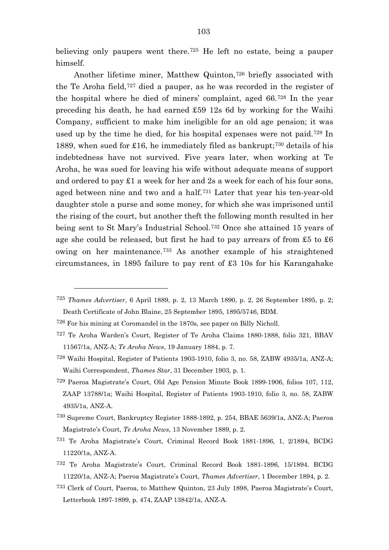believing only paupers went there.[725](#page-103-0) He left no estate, being a pauper himself.

Another lifetime miner, Matthew Quinton,[726](#page-103-1) briefly associated with the Te Aroha field,[727](#page-103-2) died a pauper, as he was recorded in the register of the hospital where he died of miners' complaint, aged 66.[728](#page-103-3) In the year preceding his death, he had earned £59 12s 6d by working for the Waihi Company, sufficient to make him ineligible for an old age pension; it was used up by the time he died, for his hospital expenses were not paid.[729](#page-103-4) In 1889, when sued for £16, he immediately filed as bankrupt;[730](#page-103-5) details of his indebtedness have not survived. Five years later, when working at Te Aroha, he was sued for leaving his wife without adequate means of support and ordered to pay  $\pounds 1$  a week for her and 2s a week for each of his four sons, aged between nine and two and a half.[731](#page-103-6) Later that year his ten-year-old daughter stole a purse and some money, for which she was imprisoned until the rising of the court, but another theft the following month resulted in her being sent to St Mary's Industrial School.[732](#page-103-7) Once she attained 15 years of age she could be released, but first he had to pay arrears of from £5 to £6 owing on her maintenance.[733](#page-103-8) As another example of his straightened circumstances, in 1895 failure to pay rent of £3 10s for his Karangahake

- <span id="page-103-5"></span>730 Supreme Court, Bankruptcy Register 1888-1892, p. 254, BBAE 5639/1a, ANZ-A; Paeroa Magistrate's Court, *Te Aroha News*, 13 November 1889, p. 2.
- <span id="page-103-6"></span>731 Te Aroha Magistrate's Court, Criminal Record Book 1881-1896, 1, 2/1894, BCDG 11220/1a, ANZ-A.
- <span id="page-103-7"></span>732 Te Aroha Magistrate's Court, Criminal Record Book 1881-1896, 15/1894. BCDG 11220/1a, ANZ-A; Paeroa Magistrate's Court, *Thames Advertiser*, 1 December 1894, p. 2.
- <span id="page-103-8"></span>733 Clerk of Court, Paeroa, to Matthew Quinton, 23 July 1898, Paeroa Magistrate's Court, Letterbook 1897-1899, p. 474, ZAAP 13842/1a, ANZ-A.

<span id="page-103-0"></span><sup>725</sup> *Thames Advertiser*, 6 April 1889, p. 2, 13 March 1890, p. 2, 26 September 1895, p. 2; Death Certificate of John Blaine, 25 September 1895, 1895/5746, BDM.

<span id="page-103-1"></span><sup>726</sup> For his mining at Coromandel in the 1870s, see paper on Billy Nicholl.

<span id="page-103-2"></span><sup>727</sup> Te Aroha Warden's Court, Register of Te Aroha Claims 1880-1888, folio 321, BBAV 11567/1a, ANZ-A; *Te Aroha News*, 19 January 1884, p. 7.

<span id="page-103-3"></span><sup>728</sup> Waihi Hospital, Register of Patients 1903-1910, folio 3, no. 58, ZABW 4935/1a, ANZ-A; Waihi Correspondent, *Thames Star*, 31 December 1903, p. 1.

<span id="page-103-4"></span><sup>729</sup> Paeroa Magistrate's Court, Old Age Pension Minute Book 1899-1906, folios 107, 112, ZAAP 13788/1a; Waihi Hospital, Register of Patients 1903-1910, folio 3, no. 58, ZABW 4935/1a, ANZ-A.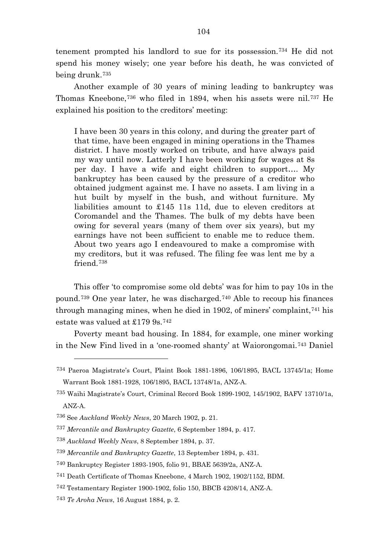tenement prompted his landlord to sue for its possession.[734](#page-104-0) He did not spend his money wisely; one year before his death, he was convicted of being drunk.[735](#page-104-1)

Another example of 30 years of mining leading to bankruptcy was Thomas Kneebone,[736](#page-104-2) who filed in 1894, when his assets were nil.[737](#page-104-3) He explained his position to the creditors' meeting:

I have been 30 years in this colony, and during the greater part of that time, have been engaged in mining operations in the Thames district. I have mostly worked on tribute, and have always paid my way until now. Latterly I have been working for wages at 8s per day. I have a wife and eight children to support…. My bankruptcy has been caused by the pressure of a creditor who obtained judgment against me. I have no assets. I am living in a hut built by myself in the bush, and without furniture. My liabilities amount to £145 11s 11d, due to eleven creditors at Coromandel and the Thames. The bulk of my debts have been owing for several years (many of them over six years), but my earnings have not been sufficient to enable me to reduce them. About two years ago I endeavoured to make a compromise with my creditors, but it was refused. The filing fee was lent me by a friend.[738](#page-104-4)

This offer 'to compromise some old debts' was for him to pay 10s in the pound.[739](#page-104-5) One year later, he was discharged.[740](#page-104-6) Able to recoup his finances through managing mines, when he died in 1902, of miners' complaint,<sup>[741](#page-104-7)</sup> his estate was valued at £179 9s.[742](#page-104-8)

Poverty meant bad housing. In 1884, for example, one miner working in the New Find lived in a 'one-roomed shanty' at Waiorongomai.[743](#page-104-9) Daniel

<span id="page-104-0"></span><sup>734</sup> Paeroa Magistrate's Court, Plaint Book 1881-1896, 106/1895, BACL 13745/1a; Home Warrant Book 1881-1928, 106/1895, BACL 13748/1a, ANZ-A.

<span id="page-104-1"></span><sup>735</sup> Waihi Magistrate's Court, Criminal Record Book 1899-1902, 145/1902, BAFV 13710/1a, ANZ-A.

<span id="page-104-2"></span><sup>736</sup> See *Auckland Weekly News*, 20 March 1902, p. 21.

<span id="page-104-3"></span><sup>737</sup> *Mercantile and Bankruptcy Gazette*, 6 September 1894, p. 417.

<span id="page-104-4"></span><sup>738</sup> *Auckland Weekly News*, 8 September 1894, p. 37.

<span id="page-104-5"></span><sup>739</sup> *Mercantile and Bankruptcy Gazette*, 13 September 1894, p. 431.

<span id="page-104-6"></span><sup>740</sup> Bankruptcy Register 1893-1905, folio 91, BBAE 5639/2a, ANZ-A.

<span id="page-104-7"></span><sup>741</sup> Death Certificate of Thomas Kneebone, 4 March 1902, 1902/1152, BDM.

<span id="page-104-8"></span><sup>742</sup> Testamentary Register 1900-1902, folio 150, BBCB 4208/14, ANZ-A.

<span id="page-104-9"></span><sup>743</sup> *Te Aroha News*, 16 August 1884, p. 2.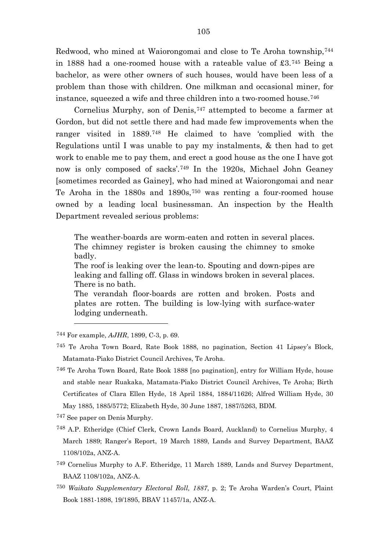Redwood, who mined at Waiorongomai and close to Te Aroha township,[744](#page-105-0) in 1888 had a one-roomed house with a rateable value of £3.[745](#page-105-1) Being a bachelor, as were other owners of such houses, would have been less of a problem than those with children. One milkman and occasional miner, for instance, squeezed a wife and three children into a two-roomed house.[746](#page-105-2)

Cornelius Murphy, son of Denis,<sup>[747](#page-105-3)</sup> attempted to become a farmer at Gordon, but did not settle there and had made few improvements when the ranger visited in 1889.[748](#page-105-4) He claimed to have 'complied with the Regulations until I was unable to pay my instalments, & then had to get work to enable me to pay them, and erect a good house as the one I have got now is only composed of sacks'.[749](#page-105-5) In the 1920s, Michael John Geaney [sometimes recorded as Gainey], who had mined at Waiorongomai and near Te Aroha in the 1880s and 1890s,[750](#page-105-6) was renting a four-roomed house owned by a leading local businessman. An inspection by the Health Department revealed serious problems:

The weather-boards are worm-eaten and rotten in several places. The chimney register is broken causing the chimney to smoke badly.

The roof is leaking over the lean-to. Spouting and down-pipes are leaking and falling off. Glass in windows broken in several places. There is no bath.

The verandah floor-boards are rotten and broken. Posts and plates are rotten. The building is low-lying with surface-water lodging underneath.

<span id="page-105-0"></span><sup>744</sup> For example, *AJHR*, 1899, C-3, p. 69.

 $\overline{a}$ 

- <span id="page-105-1"></span>745 Te Aroha Town Board, Rate Book 1888, no pagination, Section 41 Lipsey's Block, Matamata-Piako District Council Archives, Te Aroha.
- <span id="page-105-2"></span>746 Te Aroha Town Board, Rate Book 1888 [no pagination], entry for William Hyde, house and stable near Ruakaka, Matamata-Piako District Council Archives, Te Aroha; Birth Certificates of Clara Ellen Hyde, 18 April 1884, 1884/11626; Alfred William Hyde, 30 May 1885, 1885/5772; Elizabeth Hyde, 30 June 1887, 1887/5263, BDM.

<span id="page-105-3"></span>747 See paper on Denis Murphy.

- <span id="page-105-4"></span>748 A.P. Etheridge (Chief Clerk, Crown Lands Board, Auckland) to Cornelius Murphy, 4 March 1889; Ranger's Report, 19 March 1889, Lands and Survey Department, BAAZ 1108/102a, ANZ-A.
- <span id="page-105-5"></span>749 Cornelius Murphy to A.F. Etheridge, 11 March 1889, Lands and Survey Department, BAAZ 1108/102a, ANZ-A.
- <span id="page-105-6"></span><sup>750</sup> *Waikato Supplementary Electoral Roll, 1887*, p. 2; Te Aroha Warden's Court, Plaint Book 1881-1898, 19/1895, BBAV 11457/1a, ANZ-A.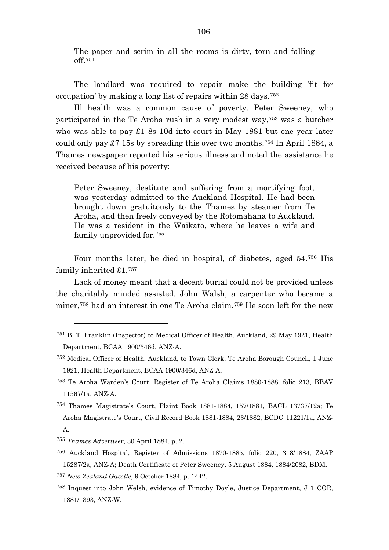The paper and scrim in all the rooms is dirty, torn and falling off.[751](#page-106-0)

The landlord was required to repair make the building 'fit for occupation' by making a long list of repairs within 28 days.[752](#page-106-1)

Ill health was a common cause of poverty. Peter Sweeney, who participated in the Te Aroha rush in a very modest way,[753](#page-106-2) was a butcher who was able to pay £1 8s 10d into court in May 1881 but one year later could only pay  $\pounds 7$  15s by spreading this over two months.<sup>[754](#page-106-3)</sup> In April 1884, a Thames newspaper reported his serious illness and noted the assistance he received because of his poverty:

Peter Sweeney, destitute and suffering from a mortifying foot, was yesterday admitted to the Auckland Hospital. He had been brought down gratuitously to the Thames by steamer from Te Aroha, and then freely conveyed by the Rotomahana to Auckland. He was a resident in the Waikato, where he leaves a wife and family unprovided for.[755](#page-106-4)

Four months later, he died in hospital, of diabetes, aged 54.[756](#page-106-5) His family inherited £1.[757](#page-106-6)

Lack of money meant that a decent burial could not be provided unless the charitably minded assisted. John Walsh, a carpenter who became a miner,[758](#page-106-7) had an interest in one Te Aroha claim.[759](#page-106-2) He soon left for the new

- <span id="page-106-6"></span><sup>757</sup> *New Zealand Gazette*, 9 October 1884, p. 1442.
- <span id="page-106-7"></span>758 Inquest into John Welsh, evidence of Timothy Doyle, Justice Department, J 1 COR, 1881/1393, ANZ-W.

<span id="page-106-0"></span><sup>751</sup> B. T. Franklin (Inspector) to Medical Officer of Health, Auckland, 29 May 1921, Health Department, BCAA 1900/346d, ANZ-A.

<span id="page-106-1"></span><sup>752</sup> Medical Officer of Health, Auckland, to Town Clerk, Te Aroha Borough Council, 1 June 1921, Health Department, BCAA 1900/346d, ANZ-A.

<span id="page-106-2"></span><sup>753</sup> Te Aroha Warden's Court, Register of Te Aroha Claims 1880-1888, folio 213, BBAV 11567/1a, ANZ-A.

<span id="page-106-3"></span><sup>754</sup> Thames Magistrate's Court, Plaint Book 1881-1884, 157/1881, BACL 13737/12a; Te Aroha Magistrate's Court, Civil Record Book 1881-1884, 23/1882, BCDG 11221/1a, ANZ-A.

<span id="page-106-4"></span><sup>755</sup> *Thames Advertiser*, 30 April 1884, p. 2.

<span id="page-106-5"></span><sup>756</sup> Auckland Hospital, Register of Admissions 1870-1885, folio 220, 318/1884, ZAAP 15287/2a, ANZ-A; Death Certificate of Peter Sweeney, 5 August 1884, 1884/2082, BDM.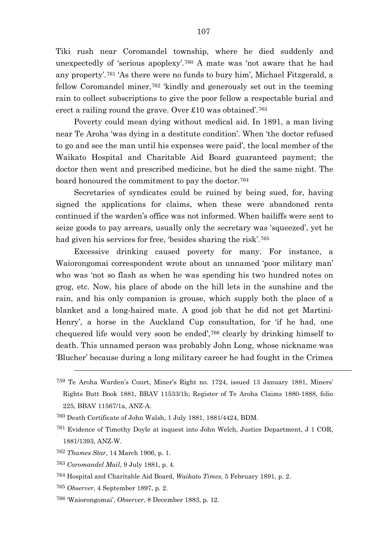Tiki rush near Coromandel township, where he died suddenly and unexpectedly of 'serious apoplexy'.[760](#page-107-0) A mate was 'not aware that he had any property'.[761](#page-107-1) 'As there were no funds to bury him', Michael Fitzgerald, a fellow Coromandel miner,[762](#page-107-2) 'kindly and generously set out in the teeming rain to collect subscriptions to give the poor fellow a respectable burial and erect a railing round the grave. Over £10 was obtained'.[763](#page-107-3)

Poverty could mean dying without medical aid. In 1891, a man living near Te Aroha 'was dying in a destitute condition'. When 'the doctor refused to go and see the man until his expenses were paid', the local member of the Waikato Hospital and Charitable Aid Board guaranteed payment; the doctor then went and prescribed medicine, but he died the same night. The board honoured the commitment to pay the doctor.[764](#page-107-4)

Secretaries of syndicates could be ruined by being sued, for, having signed the applications for claims, when these were abandoned rents continued if the warden's office was not informed. When bailiffs were sent to seize goods to pay arrears, usually only the secretary was 'squeezed', yet he had given his services for free, 'besides sharing the risk'.[765](#page-107-5)

Excessive drinking caused poverty for many. For instance, a Waiorongomai correspondent wrote about an unnamed 'poor military man' who was 'not so flash as when he was spending his two hundred notes on grog, etc. Now, his place of abode on the hill lets in the sunshine and the rain, and his only companion is grouse, which supply both the place of a blanket and a long-haired mate. A good job that he did not get Martini-Henry', a horse in the Auckland Cup consultation, for 'if he had, one chequered life would very soon be ended',[766](#page-107-6) clearly by drinking himself to death. This unnamed person was probably John Long, whose nickname was 'Blucher' because during a long military career he had fought in the Crimea

<sup>759</sup> Te Aroha Warden's Court, Miner's Right no. 1724, issued 13 January 1881, Miners' Rights Butt Book 1881, BBAV 11533/1h; Register of Te Aroha Claims 1880-1888, folio 225, BBAV 11567/1a, ANZ-A.

<span id="page-107-0"></span><sup>760</sup> Death Certificate of John Walsh, 1 July 1881, 1881/4424, BDM.

<span id="page-107-1"></span><sup>761</sup> Evidence of Timothy Doyle at inquest into John Welch, Justice Department, J 1 COR, 1881/1393, ANZ-W.

<span id="page-107-3"></span><span id="page-107-2"></span><sup>762</sup> *Thames Star*, 14 March 1906, p. 1.

<sup>763</sup> *Coromandel Mail*, 9 July 1881, p. 4.

<span id="page-107-4"></span><sup>764</sup> Hospital and Charitable Aid Board, *Waikato Times*, 5 February 1891, p. 2.

<span id="page-107-5"></span><sup>765</sup> *Observer*, 4 September 1897, p. 2.

<span id="page-107-6"></span><sup>766</sup> 'Waiorongomai', *Observer*, 8 December 1883, p. 12.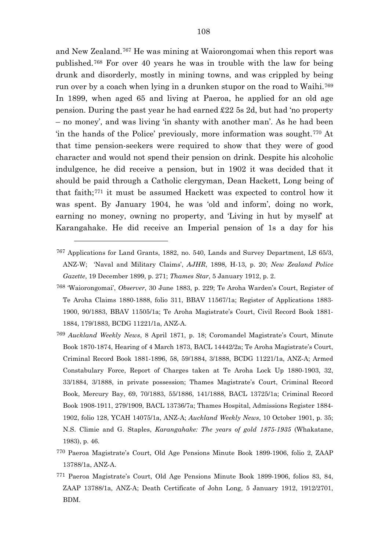and New Zealand.[767](#page-108-0) He was mining at Waiorongomai when this report was published.[768](#page-108-1) For over 40 years he was in trouble with the law for being drunk and disorderly, mostly in mining towns, and was crippled by being run over by a coach when lying in a drunken stupor on the road to Waihi.[769](#page-108-2) In 1899, when aged 65 and living at Paeroa, he applied for an old age pension. During the past year he had earned £22 5s 2d, but had 'no property – no money', and was living 'in shanty with another man'. As he had been 'in the hands of the Police' previously, more information was sought.[770](#page-108-3) At that time pension-seekers were required to show that they were of good character and would not spend their pension on drink. Despite his alcoholic indulgence, he did receive a pension, but in 1902 it was decided that it should be paid through a Catholic clergyman, Dean Hackett, Long being of that faith;[771](#page-108-4) it must be assumed Hackett was expected to control how it was spent. By January 1904, he was 'old and inform', doing no work, earning no money, owning no property, and 'Living in hut by myself' at Karangahake. He did receive an Imperial pension of 1s a day for his

- <span id="page-108-2"></span><sup>769</sup> *Auckland Weekly News*, 8 April 1871, p. 18; Coromandel Magistrate's Court, Minute Book 1870-1874, Hearing of 4 March 1873, BACL 14442/2a; Te Aroha Magistrate's Court, Criminal Record Book 1881-1896, 58, 59/1884, 3/1888, BCDG 11221/1a, ANZ-A; Armed Constabulary Force, Report of Charges taken at Te Aroha Lock Up 1880-1903, 32, 33/1884, 3/1888, in private possession; Thames Magistrate's Court, Criminal Record Book, Mercury Bay, 69, 70/1883, 55/1886, 141/1888, BACL 13725/1a; Criminal Record Book 1908-1911, 279/1909, BACL 13736/7a; Thames Hospital, Admissions Register 1884- 1902, folio 128, YCAH 14075/1a, ANZ-A; *Auckland Weekly News*, 10 October 1901, p. 35; N.S. Climie and G. Staples, *Karangahake: The years of gold 1875-1935* (Whakatane, 1983), p. 46.
- <span id="page-108-3"></span>770 Paeroa Magistrate's Court, Old Age Pensions Minute Book 1899-1906, folio 2, ZAAP 13788/1a, ANZ-A.
- <span id="page-108-4"></span>771 Paeroa Magistrate's Court, Old Age Pensions Minute Book 1899-1906, folios 83, 84, ZAAP 13788/1a, ANZ-A; Death Certificate of John Long, 5 January 1912, 1912/2701, BDM.

<span id="page-108-0"></span><sup>767</sup> Applications for Land Grants, 1882, no. 540, Lands and Survey Department, LS 65/3, ANZ-W; 'Naval and Military Claims', *AJHR*, 1898, H-13, p. 20; *New Zealand Police Gazette*, 19 December 1899, p. 271; *Thames Star*, 5 January 1912, p. 2.

<span id="page-108-1"></span><sup>768</sup> 'Waiorongomai', *Observer*, 30 June 1883, p. 229; Te Aroha Warden's Court, Register of Te Aroha Claims 1880-1888, folio 311, BBAV 11567/1a; Register of Applications 1883- 1900, 90/1883, BBAV 11505/1a; Te Aroha Magistrate's Court, Civil Record Book 1881- 1884, 179/1883, BCDG 11221/1a, ANZ-A.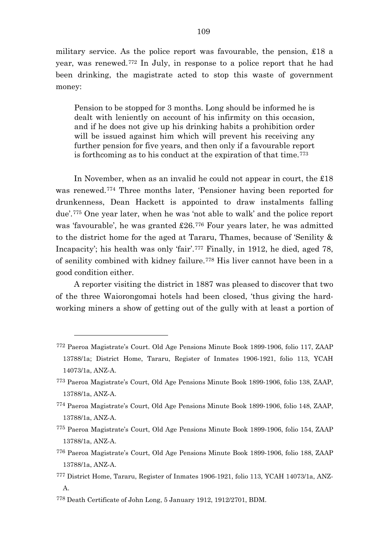military service. As the police report was favourable, the pension, £18 a year, was renewed.[772](#page-109-0) In July, in response to a police report that he had been drinking, the magistrate acted to stop this waste of government money:

Pension to be stopped for 3 months. Long should be informed he is dealt with leniently on account of his infirmity on this occasion, and if he does not give up his drinking habits a prohibition order will be issued against him which will prevent his receiving any further pension for five years, and then only if a favourable report is forthcoming as to his conduct at the expiration of that time.[773](#page-109-1)

In November, when as an invalid he could not appear in court, the £18 was renewed.[774](#page-109-2) Three months later, 'Pensioner having been reported for drunkenness, Dean Hackett is appointed to draw instalments falling due'.[775](#page-109-3) One year later, when he was 'not able to walk' and the police report was 'favourable', he was granted £26.[776](#page-109-4) Four years later, he was admitted to the district home for the aged at Tararu, Thames, because of 'Senility & Incapacity'; his health was only 'fair'.[777](#page-109-5) Finally, in 1912, he died, aged 78, of senility combined with kidney failure.[778](#page-109-6) His liver cannot have been in a good condition either.

A reporter visiting the district in 1887 was pleased to discover that two of the three Waiorongomai hotels had been closed, 'thus giving the hardworking miners a show of getting out of the gully with at least a portion of

<span id="page-109-0"></span><sup>772</sup> Paeroa Magistrate's Court. Old Age Pensions Minute Book 1899-1906, folio 117, ZAAP 13788/1a; District Home, Tararu, Register of Inmates 1906-1921, folio 113, YCAH 14073/1a, ANZ-A.

<span id="page-109-1"></span><sup>773</sup> Paeroa Magistrate's Court, Old Age Pensions Minute Book 1899-1906, folio 138, ZAAP, 13788/1a, ANZ-A.

<span id="page-109-2"></span><sup>774</sup> Paeroa Magistrate's Court, Old Age Pensions Minute Book 1899-1906, folio 148, ZAAP, 13788/1a, ANZ-A.

<span id="page-109-3"></span><sup>775</sup> Paeroa Magistrate's Court, Old Age Pensions Minute Book 1899-1906, folio 154, ZAAP 13788/1a, ANZ-A.

<span id="page-109-4"></span><sup>776</sup> Paeroa Magistrate's Court, Old Age Pensions Minute Book 1899-1906, folio 188, ZAAP 13788/1a, ANZ-A.

<span id="page-109-5"></span><sup>777</sup> District Home, Tararu, Register of Inmates 1906-1921, folio 113, YCAH 14073/1a, ANZ-A.

<span id="page-109-6"></span><sup>778</sup> Death Certificate of John Long, 5 January 1912, 1912/2701, BDM.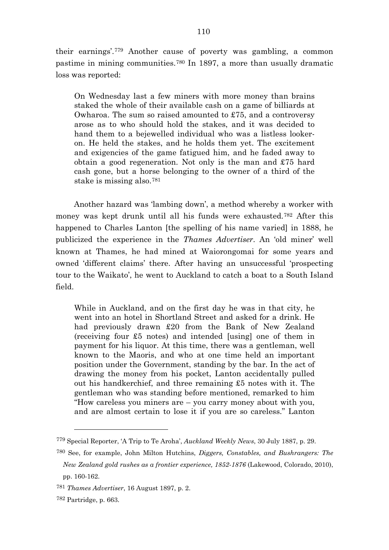their earnings'.[779](#page-110-0) Another cause of poverty was gambling, a common pastime in mining communities.[780](#page-110-1) In 1897, a more than usually dramatic loss was reported:

On Wednesday last a few miners with more money than brains staked the whole of their available cash on a game of billiards at Owharoa. The sum so raised amounted to £75, and a controversy arose as to who should hold the stakes, and it was decided to hand them to a bejewelled individual who was a listless lookeron. He held the stakes, and he holds them yet. The excitement and exigencies of the game fatigued him, and he faded away to obtain a good regeneration. Not only is the man and £75 hard cash gone, but a horse belonging to the owner of a third of the stake is missing also.[781](#page-110-2)

Another hazard was 'lambing down', a method whereby a worker with money was kept drunk until all his funds were exhausted.[782](#page-110-3) After this happened to Charles Lanton [the spelling of his name varied] in 1888, he publicized the experience in the *Thames Advertiser*. An 'old miner' well known at Thames, he had mined at Waiorongomai for some years and owned 'different claims' there. After having an unsuccessful 'prospecting tour to the Waikato', he went to Auckland to catch a boat to a South Island field.

While in Auckland, and on the first day he was in that city, he went into an hotel in Shortland Street and asked for a drink. He had previously drawn £20 from the Bank of New Zealand (receiving four £5 notes) and intended [using] one of them in payment for his liquor. At this time, there was a gentleman, well known to the Maoris, and who at one time held an important position under the Government, standing by the bar. In the act of drawing the money from his pocket, Lanton accidentally pulled out his handkerchief, and three remaining £5 notes with it. The gentleman who was standing before mentioned, remarked to him "How careless you miners are – you carry money about with you, and are almost certain to lose it if you are so careless." Lanton

<span id="page-110-0"></span><sup>779</sup> Special Reporter, 'A Trip to Te Aroha', *Auckland Weekly News*, 30 July 1887, p. 29.

<span id="page-110-1"></span><sup>780</sup> See, for example, John Milton Hutchins, *Diggers, Constables, and Bushrangers: The New Zealand gold rushes as a frontier experience, 1852-1876* (Lakewood, Colorado, 2010), pp. 160-162.

<span id="page-110-2"></span><sup>781</sup> *Thames Advertiser*, 16 August 1897, p. 2.

<span id="page-110-3"></span><sup>782</sup> Partridge, p. 663.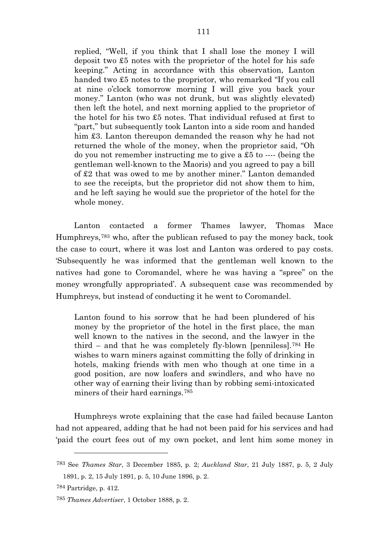replied, "Well, if you think that I shall lose the money I will deposit two £5 notes with the proprietor of the hotel for his safe keeping." Acting in accordance with this observation, Lanton handed two £5 notes to the proprietor, who remarked "If you call at nine o'clock tomorrow morning I will give you back your money." Lanton (who was not drunk, but was slightly elevated) then left the hotel, and next morning applied to the proprietor of the hotel for his two £5 notes. That individual refused at first to "part," but subsequently took Lanton into a side room and handed him £3. Lanton thereupon demanded the reason why he had not returned the whole of the money, when the proprietor said, "Oh do you not remember instructing me to give a £5 to ---- (being the gentleman well-known to the Maoris) and you agreed to pay a bill of £2 that was owed to me by another miner." Lanton demanded to see the receipts, but the proprietor did not show them to him, and he left saying he would sue the proprietor of the hotel for the whole money.

Lanton contacted a former Thames lawyer, Thomas Mace Humphreys,[783](#page-111-0) who, after the publican refused to pay the money back, took the case to court, where it was lost and Lanton was ordered to pay costs. 'Subsequently he was informed that the gentleman well known to the natives had gone to Coromandel, where he was having a "spree" on the money wrongfully appropriated'. A subsequent case was recommended by Humphreys, but instead of conducting it he went to Coromandel.

Lanton found to his sorrow that he had been plundered of his money by the proprietor of the hotel in the first place, the man well known to the natives in the second, and the lawyer in the third – and that he was completely fly-blown [penniless].[784](#page-111-1) He wishes to warn miners against committing the folly of drinking in hotels, making friends with men who though at one time in a good position, are now loafers and swindlers, and who have no other way of earning their living than by robbing semi-intoxicated miners of their hard earnings.[785](#page-111-2)

Humphreys wrote explaining that the case had failed because Lanton had not appeared, adding that he had not been paid for his services and had 'paid the court fees out of my own pocket, and lent him some money in

<span id="page-111-0"></span><sup>783</sup> See *Thames Star*, 3 December 1885, p. 2; *Auckland Star*, 21 July 1887, p. 5, 2 July 1891, p. 2, 15 July 1891, p. 5, 10 June 1896, p. 2.

<span id="page-111-1"></span><sup>784</sup> Partridge, p. 412.

<span id="page-111-2"></span><sup>785</sup> *Thames Advertiser*, 1 October 1888, p. 2.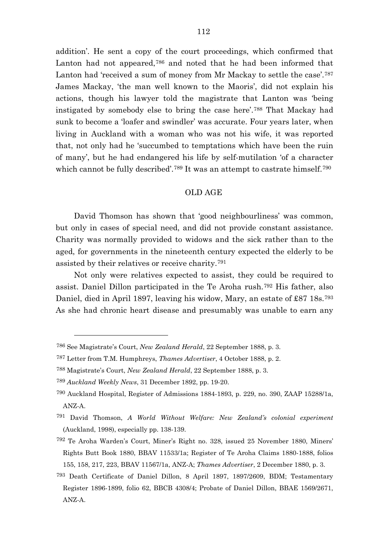addition'. He sent a copy of the court proceedings, which confirmed that Lanton had not appeared,<sup>[786](#page-112-0)</sup> and noted that he had been informed that Lanton had 'received a sum of money from Mr Mackay to settle the case'.[787](#page-112-1) James Mackay, 'the man well known to the Maoris', did not explain his actions, though his lawyer told the magistrate that Lanton was 'being instigated by somebody else to bring the case here'.[788](#page-112-2) That Mackay had sunk to become a 'loafer and swindler' was accurate. Four years later, when living in Auckland with a woman who was not his wife, it was reported that, not only had he 'succumbed to temptations which have been the ruin of many', but he had endangered his life by self-mutilation 'of a character which cannot be fully described'.[789](#page-112-3) It was an attempt to castrate himself.[790](#page-112-4)

### OLD AGE

David Thomson has shown that 'good neighbourliness' was common, but only in cases of special need, and did not provide constant assistance. Charity was normally provided to widows and the sick rather than to the aged, for governments in the nineteenth century expected the elderly to be assisted by their relatives or receive charity.[791](#page-112-5)

Not only were relatives expected to assist, they could be required to assist. Daniel Dillon participated in the Te Aroha rush.[792](#page-112-6) His father, also Daniel, died in April 1897, leaving his widow, Mary, an estate of £87 18s.<sup>[793](#page-112-7)</sup> As she had chronic heart disease and presumably was unable to earn any

<span id="page-112-0"></span><sup>786</sup> See Magistrate's Court, *New Zealand Herald*, 22 September 1888, p. 3.

<span id="page-112-1"></span><sup>787</sup> Letter from T.M. Humphreys, *Thames Advertiser*, 4 October 1888, p. 2.

<span id="page-112-2"></span><sup>788</sup> Magistrate's Court, *New Zealand Herald*, 22 September 1888, p. 3.

<span id="page-112-3"></span><sup>789</sup> *Auckland Weekly News*, 31 December 1892, pp. 19-20.

<span id="page-112-4"></span><sup>790</sup> Auckland Hospital, Register of Admissions 1884-1893, p. 229, no. 390, ZAAP 15288/1a, ANZ-A.

<span id="page-112-5"></span><sup>791</sup> David Thomson, *A World Without Welfare: New Zealand's colonial experiment* (Auckland, 1998), especially pp. 138-139.

<span id="page-112-6"></span><sup>792</sup> Te Aroha Warden's Court, Miner's Right no. 328, issued 25 November 1880, Miners' Rights Butt Book 1880, BBAV 11533/1a; Register of Te Aroha Claims 1880-1888, folios 155, 158, 217, 223, BBAV 11567/1a, ANZ-A; *Thames Advertiser*, 2 December 1880, p. 3.

<span id="page-112-7"></span><sup>793</sup> Death Certificate of Daniel Dillon, 8 April 1897, 1897/2609, BDM; Testamentary Register 1896-1899, folio 62, BBCB 4308/4; Probate of Daniel Dillon, BBAE 1569/2671, ANZ-A.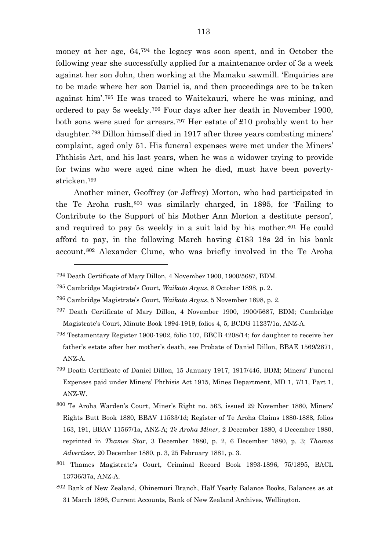money at her age, 64,[794](#page-113-0) the legacy was soon spent, and in October the following year she successfully applied for a maintenance order of 3s a week against her son John, then working at the Mamaku sawmill. 'Enquiries are to be made where her son Daniel is, and then proceedings are to be taken against him'.[795](#page-113-1) He was traced to Waitekauri, where he was mining, and ordered to pay 5s weekly.[796](#page-113-2) Four days after her death in November 1900, both sons were sued for arrears.[797](#page-113-3) Her estate of £10 probably went to her daughter.[798](#page-113-4) Dillon himself died in 1917 after three years combating miners' complaint, aged only 51. His funeral expenses were met under the Miners' Phthisis Act, and his last years, when he was a widower trying to provide for twins who were aged nine when he died, must have been povertystricken.[799](#page-113-5)

Another miner, Geoffrey (or Jeffrey) Morton, who had participated in the Te Aroha rush,[800](#page-113-6) was similarly charged, in 1895, for 'Failing to Contribute to the Support of his Mother Ann Morton a destitute person', and required to pay 5s weekly in a suit laid by his mother.[801](#page-113-7) He could afford to pay, in the following March having £183 18s 2d in his bank account.[802](#page-113-8) Alexander Clune, who was briefly involved in the Te Aroha

- <span id="page-113-7"></span>801 Thames Magistrate's Court, Criminal Record Book 1893-1896, 75/1895, BACL 13736/37a, ANZ-A.
- <span id="page-113-8"></span>802 Bank of New Zealand, Ohinemuri Branch, Half Yearly Balance Books, Balances as at 31 March 1896, Current Accounts, Bank of New Zealand Archives, Wellington.

<span id="page-113-0"></span><sup>794</sup> Death Certificate of Mary Dillon, 4 November 1900, 1900/5687, BDM.

<span id="page-113-1"></span><sup>795</sup> Cambridge Magistrate's Court, *Waikato Argus*, 8 October 1898, p. 2.

<span id="page-113-2"></span><sup>796</sup> Cambridge Magistrate's Court, *Waikato Argus*, 5 November 1898, p. 2.

<span id="page-113-3"></span><sup>797</sup> Death Certificate of Mary Dillon, 4 November 1900, 1900/5687, BDM; Cambridge Magistrate's Court, Minute Book 1894-1919, folios 4, 5, BCDG 11237/1a, ANZ-A.

<span id="page-113-4"></span><sup>798</sup> Testamentary Register 1900-1902, folio 107, BBCB 4208/14; for daughter to receive her father's estate after her mother's death, see Probate of Daniel Dillon, BBAE 1569/2671, ANZ-A.

<span id="page-113-5"></span><sup>799</sup> Death Certificate of Daniel Dillon, 15 January 1917, 1917/446, BDM; Miners' Funeral Expenses paid under Miners' Phthisis Act 1915, Mines Department, MD 1, 7/11, Part 1, ANZ-W.

<span id="page-113-6"></span><sup>800</sup> Te Aroha Warden's Court, Miner's Right no. 563, issued 29 November 1880, Miners' Rights Butt Book 1880, BBAV 11533/1d; Register of Te Aroha Claims 1880-1888, folios 163, 191, BBAV 11567/1a, ANZ-A; *Te Aroha Miner*, 2 December 1880, 4 December 1880, reprinted in *Thames Star*, 3 December 1880, p. 2, 6 December 1880, p. 3; *Thames Advertiser*, 20 December 1880, p. 3, 25 February 1881, p. 3.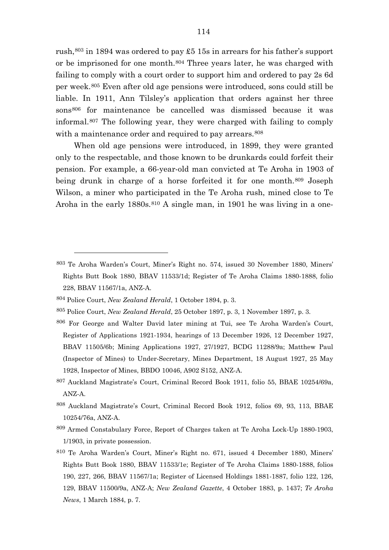rush,  $803$  in 1894 was ordered to pay £5 15s in arrears for his father's support or be imprisoned for one month.[804](#page-114-1) Three years later, he was charged with failing to comply with a court order to support him and ordered to pay 2s 6d per week.[805](#page-114-2) Even after old age pensions were introduced, sons could still be liable. In 1911, Ann Tilsley's application that orders against her three sons<sup>[806](#page-114-3)</sup> for maintenance be cancelled was dismissed because it was informal.[807](#page-114-4) The following year, they were charged with failing to comply with a maintenance order and required to pay arrears.  $808$ 

When old age pensions were introduced, in 1899, they were granted only to the respectable, and those known to be drunkards could forfeit their pension. For example, a 66-year-old man convicted at Te Aroha in 1903 of being drunk in charge of a horse forfeited it for one month.<sup>[809](#page-114-6)</sup> Joseph Wilson, a miner who participated in the Te Aroha rush, mined close to Te Aroha in the early 1880s.<sup>[810](#page-114-7)</sup> A single man, in 1901 he was living in a one-

- <span id="page-114-3"></span>806 For George and Walter David later mining at Tui, see Te Aroha Warden's Court, Register of Applications 1921-1934, hearings of 13 December 1926, 12 December 1927, BBAV 11505/6b; Mining Applications 1927, 27/1927, BCDG 11288/9a; Matthew Paul (Inspector of Mines) to Under-Secretary, Mines Department, 18 August 1927, 25 May 1928, Inspector of Mines, BBDO 10046, A902 S152, ANZ-A.
- <span id="page-114-4"></span>807 Auckland Magistrate's Court, Criminal Record Book 1911, folio 55, BBAE 10254/69a, ANZ-A.
- <span id="page-114-5"></span>808 Auckland Magistrate's Court, Criminal Record Book 1912, folios 69, 93, 113, BBAE 10254/76a, ANZ-A.
- <span id="page-114-6"></span>809 Armed Constabulary Force, Report of Charges taken at Te Aroha Lock-Up 1880-1903, 1/1903, in private possession.
- <span id="page-114-7"></span>810 Te Aroha Warden's Court, Miner's Right no. 671, issued 4 December 1880, Miners' Rights Butt Book 1880, BBAV 11533/1e; Register of Te Aroha Claims 1880-1888, folios 190, 227, 266, BBAV 11567/1a; Register of Licensed Holdings 1881-1887, folio 122, 126, 129, BBAV 11500/9a, ANZ-A; *New Zealand Gazette*, 4 October 1883, p. 1437; *Te Aroha News*, 1 March 1884, p. 7.

<span id="page-114-0"></span><sup>803</sup> Te Aroha Warden's Court, Miner's Right no. 574, issued 30 November 1880, Miners' Rights Butt Book 1880, BBAV 11533/1d; Register of Te Aroha Claims 1880-1888, folio 228, BBAV 11567/1a, ANZ-A.

<span id="page-114-1"></span><sup>804</sup> Police Court, *New Zealand Herald*, 1 October 1894, p. 3.

<span id="page-114-2"></span><sup>805</sup> Police Court, *New Zealand Herald*, 25 October 1897, p. 3, 1 November 1897, p. 3.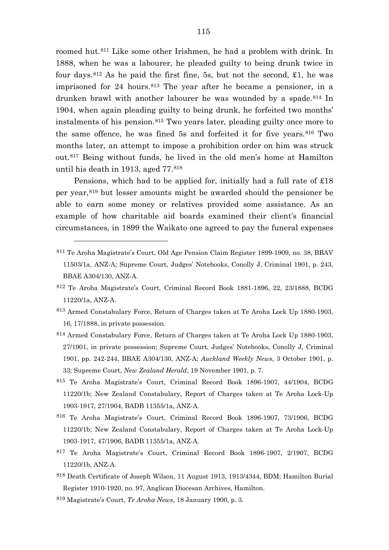roomed hut.[811](#page-115-0) Like some other Irishmen, he had a problem with drink. In 1888, when he was a labourer, he pleaded guilty to being drunk twice in four days,  $812$  As he paid the first fine, 5s, but not the second, £1, he was imprisoned for 24 hours.[813](#page-115-2) The year after he became a pensioner, in a drunken brawl with another labourer he was wounded by a spade.<sup>[814](#page-115-3)</sup> In 1904, when again pleading guilty to being drunk, he forfeited two months' instalments of his pension.[815](#page-115-4) Two years later, pleading guilty once more to the same offence, he was fined 5s and forfeited it for five years.[816](#page-115-5) Two months later, an attempt to impose a prohibition order on him was struck out.[817](#page-115-6) Being without funds, he lived in the old men's home at Hamilton until his death in 1913, aged 77.[818](#page-115-7)

Pensions, which had to be applied for, initially had a full rate of £18 per year,[819](#page-115-8) but lesser amounts might be awarded should the pensioner be able to earn some money or relatives provided some assistance. As an example of how charitable aid boards examined their client's financial circumstances, in 1899 the Waikato one agreed to pay the funeral expenses

- <span id="page-115-3"></span>814 Armed Constabulary Force, Return of Charges taken at Te Aroha Lock Up 1880-1903, 27/1901, in private possession; Supreme Court, Judges' Notebooks, Conolly J, Criminal 1901, pp. 242-244, BBAE A304/130, ANZ-A; *Auckland Weekly News*, 3 October 1901, p. 33; Supreme Court, *New Zealand Herald*, 19 November 1901, p. 7.
- <span id="page-115-4"></span>815 Te Aroha Magistrate's Court, Criminal Record Book 1896-1907, 44/1904, BCDG 11220/1b; New Zealand Constabulary, Report of Charges taken at Te Aroha Lock-Up 1903-1917, 27/1904, BADB 11355/1a, ANZ-A.
- <span id="page-115-5"></span>816 Te Aroha Magistrate's Court, Criminal Record Book 1896-1907, 73/1906, BCDG 11220/1b; New Zealand Constabulary, Report of Charges taken at Te Aroha Lock-Up 1903-1917, 47/1906, BADB 11355/1a, ANZ-A.
- <span id="page-115-6"></span>817 Te Aroha Magistrate's Court, Criminal Record Book 1896-1907, 2/1907, BCDG 11220/1b, ANZ-A.
- <span id="page-115-7"></span>818 Death Certificate of Joseph Wilson, 11 August 1913, 1913/4344, BDM; Hamilton Burial Register 1910-1920, no. 97, Anglican Diocesan Archives, Hamilton.
- <span id="page-115-8"></span><sup>819</sup> Magistrate's Court, *Te Aroha News*, 18 January 1900, p. 3.

<span id="page-115-0"></span><sup>811</sup> Te Aroha Magistrate's Court, Old Age Pension Claim Register 1899-1909, no. 38, BBAV 11503/1a, ANZ-A; Supreme Court, Judges' Notebooks, Conolly J, Criminal 1901, p. 243, BBAE A304/130, ANZ-A.

<span id="page-115-1"></span><sup>812</sup> Te Aroha Magistrate's Court, Criminal Record Book 1881-1896, 22, 23/1888, BCDG 11220/1a, ANZ-A.

<span id="page-115-2"></span><sup>813</sup> Armed Constabulary Force, Return of Charges taken at Te Aroha Lock Up 1880-1903, 16, 17/1888, in private possession.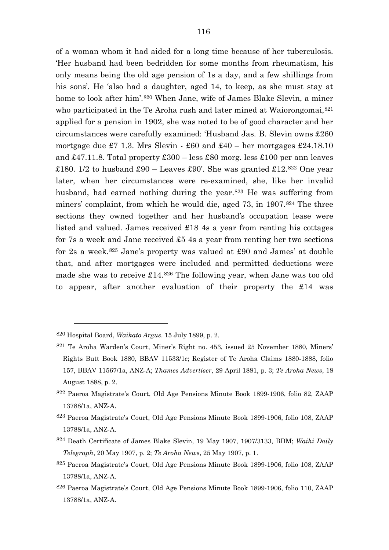of a woman whom it had aided for a long time because of her tuberculosis. 'Her husband had been bedridden for some months from rheumatism, his only means being the old age pension of 1s a day, and a few shillings from his sons'. He 'also had a daughter, aged 14, to keep, as she must stay at home to look after him'.<sup>[820](#page-116-0)</sup> When Jane, wife of James Blake Slevin, a miner who participated in the Te Aroha rush and later mined at Waiorongomai,<sup>[821](#page-116-1)</sup> applied for a pension in 1902, she was noted to be of good character and her circumstances were carefully examined: 'Husband Jas. B. Slevin owns £260 mortgage due £7 1.3. Mrs Slevin - £60 and £40 – her mortgages £24.18.10 and  $\text{\pounds}47.11.8$ . Total property  $\text{\pounds}300$  – less  $\text{\pounds}80$  morg. less  $\text{\pounds}100$  per ann leaves £180. 1/2 to husband £90 – Leaves £90'. She was granted £12.<sup>[822](#page-116-2)</sup> One year later, when her circumstances were re-examined, she, like her invalid husband, had earned nothing during the year.<sup>[823](#page-116-3)</sup> He was suffering from miners' complaint, from which he would die, aged 73, in 1907.<sup>[824](#page-116-4)</sup> The three sections they owned together and her husband's occupation lease were

listed and valued. James received £18 4s a year from renting his cottages for 7s a week and Jane received £5 4s a year from renting her two sections for 2s a week.<sup>[825](#page-116-5)</sup> Jane's property was valued at £90 and James' at double that, and after mortgages were included and permitted deductions were made she was to receive £14.[826](#page-116-6) The following year, when Jane was too old to appear, after another evaluation of their property the £14 was

<span id="page-116-0"></span><sup>820</sup> Hospital Board, *Waikato Argus*. 15 July 1899, p. 2.

<span id="page-116-1"></span><sup>821</sup> Te Aroha Warden's Court, Miner's Right no. 453, issued 25 November 1880, Miners' Rights Butt Book 1880, BBAV 11533/1c; Register of Te Aroha Claims 1880-1888, folio 157, BBAV 11567/1a, ANZ-A; *Thames Advertiser*, 29 April 1881, p. 3; *Te Aroha News*, 18 August 1888, p. 2.

<span id="page-116-2"></span><sup>822</sup> Paeroa Magistrate's Court, Old Age Pensions Minute Book 1899-1906, folio 82, ZAAP 13788/1a, ANZ-A.

<span id="page-116-3"></span><sup>823</sup> Paeroa Magistrate's Court, Old Age Pensions Minute Book 1899-1906, folio 108, ZAAP 13788/1a, ANZ-A.

<span id="page-116-4"></span><sup>824</sup> Death Certificate of James Blake Slevin, 19 May 1907, 1907/3133, BDM; *Waihi Daily Telegraph*, 20 May 1907, p. 2; *Te Aroha News*, 25 May 1907, p. 1.

<span id="page-116-5"></span><sup>825</sup> Paeroa Magistrate's Court, Old Age Pensions Minute Book 1899-1906, folio 108, ZAAP 13788/1a, ANZ-A.

<span id="page-116-6"></span><sup>826</sup> Paeroa Magistrate's Court, Old Age Pensions Minute Book 1899-1906, folio 110, ZAAP 13788/1a, ANZ-A.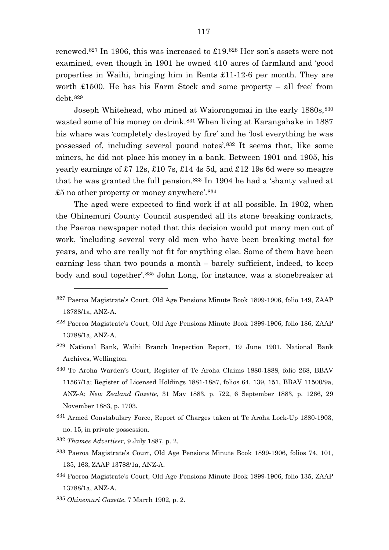renewed.<sup>[827](#page-117-0)</sup> In 1906, this was increased to £19.[828](#page-117-1) Her son's assets were not examined, even though in 1901 he owned 410 acres of farmland and 'good properties in Waihi, bringing him in Rents £11-12-6 per month. They are worth £1500. He has his Farm Stock and some property – all free' from debt.[829](#page-117-2)

Joseph Whitehead, who mined at Waiorongomai in the early 1880s, [830](#page-117-3) wasted some of his money on drink.<sup>[831](#page-117-4)</sup> When living at Karangahake in 1887 his whare was 'completely destroyed by fire' and he 'lost everything he was possessed of, including several pound notes'.[832](#page-117-5) It seems that, like some miners, he did not place his money in a bank. Between 1901 and 1905, his yearly earnings of £7 12s, £10 7s, £14 4s 5d, and £12 19s 6d were so meagre that he was granted the full pension.[833](#page-117-6) In 1904 he had a 'shanty valued at £5 no other property or money anywhere'. $834$ 

The aged were expected to find work if at all possible. In 1902, when the Ohinemuri County Council suspended all its stone breaking contracts, the Paeroa newspaper noted that this decision would put many men out of work, 'including several very old men who have been breaking metal for years, and who are really not fit for anything else. Some of them have been earning less than two pounds a month – barely sufficient, indeed, to keep body and soul together'.[835](#page-117-8) John Long, for instance, was a stonebreaker at

- <span id="page-117-2"></span>829 National Bank, Waihi Branch Inspection Report, 19 June 1901, National Bank Archives, Wellington.
- <span id="page-117-3"></span>830 Te Aroha Warden's Court, Register of Te Aroha Claims 1880-1888, folio 268, BBAV 11567/1a; Register of Licensed Holdings 1881-1887, folios 64, 139, 151, BBAV 11500/9a, ANZ-A; *New Zealand Gazette*, 31 May 1883, p. 722, 6 September 1883, p. 1266, 29 November 1883, p. 1703.
- <span id="page-117-4"></span>831 Armed Constabulary Force, Report of Charges taken at Te Aroha Lock-Up 1880-1903, no. 15, in private possession.
- <span id="page-117-5"></span><sup>832</sup> *Thames Advertiser*, 9 July 1887, p. 2.

- <span id="page-117-6"></span>833 Paeroa Magistrate's Court, Old Age Pensions Minute Book 1899-1906, folios 74, 101, 135, 163, ZAAP 13788/1a, ANZ-A.
- <span id="page-117-7"></span>834 Paeroa Magistrate's Court, Old Age Pensions Minute Book 1899-1906, folio 135, ZAAP 13788/1a, ANZ-A.
- <span id="page-117-8"></span><sup>835</sup> *Ohinemuri Gazette*, 7 March 1902, p. 2.

<span id="page-117-0"></span><sup>827</sup> Paeroa Magistrate's Court, Old Age Pensions Minute Book 1899-1906, folio 149, ZAAP 13788/1a, ANZ-A.

<span id="page-117-1"></span><sup>828</sup> Paeroa Magistrate's Court, Old Age Pensions Minute Book 1899-1906, folio 186, ZAAP 13788/1a, ANZ-A.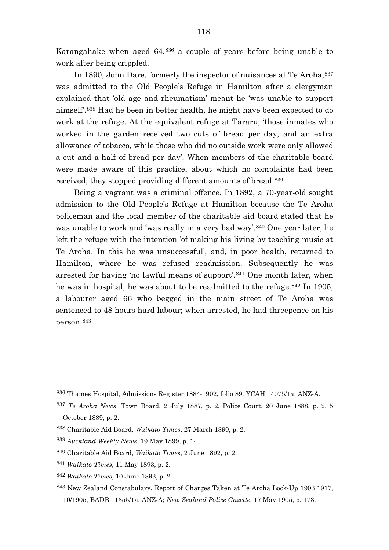Karangahake when aged 64,[836](#page-118-0) a couple of years before being unable to work after being crippled.

In 1890, John Dare, formerly the inspector of nuisances at Te Aroha, [837](#page-118-1) was admitted to the Old People's Refuge in Hamilton after a clergyman explained that 'old age and rheumatism' meant he 'was unable to support himself'.[838](#page-118-2) Had he been in better health, he might have been expected to do work at the refuge. At the equivalent refuge at Tararu, 'those inmates who worked in the garden received two cuts of bread per day, and an extra allowance of tobacco, while those who did no outside work were only allowed a cut and a-half of bread per day'. When members of the charitable board were made aware of this practice, about which no complaints had been received, they stopped providing different amounts of bread.[839](#page-118-3)

Being a vagrant was a criminal offence. In 1892, a 70-year-old sought admission to the Old People's Refuge at Hamilton because the Te Aroha policeman and the local member of the charitable aid board stated that he was unable to work and 'was really in a very bad way'.[840](#page-118-4) One year later, he left the refuge with the intention 'of making his living by teaching music at Te Aroha. In this he was unsuccessful', and, in poor health, returned to Hamilton, where he was refused readmission. Subsequently he was arrested for having 'no lawful means of support'.[841](#page-118-5) One month later, when he was in hospital, he was about to be readmitted to the refuge.<sup>[842](#page-118-6)</sup> In 1905, a labourer aged 66 who begged in the main street of Te Aroha was sentenced to 48 hours hard labour; when arrested, he had threepence on his person.[843](#page-118-7)

<span id="page-118-0"></span><sup>836</sup> Thames Hospital, Admissions Register 1884-1902, folio 89, YCAH 14075/1a, ANZ-A.

<span id="page-118-1"></span><sup>837</sup> *Te Aroha News*, Town Board, 2 July 1887, p. 2, Police Court, 20 June 1888, p. 2, 5 October 1889, p. 2.

<span id="page-118-2"></span><sup>838</sup> Charitable Aid Board, *Waikato Times*, 27 March 1890, p. 2.

<span id="page-118-3"></span><sup>839</sup> *Auckland Weekly News*, 19 May 1899, p. 14.

<span id="page-118-4"></span><sup>840</sup> Charitable Aid Board, *Waikato Times*, 2 June 1892, p. 2.

<span id="page-118-5"></span><sup>841</sup> *Waikato Times*, 11 May 1893, p. 2.

<span id="page-118-6"></span><sup>842</sup> *Waikato Times*, 10 June 1893, p. 2.

<span id="page-118-7"></span><sup>843</sup> New Zealand Constabulary, Report of Charges Taken at Te Aroha Lock-Up 1903 1917, 10/1905, BADB 11355/1a, ANZ-A; *New Zealand Police Gazette*, 17 May 1905, p. 173.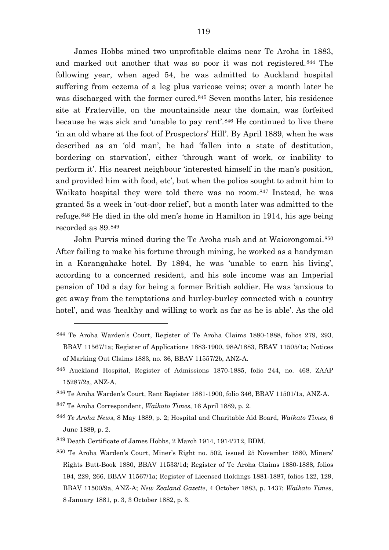James Hobbs mined two unprofitable claims near Te Aroha in 1883, and marked out another that was so poor it was not registered.[844](#page-119-0) The following year, when aged 54, he was admitted to Auckland hospital suffering from eczema of a leg plus varicose veins; over a month later he was discharged with the former cured.[845](#page-119-1) Seven months later, his residence site at Fraterville, on the mountainside near the domain, was forfeited because he was sick and 'unable to pay rent'.[846](#page-119-2) He continued to live there 'in an old whare at the foot of Prospectors' Hill'. By April 1889, when he was described as an 'old man', he had 'fallen into a state of destitution, bordering on starvation', either 'through want of work, or inability to perform it'. His nearest neighbour 'interested himself in the man's position, and provided him with food, etc', but when the police sought to admit him to Waikato hospital they were told there was no room.[847](#page-119-3) Instead, he was granted 5s a week in 'out-door relief', but a month later was admitted to the refuge.[848](#page-119-4) He died in the old men's home in Hamilton in 1914, his age being recorded as 89.[849](#page-119-5)

John Purvis mined during the Te Aroha rush and at Waiorongomai.[850](#page-119-6) After failing to make his fortune through mining, he worked as a handyman in a Karangahake hotel. By 1894, he was 'unable to earn his living', according to a concerned resident, and his sole income was an Imperial pension of 10d a day for being a former British soldier. He was 'anxious to get away from the temptations and hurley-burley connected with a country hotel', and was 'healthy and willing to work as far as he is able'. As the old

<span id="page-119-3"></span><sup>847</sup> Te Aroha Correspondent, *Waikato Times*, 16 April 1889, p. 2.

- <span id="page-119-4"></span><sup>848</sup> *Te Aroha News*, 8 May 1889, p. 2; Hospital and Charitable Aid Board, *Waikato Times*, 6 June 1889, p. 2.
- <span id="page-119-5"></span>849 Death Certificate of James Hobbs, 2 March 1914, 1914/712, BDM.

<span id="page-119-0"></span><sup>844</sup> Te Aroha Warden's Court, Register of Te Aroha Claims 1880-1888, folios 279, 293, BBAV 11567/1a; Register of Applications 1883-1900, 98A/1883, BBAV 11505/1a; Notices of Marking Out Claims 1883, no. 36, BBAV 11557/2b, ANZ-A.

<span id="page-119-1"></span><sup>845</sup> Auckland Hospital, Register of Admissions 1870-1885, folio 244, no. 468, ZAAP 15287/2a, ANZ-A.

<span id="page-119-2"></span><sup>846</sup> Te Aroha Warden's Court, Rent Register 1881-1900, folio 346, BBAV 11501/1a, ANZ-A.

<span id="page-119-6"></span><sup>850</sup> Te Aroha Warden's Court, Miner's Right no. 502, issued 25 November 1880, Miners' Rights Butt-Book 1880, BBAV 11533/1d; Register of Te Aroha Claims 1880-1888, folios 194, 229, 266, BBAV 11567/1a; Register of Licensed Holdings 1881-1887, folios 122, 129, BBAV 11500/9a, ANZ-A; *New Zealand Gazette*, 4 October 1883, p. 1437; *Waikato Times*, 8 January 1881, p. 3, 3 October 1882, p. 3.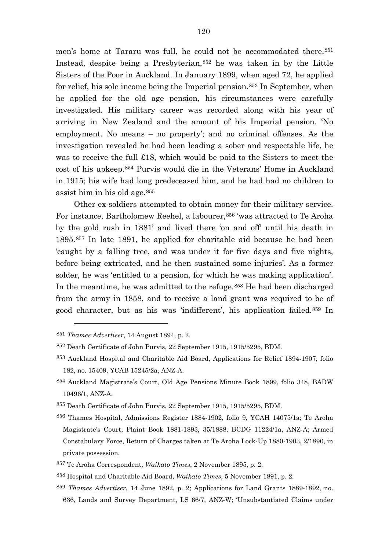men's home at Tararu was full, he could not be accommodated there.<sup>[851](#page-120-0)</sup> Instead, despite being a Presbyterian,[852](#page-120-1) he was taken in by the Little Sisters of the Poor in Auckland. In January 1899, when aged 72, he applied for relief, his sole income being the Imperial pension.<sup>[853](#page-120-2)</sup> In September, when he applied for the old age pension, his circumstances were carefully investigated. His military career was recorded along with his year of arriving in New Zealand and the amount of his Imperial pension. 'No employment. No means – no property'; and no criminal offenses. As the investigation revealed he had been leading a sober and respectable life, he was to receive the full £18, which would be paid to the Sisters to meet the cost of his upkeep.[854](#page-120-3) Purvis would die in the Veterans' Home in Auckland in 1915; his wife had long predeceased him, and he had had no children to assist him in his old age.[855](#page-120-4)

Other ex-soldiers attempted to obtain money for their military service. For instance, Bartholomew Reehel, a labourer,<sup>[856](#page-120-5)</sup> 'was attracted to Te Aroha by the gold rush in 1881' and lived there 'on and off' until his death in 1895.[857](#page-120-6) In late 1891, he applied for charitable aid because he had been 'caught by a falling tree, and was under it for five days and five nights, before being extricated, and he then sustained some injuries'. As a former solder, he was 'entitled to a pension, for which he was making application'. In the meantime, he was admitted to the refuge.<sup>[858](#page-120-7)</sup> He had been discharged from the army in 1858, and to receive a land grant was required to be of good character, but as his was 'indifferent', his application failed.[859](#page-120-8) In

 $\overline{a}$ 

<span id="page-120-8"></span><sup>859</sup> *Thames Advertiser*, 14 June 1892, p. 2; Applications for Land Grants 1889-1892, no. 636, Lands and Survey Department, LS 66/7, ANZ-W; 'Unsubstantiated Claims under

<span id="page-120-0"></span><sup>851</sup> *Thames Advertiser*, 14 August 1894, p. 2.

<span id="page-120-1"></span><sup>852</sup> Death Certificate of John Purvis, 22 September 1915, 1915/5295, BDM.

<span id="page-120-2"></span><sup>853</sup> Auckland Hospital and Charitable Aid Board, Applications for Relief 1894-1907, folio 182, no. 15409, YCAB 15245/2a, ANZ-A.

<span id="page-120-3"></span><sup>854</sup> Auckland Magistrate's Court, Old Age Pensions Minute Book 1899, folio 348, BADW 10496/1, ANZ-A.

<span id="page-120-4"></span><sup>855</sup> Death Certificate of John Purvis, 22 September 1915, 1915/5295, BDM.

<span id="page-120-5"></span><sup>856</sup> Thames Hospital, Admissions Register 1884-1902, folio 9, YCAH 14075/1a; Te Aroha Magistrate's Court, Plaint Book 1881-1893, 35/1888, BCDG 11224/1a, ANZ-A; Armed Constabulary Force, Return of Charges taken at Te Aroha Lock-Up 1880-1903, 2/1890, in private possession.

<span id="page-120-6"></span><sup>857</sup> Te Aroha Correspondent, *Waikato Times*, 2 November 1895, p. 2.

<span id="page-120-7"></span><sup>858</sup> Hospital and Charitable Aid Board, *Waikato Times*, 5 November 1891, p. 2.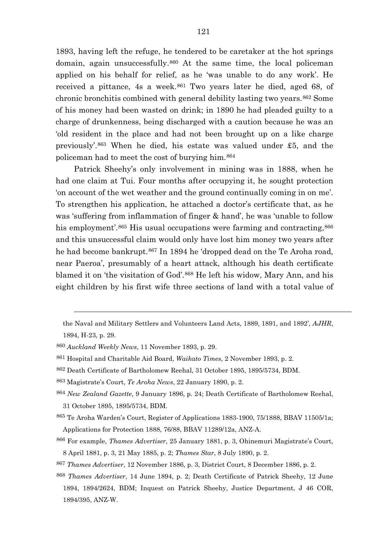1893, having left the refuge, he tendered to be caretaker at the hot springs domain, again unsuccessfully.[860](#page-121-0) At the same time, the local policeman applied on his behalf for relief, as he 'was unable to do any work'. He received a pittance, 4s a week.<sup>[861](#page-121-1)</sup> Two years later he died, aged 68, of chronic bronchitis combined with general debility lasting two years.[862](#page-121-2) Some of his money had been wasted on drink; in 1890 he had pleaded guilty to a charge of drunkenness, being discharged with a caution because he was an 'old resident in the place and had not been brought up on a like charge previously'.[863](#page-121-3) When he died, his estate was valued under £5, and the policeman had to meet the cost of burying him.[864](#page-121-4)

Patrick Sheehy's only involvement in mining was in 1888, when he had one claim at Tui. Four months after occupying it, he sought protection 'on account of the wet weather and the ground continually coming in on me'. To strengthen his application, he attached a doctor's certificate that, as he was 'suffering from inflammation of finger & hand', he was 'unable to follow his employment'.<sup>[865](#page-121-5)</sup> His usual occupations were farming and contracting, <sup>[866](#page-121-6)</sup> and this unsuccessful claim would only have lost him money two years after he had become bankrupt.<sup>[867](#page-121-7)</sup> In 1894 he 'dropped dead on the Te Aroha road, near Paeroa', presumably of a heart attack, although his death certificate blamed it on 'the visitation of God'.[868](#page-121-8) He left his widow, Mary Ann, and his eight children by his first wife three sections of land with a total value of

 $\overline{a}$ 

<span id="page-121-7"></span><sup>867</sup> *Thames Advertiser*, 12 November 1886, p. 3, District Court, 8 December 1886, p. 2.

the Naval and Military Settlers and Volunteers Land Acts, 1889, 1891, and 1892', *AJHR*, 1894, H-23, p. 29.

<span id="page-121-0"></span><sup>860</sup> *Auckland Weekly News*, 11 November 1893, p. 29.

<span id="page-121-1"></span><sup>861</sup> Hospital and Charitable Aid Board, *Waikato Times*, 2 November 1893, p. 2.

<span id="page-121-2"></span><sup>862</sup> Death Certificate of Bartholomew Reehal, 31 October 1895, 1895/5734, BDM.

<span id="page-121-3"></span><sup>863</sup> Magistrate's Court, *Te Aroha News*, 22 January 1890, p. 2.

<span id="page-121-4"></span><sup>864</sup> *New Zealand Gazette*, 9 January 1896, p. 24; Death Certificate of Bartholomew Reehal, 31 October 1895, 1895/5734, BDM.

<span id="page-121-5"></span><sup>865</sup> Te Aroha Warden's Court, Register of Applications 1883-1900, 75/1888, BBAV 11505/1a; Applications for Protection 1888, 76/88, BBAV 11289/12a, ANZ-A.

<span id="page-121-6"></span><sup>866</sup> For example, *Thames Advertiser*, 25 January 1881, p. 3, Ohinemuri Magistrate's Court, 8 April 1881, p. 3, 21 May 1885, p. 2; *Thames Star*, 8 July 1890, p. 2.

<span id="page-121-8"></span><sup>868</sup> *Thames Advertiser*, 14 June 1894, p. 2; Death Certificate of Patrick Sheehy, 12 June 1894, 1894/2624, BDM; Inquest on Patrick Sheehy, Justice Department, J 46 COR, 1894/395, ANZ-W.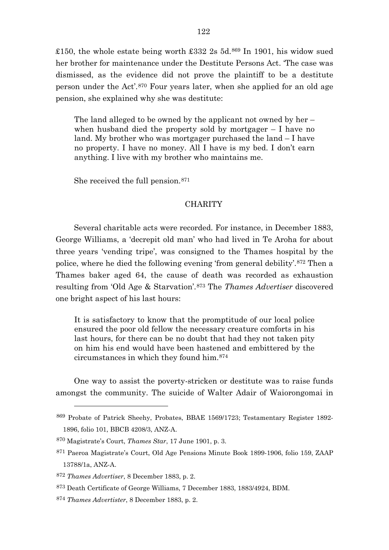£150, the whole estate being worth £332 2s 5d.<sup>[869](#page-122-0)</sup> In 1901, his widow sued her brother for maintenance under the Destitute Persons Act. 'The case was dismissed, as the evidence did not prove the plaintiff to be a destitute person under the Act'.[870](#page-122-1) Four years later, when she applied for an old age pension, she explained why she was destitute:

The land alleged to be owned by the applicant not owned by her – when husband died the property sold by mortgager – I have no land. My brother who was mortgager purchased the land – I have no property. I have no money. All I have is my bed. I don't earn anything. I live with my brother who maintains me.

She received the full pension.[871](#page-122-2)

## **CHARITY**

Several charitable acts were recorded. For instance, in December 1883, George Williams, a 'decrepit old man' who had lived in Te Aroha for about three years 'vending tripe', was consigned to the Thames hospital by the police, where he died the following evening 'from general debility'.[872](#page-122-3) Then a Thames baker aged 64, the cause of death was recorded as exhaustion resulting from 'Old Age & Starvation'.[873](#page-122-4) The *Thames Advertiser* discovered one bright aspect of his last hours:

It is satisfactory to know that the promptitude of our local police ensured the poor old fellow the necessary creature comforts in his last hours, for there can be no doubt that had they not taken pity on him his end would have been hastened and embittered by the circumstances in which they found him.[874](#page-122-5)

One way to assist the poverty-stricken or destitute was to raise funds amongst the community. The suicide of Walter Adair of Waiorongomai in

<span id="page-122-0"></span><sup>869</sup> Probate of Patrick Sheehy, Probates, BBAE 1569/1723; Testamentary Register 1892- 1896, folio 101, BBCB 4208/3, ANZ-A.

<span id="page-122-1"></span><sup>870</sup> Magistrate's Court, *Thames Star*, 17 June 1901, p. 3.

<span id="page-122-2"></span><sup>871</sup> Paeroa Magistrate's Court, Old Age Pensions Minute Book 1899-1906, folio 159, ZAAP 13788/1a, ANZ-A.

<span id="page-122-3"></span><sup>872</sup> *Thames Advertiser*, 8 December 1883, p. 2.

<span id="page-122-4"></span><sup>873</sup> Death Certificate of George Williams, 7 December 1883, 1883/4924, BDM.

<span id="page-122-5"></span><sup>874</sup> *Thames Advertister*, 8 December 1883, p. 2.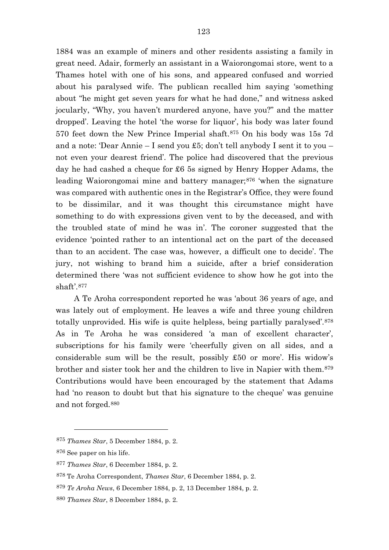1884 was an example of miners and other residents assisting a family in great need. Adair, formerly an assistant in a Waiorongomai store, went to a Thames hotel with one of his sons, and appeared confused and worried about his paralysed wife. The publican recalled him saying 'something about "he might get seven years for what he had done," and witness asked jocularly, "Why, you haven't murdered anyone, have you?" and the matter dropped'. Leaving the hotel 'the worse for liquor', his body was later found 570 feet down the New Prince Imperial shaft.[875](#page-123-0) On his body was 15s 7d and a note: 'Dear Annie – I send you £5; don't tell anybody I sent it to you – not even your dearest friend'. The police had discovered that the previous day he had cashed a cheque for £6 5s signed by Henry Hopper Adams, the leading Waiorongomai mine and battery manager;<sup>[876](#page-123-1)</sup> 'when the signature was compared with authentic ones in the Registrar's Office, they were found to be dissimilar, and it was thought this circumstance might have something to do with expressions given vent to by the deceased, and with the troubled state of mind he was in'. The coroner suggested that the evidence 'pointed rather to an intentional act on the part of the deceased than to an accident. The case was, however, a difficult one to decide'. The jury, not wishing to brand him a suicide, after a brief consideration determined there 'was not sufficient evidence to show how he got into the shaft'.[877](#page-123-2)

A Te Aroha correspondent reported he was 'about 36 years of age, and was lately out of employment. He leaves a wife and three young children totally unprovided. His wife is quite helpless, being partially paralysed'.[878](#page-123-3) As in Te Aroha he was considered 'a man of excellent character', subscriptions for his family were 'cheerfully given on all sides, and a considerable sum will be the result, possibly £50 or more'. His widow's brother and sister took her and the children to live in Napier with them.[879](#page-123-4) Contributions would have been encouraged by the statement that Adams had 'no reason to doubt but that his signature to the cheque' was genuine and not forged.[880](#page-123-5)

<span id="page-123-0"></span><sup>875</sup> *Thames Star*, 5 December 1884, p. 2.

<span id="page-123-2"></span><span id="page-123-1"></span><sup>876</sup> See paper on his life.

<sup>877</sup> *Thames Star*, 6 December 1884, p. 2.

<span id="page-123-3"></span><sup>878</sup> Te Aroha Correspondent, *Thames Star*, 6 December 1884, p. 2.

<span id="page-123-4"></span><sup>879</sup> *Te Aroha News*, 6 December 1884, p. 2, 13 December 1884, p. 2.

<span id="page-123-5"></span><sup>880</sup> *Thames Star*, 8 December 1884, p. 2.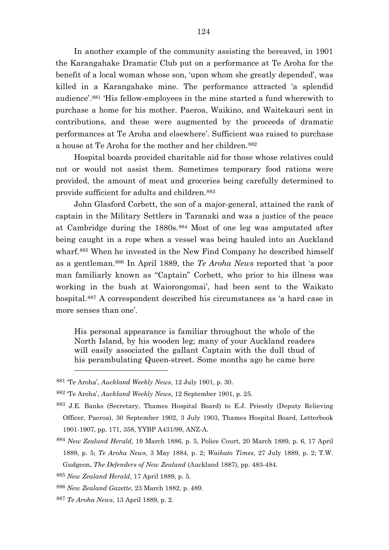In another example of the community assisting the bereaved, in 1901 the Karangahake Dramatic Club put on a performance at Te Aroha for the benefit of a local woman whose son, 'upon whom she greatly depended', was killed in a Karangahake mine. The performance attracted 'a splendid audience'.[881](#page-124-0) 'His fellow-employees in the mine started a fund wherewith to purchase a home for his mother. Paeroa, Waikino, and Waitekauri sent in contributions, and these were augmented by the proceeds of dramatic performances at Te Aroha and elsewhere'. Sufficient was raised to purchase a house at Te Aroha for the mother and her children.[882](#page-124-1)

Hospital boards provided charitable aid for those whose relatives could not or would not assist them. Sometimes temporary food rations were provided, the amount of meat and groceries being carefully determined to provide sufficient for adults and children.[883](#page-124-2)

John Glasford Corbett, the son of a major-general, attained the rank of captain in the Military Settlers in Taranaki and was a justice of the peace at Cambridge during the 1880s.[884](#page-124-3) Most of one leg was amputated after being caught in a rope when a vessel was being hauled into an Auckland wharf.[885](#page-124-4) When he invested in the New Find Company he described himself as a gentleman.[886](#page-124-5) In April 1889, the *Te Aroha News* reported that 'a poor man familiarly known as "Captain" Corbett, who prior to his illness was working in the bush at Waiorongomai', had been sent to the Waikato hospital.[887](#page-124-6) A correspondent described his circumstances as 'a hard case in more senses than one'.

His personal appearance is familiar throughout the whole of the North Island, by his wooden leg; many of your Auckland readers will easily associated the gallant Captain with the dull thud of his perambulating Queen-street. Some months ago he came here

<span id="page-124-6"></span><sup>887</sup> *Te Aroha News*, 13 April 1889, p. 2.

<span id="page-124-0"></span><sup>881</sup> 'Te Aroha', *Auckland Weekly News*, 12 July 1901, p. 30.

<span id="page-124-1"></span><sup>882</sup> 'Te Aroha', *Auckland Weekly News*, 12 September 1901, p. 25.

<span id="page-124-2"></span><sup>883</sup> J.E. Banks (Secretary, Thames Hospital Board) to E.J. Priestly (Deputy Relieving Officer, Paeroa), 30 September 1902, 3 July 1903, Thames Hospital Board, Letterbook 1901-1907, pp. 171, 358, YYBP A431/99, ANZ-A.

<span id="page-124-3"></span><sup>884</sup> *New Zealand Herald*, 19 March 1886, p. 5, Police Court, 20 March 1889, p. 6, 17 April 1889, p. 5; *Te Aroha News*, 3 May 1884, p. 2; *Waikato Times*, 27 July 1889, p. 2; T.W. Gudgeon, *The Defenders of New Zealand* (Auckland 1887), pp. 483-484.

<span id="page-124-4"></span><sup>885</sup> *New Zealand Herald*, 17 April 1889, p. 5.

<span id="page-124-5"></span><sup>886</sup> *New Zealand Gazette*, 23 March 1882, p. 489.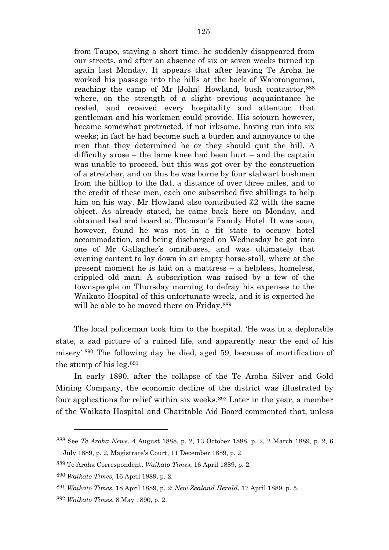from Taupo, staying a short time, he suddenly disappeared from our streets, and after an absence of six or seven weeks turned up again last Monday. It appears that after leaving Te Aroha he worked his passage into the hills at the back of Waiorongomai, reaching the camp of Mr [John] Howland, bush contractor,[888](#page-125-0) where, on the strength of a slight previous acquaintance he rested, and received every hospitality and attention that gentleman and his workmen could provide. His sojourn however, became somewhat protracted, if not irksome, having run into six weeks; in fact he had become such a burden and annoyance to the men that they determined he or they should quit the hill. A difficulty arose – the lame knee had been hurt – and the captain was unable to proceed, but this was got over by the construction of a stretcher, and on this he was borne by four stalwart bushmen from the hilltop to the flat, a distance of over three miles, and to the credit of these men, each one subscribed five shillings to help him on his way. Mr Howland also contributed £2 with the same object. As already stated, he came back here on Monday, and obtained bed and board at Thomson's Family Hotel. It was soon, however, found he was not in a fit state to occupy hotel accommodation, and being discharged on Wednesday he got into one of Mr Gallagher's omnibuses, and was ultimately that evening content to lay down in an empty horse-stall, where at the present moment he is laid on a mattress – a helpless, homeless, crippled old man. A subscription was raised by a few of the townspeople on Thursday morning to defray his expenses to the Waikato Hospital of this unfortunate wreck, and it is expected he will be able to be moved there on Friday.<sup>[889](#page-125-1)</sup>

The local policeman took him to the hospital. 'He was in a deplorable state, a sad picture of a ruined life, and apparently near the end of his misery'.[890](#page-125-2) The following day he died, aged 59, because of mortification of the stump of his leg.[891](#page-125-3)

In early 1890, after the collapse of the Te Aroha Silver and Gold Mining Company, the economic decline of the district was illustrated by four applications for relief within six weeks.<sup>[892](#page-125-4)</sup> Later in the year, a member of the Waikato Hospital and Charitable Aid Board commented that, unless

<span id="page-125-0"></span><sup>888</sup> See *Te Aroha News*, 4 August 1888, p. 2, 13 October 1888, p. 2, 2 March 1889, p. 2, 6 July 1889, p. 2, Magistrate's Court, 11 December 1889, p. 2.

<span id="page-125-1"></span><sup>889</sup> Te Aroha Correspondent, *Waikato Times*, 16 April 1889, p. 2.

<span id="page-125-2"></span><sup>890</sup> *Waikato Times*, 16 April 1889, p. 2.

<span id="page-125-3"></span><sup>891</sup> *Waikato Times*, 18 April 1889, p. 2; *New Zealand Herald*, 17 April 1889, p. 5.

<span id="page-125-4"></span><sup>892</sup> *Waikato Times*, 8 May 1890, p. 2.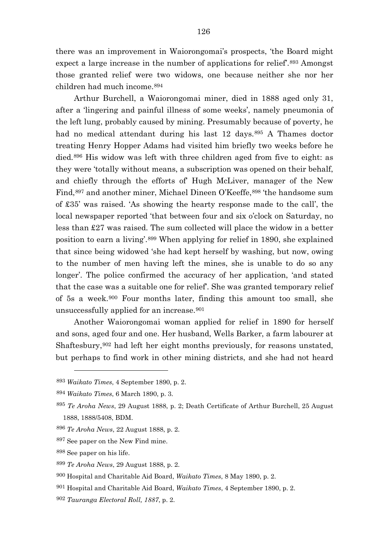there was an improvement in Waiorongomai's prospects, 'the Board might expect a large increase in the number of applications for relief.<sup>[893](#page-126-0)</sup> Amongst those granted relief were two widows, one because neither she nor her children had much income.[894](#page-126-1)

Arthur Burchell, a Waiorongomai miner, died in 1888 aged only 31, after a 'lingering and painful illness of some weeks', namely pneumonia of the left lung, probably caused by mining. Presumably because of poverty, he had no medical attendant during his last 12 days.<sup>[895](#page-126-2)</sup> A Thames doctor treating Henry Hopper Adams had visited him briefly two weeks before he died.[896](#page-126-3) His widow was left with three children aged from five to eight: as they were 'totally without means, a subscription was opened on their behalf, and chiefly through the efforts of' Hugh McLiver, manager of the New Find, [897](#page-126-4) and another miner, Michael Dineen O'Keeffe, [898](#page-126-5) 'the handsome sum of £35' was raised. 'As showing the hearty response made to the call', the local newspaper reported 'that between four and six o'clock on Saturday, no less than £27 was raised. The sum collected will place the widow in a better position to earn a living'.[899](#page-126-6) When applying for relief in 1890, she explained that since being widowed 'she had kept herself by washing, but now, owing to the number of men having left the mines, she is unable to do so any longer'. The police confirmed the accuracy of her application, 'and stated that the case was a suitable one for relief'. She was granted temporary relief of 5s a week.[900](#page-126-7) Four months later, finding this amount too small, she unsuccessfully applied for an increase.<sup>[901](#page-126-8)</sup>

Another Waiorongomai woman applied for relief in 1890 for herself and sons, aged four and one. Her husband, Wells Barker, a farm labourer at Shaftesbury,[902](#page-126-9) had left her eight months previously, for reasons unstated, but perhaps to find work in other mining districts, and she had not heard

<span id="page-126-0"></span><sup>893</sup> *Waikato Times*, 4 September 1890, p. 2.

<span id="page-126-1"></span><sup>894</sup> *Waikato Times*, 6 March 1890, p. 3.

<span id="page-126-2"></span><sup>895</sup> *Te Aroha News*, 29 August 1888, p. 2; Death Certificate of Arthur Burchell, 25 August 1888, 1888/5408, BDM.

<span id="page-126-3"></span><sup>896</sup> *Te Aroha News*, 22 August 1888, p. 2.

<span id="page-126-4"></span><sup>897</sup> See paper on the New Find mine.

<span id="page-126-5"></span><sup>898</sup> See paper on his life.

<span id="page-126-6"></span><sup>899</sup> *Te Aroha News*, 29 August 1888, p. 2.

<span id="page-126-7"></span><sup>900</sup> Hospital and Charitable Aid Board, *Waikato Times*, 8 May 1890, p. 2.

<span id="page-126-8"></span><sup>901</sup> Hospital and Charitable Aid Board, *Waikato Times*, 4 September 1890, p. 2.

<span id="page-126-9"></span><sup>902</sup> *Tauranga Electoral Roll, 1887*, p. 2.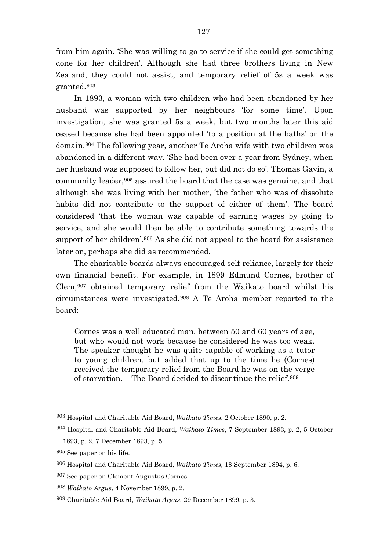from him again. 'She was willing to go to service if she could get something done for her children'. Although she had three brothers living in New Zealand, they could not assist, and temporary relief of 5s a week was granted.[903](#page-127-0)

In 1893, a woman with two children who had been abandoned by her husband was supported by her neighbours 'for some time'. Upon investigation, she was granted 5s a week, but two months later this aid ceased because she had been appointed 'to a position at the baths' on the domain.[904](#page-127-1) The following year, another Te Aroha wife with two children was abandoned in a different way. 'She had been over a year from Sydney, when her husband was supposed to follow her, but did not do so'. Thomas Gavin, a community leader,<sup>[905](#page-127-2)</sup> assured the board that the case was genuine, and that although she was living with her mother, 'the father who was of dissolute habits did not contribute to the support of either of them'. The board considered 'that the woman was capable of earning wages by going to service, and she would then be able to contribute something towards the support of her children'.<sup>[906](#page-127-3)</sup> As she did not appeal to the board for assistance later on, perhaps she did as recommended.

The charitable boards always encouraged self-reliance, largely for their own financial benefit. For example, in 1899 Edmund Cornes, brother of Clem,[907](#page-127-4) obtained temporary relief from the Waikato board whilst his circumstances were investigated.[908](#page-127-5) A Te Aroha member reported to the board:

Cornes was a well educated man, between 50 and 60 years of age, but who would not work because he considered he was too weak. The speaker thought he was quite capable of working as a tutor to young children, but added that up to the time he (Cornes) received the temporary relief from the Board he was on the verge of starvation. – The Board decided to discontinue the relief.[909](#page-127-6)

<span id="page-127-0"></span><sup>903</sup> Hospital and Charitable Aid Board, *Waikato Times*, 2 October 1890, p. 2.

<span id="page-127-1"></span><sup>904</sup> Hospital and Charitable Aid Board, *Waikato Times*, 7 September 1893, p. 2, 5 October 1893, p. 2, 7 December 1893, p. 5.

<span id="page-127-2"></span><sup>905</sup> See paper on his life.

<span id="page-127-3"></span><sup>906</sup> Hospital and Charitable Aid Board, *Waikato Times*, 18 September 1894, p. 6.

<span id="page-127-4"></span><sup>907</sup> See paper on Clement Augustus Cornes.

<span id="page-127-5"></span><sup>908</sup> *Waikato Argus*, 4 November 1899, p. 2.

<span id="page-127-6"></span><sup>909</sup> Charitable Aid Board, *Waikato Argus*, 29 December 1899, p. 3.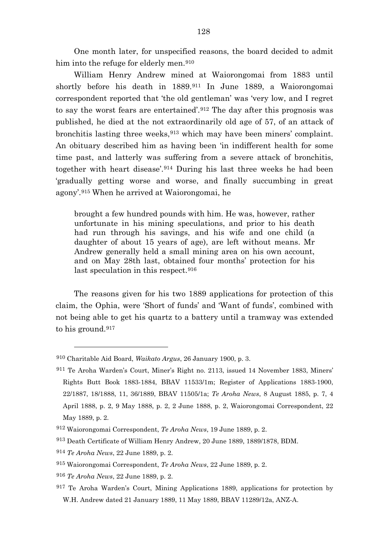One month later, for unspecified reasons, the board decided to admit him into the refuge for elderly men.<sup>[910](#page-128-0)</sup>

William Henry Andrew mined at Waiorongomai from 1883 until shortly before his death in 1889.<sup>[911](#page-128-1)</sup> In June 1889, a Waiorongomai correspondent reported that 'the old gentleman' was 'very low, and I regret to say the worst fears are entertained'.[912](#page-128-2) The day after this prognosis was published, he died at the not extraordinarily old age of 57, of an attack of bronchitis lasting three weeks,[913](#page-128-3) which may have been miners' complaint. An obituary described him as having been 'in indifferent health for some time past, and latterly was suffering from a severe attack of bronchitis, together with heart disease'.[914](#page-128-4) During his last three weeks he had been 'gradually getting worse and worse, and finally succumbing in great agony'.[915](#page-128-5) When he arrived at Waiorongomai, he

brought a few hundred pounds with him. He was, however, rather unfortunate in his mining speculations, and prior to his death had run through his savings, and his wife and one child (a daughter of about 15 years of age), are left without means. Mr Andrew generally held a small mining area on his own account, and on May 28th last, obtained four months' protection for his last speculation in this respect.<sup>[916](#page-128-6)</sup>

The reasons given for his two 1889 applications for protection of this claim, the Ophia, were 'Short of funds' and 'Want of funds', combined with not being able to get his quartz to a battery until a tramway was extended to his ground.[917](#page-128-7)

<span id="page-128-0"></span><sup>910</sup> Charitable Aid Board, *Waikato Argus*, 26 January 1900, p. 3.

<span id="page-128-1"></span><sup>911</sup> Te Aroha Warden's Court, Miner's Right no. 2113, issued 14 November 1883, Miners' Rights Butt Book 1883-1884, BBAV 11533/1m; Register of Applications 1883-1900, 22/1887, 18/1888, 11, 36/1889, BBAV 11505/1a; *Te Aroha News*, 8 August 1885, p. 7, 4 April 1888, p. 2, 9 May 1888, p. 2, 2 June 1888, p. 2, Waiorongomai Correspondent, 22 May 1889, p. 2.

<span id="page-128-2"></span><sup>912</sup> Waiorongomai Correspondent, *Te Aroha News*, 19 June 1889, p. 2.

<span id="page-128-3"></span><sup>913</sup> Death Certificate of William Henry Andrew, 20 June 1889, 1889/1878, BDM.

<span id="page-128-4"></span><sup>914</sup> *Te Aroha News*, 22 June 1889, p. 2.

<span id="page-128-5"></span><sup>915</sup> Waiorongomai Correspondent, *Te Aroha News*, 22 June 1889, p. 2.

<span id="page-128-6"></span><sup>916</sup> *Te Aroha News*, 22 June 1889, p. 2.

<span id="page-128-7"></span><sup>917</sup> Te Aroha Warden's Court, Mining Applications 1889, applications for protection by W.H. Andrew dated 21 January 1889, 11 May 1889, BBAV 11289/12a, ANZ-A.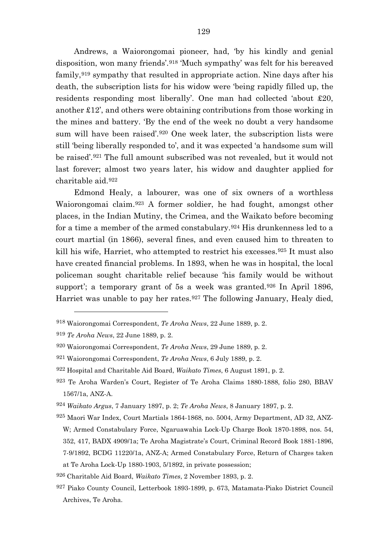Andrews, a Waiorongomai pioneer, had, 'by his kindly and genial disposition, won many friends'.[918](#page-129-0) 'Much sympathy' was felt for his bereaved family,[919](#page-129-1) sympathy that resulted in appropriate action. Nine days after his death, the subscription lists for his widow were 'being rapidly filled up, the residents responding most liberally'. One man had collected 'about £20, another £12', and others were obtaining contributions from those working in the mines and battery. 'By the end of the week no doubt a very handsome sum will have been raised'.[920](#page-129-2) One week later, the subscription lists were still 'being liberally responded to', and it was expected 'a handsome sum will be raised'.[921](#page-129-3) The full amount subscribed was not revealed, but it would not last forever; almost two years later, his widow and daughter applied for charitable aid.[922](#page-129-4)

Edmond Healy, a labourer, was one of six owners of a worthless Waiorongomai claim.[923](#page-129-5) A former soldier, he had fought, amongst other places, in the Indian Mutiny, the Crimea, and the Waikato before becoming for a time a member of the armed constabulary.[924](#page-129-6) His drunkenness led to a court martial (in 1866), several fines, and even caused him to threaten to kill his wife, Harriet, who attempted to restrict his excesses.[925](#page-129-7) It must also have created financial problems. In 1893, when he was in hospital, the local policeman sought charitable relief because 'his family would be without support'; a temporary grant of 5s a week was granted.<sup>[926](#page-129-8)</sup> In April 1896, Harriet was unable to pay her rates.<sup>[927](#page-129-9)</sup> The following January, Healy died,

<span id="page-129-0"></span><sup>918</sup> Waiorongomai Correspondent, *Te Aroha News*, 22 June 1889, p. 2.

<span id="page-129-1"></span><sup>919</sup> *Te Aroha News*, 22 June 1889, p. 2.

<span id="page-129-2"></span><sup>920</sup> Waiorongomai Correspondent, *Te Aroha News*, 29 June 1889, p. 2.

<span id="page-129-3"></span><sup>921</sup> Waiorongomai Correspondent, *Te Aroha News*, 6 July 1889, p. 2.

<span id="page-129-4"></span><sup>922</sup> Hospital and Charitable Aid Board, *Waikato Times*, 6 August 1891, p. 2.

<span id="page-129-5"></span><sup>923</sup> Te Aroha Warden's Court, Register of Te Aroha Claims 1880-1888, folio 280, BBAV 1567/1a, ANZ-A.

<span id="page-129-6"></span><sup>924</sup> *Waikato Argus*, 7 January 1897, p. 2; *Te Aroha News*, 8 January 1897, p. 2.

<span id="page-129-7"></span><sup>925</sup> Maori War Index, Court Martials 1864-1868, no. 5004, Army Department, AD 32, ANZ-W; Armed Constabulary Force, Ngaruawahia Lock-Up Charge Book 1870-1898, nos. 54, 352, 417, BADX 4909/1a; Te Aroha Magistrate's Court, Criminal Record Book 1881-1896, 7-9/1892, BCDG 11220/1a, ANZ-A; Armed Constabulary Force, Return of Charges taken at Te Aroha Lock-Up 1880-1903, 5/1892, in private possession;

<span id="page-129-8"></span><sup>926</sup> Charitable Aid Board, *Waikato Times*, 2 November 1893, p. 2.

<span id="page-129-9"></span><sup>927</sup> Piako County Council, Letterbook 1893-1899, p. 673, Matamata-Piako District Council Archives, Te Aroha.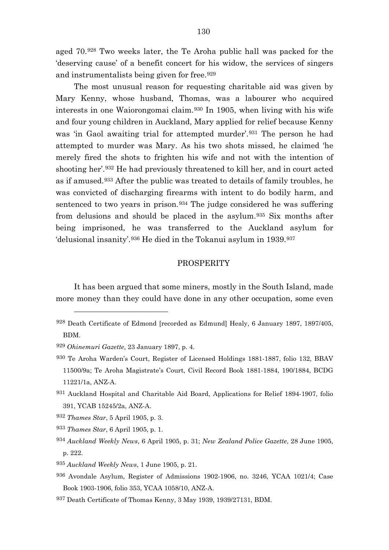aged 70.[928](#page-130-0) Two weeks later, the Te Aroha public hall was packed for the 'deserving cause' of a benefit concert for his widow, the services of singers and instrumentalists being given for free.[929](#page-130-1)

The most unusual reason for requesting charitable aid was given by Mary Kenny, whose husband, Thomas, was a labourer who acquired interests in one Waiorongomai claim.[930](#page-130-2) In 1905, when living with his wife and four young children in Auckland, Mary applied for relief because Kenny was 'in Gaol awaiting trial for attempted murder'.[931](#page-130-3) The person he had attempted to murder was Mary. As his two shots missed, he claimed 'he merely fired the shots to frighten his wife and not with the intention of shooting her'.[932](#page-130-4) He had previously threatened to kill her, and in court acted as if amused.[933](#page-130-5) After the public was treated to details of family troubles, he was convicted of discharging firearms with intent to do bodily harm, and sentenced to two years in prison.<sup>[934](#page-130-6)</sup> The judge considered he was suffering from delusions and should be placed in the asylum.[935](#page-130-7) Six months after being imprisoned, he was transferred to the Auckland asylum for 'delusional insanity'.[936](#page-130-8) He died in the Tokanui asylum in 1939.[937](#page-130-9)

#### PROSPERITY

It has been argued that some miners, mostly in the South Island, made more money than they could have done in any other occupation, some even

 $\overline{a}$ 

<span id="page-130-5"></span><sup>933</sup> *Thames Star*, 6 April 1905, p. 1.

- <span id="page-130-7"></span><sup>935</sup> *Auckland Weekly News*, 1 June 1905, p. 21.
- <span id="page-130-8"></span>936 Avondale Asylum, Register of Admissions 1902-1906, no. 3246, YCAA 1021/4; Case Book 1903-1906, folio 353, YCAA 1058/10, ANZ-A.
- <span id="page-130-9"></span>937 Death Certificate of Thomas Kenny, 3 May 1939, 1939/27131, BDM.

<span id="page-130-0"></span><sup>928</sup> Death Certificate of Edmond [recorded as Edmund] Healy, 6 January 1897, 1897/405, BDM.

<span id="page-130-1"></span><sup>929</sup> *Ohinemuri Gazette*, 23 January 1897, p. 4.

<span id="page-130-2"></span><sup>930</sup> Te Aroha Warden's Court, Register of Licensed Holdings 1881-1887, folio 132, BBAV 11500/9a; Te Aroha Magistrate's Court, Civil Record Book 1881-1884, 190/1884, BCDG 11221/1a, ANZ-A.

<span id="page-130-3"></span><sup>931</sup> Auckland Hospital and Charitable Aid Board, Applications for Relief 1894-1907, folio 391, YCAB 15245/2a, ANZ-A.

<span id="page-130-4"></span><sup>932</sup> *Thames Star*, 5 April 1905, p. 3.

<span id="page-130-6"></span><sup>934</sup> *Auckland Weekly News*, 6 April 1905, p. 31; *New Zealand Police Gazette*, 28 June 1905, p. 222.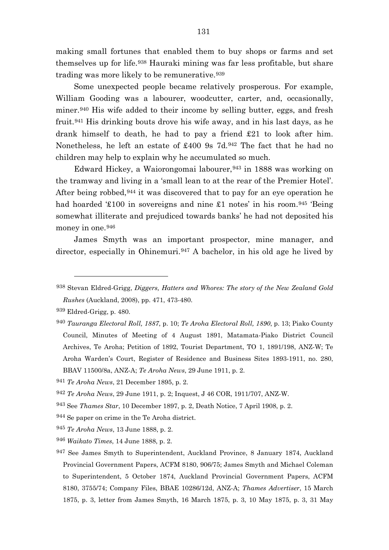making small fortunes that enabled them to buy shops or farms and set themselves up for life.[938](#page-131-0) Hauraki mining was far less profitable, but share trading was more likely to be remunerative.[939](#page-131-1)

Some unexpected people became relatively prosperous. For example, William Gooding was a labourer, woodcutter, carter, and, occasionally, miner.<sup>[940](#page-131-2)</sup> His wife added to their income by selling butter, eggs, and fresh fruit.[941](#page-131-3) His drinking bouts drove his wife away, and in his last days, as he drank himself to death, he had to pay a friend £21 to look after him. Nonetheless, he left an estate of £400 9s 7d.[942](#page-131-4) The fact that he had no children may help to explain why he accumulated so much.

Edward Hickey, a Waiorongomai labourer,[943](#page-131-5) in 1888 was working on the tramway and living in a 'small lean to at the rear of the Premier Hotel'. After being robbed, [944](#page-131-6) it was discovered that to pay for an eye operation he had hoarded  $\text{\textsterling}100$  in sovereigns and nine  $\text{\textsterling}1$  notes' in his room.<sup>[945](#page-131-7)</sup> 'Being' somewhat illiterate and prejudiced towards banks' he had not deposited his money in one.<sup>[946](#page-131-8)</sup>

James Smyth was an important prospector, mine manager, and director, especially in Ohinemuri.<sup>[947](#page-131-9)</sup> A bachelor, in his old age he lived by

- <span id="page-131-7"></span><sup>945</sup> *Te Aroha News*, 13 June 1888, p. 2.
- <span id="page-131-8"></span><sup>946</sup> *Waikato Times*, 14 June 1888, p. 2.

<span id="page-131-0"></span><sup>938</sup> Stevan Eldred-Grigg, *Diggers, Hatters and Whores: The story of the New Zealand Gold Rushes* (Auckland, 2008), pp. 471, 473-480.

<span id="page-131-1"></span><sup>939</sup> Eldred-Grigg, p. 480.

<span id="page-131-2"></span><sup>940</sup> *Tauranga Electoral Roll, 1887*, p. 10; *Te Aroha Electoral Roll, 1890*, p. 13; Piako County Council, Minutes of Meeting of 4 August 1891, Matamata-Piako District Council Archives, Te Aroha; Petition of 1892, Tourist Department, TO 1, 1891/198, ANZ-W; Te Aroha Warden's Court, Register of Residence and Business Sites 1893-1911, no. 280, BBAV 11500/8a, ANZ-A; *Te Aroha News*, 29 June 1911, p. 2.

<span id="page-131-3"></span><sup>941</sup> *Te Aroha News*, 21 December 1895, p. 2.

<span id="page-131-4"></span><sup>942</sup> *Te Aroha News*, 29 June 1911, p. 2; Inquest, J 46 COR, 1911/707, ANZ-W.

<span id="page-131-5"></span><sup>943</sup> See *Thames Star*, 10 December 1897, p. 2, Death Notice, 7 April 1908, p. 2.

<span id="page-131-6"></span><sup>944</sup> Se paper on crime in the Te Aroha district.

<span id="page-131-9"></span><sup>947</sup> See James Smyth to Superintendent, Auckland Province, 8 January 1874, Auckland Provincial Government Papers, ACFM 8180, 906/75; James Smyth and Michael Coleman to Superintendent, 5 October 1874, Auckland Provincial Government Papers, ACFM 8180, 3755/74; Company Files, BBAE 10286/12d, ANZ-A; *Thames Advertiser*, 15 March 1875, p. 3, letter from James Smyth, 16 March 1875, p. 3, 10 May 1875, p. 3, 31 May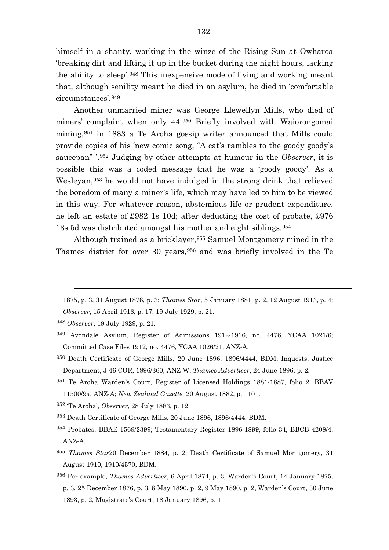himself in a shanty, working in the winze of the Rising Sun at Owharoa 'breaking dirt and lifting it up in the bucket during the night hours, lacking the ability to sleep'.[948](#page-132-0) This inexpensive mode of living and working meant that, although senility meant he died in an asylum, he died in 'comfortable circumstances'.[949](#page-132-1)

Another unmarried miner was George Llewellyn Mills, who died of miners' complaint when only 44.[950](#page-132-2) Briefly involved with Waiorongomai mining,[951](#page-132-3) in 1883 a Te Aroha gossip writer announced that Mills could provide copies of his 'new comic song, "A cat's rambles to the goody goody's saucepan" '.[952](#page-132-4) Judging by other attempts at humour in the *Observer*, it is possible this was a coded message that he was a 'goody goody'. As a Wesleyan,[953](#page-132-5) he would not have indulged in the strong drink that relieved the boredom of many a miner's life, which may have led to him to be viewed in this way. For whatever reason, abstemious life or prudent expenditure, he left an estate of £982 1s 10d; after deducting the cost of probate, £976 13s 5d was distributed amongst his mother and eight siblings.[954](#page-132-6)

Although trained as a bricklayer,[955](#page-132-7) Samuel Montgomery mined in the Thames district for over 30 years,[956](#page-132-8) and was briefly involved in the Te

- <span id="page-132-1"></span>949 Avondale Asylum, Register of Admissions 1912-1916, no. 4476, YCAA 1021/6; Committed Case Files 1912, no. 4476, YCAA 1026/21, ANZ-A.
- <span id="page-132-2"></span>950 Death Certificate of George Mills, 20 June 1896, 1896/4444, BDM; Inquests, Justice Department, J 46 COR, 1896/360, ANZ-W; *Thames Advertiser*, 24 June 1896, p. 2.
- <span id="page-132-3"></span>951 Te Aroha Warden's Court, Register of Licensed Holdings 1881-1887, folio 2, BBAV 11500/9a, ANZ-A; *New Zealand Gazette*, 20 August 1882, p. 1101.
- <span id="page-132-4"></span><sup>952</sup> 'Te Aroha', *Observer*, 28 July 1883, p. 12.
- <span id="page-132-5"></span>953 Death Certificate of George Mills, 20 June 1896, 1896/4444, BDM.
- <span id="page-132-6"></span>954 Probates, BBAE 1569/2399; Testamentary Register 1896-1899, folio 34, BBCB 4208/4, ANZ-A.
- <span id="page-132-7"></span><sup>955</sup> *Thames Star*20 December 1884, p. 2; Death Certificate of Samuel Montgomery, 31 August 1910, 1910/4570, BDM.
- <span id="page-132-8"></span><sup>956</sup> For example, *Thames Advertiser*, 6 April 1874, p. 3, Warden's Court, 14 January 1875, p. 3, 25 December 1876, p. 3, 8 May 1890, p. 2, 9 May 1890, p. 2, Warden's Court, 30 June 1893, p. 2, Magistrate's Court, 18 January 1896, p. 1

<sup>1875,</sup> p. 3, 31 August 1876, p. 3; *Thames Star*, 5 January 1881, p. 2, 12 August 1913, p. 4;

*Observer*, 15 April 1916, p. 17, 19 July 1929, p. 21.

<span id="page-132-0"></span><sup>948</sup> *Observer*, 19 July 1929, p. 21.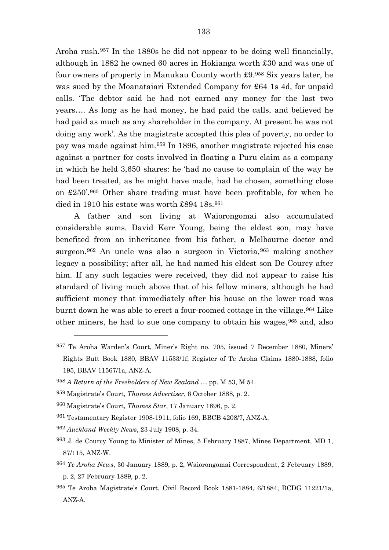Aroha rush.[957](#page-133-0) In the 1880s he did not appear to be doing well financially, although in 1882 he owned 60 acres in Hokianga worth £30 and was one of four owners of property in Manukau County worth £9.[958](#page-133-1) Six years later, he was sued by the Moanataiari Extended Company for £64 1s 4d, for unpaid calls. 'The debtor said he had not earned any money for the last two years…. As long as he had money, he had paid the calls, and believed he had paid as much as any shareholder in the company. At present he was not doing any work'. As the magistrate accepted this plea of poverty, no order to pay was made against him.[959](#page-133-2) In 1896, another magistrate rejected his case against a partner for costs involved in floating a Puru claim as a company in which he held 3,650 shares: he 'had no cause to complain of the way he had been treated, as he might have made, had he chosen, something close on £250'.[960](#page-133-3) Other share trading must have been profitable, for when he died in 1910 his estate was worth £894 18s.<sup>[961](#page-133-4)</sup>

A father and son living at Waiorongomai also accumulated considerable sums. David Kerr Young, being the eldest son, may have benefited from an inheritance from his father, a Melbourne doctor and surgeon.[962](#page-133-5) An uncle was also a surgeon in Victoria,[963](#page-133-6) making another legacy a possibility; after all, he had named his eldest son De Courcy after him. If any such legacies were received, they did not appear to raise his standard of living much above that of his fellow miners, although he had sufficient money that immediately after his house on the lower road was burnt down he was able to erect a four-roomed cottage in the village.[964](#page-133-7) Like other miners, he had to sue one company to obtain his wages,[965](#page-133-8) and, also

<span id="page-133-0"></span><sup>957</sup> Te Aroha Warden's Court, Miner's Right no. 705, issued 7 December 1880, Miners' Rights Butt Book 1880, BBAV 11533/1f; Register of Te Aroha Claims 1880-1888, folio 195, BBAV 11567/1a, ANZ-A.

<span id="page-133-1"></span><sup>958</sup> *A Return of the Freeholders of New Zealand …* pp. M 53, M 54.

<span id="page-133-2"></span><sup>959</sup> Magistrate's Court, *Thames Advertiser*, 6 October 1888, p. 2.

<span id="page-133-3"></span><sup>960</sup> Magistrate's Court, *Thames Star*, 17 January 1896, p. 2.

<span id="page-133-4"></span><sup>961</sup> Testamentary Register 1908-1911, folio 169, BBCB 4208/7, ANZ-A.

<span id="page-133-5"></span><sup>962</sup> *Auckland Weekly News*, 23 July 1908, p. 34.

<span id="page-133-6"></span><sup>963</sup> J. de Courcy Young to Minister of Mines, 5 February 1887, Mines Department, MD 1, 87/115, ANZ-W.

<span id="page-133-7"></span><sup>964</sup> *Te Aroha News*, 30 January 1889, p. 2, Waiorongomai Correspondent, 2 February 1889, p. 2, 27 February 1889, p. 2.

<span id="page-133-8"></span><sup>965</sup> Te Aroha Magistrate's Court, Civil Record Book 1881-1884, 6/1884, BCDG 11221/1a, ANZ-A.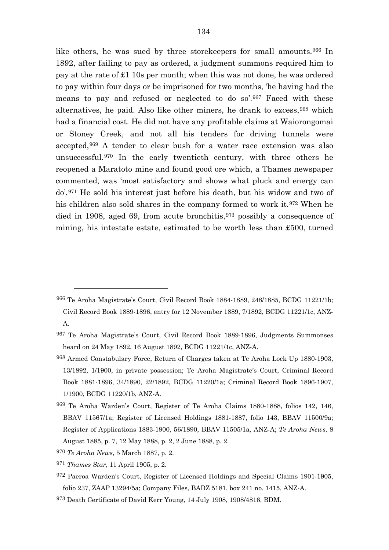like others, he was sued by three storekeepers for small amounts.[966](#page-134-0) In 1892, after failing to pay as ordered, a judgment summons required him to pay at the rate of £1 10s per month; when this was not done, he was ordered to pay within four days or be imprisoned for two months, 'he having had the means to pay and refused or neglected to do so'.[967](#page-134-1) Faced with these alternatives, he paid. Also like other miners, he drank to excess,[968](#page-134-2) which had a financial cost. He did not have any profitable claims at Waiorongomai or Stoney Creek, and not all his tenders for driving tunnels were accepted,[969](#page-134-3) A tender to clear bush for a water race extension was also unsuccessful.[970](#page-134-4) In the early twentieth century, with three others he reopened a Maratoto mine and found good ore which, a Thames newspaper commented, was 'most satisfactory and shows what pluck and energy can do'.[971](#page-134-5) He sold his interest just before his death, but his widow and two of his children also sold shares in the company formed to work it.[972](#page-134-6) When he died in 1908, aged 69, from acute bronchitis,  $973$  possibly a consequence of mining, his intestate estate, estimated to be worth less than £500, turned

- <span id="page-134-2"></span>968 Armed Constabulary Force, Return of Charges taken at Te Aroha Lock Up 1880-1903, 13/1892, 1/1900, in private possession; Te Aroha Magistrate's Court, Criminal Record Book 1881-1896, 34/1890, 22/1892, BCDG 11220/1a; Criminal Record Book 1896-1907, 1/1900, BCDG 11220/1b, ANZ-A.
- <span id="page-134-3"></span>969 Te Aroha Warden's Court, Register of Te Aroha Claims 1880-1888, folios 142, 146, BBAV 11567/1a; Register of Licensed Holdings 1881-1887, folio 143, BBAV 11500/9a; Register of Applications 1883-1900, 56/1890, BBAV 11505/1a, ANZ-A; *Te Aroha News*, 8 August 1885, p. 7, 12 May 1888, p. 2, 2 June 1888, p. 2.
- <span id="page-134-4"></span><sup>970</sup> *Te Aroha News*, 5 March 1887, p. 2.
- <span id="page-134-5"></span><sup>971</sup> *Thames Star*, 11 April 1905, p. 2.

- <span id="page-134-6"></span>972 Paeroa Warden's Court, Register of Licensed Holdings and Special Claims 1901-1905, folio 237, ZAAP 13294/5a; Company Files, BADZ 5181, box 241 no. 1415, ANZ-A.
- <span id="page-134-7"></span>973 Death Certificate of David Kerr Young, 14 July 1908, 1908/4816, BDM.

<span id="page-134-0"></span><sup>966</sup> Te Aroha Magistrate's Court, Civil Record Book 1884-1889, 248/1885, BCDG 11221/1b; Civil Record Book 1889-1896, entry for 12 November 1889, 7/1892, BCDG 11221/1c, ANZ-A.

<span id="page-134-1"></span><sup>967</sup> Te Aroha Magistrate's Court, Civil Record Book 1889-1896, Judgments Summonses heard on 24 May 1892, 16 August 1892, BCDG 11221/1c, ANZ-A.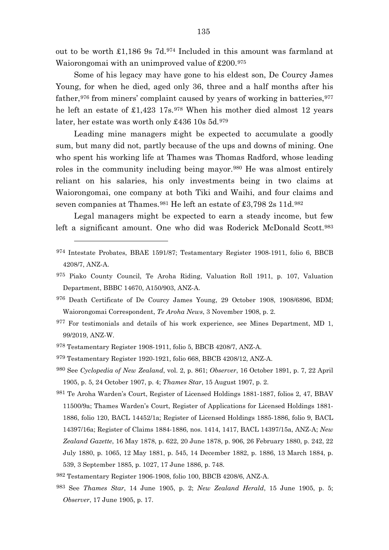out to be worth £1,186 9s 7d.[974](#page-135-0) Included in this amount was farmland at Waiorongomai with an unimproved value of £200.[975](#page-135-1)

Some of his legacy may have gone to his eldest son, De Courcy James Young, for when he died, aged only 36, three and a half months after his father,  $976$  from miners' complaint caused by years of working in batteries,  $977$ he left an estate of £1,423 17s.<sup>[978](#page-135-4)</sup> When his mother died almost 12 years later, her estate was worth only £436 10s 5d.<sup>[979](#page-135-5)</sup>

Leading mine managers might be expected to accumulate a goodly sum, but many did not, partly because of the ups and downs of mining. One who spent his working life at Thames was Thomas Radford, whose leading roles in the community including being mayor.[980](#page-135-6) He was almost entirely reliant on his salaries, his only investments being in two claims at Waiorongomai, one company at both Tiki and Waihi, and four claims and seven companies at Thames.<sup>[981](#page-135-7)</sup> He left an estate of £3,798 2s 11d.<sup>[982](#page-135-8)</sup>

Legal managers might be expected to earn a steady income, but few left a significant amount. One who did was Roderick McDonald Scott.<sup>[983](#page-135-9)</sup>

- <span id="page-135-0"></span>974 Intestate Probates, BBAE 1591/87; Testamentary Register 1908-1911, folio 6, BBCB 4208/7, ANZ-A.
- <span id="page-135-1"></span>975 Piako County Council, Te Aroha Riding, Valuation Roll 1911, p. 107, Valuation Department, BBBC 14670, A150/903, ANZ-A.
- <span id="page-135-2"></span>976 Death Certificate of De Courcy James Young, 29 October 1908, 1908/6896, BDM; Waiorongomai Correspondent, *Te Aroha News*, 3 November 1908, p. 2.
- <span id="page-135-3"></span>977 For testimonials and details of his work experience, see Mines Department, MD 1, 99/2019, ANZ-W.
- <span id="page-135-4"></span>978 Testamentary Register 1908-1911, folio 5, BBCB 4208/7, ANZ-A.

- <span id="page-135-5"></span>979 Testamentary Register 1920-1921, folio 668, BBCB 4208/12, ANZ-A.
- <span id="page-135-6"></span><sup>980</sup> See *Cyclopedia of New Zealand*, vol. 2, p. 861; *Observer*, 16 October 1891, p. 7, 22 April 1905, p. 5, 24 October 1907, p. 4; *Thames Star*, 15 August 1907, p. 2.
- <span id="page-135-7"></span>981 Te Aroha Warden's Court, Register of Licensed Holdings 1881-1887, folios 2, 47, BBAV 11500/9a; Thames Warden's Court, Register of Applications for Licensed Holdings 1881- 1886, folio 120, BACL 14452/1a; Register of Licensed Holdings 1885-1886, folio 9, BACL 14397/16a; Register of Claims 1884-1886, nos. 1414, 1417, BACL 14397/15a, ANZ-A; *New Zealand Gazette*, 16 May 1878, p. 622, 20 June 1878, p. 906, 26 February 1880, p. 242, 22 July 1880, p. 1065, 12 May 1881, p. 545, 14 December 1882, p. 1886, 13 March 1884, p. 539, 3 September 1885, p. 1027, 17 June 1886, p. 748.
- <span id="page-135-8"></span>982 Testamentary Register 1906-1908, folio 100, BBCB 4208/6, ANZ-A.
- <span id="page-135-9"></span><sup>983</sup> See *Thames Star*, 14 June 1905, p. 2; *New Zealand Herald*, 15 June 1905, p. 5; *Observer*, 17 June 1905, p. 17.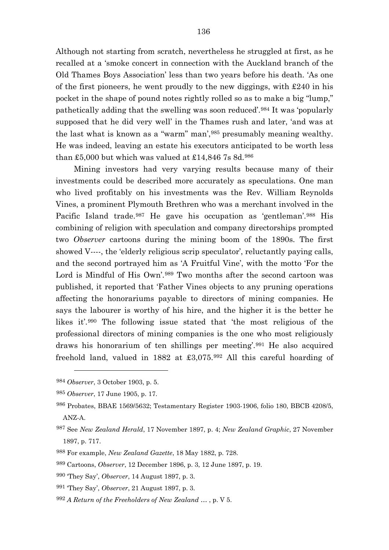Although not starting from scratch, nevertheless he struggled at first, as he recalled at a 'smoke concert in connection with the Auckland branch of the Old Thames Boys Association' less than two years before his death. 'As one of the first pioneers, he went proudly to the new diggings, with £240 in his pocket in the shape of pound notes rightly rolled so as to make a big "lump," pathetically adding that the swelling was soon reduced'.[984](#page-136-0) It was 'popularly supposed that he did very well' in the Thames rush and later, 'and was at the last what is known as a "warm" man',[985](#page-136-1) presumably meaning wealthy. He was indeed, leaving an estate his executors anticipated to be worth less than £5,000 but which was valued at £14,846 7s 8d.<sup>[986](#page-136-2)</sup>

Mining investors had very varying results because many of their investments could be described more accurately as speculations. One man who lived profitably on his investments was the Rev. William Reynolds Vines, a prominent Plymouth Brethren who was a merchant involved in the Pacific Island trade.[987](#page-136-3) He gave his occupation as 'gentleman'.[988](#page-136-4) His combining of religion with speculation and company directorships prompted two *Observer* cartoons during the mining boom of the 1890s. The first showed V----, the 'elderly religious scrip speculator', reluctantly paying calls, and the second portrayed him as 'A Fruitful Vine', with the motto 'For the Lord is Mindful of His Own'.[989](#page-136-5) Two months after the second cartoon was published, it reported that 'Father Vines objects to any pruning operations affecting the honorariums payable to directors of mining companies. He says the labourer is worthy of his hire, and the higher it is the better he likes it'.[990](#page-136-6) The following issue stated that 'the most religious of the professional directors of mining companies is the one who most religiously draws his honorarium of ten shillings per meeting'.[991](#page-136-7) He also acquired freehold land, valued in 1882 at £3,075.[992](#page-136-8) All this careful hoarding of

<span id="page-136-0"></span><sup>984</sup> *Observer*, 3 October 1903, p. 5.

<span id="page-136-1"></span><sup>985</sup> *Observer*, 17 June 1905, p. 17.

<span id="page-136-2"></span><sup>986</sup> Probates, BBAE 1569/5632; Testamentary Register 1903-1906, folio 180, BBCB 4208/5, ANZ-A.

<span id="page-136-3"></span><sup>987</sup> See *New Zealand Herald*, 17 November 1897, p. 4; *New Zealand Graphic*, 27 November 1897, p. 717.

<span id="page-136-4"></span><sup>988</sup> For example, *New Zealand Gazette*, 18 May 1882, p. 728.

<span id="page-136-5"></span><sup>989</sup> Cartoons, *Observer*, 12 December 1896, p. 3, 12 June 1897, p. 19.

<span id="page-136-6"></span><sup>990</sup> 'They Say', *Observer*, 14 August 1897, p. 3.

<span id="page-136-7"></span><sup>991</sup> 'They Say', *Observer*, 21 August 1897, p. 3.

<span id="page-136-8"></span><sup>992</sup> *A Return of the Freeholders of New Zealand …* , p. V 5.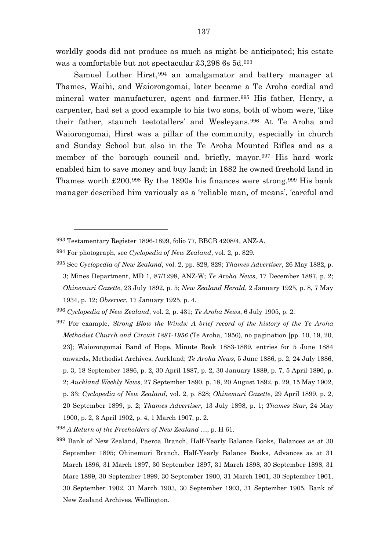worldly goods did not produce as much as might be anticipated; his estate was a comfortable but not spectacular £3,298 6s 5d.[993](#page-137-0)

Samuel Luther Hirst, [994](#page-137-1) an amalgamator and battery manager at Thames, Waihi, and Waiorongomai, later became a Te Aroha cordial and mineral water manufacturer, agent and farmer.<sup>[995](#page-137-2)</sup> His father, Henry, a carpenter, had set a good example to his two sons, both of whom were, 'like their father, staunch teetotallers' and Wesleyans.[996](#page-137-3) At Te Aroha and Waiorongomai, Hirst was a pillar of the community, especially in church and Sunday School but also in the Te Aroha Mounted Rifles and as a member of the borough council and, briefly, mayor.<sup>[997](#page-137-4)</sup> His hard work enabled him to save money and buy land; in 1882 he owned freehold land in Thames worth £200.[998](#page-137-5) By the 1890s his finances were strong.[999](#page-137-6) His bank manager described him variously as a 'reliable man, of means', 'careful and

<span id="page-137-0"></span><sup>993</sup> Testamentary Register 1896-1899, folio 77, BBCB 4208/4, ANZ-A.

<span id="page-137-1"></span><sup>994</sup> For photograph, see *Cyclopedia of New Zealand*, vol. 2, p. 829.

<span id="page-137-2"></span><sup>995</sup> See *Cyclopedia of New Zealand*, vol. 2, pp. 828, 829; *Thames Advertiser*, 26 May 1882, p. 3; Mines Department, MD 1, 87/1298, ANZ-W; *Te Aroha News*, 17 December 1887, p. 2; *Ohinemuri Gazette*, 23 July 1892, p. 5; *New Zealand Herald*, 2 January 1925, p. 8, 7 May 1934, p. 12; *Observer*, 17 January 1925, p. 4.

<span id="page-137-3"></span><sup>996</sup> *Cyclopedia of New Zealand*, vol. 2, p. 431; *Te Aroha News*, 6 July 1905, p. 2.

<span id="page-137-4"></span><sup>997</sup> For example, *Strong Blow the Winds: A brief record of the history of the Te Aroha Methodist Church and Circuit 1881-1956* (Te Aroha, 1956), no pagination [pp. 10, 19, 20, 23]; Waiorongomai Band of Hope, Minute Book 1883-1889, entries for 5 June 1884 onwards, Methodist Archives, Auckland; *Te Aroha News*, 5 June 1886, p. 2, 24 July 1886, p. 3, 18 September 1886, p. 2, 30 April 1887, p. 2, 30 January 1889, p. 7, 5 April 1890, p. 2; *Auckland Weekly News*, 27 September 1890, p. 18, 20 August 1892, p. 29, 15 May 1902, p. 33; *Cyclopedia of New Zealand*, vol. 2, p. 828; *Ohinemuri Gazette*, 29 April 1899, p. 2, 20 September 1899, p. 2; *Thames Advertiser*, 13 July 1898, p. 1; *Thames Star*, 24 May 1900, p. 2, 3 April 1902, p. 4, 1 March 1907, p. 2.

<span id="page-137-5"></span><sup>998</sup> *A Return of the Freeholders of New Zealand …*, p. H 61.

<span id="page-137-6"></span><sup>999</sup> Bank of New Zealand, Paeroa Branch, Half-Yearly Balance Books, Balances as at 30 September 1895; Ohinemuri Branch, Half-Yearly Balance Books, Advances as at 31 March 1896, 31 March 1897, 30 September 1897, 31 March 1898, 30 September 1898, 31 Marc 1899, 30 September 1899, 30 September 1900, 31 March 1901, 30 September 1901, 30 September 1902, 31 March 1903, 30 September 1903, 31 September 1905, Bank of New Zealand Archives, Wellington.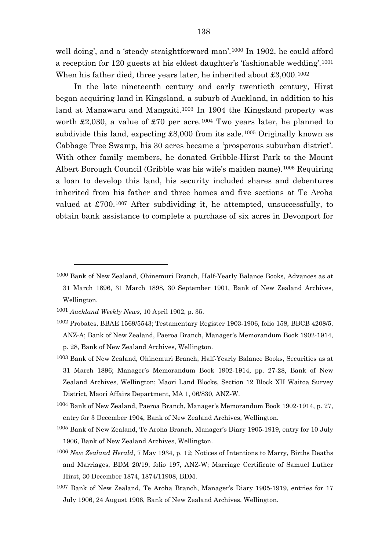well doing', and a 'steady straightforward man'.<sup>[1000](#page-138-0)</sup> In 1902, he could afford a reception for 120 guests at his eldest daughter's 'fashionable wedding'.[1001](#page-138-1) When his father died, three years later, he inherited about £3,000.[1002](#page-138-2)

In the late nineteenth century and early twentieth century, Hirst began acquiring land in Kingsland, a suburb of Auckland, in addition to his land at Manawaru and Mangaiti.<sup>[1003](#page-138-3)</sup> In 1904 the Kingsland property was worth £2,030, a value of £70 per acre.<sup>[1004](#page-138-4)</sup> Two years later, he planned to subdivide this land, expecting £8,000 from its sale.<sup>[1005](#page-138-5)</sup> Originally known as Cabbage Tree Swamp, his 30 acres became a 'prosperous suburban district'. With other family members, he donated Gribble-Hirst Park to the Mount Albert Borough Council (Gribble was his wife's maiden name).[1006](#page-138-6) Requiring a loan to develop this land, his security included shares and debentures inherited from his father and three homes and five sections at Te Aroha valued at £700.[1007](#page-138-7) After subdividing it, he attempted, unsuccessfully, to obtain bank assistance to complete a purchase of six acres in Devonport for

- <span id="page-138-4"></span>1004 Bank of New Zealand, Paeroa Branch, Manager's Memorandum Book 1902-1914, p. 27, entry for 3 December 1904, Bank of New Zealand Archives, Wellington.
- <span id="page-138-5"></span>1005 Bank of New Zealand, Te Aroha Branch, Manager's Diary 1905-1919, entry for 10 July 1906, Bank of New Zealand Archives, Wellington.
- <span id="page-138-6"></span><sup>1006</sup> *New Zealand Herald*, 7 May 1934, p. 12; Notices of Intentions to Marry, Births Deaths and Marriages, BDM 20/19, folio 197, ANZ-W; Marriage Certificate of Samuel Luther Hirst, 30 December 1874, 1874/11908, BDM.
- <span id="page-138-7"></span>1007 Bank of New Zealand, Te Aroha Branch, Manager's Diary 1905-1919, entries for 17 July 1906, 24 August 1906, Bank of New Zealand Archives, Wellington.

<span id="page-138-0"></span><sup>1000</sup> Bank of New Zealand, Ohinemuri Branch, Half-Yearly Balance Books, Advances as at

<sup>31</sup> March 1896, 31 March 1898, 30 September 1901, Bank of New Zealand Archives, Wellington.

<span id="page-138-1"></span><sup>1001</sup> *Auckland Weekly News*, 10 April 1902, p. 35.

<span id="page-138-2"></span><sup>1002</sup> Probates, BBAE 1569/5543; Testamentary Register 1903-1906, folio 158, BBCB 4208/5, ANZ-A; Bank of New Zealand, Paeroa Branch, Manager's Memorandum Book 1902-1914, p. 28, Bank of New Zealand Archives, Wellington.

<span id="page-138-3"></span><sup>1003</sup> Bank of New Zealand, Ohinemuri Branch, Half-Yearly Balance Books, Securities as at 31 March 1896; Manager's Memorandum Book 1902-1914, pp. 27-28, Bank of New Zealand Archives, Wellington; Maori Land Blocks, Section 12 Block XII Waitoa Survey District, Maori Affairs Department, MA 1, 06/830, ANZ-W.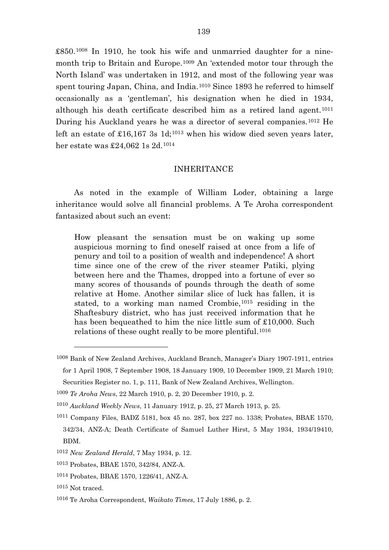£850.[1008](#page-139-0) In 1910, he took his wife and unmarried daughter for a ninemonth trip to Britain and Europe.[1009](#page-139-1) An 'extended motor tour through the North Island' was undertaken in 1912, and most of the following year was spent touring Japan, China, and India.<sup>[1010](#page-139-2)</sup> Since 1893 he referred to himself occasionally as a 'gentleman', his designation when he died in 1934, although his death certificate described him as a retired land agent.[1011](#page-139-3) During his Auckland years he was a director of several companies.[1012](#page-139-4) He left an estate of £16,167 3s  $1d:1013$  $1d:1013$  when his widow died seven years later, her estate was £24,062 1s 2d.[1014](#page-139-6)

### INHERITANCE

As noted in the example of William Loder, obtaining a large inheritance would solve all financial problems. A Te Aroha correspondent fantasized about such an event:

How pleasant the sensation must be on waking up some auspicious morning to find oneself raised at once from a life of penury and toil to a position of wealth and independence! A short time since one of the crew of the river steamer Patiki, plying between here and the Thames, dropped into a fortune of ever so many scores of thousands of pounds through the death of some relative at Home. Another similar slice of luck has fallen, it is stated, to a working man named Crombie,[1015](#page-139-7) residing in the Shaftesbury district, who has just received information that he has been bequeathed to him the nice little sum of £10,000. Such relations of these ought really to be more plentiful.[1016](#page-139-8)

<span id="page-139-0"></span><sup>1008</sup> Bank of New Zealand Archives, Auckland Branch, Manager's Diary 1907-1911, entries for 1 April 1908, 7 September 1908, 18 January 1909, 10 December 1909, 21 March 1910;

Securities Register no. 1, p. 111, Bank of New Zealand Archives, Wellington.

<span id="page-139-1"></span><sup>1009</sup> *Te Aroha News*, 22 March 1910, p. 2, 20 December 1910, p. 2.

<span id="page-139-2"></span><sup>1010</sup> *Auckland Weekly News*, 11 January 1912, p. 25, 27 March 1913, p. 25.

<span id="page-139-3"></span><sup>1011</sup> Company Files, BADZ 5181, box 45 no. 287, box 227 no. 1338; Probates, BBAE 1570, 342/34, ANZ-A; Death Certificate of Samuel Luther Hirst, 5 May 1934, 1934/19410, BDM.

<span id="page-139-4"></span><sup>1012</sup> *New Zealand Herald*, 7 May 1934, p. 12.

<span id="page-139-5"></span><sup>1013</sup> Probates, BBAE 1570, 342/84, ANZ-A.

<span id="page-139-6"></span><sup>1014</sup> Probates, BBAE 1570, 1226/41, ANZ-A.

<span id="page-139-8"></span><span id="page-139-7"></span><sup>1015</sup> Not traced.

<sup>1016</sup> Te Aroha Correspondent, *Waikato Times*, 17 July 1886, p. 2.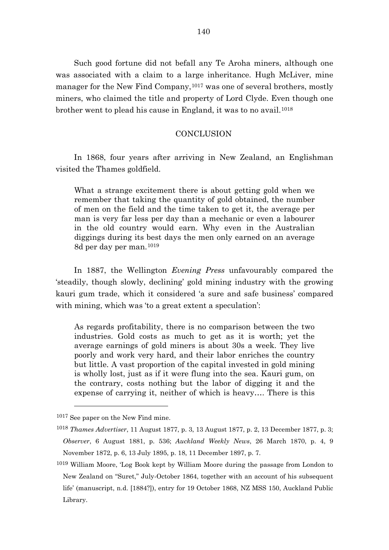Such good fortune did not befall any Te Aroha miners, although one was associated with a claim to a large inheritance. Hugh McLiver, mine manager for the New Find Company,<sup>[1017](#page-140-0)</sup> was one of several brothers, mostly miners, who claimed the title and property of Lord Clyde. Even though one brother went to plead his cause in England, it was to no avail.<sup>[1018](#page-140-1)</sup>

# **CONCLUSION**

In 1868, four years after arriving in New Zealand, an Englishman visited the Thames goldfield.

What a strange excitement there is about getting gold when we remember that taking the quantity of gold obtained, the number of men on the field and the time taken to get it, the average per man is very far less per day than a mechanic or even a labourer in the old country would earn. Why even in the Australian diggings during its best days the men only earned on an average 8d per day per man.[1019](#page-140-2)

In 1887, the Wellington *Evening Press* unfavourably compared the 'steadily, though slowly, declining' gold mining industry with the growing kauri gum trade, which it considered 'a sure and safe business' compared with mining, which was 'to a great extent a speculation':

As regards profitability, there is no comparison between the two industries. Gold costs as much to get as it is worth; yet the average earnings of gold miners is about 30s a week. They live poorly and work very hard, and their labor enriches the country but little. A vast proportion of the capital invested in gold mining is wholly lost, just as if it were flung into the sea. Kauri gum, on the contrary, costs nothing but the labor of digging it and the expense of carrying it, neither of which is heavy…. There is this

<span id="page-140-0"></span><sup>1017</sup> See paper on the New Find mine.

<span id="page-140-1"></span><sup>1018</sup> *Thames Advertiser*, 11 August 1877, p. 3, 13 August 1877, p. 2, 13 December 1877, p. 3; *Observer*, 6 August 1881, p. 536; *Auckland Weekly News*, 26 March 1870, p. 4, 9 November 1872, p. 6, 13 July 1895, p. 18, 11 December 1897, p. 7.

<span id="page-140-2"></span><sup>1019</sup> William Moore, 'Log Book kept by William Moore during the passage from London to New Zealand on "Suret," July-October 1864, together with an account of his subsequent life' (manuscript, n.d. [1884?]), entry for 19 October 1868, NZ MSS 150, Auckland Public Library.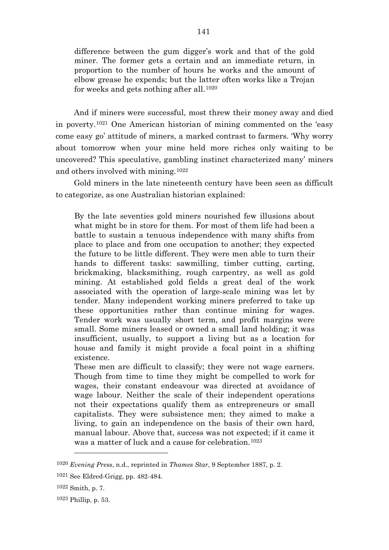difference between the gum digger's work and that of the gold miner. The former gets a certain and an immediate return, in proportion to the number of hours he works and the amount of elbow grease he expends; but the latter often works like a Trojan for weeks and gets nothing after all.[1020](#page-141-0)

And if miners were successful, most threw their money away and died in poverty.[1021](#page-141-1) One American historian of mining commented on the 'easy come easy go' attitude of miners, a marked contrast to farmers. 'Why worry about tomorrow when your mine held more riches only waiting to be uncovered? This speculative, gambling instinct characterized many' miners and others involved with mining.[1022](#page-141-2)

Gold miners in the late nineteenth century have been seen as difficult to categorize, as one Australian historian explained:

By the late seventies gold miners nourished few illusions about what might be in store for them. For most of them life had been a battle to sustain a tenuous independence with many shifts from place to place and from one occupation to another; they expected the future to be little different. They were men able to turn their hands to different tasks: sawmilling, timber cutting, carting, brickmaking, blacksmithing, rough carpentry, as well as gold mining. At established gold fields a great deal of the work associated with the operation of large-scale mining was let by tender. Many independent working miners preferred to take up these opportunities rather than continue mining for wages. Tender work was usually short term, and profit margins were small. Some miners leased or owned a small land holding; it was insufficient, usually, to support a living but as a location for house and family it might provide a focal point in a shifting existence.

These men are difficult to classify; they were not wage earners. Though from time to time they might be compelled to work for wages, their constant endeavour was directed at avoidance of wage labour. Neither the scale of their independent operations not their expectations qualify them as entrepreneurs or small capitalists. They were subsistence men; they aimed to make a living, to gain an independence on the basis of their own hard, manual labour. Above that, success was not expected; if it came it was a matter of luck and a cause for celebration.[1023](#page-141-3)

<span id="page-141-1"></span><span id="page-141-0"></span><sup>1020</sup> *Evening Press*, n.d., reprinted in *Thames Star*, 9 September 1887, p. 2.

<sup>1021</sup> See Eldred-Grigg, pp. 482-484.

<span id="page-141-2"></span><sup>1022</sup> Smith, p. 7.

<span id="page-141-3"></span><sup>1023</sup> Phillip, p. 53.